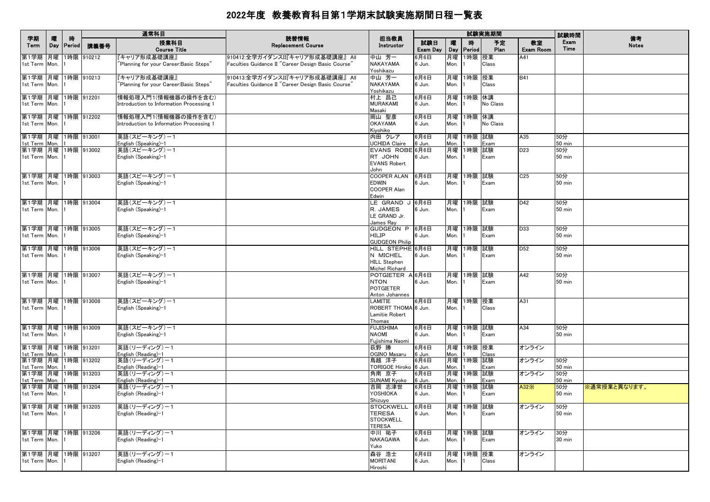|                                        |          |              |            | 通常科目                                     |                                                    |                                       |                 |            |             | 試験実施期間     |                        | 試験時間                 |                    |
|----------------------------------------|----------|--------------|------------|------------------------------------------|----------------------------------------------------|---------------------------------------|-----------------|------------|-------------|------------|------------------------|----------------------|--------------------|
| 学期<br>Term                             | 曤<br>Day | 時<br> Period | 講義番号       | 授業科目<br><b>Course Title</b>              | 読替情報<br><b>Replacement Course</b>                  | 担当教員<br>Instructor                    | 試験日<br>Exam Day | 嚁<br>Day   | 時<br>Period | 予定<br>Plan | 教室<br><b>Exam Room</b> | Exam<br>Time         | 備考<br><b>Notes</b> |
| 第1学期                                   | 月曜       |              | 1時限 910212 | 「キャリア形成基礎講座」                             | 910412:全学ガイダンスII『キャリア形成基礎講座』 All                   | 中山芳一                                  | 6月6日            | 月曜         | 1時限 授業      |            | A41                    |                      |                    |
| 1st Term                               | Mon.     |              |            | Planning for your Career:Basic Steps"    | Faculties Guidance II "Career Design Basic Course" | NAKAYAMA                              | 6 Jun.          | Mon.       |             | Class      |                        |                      |                    |
| 第1学期 月曜  1時限  910213                   |          |              |            | 『キャリア形成基礎講座』                             | 910413:全学ガイダンスII『キャリア形成基礎講座』 All                   | Yoshikazu<br>中山 芳一                    | 6月6日            | 月曜         | 1時限 授業      |            | <b>B41</b>             |                      |                    |
| 1st Term Mon.                          |          |              |            | Planning for your Career:Basic Steps"    | Faculties Guidance II "Career Design Basic Course" | <b>NAKAYAMA</b>                       | 6 Jun.          | Mon.       |             | Class      |                        |                      |                    |
|                                        |          |              |            |                                          |                                                    | Yoshikazu                             |                 |            |             |            |                        |                      |                    |
| 第1学期 月曜 1時限 912201                     |          |              |            | 情報処理入門1(情報機器の操作を含む)                      |                                                    | 村上 昌己                                 | 6月6日            | 月曜         | 1時限 休講      |            |                        |                      |                    |
| 1st Term Mon.                          |          |              |            | Introduction to Information Processing 1 |                                                    | <b>MURAKAMI</b>                       | 6 Jun.          | Mon.       |             | No Class   |                        |                      |                    |
| 第1学期  月曜  1時限  912202                  |          |              |            | 情報処理入門1(情報機器の操作を含む)                      |                                                    | Masaki<br>岡山 聖彦                       | 6月6日            | 月曜         | 1時限 休講      |            |                        |                      |                    |
| 1st Term Mon.                          |          |              |            | Introduction to Information Processing 1 |                                                    | <b>OKAYAMA</b>                        | 6 Jun.          | Mon.       |             | No Class   |                        |                      |                    |
|                                        |          |              |            |                                          |                                                    | Kivohiko                              |                 |            |             |            |                        |                      |                    |
| 第1学期 月曜 1時限 913001                     |          |              |            | 英語(スピーキング)ー1                             |                                                    | 内田 クレア                                | 6月6日            | 月曜         | 1時限 試験      |            | A35                    | 50分                  |                    |
| 1st Term Mon.                          |          |              |            | English (Speaking)-1                     |                                                    | <b>UCHIDA Claire</b>                  | 6 Jun.          | Mon.       |             | Exam       |                        | <b>50 min</b>        |                    |
| 第1学期 月曜 1時限 913002<br>1st Term Mon. 1  |          |              |            | 英語(スピーキング)ー1<br>English (Speaking)-1     |                                                    | EVANS ROBE 6月6日<br>RT JOHN            | 6 Jun.          | 月曜<br>Mon. | 1時限 試験      | Exam       | D <sub>23</sub>        | 50分<br><b>50 min</b> |                    |
|                                        |          |              |            |                                          |                                                    | <b>EVANS Robert</b>                   |                 |            |             |            |                        |                      |                    |
|                                        |          |              |            |                                          |                                                    | John                                  |                 |            |             |            |                        |                      |                    |
| 第1学期  月曜  1時限  913003                  |          |              |            | 英語(スピーキング)-1                             |                                                    | <b>COOPER ALAN</b>                    | 6月6日            | 月曜         | 1時限 試験      |            | C <sub>25</sub>        | 50分                  |                    |
| 1st Term Mon.                          |          |              |            | English (Speaking)-1                     |                                                    | <b>EDWIN</b>                          | 6 Jun.          | Mon.       |             | Exam       |                        | <b>50 min</b>        |                    |
|                                        |          |              |            |                                          |                                                    | COOPER Alan                           |                 |            |             |            |                        |                      |                    |
| 第1学期  月曜  1時限  913004                  |          |              |            | 英語(スピーキング)ー1                             |                                                    | Edwin<br>LE GRAND J 6月6日              |                 |            | 月曜  1時限  試験 |            | D42                    | 50分                  |                    |
| 1st Term Mon. 1                        |          |              |            | English (Speaking)-1                     |                                                    | R. JAMES                              | 6 Jun.          | Mon.       |             | Exam       |                        | <b>50 min</b>        |                    |
|                                        |          |              |            |                                          |                                                    | LE GRAND Jr.                          |                 |            |             |            |                        |                      |                    |
|                                        |          |              |            |                                          |                                                    | James Ray                             |                 |            |             |            |                        |                      |                    |
| 第1学期 月曜 1時限 913005                     |          |              |            | 英語(スピーキング)-1                             |                                                    | GUDGEON P<br><b>HILIP</b>             | 6月6日            | 月曜         | 1時限 試験      |            | D33                    | 50分<br><b>50 min</b> |                    |
| 1st Term Mon.                          |          |              |            | English (Speaking)-1                     |                                                    | <b>GUDGEON Philip</b>                 | 6 Jun.          | Mon.       |             | Exam       |                        |                      |                    |
| 第1学期 月曜 1時限 913006                     |          |              |            | 英語(スピーキング)ー1                             |                                                    | HILL STEPHE 6月6日                      |                 | 月曜         | 1時限 試験      |            | D <sub>52</sub>        | 50分                  |                    |
| 1st Term Mon.                          |          |              |            | English (Speaking)-1                     |                                                    | N MICHEL                              | 6 Jun.          | Mon.       |             | Exam       |                        | <b>50 min</b>        |                    |
|                                        |          |              |            |                                          |                                                    | <b>HILL Stephen</b>                   |                 |            |             |            |                        |                      |                    |
| 第1学期 月曜 1時限 913007                     |          |              |            | 英語(スピーキング)-1                             |                                                    | Michel Richard<br>POTGIETER A 6月6日    |                 |            | 月曜 1時限 試験   |            | A42                    | 50分                  |                    |
| 1st Term Mon.                          |          |              |            | English (Speaking)-1                     |                                                    | <b>NTON</b>                           | 6 Jun.          | Mon.       |             | Exam       |                        | 50 min               |                    |
|                                        |          |              |            |                                          |                                                    | <b>POTGIETER</b>                      |                 |            |             |            |                        |                      |                    |
|                                        |          |              |            |                                          |                                                    | Anton Johannes                        |                 |            |             |            |                        |                      |                    |
| 第1学期 月曜 1時限 913008                     |          |              |            | 英語(スピーキング)ー1                             |                                                    | LAMITIE                               | 6月6日            |            | 月曜 1時限 授業   |            | A31                    |                      |                    |
| 1st Term Mon. 1                        |          |              |            | English (Speaking)-1                     |                                                    | ROBERT THOMA 6 Jun.<br>Lamitie Robert |                 | Mon.       |             | Class      |                        |                      |                    |
|                                        |          |              |            |                                          |                                                    | Thomas                                |                 |            |             |            |                        |                      |                    |
| 第1学期 月曜 1時限 913009                     |          |              |            | 英語(スピーキング)ー1                             |                                                    | <b>FUJISHIMA</b>                      | 6月6日            |            | 月曜 1時限 試験   |            | A34                    | 50分                  |                    |
| 1st Term Mon.                          |          |              |            | English (Speaking)-1                     |                                                    | <b>NAOMI</b>                          | 6 Jun.          | Mon.       |             | Exam       |                        | <b>50 min</b>        |                    |
|                                        |          |              |            |                                          |                                                    | Fujishima Naomi                       |                 |            |             |            |                        |                      |                    |
| 第1学期  月曜  1時限  913201<br>1st Term Mon. |          |              |            | 英語(リーディング)ー1<br>English (Reading)-1      |                                                    | 荻野 勝<br>OGINO Masaru                  | 6月6日<br>6 Jun.  | 月曜<br>Mon. | 1時限 授業      | Class      | オンライン                  |                      |                    |
| 第1学期  月曜  1時限  913202                  |          |              |            | 英語(リーディング)ー1                             |                                                    | 鳥越 洋子                                 | 6月6日            | 月曜         | 1時限 試験      |            | オンライン                  | 50分                  |                    |
| 1st Term Mon. 1                        |          |              |            | English (Reading)-1                      |                                                    | TORIGOE Hiroko 6 Jun.                 |                 | Mon.       |             | Exam       |                        | <b>50 min</b>        |                    |
| 第1学期 月曜 1時限 913203                     |          |              |            | 英語(リーディング)-1                             |                                                    | 角南 京子                                 | 6月6日            |            | 月曜 1時限 試験   |            | オンライン                  | 50分                  |                    |
| 1st Term Mon.                          |          |              |            | English (Reading)-1                      |                                                    | <b>SUNAMI Kyoko</b>                   | 6 Jun.          | Mon.       |             | Exam       |                        | <b>50 min</b>        |                    |
| 第1学期 月曜 1時限 913204<br>1st Term Mon.    |          |              |            | 英語(リーディング)-1<br>English (Reading)-1      |                                                    | 吉岡 志津世<br>YOSHIOKA                    | 6月6日<br>6 Jun.  | 月曜<br>Mon. | 1時限 試験      | Exam       | A32X                   | 50分<br>$50$ min      | ※通常授業と異なります。       |
|                                        |          |              |            |                                          |                                                    | Shizuyo                               |                 |            |             |            |                        |                      |                    |
| 第1学期  月曜  1時限  913205                  |          |              |            | 英語(リーディング)ー1                             |                                                    | <b>STOCKWELL</b>                      | 6月6日            | 月曜         | 1時限 試験      |            | オンライン                  | 50分                  |                    |
| 1st Term Mon.                          |          |              |            | English (Reading)-1                      |                                                    | <b>TERESA</b>                         | 6 Jun.          | Mon.       |             | Exam       |                        | $50$ min             |                    |
|                                        |          |              |            |                                          |                                                    | <b>STOCKWELL</b><br><b>TERESA</b>     |                 |            |             |            |                        |                      |                    |
| 第1学期 月曜 1時限 913206                     |          |              |            | 英語(リーディング)-1                             |                                                    | 中川 祐子                                 | 6月6日            |            | 月曜 1時限 試験   |            | オンライン                  | 30分                  |                    |
| 1st Term Mon.                          |          |              |            | English (Reading)-1                      |                                                    | NAKAGAWA                              | 6 Jun.          | Mon.       |             | Exam       |                        | 30 min               |                    |
|                                        |          |              |            |                                          |                                                    | Yuko                                  |                 |            |             |            |                        |                      |                    |
| 第1学期  月曜  1時限  913207                  |          |              |            | 英語(リーディング)ー1                             |                                                    | 森谷 浩士                                 | 6月6日            | 月曜         | 1時限 授業      |            | オンライン                  |                      |                    |
| 1st Term Mon.                          |          |              |            | English (Reading)-1                      |                                                    | <b>MORITANI</b>                       | 6 Jun.          | Mon.       |             | Class      |                        |                      |                    |
|                                        |          |              |            |                                          |                                                    | Hiroshi                               |                 |            |             |            |                        |                      |                    |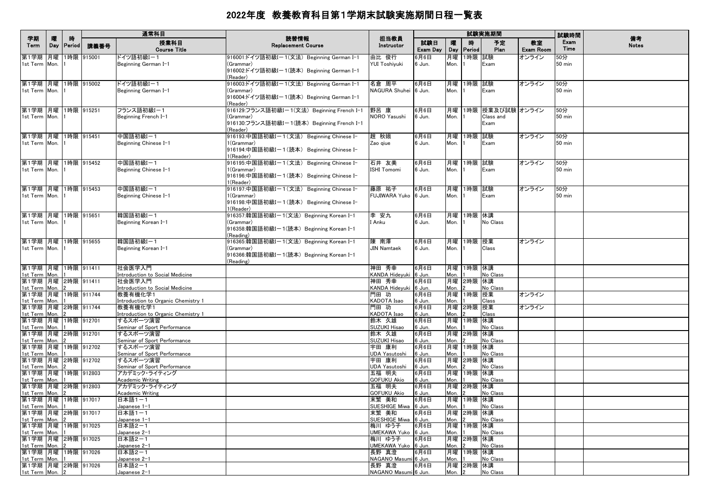|                                          |          |                    |            | 通常科目                                           |                                                                                                                   |                                |                 |            |                             | 試験実施期間                                     |                 | 試験時間                 |                    |
|------------------------------------------|----------|--------------------|------------|------------------------------------------------|-------------------------------------------------------------------------------------------------------------------|--------------------------------|-----------------|------------|-----------------------------|--------------------------------------------|-----------------|----------------------|--------------------|
| 学期<br>Term                               | 曤<br>Day | 時<br><b>Period</b> | 講義番号       | 授業科目<br><b>Course Title</b>                    | 読替情報<br><b>Replacement Course</b>                                                                                 | 担当教員<br>Instructor             | 試験日<br>Exam Day | 嚁<br>Day   | 時<br>Period                 | 予定<br>Plan                                 | 教室<br>Exam Room | Exam<br>Time         | 備考<br><b>Notes</b> |
| 第1学期<br>1st Term Mon.                    | 月曜       |                    | 1時限 915001 | ドイツ語初級I-1<br>Beginning German I-1              | 916001:ドイツ語初級Iー1(文法)Beginning German I-1<br>(Grammar)<br>916002:ドイツ語初級Iー1(読本) Beginning German I-1<br>(Reader)    | 由比 俊行<br>YUI Toshiyuki         | 6月6日<br>6 Jun.  | 月曜<br>Mon. | 1時限 試験                      | Exam                                       | オンライン           | 50分<br>$50$ min      |                    |
| 第1学期 月曜 1時限 915002<br>1st Term Mon.      |          |                    |            | ドイツ語初級I-1<br>Beginning German I-1              | 916003:ドイツ語初級Iー1(文法) Beginning German I-1<br>(Grammar)<br>916004:ドイツ語初級I-1(読本) Beginning German I-1<br>(Reader)   | 名倉 周平<br>NAGURA Shuhei 6 Jun.  | 6月6日            | Mon.       | 月曜 1時限 試験                   | Exam                                       | オンライン           | 50分<br><b>50 min</b> |                    |
| 第1学期  月曜  1時限  915251<br>1st Term Mon.   |          |                    |            | フランス語初級I-1<br>Beginning French I-1             | 916129:フランス語初級Iー1(文法) Beginning French I-1<br>(Grammar)<br>916130:フランス語初級I-1(読本) Beginning French I-1<br>(Reader) | 野呂 康<br>NORO Yasushi           | 6月6日<br>6 Jun.  | Mon.       |                             | 月曜  1時限  授業及び試験 オンライン<br>Class and<br>Exam |                 | 50分<br>50 min        |                    |
| 第1学期 月曜 1時限 915451<br>1st Term Mon.      |          |                    |            | 中国語初級I-1<br>Beginning Chinese I-1              | 916193:中国語初級Iー1(文法) Beginning Chinese I-<br>1(Grammar)<br>916194:中国語初級I-1(読本) Beginning Chinese I-<br>1(Reader)   | 趙 秋娥<br>Zao giue               | 6月6日<br>6 Jun.  | Mon.       | 月曜  1時限  試験                 | Exam                                       | オンライン           | 50分<br>50 min        |                    |
| 第1学期 月曜 1時限 915452<br>1st Term Mon. 1    |          |                    |            | 中国語初級I-1<br>Beginning Chinese I-1              | 916195:中国語初級Iー1(文法) Beginning Chinese I-<br>1(Grammar)<br>916196:中国語初級Iー1(読本) Beginning Chinese I-<br>1(Reader)   | 石井 友美<br><b>ISHI Tomomi</b>    | 6月6日<br>6 Jun.  | Mon.       | 月曜 1時限 試験                   | Exam                                       | オンライン           | 50分<br>$50$ min      |                    |
| 第1学期 月曜 1時限 915453<br>1st Term Mon.      |          |                    |            | 中国語初級I-1<br>Beginning Chinese I-1              | 916197:中国語初級Iー1(文法) Beginning Chinese I-<br>1(Grammar)<br>916198:中国語初級Iー1(読本) Beginning Chinese I-<br>1(Reader)   | 藤原 祐子<br>FUJIWARA Yuko 6 Jun.  | 6月6日            | Mon.       | 月曜 1時限 試験                   | Exam                                       | オンライン           | 50分<br>50 min        |                    |
| 第1学期 月曜 1時限 915651<br>1st Term Mon.      |          |                    |            | 韓国語初級I-1<br>Beginning Korean I-1               | 916357:韓国語初級Iー1(文法) Beginning Korean I–1<br>(Grammar)<br>916358:韓国語初級I-1(読本) Beginning Korean I-1<br>(Reading)    | 李 安九<br>I Anku                 | 6月6日<br>6 Jun.  | Mon.       | 月曜 1時限 休講                   | No Class                                   |                 |                      |                    |
| 第1学期 月曜 1時限 915655<br>1st Term Mon.      |          |                    |            | 韓国語初級I-1<br>Beginning Korean I-1               | 916365:韓国語初級Iー1(文法) Beginning Korean I-1<br>(Grammar)<br>916366:韓国語初級I-1(読本) Beginning Korean I-1<br>(Reading)    | 陳 南澤<br><b>JIN Namtaek</b>     | 6月6日<br>6 Jun.  | Mon.       | 月曜 1時限 授業                   | Class                                      | オンライン           |                      |                    |
| 第1学期 月曜 1時限 911411<br>1st Term Mon.      |          |                    |            | 社会医学入門<br>Introduction to Social Medicine      |                                                                                                                   | 神田 秀幸<br>KANDA Hidevuki 6 Jun. | 6月6日            | Mon.       | 月曜 1時限 休講                   | No Class                                   |                 |                      |                    |
| 第1学期 月曜 2時限 911411<br>1st Term Mon.      |          |                    |            | 社会医学入門<br>Introduction to Social Medicine      |                                                                                                                   | 神田 秀幸<br>KANDA Hideyuki 6 Jun. | 6月6日            | Mon.       | 月曜 2時限 休講                   | No Class                                   |                 |                      |                    |
| 第1学期 月曜 1時限 911744<br>1st Term Mon.      |          |                    |            | 教養有機化学1<br>Introduction to Organic Chemistry 1 |                                                                                                                   | 門田 功<br>KADOTA Isao            | 6月6日<br>6 Jun.  | Mon.       | 月曜  1時限  授業                 | Class                                      | オンライン           |                      |                    |
| 第1学期 月曜 2時限 911744<br>1st Term Mon.      |          |                    |            | 教養有機化学1<br>Introduction to Organic Chemistry 1 |                                                                                                                   | 門田 功<br>KADOTA Isao            | 6月6日<br>6 Jun.  | Mon.       | 月曜 2時限 授業                   | Class                                      | オンライン           |                      |                    |
| 第1学期 月曜 1時限 912701<br>1st Term Mon.      |          |                    |            | するスポーツ演習<br>Seminar of Sport Performance       |                                                                                                                   | 鈴木 久雄<br>SUZUKI Hisao          | 6月6日<br>6 Jun.  | Mon.       | 月曜 1時限 休講                   | No Class                                   |                 |                      |                    |
| 第1学期 月曜 2時限 912701<br>1st Term Mon.      |          |                    |            | するスポーツ演習 <br>Seminar of Sport Performance      |                                                                                                                   | 鈴木 久雄<br><b>SUZUKI Hisao</b>   | 6月6日<br>6 Jun.  | Mon.       | 月曜 2時限 休講                   | No Class                                   |                 |                      |                    |
| 第1学期 月曜 1時限 912702<br>1st Term Mon.      |          |                    |            | するスポーツ演習<br>Seminar of Sport Performance       |                                                                                                                   | 宇田 康利<br><b>UDA Yasutoshi</b>  | 6月6日<br>6 Jun.  | Mon.       | 月曜 1時限 休講                   | No Class                                   |                 |                      |                    |
| 第1学期 月曜 2時限 912702<br>1st Term Mon.      |          |                    |            | するスポーツ演習                                       |                                                                                                                   | 宇田 康利<br><b>UDA Yasutoshi</b>  | 6月6日<br>6 Jun.  | Mon.       | 月曜 2時限 休講                   | No Class                                   |                 |                      |                    |
| 第1学期 月曜 1時限 912803                       |          |                    |            | Seminar of Sport Performance<br>アカデミック・ライティング  |                                                                                                                   | 五福 明夫                          | 6月6日            |            | 月曜 1時限 休講                   |                                            |                 |                      |                    |
| 1st Term Mon.<br>第1学期 月曜 2時限 912803      |          |                    |            | <b>Academic Writing</b><br>アカデミック・ライティング       |                                                                                                                   | <b>GOFUKU Akio</b><br>五福 明夫    | 6 Jun.<br>6月6日  | Mon.       | 月曜 2時限 休講                   | No Class                                   |                 |                      |                    |
| 1st Term Mon.<br>第1学期 月曜 1時限 917017      |          |                    |            | <b>Academic Writing</b><br> 日本語1-1             |                                                                                                                   | <b>GOFUKU Akio</b><br>末繁 美和    | 6 Jun.<br>6月6日  | Mon.       | 月曜  1時限  休講                 | No Class                                   |                 |                      |                    |
| 1st Term Mon. 1<br>第1学期 月曜 2時限 917017    |          |                    |            | Japanese 1-1<br> 日本語1-1                        |                                                                                                                   | SUESHIGE Miwa 6 Jun.<br>末繁 美和  | 6月6日            | Mon. 1     | 月曜 2時限 休講                   | No Class                                   |                 |                      |                    |
| 1st Term Mon.<br>第1学期 月曜 1時限 917025      |          |                    |            | Japanese 1-1<br> 日本語2-1                        |                                                                                                                   | SUESHIGE Miwa 6 Jun.<br>梅川 ゆう子 | 6月6日            | Mon.       | 12<br>月曜  1時限  休講           | No Class                                   |                 |                      |                    |
| 1st Term Mon. 1<br>第1学期 月曜 2時限 917025    |          |                    |            | Japanese 2-1<br>日本語2-1                         |                                                                                                                   | UMEKAWA Yuko 6 Jun.<br>梅川 ゆう子  | 6月6日            | Mon. 1     | 月曜 2時限 休講                   | No Class                                   |                 |                      |                    |
| 1st Term Mon.<br>第1学期 月曜 1時限 917026      |          |                    |            | Japanese 2-1<br>日本語2-1                         |                                                                                                                   | UMEKAWA Yuko 6 Jun.<br>長野 真澄   | 6月6日            | Mon.       | $\overline{2}$<br>月曜 1時限 休講 | No Class                                   |                 |                      |                    |
| 1st Term Mon. 1                          |          |                    |            | Japanese 2-1                                   |                                                                                                                   | NAGANO Masumi 6 Jun.           |                 | Mon. 11    |                             | No Class                                   |                 |                      |                    |
| 第1学期  月曜  2時限  917026<br>1st Term Mon. 2 |          |                    |            | 日本語2-1<br>Japanese 2-1                         |                                                                                                                   | 長野 真澄<br>NAGANO Masumi 6 Jun.  | 6月6日            | Mon. 2     | 月曜 2時限 休講                   | No Class                                   |                 |                      |                    |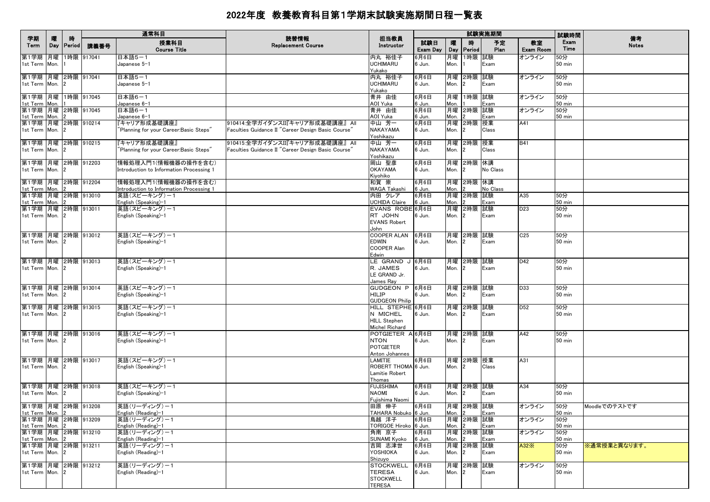|                                                           |   |                   |            | 通常科目                                                                   |                                                                                        |                                                                       |                 |            |                              | 試験実施期間      |                 | 試験時間                    |                    |
|-----------------------------------------------------------|---|-------------------|------------|------------------------------------------------------------------------|----------------------------------------------------------------------------------------|-----------------------------------------------------------------------|-----------------|------------|------------------------------|-------------|-----------------|-------------------------|--------------------|
| 学期<br>Term                                                | 曤 | 時<br>Day   Period | 講義番号       | 授業科目<br><b>Course Title</b>                                            | 読替情報<br><b>Replacement Course</b>                                                      | 担当教員<br>Instructor                                                    | 試験日<br>Exam Day | 嚁          | 腈<br>Day Period              | 予定<br>Plan  | 教室<br>Exam Room | Exam<br>Time            | 備考<br><b>Notes</b> |
| 第1学期 月曜<br>1st Term Mon.                                  |   |                   | 1時限 917041 | 日本語5-1<br>Japanese 5-1                                                 |                                                                                        | 内丸 裕佳子<br><b>UCHIMARU</b><br>Yukako                                   | 6月6日<br>6 Jun.  | 月曜<br>Mon. | 1時限                          | 試験<br>Exam  | オンライン           | 50分<br>$50$ min         |                    |
| 第1学期 月曜<br>1st Term Mon.                                  |   |                   | 2時限 917041 | 日本語5-1<br>Japanese 5-1                                                 |                                                                                        | 内丸 裕佳子<br><b>UCHIMARU</b>                                             | 6月6日<br>6 Jun.  | Mon.       | 月曜 2時限<br>$\overline{2}$     | 試験<br>Exam  | オンライン           | 50分<br>$50$ min         |                    |
| 第1学期 月曜 1時限 917045<br>1st Term Mon.                       |   |                   |            | 日本語6-1<br>Japanese 6-1                                                 |                                                                                        | Yukako<br>青井 由佳<br>AOI Yuka                                           | 6月6日<br>6 Jun.  | Mon.       | 月曜 1時限 試験                    | Exam        | オンライン           | 50分<br>$50$ min         |                    |
| 第1学期 月曜 2時限 917045<br>1st Term Mon.                       |   |                   |            | 日本語6-1<br>Japanese 6-1                                                 |                                                                                        | 青井 由佳<br>AOI Yuka                                                     | 6月6日<br>6 Jun.  | Mon.       | 月曜 2時限                       | 試験<br>Exam  | オンライン           | 50分<br>$50 \text{ min}$ |                    |
| 第1学期 月曜 2時限 910214<br>1st Term Mon. 2                     |   |                   |            | 『キャリア形成基礎講座』<br>Planning for your Career:Basic Steps"                  | 910414:全学ガイダンスII『キャリア形成基礎講座』 All<br>Faculties Guidance II "Career Design Basic Course' | 中山 芳一<br><b>NAKAYAMA</b>                                              | 6月6日<br>6 Jun.  | Mon.       | 月曜 2時限 授業<br>2               | Class       | A41             |                         |                    |
| 第1学期 月曜 2時限 910215<br>1st Term Mon.                       |   | $\mathbf{12}$     |            | 『キャリア形成基礎講座』<br>'Planning for your Career:Basic Steps"                 | 910415:全学ガイダンスII『キャリア形成基礎講座』 All<br>Faculties Guidance II "Career Design Basic Course' | Yoshikazu<br>中山 芳一<br><b>NAKAYAMA</b>                                 | 6月6日<br>6 Jun.  | Mon.       | 月曜 2時限<br>2                  | 授業<br>Class | <b>B41</b>      |                         |                    |
| 第1学期 月曜 2時限 912203<br>1st Term Mon. 2                     |   |                   |            | 情報処理入門1(情報機器の操作を含む)<br>Introduction to Information Processing 1        |                                                                                        | Yoshikazu<br>岡山 聖彦<br><b>OKAYAMA</b>                                  | 6月6日<br>6 Jun.  | Mon.       | 月曜 2時限 休講<br>$\overline{2}$  | No Class    |                 |                         |                    |
| 第1学期 月曜 2時限 912204<br>1st Term Mon.                       |   |                   |            | 情報処理入門1(情報機器の操作を含む)<br><b>Introduction to Information Processing 1</b> |                                                                                        | Kiyohiko<br>和賀 崇<br><b>WAGA Takashi</b>                               | 6月6日<br>6 Jun.  | Mon.       | 月曜 2時限 休講                    | No Class    |                 |                         |                    |
| 第1学期 月曜 2時限 913010<br>1st Term Mon.                       |   |                   |            | 英語(スピーキング)ー1<br>English (Speaking)-1                                   |                                                                                        | 内田 クレア<br><b>UCHIDA Claire</b>                                        | 6月6日<br>6 Jun.  | Mon.       | 月曜 2時限                       | 試験<br>Exam  | A35             | 50分<br>$50$ min         |                    |
| 第1学期 月曜 2時限 913011<br>1st Term Mon. 2                     |   |                   |            | 英語(スピーキング)ー1<br>English (Speaking)-1                                   |                                                                                        | EVANS ROBE 6月6日<br>RT JOHN<br><b>EVANS Robert</b><br>John             | 6 Jun.          | Mon.       | 月曜 2時限<br>$\overline{2}$     | 試験<br>Exam  | D <sub>23</sub> | 50分<br>$50$ min         |                    |
| 第1学期 月曜 2時限 913012<br>1st Term Mon. 2                     |   |                   |            | 英語(スピーキング)ー1<br>English (Speaking)–1                                   |                                                                                        | <b>COOPER ALAN</b><br><b>EDWIN</b><br><b>COOPER Alan</b><br>Edwin     | 6月6日<br>6 Jun.  | Mon.       | 月曜 2時限 試験<br>$\overline{2}$  | Exam        | C <sub>25</sub> | 50分<br>$50$ min         |                    |
| 第1学期 月曜 2時限 913013<br>1st Term Mon. 2                     |   |                   |            | 英語(スピーキング)-1<br>English (Speaking)-1                                   |                                                                                        | LE GRAND J 6月6日<br>R. JAMES<br>LE GRAND Jr.<br>James Ray              | 6 Jun.          | Mon.       | 月曜 2時限 試験<br>$\mathbf{2}$    | Exam        | D42             | 50分<br>50 min           |                    |
| 第1学期 月曜 2時限 913014<br>1st Term Mon. 2                     |   |                   |            | 英語(スピーキング)ー1<br>English (Speaking)-1                                   |                                                                                        | GUDGEON P 6月6日<br><b>HILIP</b><br><b>GUDGEON Philip</b>               | 6 Jun.          | Mon.       | 月曜 2時限 試験                    | Exam        | D33             | 50分<br>50 min           |                    |
| 第1学期 月曜 2時限 913015<br>1st Term Mon. 2                     |   |                   |            | 英語(スピーキング)-1<br>English (Speaking)-1                                   |                                                                                        | HILL STEPHE 6月6日<br>N MICHEL<br><b>HILL Stephen</b><br>Michel Richard | 6 Jun.          | Mon.       | 月曜 2時限                       | 試験<br>Exam  | D <sub>52</sub> | 50分<br>$50$ min         |                    |
| 第1学期 月曜 2時限 913016<br>1st Term Mon. 2                     |   |                   |            | 英語(スピーキング)ー1<br>English (Speaking)-1                                   |                                                                                        | POTGIETER A 6月6日<br><b>NTON</b><br><b>POTGIETER</b><br>Anton Johannes | 6 Jun.          | Mon.       | 月曜 2時限 試験<br>$\overline{2}$  | Exam        | A42             | 50分<br><b>50 min</b>    |                    |
| 第1学期 月曜 2時限 913017<br>1st Term Mon. 2                     |   |                   |            | 英語(スピーキング)ー1<br>English (Speaking)-1                                   |                                                                                        | LAMITIE<br>ROBERT THOMA 6 Jun.<br>Lamitie Robert<br>Thomas            | 6月6日            | Mon.       | 月曜 2時限  授業<br>$\overline{2}$ | Class       | A31             |                         |                    |
| 第1学期 月曜 2時限 913018<br>1st Term Mon.                       |   |                   |            | 英語(スピーキング)-1<br>English (Speaking)-1                                   |                                                                                        | <b>FUJISHIMA</b><br><b>NAOMI</b><br>Fujishima Naomi                   | 6月6日<br>6 Jun.  | Mon.       | 月曜 2時限 試験<br>$\overline{2}$  | Exam        | A34             | 50分<br>50 min           |                    |
| 第1学期 月曜 2時限 913208<br>1st Term Mon. 2                     |   |                   |            | 英語(リーディング)ー1<br>English (Reading)-1                                    |                                                                                        | 田原 伸子<br>TAHARA Nobuko 6 Jun.                                         | 6月6日            | Mon. 2     | 月曜 2時限 試験                    | Exam        | オンライン           | 50分<br>50 min           | Moodleでのテストです      |
| 第1学期 月曜 2時限 913209<br>1st Term Mon.<br>第1学期 月曜 2時限 913210 |   |                   |            | 英語(リーディング)ー1<br>English (Reading)-1<br>英語(リーディング)-1                    |                                                                                        | 鳥越 洋子<br>TORIGOE Hiroko 6 Jun.<br>角南 京子                               | 6月6日<br>6月6日    | Mon.       | 月曜 2時限 試験<br>月曜 2時限          | Exam<br>試験  | オンライン<br>オンライン  | 50分<br>$50$ min<br>50分  |                    |
| 1st Term Mon.<br>第1学期 月曜 2時限 913211                       |   |                   |            | English (Reading)-1<br>英語(リーディング)-1                                    |                                                                                        | <b>SUNAMI Kyoko</b><br> 吉岡 志津世                                        | 6 Jun.<br>6月6日  | Mon.       | 月曜 2時限                       | Exam<br>試験  | A32X            | $50 \text{ min}$<br>50分 | ※通常授業と異なります。       |
| 1st Term Mon. 2<br>第1学期 月曜 2時限 913212                     |   |                   |            | English (Reading)-1<br>英語(リーディング)-1                                    |                                                                                        | YOSHIOKA<br>Shizuyo<br><b>STOCKWELL</b>                               | 6 Jun.<br>6月6日  | Mon.       | $\overline{2}$<br>月曜 2時限 試験  | Exam        | オンライン           | 50 min<br>50分           |                    |
| 1st Term Mon. 2                                           |   |                   |            | English (Reading)-1                                                    |                                                                                        | <b>TERESA</b><br><b>STOCKWELL</b><br><b>TERESA</b>                    | 6 Jun.          | Mon.       | $\overline{2}$               | Exam        |                 | <b>50 min</b>           |                    |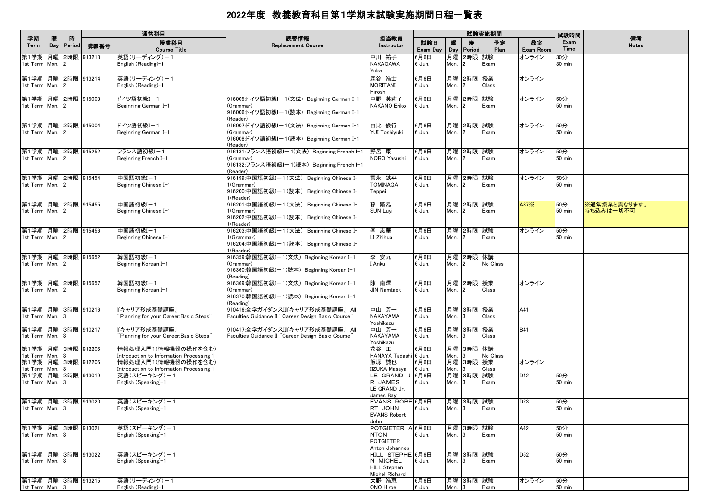|                                                             |          |                    |      | 通常科目                                                                            |                                                                                                                             |                                                                              |                 |                   |                             | 試験実施期間       |                        | 試験時間                    |                           |
|-------------------------------------------------------------|----------|--------------------|------|---------------------------------------------------------------------------------|-----------------------------------------------------------------------------------------------------------------------------|------------------------------------------------------------------------------|-----------------|-------------------|-----------------------------|--------------|------------------------|-------------------------|---------------------------|
| 学期<br>Term                                                  | 曤<br>Day | 時<br><b>Period</b> | 講義番号 | 授業科目<br><b>Course Title</b>                                                     | 読替情報<br><b>Replacement Course</b>                                                                                           | 担当教員<br>Instructor                                                           | 試験日<br>Exam Day | 曤                 | 時<br>Day Period             | 予定<br>Plan   | 教室<br><b>Exam Room</b> | Exam<br>Time            | 備考<br><b>Notes</b>        |
| 第1学期 月曜 2時限 913213<br>1st Term Mon.                         |          |                    |      | 英語(リーディング)ー1<br>English (Reading)-1                                             |                                                                                                                             | 中川 祐子<br>NAKAGAWA<br>Yuko                                                    | 6月6日<br>6 Jun.  | Mon.              | 月曜 2時限 試験<br>$\overline{2}$ | Exam         | オンライン                  | 30分<br>$30 \text{ min}$ |                           |
| 第1学期 月曜 2時限 913214<br>1st Term Mon. 2                       |          |                    |      | 英語(リーディング)-1<br>English (Reading)-1                                             |                                                                                                                             | 森谷 浩士<br><b>MORITANI</b><br>Hiroshi                                          | 6月6日<br>6 Jun.  | Mon. 2            | 月曜 2時限 授業                   | Class        | オンライン                  |                         |                           |
| 第1学期 月曜 2時限 915003<br>1st Term Mon. 2                       |          |                    |      | ドイツ語初級Iー1<br>Beginning German I-1                                               | 916005:ドイツ語初級Iー1(文法) Beginning German I-1<br>(Grammar)<br> 916006:ドイツ語初級Iー1(読本)Beginning German I-1                         | 中野 英莉子<br><b>NAKANO Eriko</b>                                                | 6月6日<br>6 Jun.  | Mon.              | 月曜 2時限 試験<br>$\mathbf{2}$   | Exam         | オンライン                  | 50分<br>50 min           |                           |
| 第1学期 月曜 2時限 915004<br>1st Term Mon. 2                       |          |                    |      | ドイツ語初級Iー1<br>Beginning German I-1                                               | (Reader)<br>916007:ドイツ語初級Iー1(文法)Beginning German I-1<br>(Grammar)<br> 916008:ドイツ語初級Iー1(読本)Beginning German I-1              | 由比 俊行<br><b>YUI Toshivuki</b>                                                | 6月6日<br>6 Jun.  | Mon.              | 月曜 2時限 試験<br>$\overline{2}$ | Exam         | オンライン                  | 50分<br>$50$ min         |                           |
| 第1学期 月曜 2時限 915252<br>1st Term Mon. 2                       |          |                    |      | フランス語初級I-1<br>Beginning French I-1                                              | (Reader)<br>916131:フランス語初級I-1(文法) Beginning French I-1<br>(Grammar)<br> 916132:フランス語初級Iー1(読本) Beginning French I-1          | 野呂 康<br>NORO Yasushi                                                         | 6月6日<br>6 Jun.  | Mon.              | 月曜 2時限 試験<br>$\vert$ 2      | Exam         | オンライン                  | 50分<br>$50$ min         |                           |
| 第1学期 月曜 2時限 915454<br>1st Term Mon. 2                       |          |                    |      | 中国語初級I-1<br>Beginning Chinese I-1                                               | (Reader)<br>916199:中国語初級I-1(文法) Beginning Chinese I-<br>1(Grammar)<br>916200:中国語初級Iー1(読本) Beginning Chinese I-<br>1(Reader) | 冨永 鉄平<br><b>TOMINAGA</b><br>Teppei                                           | 6月6日<br>6 Jun.  | Mon.              | 月曜 2時限 試験<br>$\mathbf{2}$   | Exam         | オンライン                  | 50分<br>50 min           |                           |
| 第1学期 月曜 2時限 915455<br>1st Term Mon. 2                       |          |                    |      | 中国語初級I-1<br>Beginning Chinese I-1                                               | 916201:中国語初級I-1(文法) Beginning Chinese I-<br>1(Grammar)<br>916202:中国語初級I-1(読本) Beginning Chinese I-<br>1(Reader)             | 孫 路易<br><b>SUN Luyi</b>                                                      | 6月6日<br>6 Jun.  | Mon.              | 月曜 2時限 試験<br>12             | Exam         | A37 $\times$           | 50分<br>50 min           | ※通常授業と異なります。<br>持ち込みは一切不可 |
| 第1学期 月曜 2時限 915456<br>1st Term Mon. 2                       |          |                    |      | 中国語初級I-1<br>Beginning Chinese I-1                                               | 916203:中国語初級I-1(文法) Beginning Chinese I-<br>1(Grammar)<br>916204:中国語初級Iー1(読本) Beginning Chinese I-<br>1(Reader)             | 李 志華<br>LI Zhihua                                                            | 6月6日<br>6 Jun.  | Mon. 2            | 月曜 2時限 試験                   | Exam         | オンライン                  | 50分<br>50 min           |                           |
| 第1学期 月曜 2時限 915652<br>1st Term Mon. 2                       |          |                    |      | 韓国語初級I-1<br>Beginning Korean I-1                                                | 916359:韓国語初級Iー1(文法)Beginning Korean I–1<br>(Grammar)<br> 916360:韓国語初級Iー1(読本) Beginning Korean I-1<br>(Reading)              | 李 安九<br>I Anku                                                               | 6月6日<br>6 Jun.  | Mon.              | 月曜 2時限 休講<br>$\mathbf{12}$  | No Class     |                        |                         |                           |
| 第1学期 月曜 2時限 915657<br>1st Term Mon. 2                       |          |                    |      | 韓国語初級I-1<br>Beginning Korean I-1                                                | 916369:韓国語初級I-1(文法) Beginning Korean I-1<br>(Grammar)<br> 916370:韓国語初級Iー1(読本) Beginning Korean I-1<br>(Reading)             | 陳 南澤<br><b>JIN Namtaek</b>                                                   | 6月6日<br>6 Jun.  | Mon.              | 月曜 2時限 授業<br>$\mathbf{2}$   | Class        | オンライン                  |                         |                           |
| 第1学期 月曜 3時限 910216<br>1st Term Mon.                         |          |                    |      | キャリア形成基礎講座』<br>Planning for your Career:Basic Steps"                            | 910416:全学ガイダンスII『キャリア形成基礎講座』 All<br>Faculties Guidance II "Career Design Basic Course"                                      | 中山 芳一<br><b>NAKAYAMA</b><br>Yoshikazu                                        | 6月6日<br>6 Jun.  | Mon.              | 月曜 3時限 授業<br>3              | Class        | A41                    |                         |                           |
| 第1学期  月曜  3時限  910217<br>1st Term Mon. 3                    |          |                    |      | 『キャリア形成基礎講座』<br>"Planning for your Career:Basic Steps"                          | 910417:全学ガイダンスII『キャリア形成基礎講座』 All<br>Faculties Guidance II "Career Design Basic Course"                                      | 中山 芳一<br><b>NAKAYAMA</b><br>Yoshikazu                                        | 6月6日<br>6 Jun.  | Mon.              | 月曜 3時限 授業<br>13             | Class        | <b>B41</b>             |                         |                           |
| 第1学期 月曜 3時限 912205<br>1st Term Mon. 3<br>第1学期 月曜 3時限 912206 |          |                    |      | 情報処理入門1(情報機器の操作を含む)<br>Introduction to Information Processing 1                 |                                                                                                                             | 花谷 正<br>HANAYA Tadashi 6 Jun.                                                | 6月6日            | Mon.              | 月曜 3時限 休講                   | No Class     | オンライン                  |                         |                           |
| 1st Term Mon.<br>第1学期 月曜 3時限 913019                         |          |                    |      | 情報処理入門1(情報機器の操作を含む)<br>Introduction to Information Processing 1<br>英語(スピーキング)ー1 |                                                                                                                             | 飯塚 誠也<br><b>IZUKA Masava</b><br>LE GRAND J 6月6日                              | 6月6日<br>6 Jun.  | Mon.              | 月曜 3時限 授業<br>月曜 3時限 試験      | Class        | D42                    | 50分                     |                           |
| 1st Term Mon. 3                                             |          |                    |      | English (Speaking)-1                                                            |                                                                                                                             | R. JAMES<br>LE GRAND Jr.<br>James Ray                                        | 6 Jun.          | Mon.              | 3                           | Exam         |                        | 50 min                  |                           |
| 第1学期 月曜 3時限 913020<br>1st Term Mon.                         |          |                    |      | 英語(スピーキング)ー1<br>English (Speaking)–1                                            |                                                                                                                             | EVANS ROBE 6月6日<br>RT JOHN<br><b>EVANS Robert</b><br>John                    | 6 Jun.          | Mon. 3            | 月曜 3時限 試験                   | <b>LEXam</b> | D <sub>23</sub>        | 50分<br>$50$ min         |                           |
| 第1学期 月曜 3時限 913021<br>1st Term Mon. 3                       |          |                    |      | 英語(スピーキング)-1<br>English (Speaking)-1                                            |                                                                                                                             | POTGIETER A 6月6日<br><b>NTON</b><br><b>POTGIETER</b><br>Anton Johannes        | 6 Jun.          | Mon. $3$          | 月曜 3時限 試験                   | Exam         | A42                    | 50分<br>50 min           |                           |
| 第1学期 月曜 3時限 913022<br>1st Term Mon. 3                       |          |                    |      | 英語(スピーキング)ー1<br>English (Speaking)-1                                            |                                                                                                                             | HILL STEPHE 6月6日<br>N MICHEL<br><b>HILL Stephen</b><br><b>Michel Richard</b> | 6 Jun.          | Mon. <sub>3</sub> | 月曜 3時限 試験                   | Exam         | D <sub>52</sub>        | 50分<br>$50$ min         |                           |
| 第1学期 月曜 3時限 913215<br>1st Term Mon. 3                       |          |                    |      | 英語(リーディング)-1<br>English (Reading)-1                                             |                                                                                                                             | 大野 浩恵<br>ONO Hiroe                                                           | 6月6日<br>6 Jun.  | Mon. $3$          | 月曜 3時限 試験                   | Exam         | オンライン                  | 50分<br>$50 \text{ min}$ |                           |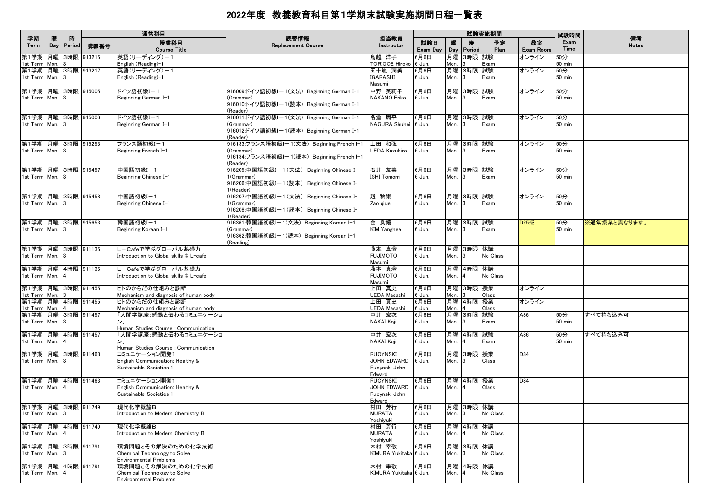|                                          |            |                    |            | 通常科目                                                                               |                                                                                                                  |                                                                  |                 |            |                         | 試験実施期間     |                        | 試験時間                    | 備考           |
|------------------------------------------|------------|--------------------|------------|------------------------------------------------------------------------------------|------------------------------------------------------------------------------------------------------------------|------------------------------------------------------------------|-----------------|------------|-------------------------|------------|------------------------|-------------------------|--------------|
| 学期<br>Term                               | 曤<br>Day   | 時<br><b>Period</b> | 講義番号       | 授業科目<br><b>Course Title</b>                                                        | 読替情報<br><b>Replacement Course</b>                                                                                | 担当教員<br>Instructor                                               | 試験日<br>Exam Day | 嚁<br>Day   | 時<br>Period             | 予定<br>Plan | 教室<br><b>Exam Room</b> | Exam<br>Time            | <b>Notes</b> |
| 第1学期<br>1st Term                         | 月曜<br>Mon. |                    | 3時限 913216 | 英語(リーディング)ー1<br>English (Reading)-1                                                |                                                                                                                  | 鳥越 洋子<br>TORIGOE Hiroko 6 Jun.                                   | 6月6日            | 月曜<br>Mon. | 3時限 試験                  | Exam       | オンライン                  | 50分<br>$50$ min         |              |
| 第1学期 月曜 3時限 913217<br>1st Term Mon. 3    |            |                    |            | 英語(リーディング)-1<br>English (Reading)-1                                                |                                                                                                                  | 五十嵐 潤美<br><b>IGARASHI</b><br>Masumi                              | 6月6日<br>6 Jun.  | 月曜<br>Mon. | 3時限 試験<br>3             | Exam       | オンライン                  | 50分<br>$50$ min         |              |
| 第1学期 月曜 3時限 915005<br>1st Term Mon. 3    |            |                    |            | ドイツ語初級I-1<br>Beginning German I-1                                                  | 916009:ドイツ語初級Iー1(文法)Beginning German I-1<br>(Grammar)<br>916010:ドイツ語初級Iー1(読本)Beginning German I-1<br>(Reader)    | 中野 英莉子<br>NAKANO Eriko                                           | 6月6日<br>6 Jun.  | Mon.       | 月曜 3時限 試験<br>3          | Exam       | オンライン                  | 50分<br>$50$ min         |              |
| 第1学期  月曜  3時限  915006<br>1st Term Mon. 3 |            |                    |            | ドイツ語初級I-1<br>Beginning German I-1                                                  | 916011:ドイツ語初級Iー1(文法)Beginning German I-1<br>(Grammar)<br>916012:ドイツ語初級Iー1(読本) Beginning German I-1<br>(Reader)   | 名倉 周平<br>NAGURA Shuhei 6 Jun.                                    | 6月6日            | Mon.       | 月曜  3時限  試験<br>3        | Exam       | オンライン                  | 50分<br>$50 \text{ min}$ |              |
| 第1学期 月曜 3時限 915253<br>1st Term Mon.      |            |                    |            | フランス語初級I-1<br>Beginning French I-1                                                 | 916133:フランス語初級I-1(文法) Beginning French I-1<br>(Grammar)<br>916134:フランス語初級Iー1(読本)Beginning French I-1<br>(Reader) | 上田 和弘<br><b>UEDA Kazuhiro</b>                                    | 6月6日<br>6 Jun.  | Mon.       | 月曜 3時限 試験<br>3          | Exam       | オンライン                  | 50分<br>$50$ min         |              |
| 第1学期 月曜 3時限 915457<br>1st Term Mon. 3    |            |                    |            | 中国語初級I-1<br>Beginning Chinese I-1                                                  | 916205:中国語初級Iー1(文法) Beginning Chinese I-<br>1(Grammar)<br>916206:中国語初級Iー1(読本) Beginning Chinese I-<br>1(Reader)  | 石井 友美<br><b>ISHI Tomomi</b>                                      | 6月6日<br>6 Jun.  | Mon.       | 月曜 3時限 試験<br>3          | Exam       | オンライン                  | 50分<br>50 min           |              |
| 第1学期 月曜 3時限 915458<br>1st Term Mon. 3    |            |                    |            | 中国語初級I-1<br>Beginning Chinese I-1                                                  | 916207:中国語初級Iー1(文法) Beginning Chinese I-<br>1(Grammar)<br>916208:中国語初級Iー1(読本) Beginning Chinese I-<br>1(Reader)  | 趙 秋娥<br>Zao giue                                                 | 6月6日<br>6 Jun.  | Mon.       | 月曜 3時限 試験<br>13         | Exam       | オンライン                  | 50分<br>50 min           |              |
| 第1学期 月曜 3時限 915653<br>1st Term Mon. 3    |            |                    |            | 韓国語初級I-1<br>Beginning Korean I-1                                                   | 916361:韓国語初級Iー1(文法)Beginning Korean I-1<br>(Grammar)<br>916362:韓国語初級Iー1(読本) Beginning Korean I-1<br>(Reading)    | 金 良禧<br><b>KIM Yanghee</b>                                       | 6月6日<br>6 Jun.  | Mon.       | 月曜 3時限 試験<br>3          | Exam       | D25X                   | 50分<br><b>50 min</b>    | ※通常授業と異なります。 |
| 第1学期  月曜  3時限  911136<br>1st Term Mon. 3 |            |                    |            | LーCafeで学ぶグローバル基礎力<br>Introduction to Global skills @ L-cafe                        |                                                                                                                  | 藤本 真澄<br><b>FUJIMOTO</b><br>Masumi                               | 6月6日<br>6 Jun.  | Mon.       | 月曜  3時限  休講<br>3        | No Class   |                        |                         |              |
| 第1学期 月曜 4時限 911136<br>1st Term Mon. 4    |            |                    |            | L-Cafeで学ぶグローバル基礎力<br>Introduction to Global skills @ L-cafe                        |                                                                                                                  | 藤本 真澄<br><b>FUJIMOTO</b><br>Masumi                               | 6月6日<br>6 Jun.  | Mon.       | 月曜 4時限 休講               | No Class   |                        |                         |              |
| 第1学期 月曜 3時限 911455<br>1st Term Mon. 3    |            |                    |            | ヒトのからだの仕組みと診断<br>Mechanism and diagnosis of human body                             |                                                                                                                  | 上田 真史<br>UEDA Masashi                                            | 6月6日<br>ີວ Jun. | Mon.       | 月曜 3時限 授業               | Class      | オンライン                  |                         |              |
| 第1学期 月曜 4時限 911455<br>1st Term Mon.      |            |                    |            | ヒトのからだの仕組みと診断<br>Mechanism and diagnosis of human body                             |                                                                                                                  | 上田 真史<br><b>UEDA Masashi</b>                                     | 6月6日<br>6 Jun.  | Mon.       | 月曜 4時限 授業               | Class      | オンライン                  |                         |              |
| 第1学期 月曜 3時限 911457<br>1st Term Mon. 3    |            |                    |            | Human Studies Course : Communication                                               |                                                                                                                  | 中井 宏次<br>NAKAI Koji                                              | 6月6日<br>6 Jun.  | Mon.       | 月曜 3時限 試験<br>3          | Exam       | A36                    | 50分<br>$50$ min         | すべて持ち込み可     |
| 第1学期 月曜 4時限 911457<br>1st Term Mon.      |            |                    |            | 入間学講座:感動と伝わるコミュニケーショ<br>ンー<br>Human Studies Course : Communication                 |                                                                                                                  | 中井 宏次<br>NAKAI Koji                                              | 6月6日<br>6 Jun.  | Mon.       | 月曜 4時限 試験               | Exam       | A36                    | 50分<br>50 min           | すべて持ち込み可     |
| 第1学期 月曜 3時限 911463<br>1st Term Mon. 3    |            |                    |            | コミュニケーション開発1<br>English Communication: Healthy &<br>Sustainable Societies 1        |                                                                                                                  | RUCYNSKI<br>JOHN EDWARD<br>Rucynski John<br>Edward               | 6月6日<br>6 Jun.  | 月曜<br>Mon. | 3時限 授業<br>3             | Class      | D34                    |                         |              |
| 第1学期 月曜 4時限 911463<br>1st Term Mon. 4    |            |                    |            | コミュニケーション開発1<br>English Communication: Healthy &<br>Sustainable Societies 1        |                                                                                                                  | <b>RUCYNSKI</b><br><b>JOHN EDWARD</b><br>Rucvnski John<br>Edward | 6月6日<br>6 Jun.  | Mon.       | 月曜  4時限  授業<br><b>4</b> | Class      | D34                    |                         |              |
| 第1学期 月曜 3時限 911749<br>1st Term Mon. 3    |            |                    |            | 現代化学概論B<br>Introduction to Modern Chemistry B                                      |                                                                                                                  | 村田 芳行<br><b>MURATA</b><br>Yoshiyuki                              | 6月6日<br>6 Jun.  | Mon.       | 月曜 3時限 休講<br>3          | No Class   |                        |                         |              |
| 第1学期 月曜<br>1st Term Mon.                 |            |                    | 4時限 911749 | 現代化学概論B<br>Introduction to Modern Chemistry B                                      |                                                                                                                  | 村田 芳行<br><b>MURATA</b><br>Yoshiyuki                              | 6月6日<br>6 Jun.  | 月曜<br>Mon. | 4時限 休講<br>4             | No Class   |                        |                         |              |
| 第1学期 月曜 3時限 911791<br>1st Term Mon. 3    |            |                    |            | 環境問題とその解決のための化学技術<br>Chemical Technology to Solve<br><b>Environmental Problems</b> |                                                                                                                  | 木村 幸敬<br>KIMURA Yukitaka 6 Jun.                                  | 6月6日            | 月曜<br>Mon. | 3時限 休講<br>3             | No Class   |                        |                         |              |
| 第1学期 月曜 4時限 911791<br>1st Term Mon.      |            |                    |            | 環境問題とその解決のための化学技術<br>Chemical Technology to Solve<br><b>Environmental Problems</b> |                                                                                                                  | 木村 幸敬<br>KIMURA Yukitaka 6 Jun.                                  | 6月6日            | 月曜<br>Mon. | 4時限 休講                  | No Class   |                        |                         |              |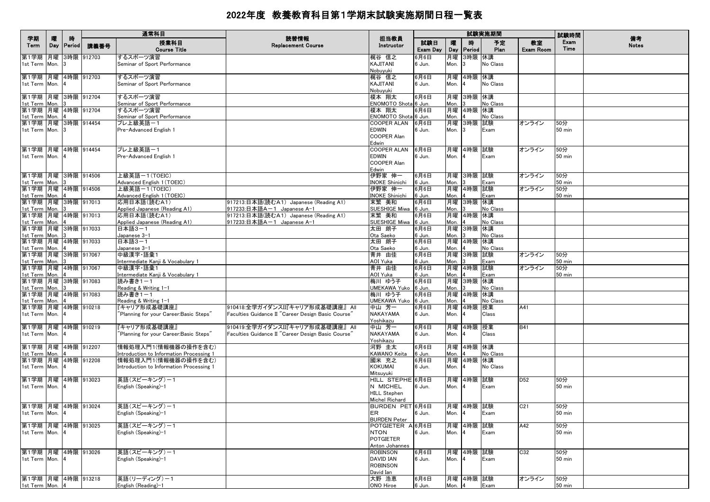|                                     |          |                    |            | 通常科目                                                            |                                                    |                                   |                 |            |                | 試験実施期間          |                        | 試験時間                 |                    |
|-------------------------------------|----------|--------------------|------------|-----------------------------------------------------------------|----------------------------------------------------|-----------------------------------|-----------------|------------|----------------|-----------------|------------------------|----------------------|--------------------|
| 学期<br>Term                          | 曤<br>Day | 時<br><b>Period</b> | 講義番号       | 授業科目<br><b>Course Title</b>                                     | 読替情報<br><b>Replacement Course</b>                  | 担当教員<br>Instructor                | 試験日<br>Exam Day | 矐<br>Day   | 時<br>Period    | 予定<br>Plan      | 教室<br><b>Exam Room</b> | Exam<br>Time         | 備考<br><b>Notes</b> |
| 第1学期 月曜                             |          |                    | 3時限 912703 | するスポーツ演習                                                        |                                                    | 梶谷 信之                             | 6月6日            | 月曜         | 3時限 休講         |                 |                        |                      |                    |
| 1st Term Mon.                       |          |                    |            | Seminar of Sport Performance                                    |                                                    | KAJITANI                          | 6 Jun.          | Mon.       |                | No Class        |                        |                      |                    |
|                                     |          |                    |            |                                                                 |                                                    | Nobuyuki                          |                 |            |                |                 |                        |                      |                    |
| 第1学期 月曜<br>1st Term Mon.            |          |                    | 4時限 912703 | するスポーツ演習<br>Seminar of Sport Performance                        |                                                    | 梶谷 信之<br>KAJITANI                 | 6月6日<br>6 Jun.  | 月曜<br>Mon. | 4時限 休講         | No Class        |                        |                      |                    |
|                                     |          |                    |            |                                                                 |                                                    | Nobuyuki                          |                 |            |                |                 |                        |                      |                    |
| 第1学期 月曜 3時限 912704                  |          |                    |            | するスポーツ演習                                                        |                                                    | 榎本 翔太                             | 6月6日            | 月曜         | 3時限 休講         |                 |                        |                      |                    |
| 1st Term Mon.                       |          |                    |            | Seminar of Sport Performance                                    |                                                    | ENOMOTO Shota 6 Jun.              |                 | Mon.       |                | No Class        |                        |                      |                    |
| 第1学期 月曜 4時限 912704                  |          |                    |            | するスポーツ演習                                                        |                                                    | 榎本 翔太                             | 6月6日            | 月曜         | 4時限 休講         |                 |                        |                      |                    |
| 1st Term Mon.                       |          |                    |            | Seminar of Sport Performance                                    |                                                    | ENOMOTO Shota 6 Jun.              |                 | Mon.       |                | <b>No Class</b> |                        |                      |                    |
| 第1学期 月曜 3時限 914454<br>1st Term Mon. |          |                    |            | プレ上級英語ー1<br>Pre-Advanced English 1                              |                                                    | COOPER ALAN<br><b>EDWIN</b>       | 6月6日<br>6 Jun.  | 月曜<br>Mon. | 3時限 試験         | Exam            | オンライン                  | 50分<br>50 min        |                    |
|                                     |          |                    |            |                                                                 |                                                    | COOPER Alan                       |                 |            |                |                 |                        |                      |                    |
|                                     |          |                    |            |                                                                 |                                                    | Edwin                             |                 |            |                |                 |                        |                      |                    |
| 第1学期 月曜 4時限 914454                  |          |                    |            | プレ上級英語-1                                                        |                                                    | <b>COOPER ALAN</b>                | 6月6日            |            | 月曜 4時限 試験      |                 | オンライン                  | 50分                  |                    |
| 1st Term Mon.                       |          |                    |            | Pre-Advanced English 1                                          |                                                    | <b>EDWIN</b>                      | 6 Jun.          | Mon.       |                | Exam            |                        | 50 min               |                    |
|                                     |          |                    |            |                                                                 |                                                    | COOPER Alan                       |                 |            |                |                 |                        |                      |                    |
| 第1学期 月曜 3時限 914506                  |          |                    |            | 上級英語ー1(TOEIC)                                                   |                                                    | Edwin<br>伊野家 伸一                   |                 |            |                |                 |                        |                      |                    |
| 1st Term Mon.                       |          |                    |            | Advanced English 1 (TOEIC)                                      |                                                    | INOKE Shinichi                    | 6月6日<br>6 Jun.  | 月曜<br>Mon. | 3時限 試験         | Exam            | オンライン                  | 50分<br><b>50 min</b> |                    |
| 第1学期 月曜 4時限 914506                  |          |                    |            | 上級英語ー1(TOEIC)                                                   |                                                    | 伊野家 伸一                            | 6月6日            | 月曜         | 4時限 試験         |                 | オンライン                  | 50分                  |                    |
| 1st Term Mon.                       |          |                    |            | Advanced English 1 (TOEIC)                                      |                                                    | <b>INOKE Shinichi</b>             | 6 Jun.          | Mon.       |                | Exam            |                        | 50 min               |                    |
| 第1学期 月曜 3時限 917013                  |          |                    |            | 応用日本語(読むA1)                                                     | 917213:日本語(読むA1) Japanese (Reading A1)             | 末繁 美和                             | 6月6日            | 月曜         | 3時限 休講         |                 |                        |                      |                    |
| 1st Term Mon.                       |          |                    |            | Applied Japanese (Reading A1)                                   | 917233:日本語A-1 Japanese A-1                         | SUESHIGE Miwa 16 Jun.             |                 | Mon.       |                | No Class        |                        |                      |                    |
| 第1学期 月曜 4時限 917013                  |          |                    |            | 応用日本語(読むA1)                                                     | 917213:日本語(読むA1) Japanese (Reading A1)             | 末繁 美和                             | 6月6日            | 月曜         | 4時限 休講         |                 |                        |                      |                    |
| 1st Term Mon.<br>第1学期 月曜 3時限 917033 |          |                    |            | Applied Japanese (Reading A1)<br>日本語3-1                         | 917233:日本語A-1 Japanese A-1                         | SUESHIGE Miwa<br>太田 朗子            | 6 Jun.<br>6月6日  | Mon.<br>月曜 | 3時限 休講         | No Class        |                        |                      |                    |
| 1st Term Mon.                       |          |                    |            | Japanese 3-1                                                    |                                                    | Ota Saeko                         | 6 Jun.          | Mon.       |                | No Class        |                        |                      |                    |
| 第1学期 月曜 4時限 917033                  |          |                    |            | 日本語3-1                                                          |                                                    | 太田 朗子                             | 6月6日            | 月曜         | 4時限 休講         |                 |                        |                      |                    |
| 1st Term Mon.                       |          |                    |            | Japanese 3-1                                                    |                                                    | Ota Saeko                         | 6 Jun.          | Mon.       |                | No Class        |                        |                      |                    |
| 第1学期 月曜 3時限 917067                  |          |                    |            | 中級漢字 語彙1                                                        |                                                    | 青井 由佳                             | 6月6日            | 月曜         | 3時限 試験         |                 | オンライン                  | 50分                  |                    |
| 1st Term Mon.                       |          |                    |            | Intermediate Kanji & Vocabulary 1                               |                                                    | AOI Yuka                          | 6 Jun.          | Mon.       |                | Exam            |                        | 50 min               |                    |
| 第1学期 月曜 4時限 917067<br>1st Term Mon. |          |                    |            | 中級漢字 語彙1<br>Intermediate Kanji & Vocabulary 1                   |                                                    | 青井 由佳<br>AOI Yuka                 | 6月6日<br>6 Jun.  | 月曜<br>Mon. | 4時限 試験         | Exam            | オンライン                  | 50分<br>50 min        |                    |
| 第1学期 月曜 3時限 917083                  |          |                    |            | 読み書き1-1                                                         |                                                    | 梅川 ゆう子                            | 6月6日            | 月曜         | 3時限 休講         |                 |                        |                      |                    |
| 1st Term Mon.                       |          |                    |            | Reading & Writing 1-1                                           |                                                    | UMEKAWA Yuko                      | 6 Jun.          | Mon.       |                | No Class        |                        |                      |                    |
| 第1学期 月曜 4時限 917083                  |          |                    |            | 読み書き1-1                                                         |                                                    | 梅川 ゆう子                            | 6月6日            | 月曜         | 4時限 休講         |                 |                        |                      |                    |
| 1st Term Mon.                       |          |                    |            | Reading & Writing 1-1                                           |                                                    | UMEKAWA Yuko 6 Jun.               |                 | Mon.       |                | No Class        |                        |                      |                    |
| 第1学期  月曜  4時限  910218               |          |                    |            | 『キャリア形成基礎講座』                                                    | 910418:全学ガイダンスII『キャリア形成基礎講座』 All                   | 中山 芳一                             | 6月6日            | 月曜         | 4時限 授業         |                 | A41                    |                      |                    |
| 1st Term Mon.                       |          |                    |            | Planning for your Career:Basic Steps"                           | Faculties Guidance II "Career Design Basic Course' | <b>NAKAYAMA</b><br>Yoshikazu      | 6 Jun.          | Mon.       |                | Class           |                        |                      |                    |
| 第1学期 月曜 4時限 910219                  |          |                    |            | 『キャリア形成基礎講座』                                                    | 910419:全学ガイダンスII『キャリア形成基礎講座』 All                   | 中山 芳一                             | 6月6日            | 月曜         | 4時限 授業         |                 | <b>B41</b>             |                      |                    |
| 1st Term Mon.                       |          |                    |            | Planning for your Career:Basic Steps"                           | Faculties Guidance II "Career Design Basic Course" | NAKAYAMA                          | 6 Jun.          | Mon.       |                | Class           |                        |                      |                    |
|                                     |          |                    |            |                                                                 |                                                    | Yoshikazu                         |                 |            |                |                 |                        |                      |                    |
| 第1学期 月曜 4時限 912207                  |          |                    |            | 情報処理入門1(情報機器の操作を含む)                                             |                                                    | 河野 圭太                             | 6月6日            | 月曜         | 4時限 休講         |                 |                        |                      |                    |
| 1st Term Mon.<br>第1学期 月曜 4時限 912208 |          |                    |            | Introduction to Information Processing 1<br>情報処理入門1(情報機器の操作を含む) |                                                    | KAWANO Keita<br>國米 充之             | 6 Jun.<br>6月6日  | Mon.       | 月曜 4時限 休講      | No Class        |                        |                      |                    |
| 1st Term Mon.                       |          |                    |            | Introduction to Information Processing 1                        |                                                    | KOKUMAI                           | 6 Jun.          | Mon.       |                | No Class        |                        |                      |                    |
|                                     |          |                    |            |                                                                 |                                                    | Mitsuyuki                         |                 |            |                |                 |                        |                      |                    |
| 第1学期 月曜 4時限 913023                  |          |                    |            | 英語(スピーキング)-1                                                    |                                                    | HILL STEPHE 6月6日                  |                 |            | 月曜  4時限  試験    |                 | D52                    | 50分                  |                    |
| 1st Term Mon.                       |          |                    |            | English (Speaking)-1                                            |                                                    | N MICHEL                          | 6 Jun.          | Mon.       |                | Exam            |                        | 50 min               |                    |
|                                     |          |                    |            |                                                                 |                                                    | <b>HILL Stephen</b>               |                 |            |                |                 |                        |                      |                    |
| 第1学期 月曜 4時限 913024                  |          |                    |            | 英語(スピーキング)-1                                                    |                                                    | Michel Richard<br>BURDEN PET 6月6日 |                 |            | 月曜 4時限 試験      |                 | C <sub>21</sub>        | 50分                  |                    |
| 1st Term Mon.                       |          |                    |            | English (Speaking)-1                                            |                                                    | ER                                | 6 Jun.          | Mon.       |                | Exam            |                        | <b>50 min</b>        |                    |
|                                     |          |                    |            |                                                                 |                                                    | <b>BURDEN Peter</b>               |                 |            |                |                 |                        |                      |                    |
| 第1学期 月曜 4時限 913025                  |          |                    |            | 英語(スピーキング)ー1                                                    |                                                    | POTGIETER A <sup>6月6日</sup>       |                 |            | 月曜 4時限 試験      |                 | A42                    | 50分                  |                    |
| 1st Term Mon. 4                     |          |                    |            | English (Speaking)-1                                            |                                                    | <b>NTON</b>                       | 6 Jun.          | Mon.       | $\overline{a}$ | Exam            |                        | <b>50 min</b>        |                    |
|                                     |          |                    |            |                                                                 |                                                    | <b>POTGIETER</b>                  |                 |            |                |                 |                        |                      |                    |
| 第1学期 月曜 4時限 913026                  |          |                    |            | 英語(スピーキング)-1                                                    |                                                    | Anton Johannes                    |                 |            | 4時限 試験         |                 |                        |                      |                    |
| 1st Term Mon.                       |          |                    |            | English (Speaking)-1                                            |                                                    | ROBINSON<br><b>DAVID IAN</b>      | 6月6日<br>6 Jun.  | 月曜<br>Mon. |                | Exam            | C32                    | 50分<br>50 min        |                    |
|                                     |          |                    |            |                                                                 |                                                    | <b>ROBINSON</b>                   |                 |            |                |                 |                        |                      |                    |
|                                     |          |                    |            |                                                                 |                                                    | David Ian                         |                 |            |                |                 |                        |                      |                    |
| 第1学期 月曜 4時限 913218                  |          |                    |            | 英語(リーディング)ー1                                                    |                                                    | 大野 浩恵                             | 6月6日            |            | 月曜 4時限 試験      |                 | オンライン                  | 50分                  |                    |
| 1st Term Mon. 4                     |          |                    |            | English (Reading)-1                                             |                                                    | ONO Hiroe                         | 6 Jun.          | Mon.       |                | Exam            |                        | 50 min               |                    |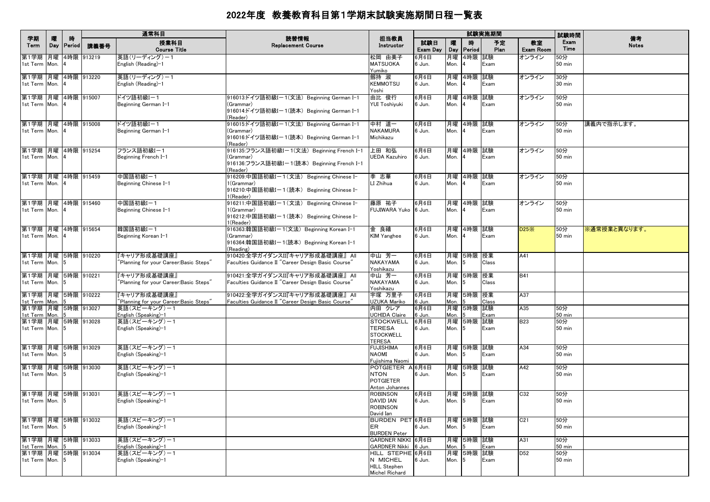|                                                           |          |              |            | 通常科目                                                   |                                                                                                                   |                                                                              |                        |                  |                  | 試験実施期間     |                        | 試験時間                 |                    |
|-----------------------------------------------------------|----------|--------------|------------|--------------------------------------------------------|-------------------------------------------------------------------------------------------------------------------|------------------------------------------------------------------------------|------------------------|------------------|------------------|------------|------------------------|----------------------|--------------------|
| 学期<br>Term                                                | 曤<br>Day | 時<br> Period | 講義番号       | 授業科目<br><b>Course Title</b>                            | 読替情報<br><b>Replacement Course</b>                                                                                 | 担当教員<br>Instructor                                                           | 試験日<br>Exam Day        | 曤<br>Day         | 時<br>Period      | 予定<br>Plan | 教室<br><b>Exam Room</b> | Exam<br>Time         | 備考<br><b>Notes</b> |
| 第1学期<br>1st Term Mon.                                     | 月曜       |              | 4時限 913219 | 英語(リーディング)ー1<br>English (Reading)-1                    |                                                                                                                   | 松岡 由美子<br><b>MATSUOKA</b><br>Yumiko                                          | 6月6日<br>6 Jun.         | 月曜<br>Mon.       | 4時限 試験           | Exam       | オンライン                  | 50分<br><b>50 min</b> |                    |
| 第1学期  月曜  4時限  913220<br>1st Term Mon. 4                  |          |              |            | 英語(リーディング)ー1<br>English (Reading)-1                    |                                                                                                                   | 劔持 淑<br><b>KEMMOTSU</b><br>Yoshi                                             | 6月6日<br>6 Jun.         | 月曜<br>Mon.       | 4時限 試験           | Exam       | オンライン                  | 30分<br>$30$ min      |                    |
| 第1学期 月曜 4時限 915007<br>1st Term Mon. 4                     |          |              |            | ドイツ語初級Iー1<br>Beginning German I-1                      | 916013:ドイツ語初級I-1(文法) Beginning German I-1<br>(Grammar)<br>916014ドイツ語初級Iー1(読本)Beginning German I-1                 | 由比 俊行<br>YUI Toshiyuki                                                       | 6月6日<br>6 Jun.         | 月曜<br>Mon.       | 4時限 試験           | Exam       | オンライン                  | 50分<br>50 min        |                    |
| 第1学期 月曜 4時限 915008                                        |          |              |            | ドイツ語初級I-1                                              | (Reader)<br>916015:ドイツ語初級Iー1(文法) Beginning German I-1                                                             | 中村 道一                                                                        | 6月6日                   |                  | 月曜 4時限 試験        |            | オンライン                  | 50分                  | 講義内で指示します。         |
| 1st Term Mon. 4                                           |          |              |            | Beginning German I-1                                   | (Grammar)<br>916016:ドイツ語初級I-1(読本) Beginning German I-1<br>(Reader)                                                | <b>NAKAMURA</b><br>Michikazu                                                 | 6 Jun.                 | Mon.             |                  | Exam       |                        | <b>50 min</b>        |                    |
| 第1学期 月曜 4時限 915254<br>1st Term Mon. 4                     |          |              |            | フランス語初級I-1<br>Beginning French I-1                     | 916135:フランス語初級Iー1(文法) Beginning French I-1<br>(Grammar)<br>916136:フランス語初級I-1(読本) Beginning French I-1<br>(Reader) | 上田 和弘<br>UEDA Kazuhiro                                                       | 6月6日<br>6 Jun.         | 月曜<br>Mon.       | 4時限 試験<br>4      | Exam       | オンライン                  | 50分<br>$50$ min      |                    |
| 第1学期 月曜 4時限 915459<br>1st Term Mon. 4                     |          |              |            | 中国語初級I-1<br>Beginning Chinese I-1                      | 916209:中国語初級Iー1(文法) Beginning Chinese I-<br>1(Grammar)<br>916210:中国語初級Iー1(読本) Beginning Chinese I-<br>1(Reader)   | 李 志華<br>LI Zhihua                                                            | 6月6日<br>6 Jun.         | Mon.             | 月曜 4時限 試験        | Exam       | オンライン                  | 50分<br>$50$ min      |                    |
| 第1学期 月曜 4時限 915460<br>1st Term Mon. 4                     |          |              |            | 中国語初級I-1<br>Beginning Chinese I-1                      | 916211:中国語初級Iー1(文法) Beginning Chinese I-<br>1(Grammar)<br>916212:中国語初級I-1(読本) Beginning Chinese I-<br>1(Reader)   | 藤原 祐子<br>FUJIWARA Yuko 6 Jun.                                                | 6月6日                   | Mon.             | 月曜 4時限 試験        | Exam       | オンライン                  | 50分<br>$50$ min      |                    |
| 第1学期  月曜  4時限  915654<br>1st Term Mon. 4                  |          |              |            | 韓国語初級I-1<br>Beginning Korean I-1                       | 916363:韓国語初級Iー1(文法)Beginning Korean I–1<br>(Grammar)<br>916364:韓国語初級Iー1(読本) Beginning Korean I-1<br>(Reading)     | 金 良禧<br><b>KIM Yanghee</b>                                                   | 6月6日<br>6 Jun.         | 月曜<br>Mon.       | 4時限 試験           | Exam       | D25X                   | 50分<br>50 min        | ※通常授業と異なります。       |
| 第1学期 月曜 5時限 910220<br>1st Term Mon. 5                     |          |              |            | 『キャリア形成基礎講座』<br>Planning for your Career:Basic Steps"  | 910420:全学ガイダンスII『キャリア形成基礎講座』 All<br>Faculties Guidance II "Career Design Basic Course"                            | 中山 芳一<br>NAKAYAMA<br>Yoshikazu                                               | 6月6日<br>6 Jun.         | Mon.             | 月曜 5時限 授業<br>5   | Class      | A41                    |                      |                    |
| 第1学期  月曜  5時限  910221<br>1st Term Mon. 5                  |          |              |            | 『キャリア形成基礎講座』<br>'Planning for your Career:Basic Steps" | 910421:全学ガイダンスII『キャリア形成基礎講座』 All<br>Faculties Guidance II "Career Design Basic Course"                            | 中山 芳一<br>NAKAYAMA<br>Yoshikazu                                               | 6月6日<br>6 Jun.         | 月曜<br>Mon.       | 5時限 授業<br>5      | Class      | <b>B41</b>             |                      |                    |
| 第1学期 月曜 5時限 910222<br>1st Term Mon.                       |          |              |            | 『キャリア形成基礎講座』<br>"Planning for your Career:Basic Steps" | 910422:全学ガイダンスII『キャリア形成基礎講座』 All<br>Faculties Guidance II "Career Design Basic Course"                            | 宇塚 万里子<br>UZUKA Mariko                                                       | 6月6日<br>ີວ Jun.        | 月曜<br>Mon.       | 5時限 授業           | Class      | A37                    |                      |                    |
| 第1学期 月曜 5時限 913027<br>1st Term Mon.<br>第1学期 月曜 5時限 913028 |          |              |            | 英語(スピーキング)ー1<br>English (Speaking)-1<br>英語(スピーキング)ー1   |                                                                                                                   | 内田 クレア<br><b>UCHIDA Claire</b><br><b>STOCKWELL</b>                           | 6月6日<br>6 Jun.<br>6月6日 | 月曜<br>Mon.<br>月曜 | 5時限 試験<br>5時限 試験 | Exam       | A35<br><b>B23</b>      | 50分<br>50 min<br>50分 |                    |
| 1st Term Mon. 5                                           |          |              |            | English (Speaking)-1                                   |                                                                                                                   | <b>TERESA</b><br><b>STOCKWELL</b><br><b>TERESA</b>                           | 6 Jun.                 | Mon.             | 5                | Exam       |                        | $50$ min             |                    |
| 第1学期 月曜 5時限 913029<br>1st Term Mon. 5                     |          |              |            | 英語(スピーキング)ー1<br>English (Speaking)-1                   |                                                                                                                   | <b>FUJISHIMA</b><br>NAOMI<br>Fujishima Naomi                                 | 6月6日<br>6 Jun.         | Mon.             | 月曜 5時限 試験<br>15  | Exam       | A34                    | 50分<br>$50$ min      |                    |
| 第1学期 月曜 5時限 913030<br>1st Term Mon. 5                     |          |              |            | 英語(スピーキング)ー1<br>English (Speaking)-1                   |                                                                                                                   | POTGIETER A 6月6日<br><b>NTON</b><br><b>POTGIETER</b><br>Anton Johannes        | 6 Jun.                 | Mon.             | 月曜 5時限 試験<br>5   | Exam       | A42                    | 50分<br>50 min        |                    |
| 第1学期 月曜 5時限 913031<br>1st Term Mon. 5                     |          |              |            | 英語(スピーキング)-1<br>English (Speaking)-1                   |                                                                                                                   | <b>ROBINSON</b><br><b>DAVID IAN</b><br><b>ROBINSON</b><br>David Ian          | 6月6日<br>6 Jun.         | 月曜<br>Mon.       | 5時限 試験<br>5      | Exam       | C32                    | 50分<br><b>50 min</b> |                    |
| 第1学期 月曜 5時限 913032<br>1st Term Mon. 5                     |          |              |            | 英語(スピーキング)ー1<br>English (Speaking)-1                   |                                                                                                                   | BURDEN PET 6月6日<br>ER.<br><b>BURDEN Peter</b>                                | 6 Jun.                 | Mon.             | 月曜 5時限 試験<br>5   | Exam       | C21                    | 50分<br>$50$ min      |                    |
| 第1学期 月曜 5時限 913033<br>1st Term Mon. 5                     |          |              |            | 英語(スピーキング)ー1<br>English (Speaking)-1                   |                                                                                                                   | GARDNER NIKKI 6月6日<br>GARDNER Nikki 6 Jun.                                   |                        | Mon.             | 月曜 5時限 試験<br>5   | Exam       | A31                    | 50分<br>50 min        |                    |
| 第1学期 月曜 5時限 913034<br>1st Term Mon. 5                     |          |              |            | 英語(スピーキング)ー1<br>English (Speaking)-1                   |                                                                                                                   | HILL STEPHE 6月6日<br>N MICHEL<br><b>HILL Stephen</b><br><b>Michel Richard</b> | 6 Jun.                 | Mon.             | 月曜 5時限 試験<br>5   | Exam       | D <sub>52</sub>        | 50分<br>$50$ min      |                    |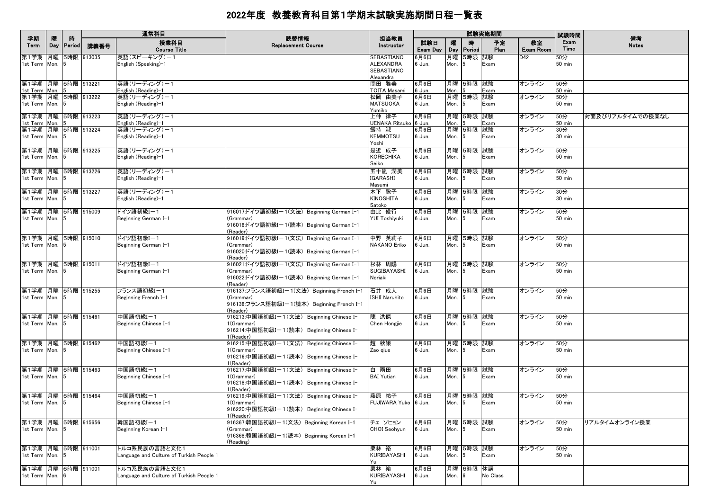|                                          |          |                    |            | 通常科目                                                      | 読替情報                                                                                                            |                                                           |                 |          |                 | 試験実施期間     |                        | 試験時間                    | 備考               |
|------------------------------------------|----------|--------------------|------------|-----------------------------------------------------------|-----------------------------------------------------------------------------------------------------------------|-----------------------------------------------------------|-----------------|----------|-----------------|------------|------------------------|-------------------------|------------------|
| 学期<br>Term                               | 曤<br>Day | 時<br><b>Period</b> | 講義番号       | 授業科目<br><b>Course Title</b>                               | <b>Replacement Course</b>                                                                                       | 担当教員<br>Instructor                                        | 試験日<br>Exam Day | 嚁<br>Day | 時<br>Period     | 予定<br>Plan | 教室<br><b>Exam Room</b> | Exam<br>Time            | <b>Notes</b>     |
| 第1学期 月曜<br>1st Term Mon.                 |          |                    | 5時限 913035 | 英語(スピーキング)-1<br>English (Speaking)–1                      |                                                                                                                 | SEBASTIANO<br><b>ALEXANDRA</b><br>SEBASTIANO<br>Alexandra | 6月6日<br>6 Jun.  | Mon.     | 月曜 5時限<br>5     | 試験<br>Exam | D42                    | 50分<br><b>50 min</b>    |                  |
| 第1学期 月曜 5時限 913221<br>1st Term           | Mon.     |                    |            | 英語(リーディング)ー1<br>English (Reading)-1                       |                                                                                                                 | 問田 雅美<br><b>TOITA Masami</b>                              | 6月6日<br>6 Jun.  | Mon.     | 月曜 5時限 試験       | Exam       | オンライン                  | 50分<br>$50 \text{ min}$ |                  |
| 第1学期 月曜 5時限 913222<br>1st Term Mon. 5    |          |                    |            | 英語(リーディング)ー1<br>English (Reading)-1                       |                                                                                                                 | 松岡 由美子<br><b>MATSUOKA</b><br>Yumiko                       | 6月6日<br>6 Jun.  | Mon.     | 月曜 5時限<br>5     | 試験<br>Exam | オンライン                  | 50分<br>$50$ min         |                  |
| 第1学期 月曜 5時限 913223<br>1st Term Mon.      |          |                    |            | 英語(リーディング)ー1<br>English (Reading)-1                       |                                                                                                                 | 上仲 律子<br>UENAKA Ritsuko 6 Jun.                            | 6月6日            | Mon.     | 月曜 5時限 試験       | Exam       | オンライン                  | 50分<br><b>50 min</b>    | 対面及びリアルタイムでの授業なし |
| 第1学期 月曜 5時限 913224<br>1st Term Mon. 5    |          |                    |            | 英語(リーディング)ー1<br>English (Reading)-1                       |                                                                                                                 | 劔持 淑<br><b>KEMMOTSU</b><br>Yoshi                          | 6月6日<br>6 Jun.  | Mon. $5$ | 月曜 5時限 試験       | Exam       | オンライン                  | 30分<br>30 min           |                  |
| 第1学期 月曜 5時限 913225<br>1st Term Mon. 5    |          |                    |            | 英語(リーディング)ー1<br>English (Reading)-1                       |                                                                                                                 | 是近 成子<br><b>KORECHIKA</b><br>Seiko                        | 6月6日<br>6 Jun.  | Mon. $5$ | 月曜 5時限          | 試験<br>Exam | オンライン                  | 50分<br>$50$ min         |                  |
| 第1学期 月曜 5時限 913226<br>1st Term Mon. 5    |          |                    |            | 英語(リーディング)ー1<br>English (Reading)-1                       |                                                                                                                 | 五十嵐 潤美<br><b>IGARASHI</b><br>Masumi                       | 6月6日<br>6 Jun.  | Mon.     | 月曜 5時限<br>5     | 試験<br>Exam | オンライン                  | 50分<br>$50$ min         |                  |
| 第1学期 月曜 5時限 913227<br>1st Term Mon. 5    |          |                    |            | 英語(リーディング)-1<br>English (Reading)-1                       |                                                                                                                 | 木下 聡子<br><b>KINOSHITA</b><br>Satoko                       | 6月6日<br>6 Jun.  | Mon.     | 月曜 5時限 試験<br>5  | Exam       | オンライン                  | 30分<br>30 min           |                  |
| 第1学期 月曜 5時限 915009<br>1st Term Mon. 5    |          |                    |            | ドイツ語初級Iー1<br>Beginning German I-1                         | 916017:ドイツ語初級Iー1(文法)Beginning German I-1<br>(Grammar)<br>916018:ドイツ語初級Iー1(読本)Beginning German I-1<br>(Reader)   | 由比 俊行<br>YUI Toshiyuki                                    | 6月6日<br>6 Jun.  | Mon.     | 月曜 5時限<br>5     | 試験<br>Exam | オンライン                  | 50分<br>50 min           |                  |
| 第1学期  月曜  5時限  915010<br>1st Term Mon. 5 |          |                    |            | ドイツ語初級Iー1<br>Beginning German I-1                         | 916019:ドイツ語初級Iー1(文法)Beginning German I-1<br>(Grammar)<br>916020:ドイツ語初級Iー1(読本)Beginning German I-1<br>(Reader)   | 中野 英莉子<br><b>NAKANO Eriko</b>                             | 6月6日<br>6 Jun.  | Mon.     | 月曜 5時限 試験       | Exam       | オンライン                  | 50分<br>50 min           |                  |
| 第1学期 月曜 5時限 915011<br>1st Term Mon. 5    |          |                    |            | ドイツ語初級Iー1<br>Beginning German I-1                         | 916021:ドイツ語初級Iー1(文法) Beginning German I-1<br>(Grammar)<br>916022:ドイツ語初級Iー1(読本)Beginning German I-1<br>(Reader)  | 杉林 周陽<br>SUGIBAYASHI<br>Noriaki                           | 6月6日<br>6 Jun.  | Mon.     | 月曜  5時限<br>5    | 試験<br>Exam | オンライン                  | 50分<br>50 min           |                  |
| 第1学期 月曜 5時限 915255<br>1st Term Mon. 5    |          |                    |            | フランス語初級I-1<br>Beginning French I-1                        | 916137:フランス語初級Iー1(文法)Beginning French I-1<br>(Grammar)<br>916138:フランス語初級Iー1(読本)Beginning French I-1<br>(Reader) | 石井 成人<br>ISHII Naruhito                                   | 6月6日<br>6 Jun.  | Mon.     | 月曜 5時限 試験<br>5  | Exam       | オンライン                  | 50分<br>50 min           |                  |
| 第1学期 月曜 5時限 915461<br>1st Term Mon. 5    |          |                    |            | 中国語初級I-1<br>Beginning Chinese I-1                         | 916213:中国語初級Iー1(文法) Beginning Chinese I-<br>l (Grammar)<br>916214:中国語初級Iー1(読本) Beginning Chinese I-<br>(Reader) | 陳 洪傑<br>Chen Hongjie                                      | 6月6日<br>6 Jun.  | Mon. $5$ | 月曜 5時限 試験       | Exam       | オンライン                  | 50分<br>50 min           |                  |
| 第1学期  月曜  5時限  915462<br>1st Term Mon. 5 |          |                    |            | 中国語初級I-1<br>Beginning Chinese I-1                         | 916215:中国語初級Iー1(文法) Beginning Chinese I-<br>l (Grammar)<br>916216:中国語初級Iー1(読本) Beginning Chinese I-<br>(Reader) | 趙 秋娥<br>Zao giue                                          | 6月6日<br>6 Jun.  | Mon.     | 月曜 5時限<br>5     | 試験<br>Exam | オンライン                  | 50分<br>50 min           |                  |
| 第1学期 月曜 5時限 915463<br>1st Term Mon. 5    |          |                    |            | 中国語初級I-1<br>Beginning Chinese I-1                         | 916217:中国語初級Iー1(文法) Beginning Chinese I-<br>1(Grammar)<br>916218:中国語初級Iー1(読本) Beginning Chinese I-<br>(Reader)  | 白 雨田<br><b>BAI Yutian</b>                                 | 6月6日<br>6 Jun.  | Mon.     | 月曜 5時限 試験<br>15 | Exam       | オンライン                  | 50分<br>50 min           |                  |
| 第1学期 月曜 5時限 915464<br>1st Term Mon. 5    |          |                    |            | 中国語初級I-1<br>Beginning Chinese I-1                         | 916219:中国語初級Iー1(文法) Beginning Chinese I-<br>1(Grammar)<br>916220:中国語初級I-1(読本) Beginning Chinese I-<br>I(Reader) | 藤原 祐子<br>FUJIWARA Yuko 6 Jun.                             | 6月6日            | Mon.     | 月曜 5時限<br>5     | 試験<br>Exam | オンライン                  | 50分<br><b>50 min</b>    |                  |
| 第1学期 月曜 5時限 915656<br>1st Term Mon. 5    |          |                    |            | 韓国語初級I-1<br>Beginning Korean I-1                          | 916367:韓国語初級Iー1(文法)Beginning Korean I-1<br>(Grammar)<br>916368:韓国語初級I-1(読本) Beginning Korean I-1<br>(Reading)   | チェ ソヒョン<br>CHOI Seohyun                                   | 6月6日<br>6 Jun.  | Mon.     | 月曜 5時限 試験<br>5  | Exam       | オンライン                  | 50分<br>$50$ min         | リアルタイムオンライン授業    |
| 第1学期 月曜 5時限 911001<br>1st Term Mon. 5    |          |                    |            | トルコ系民族の言語と文化1<br>anguage and Culture of Turkish People 1  |                                                                                                                 | 栗林 裕<br>KURIBAYASHI<br>Yu                                 | 6月6日<br>6 Jun.  | Mon.     | 月曜 5時限 試験<br>15 | Exam       | オンライン                  | 50分<br>$50$ min         |                  |
| 第1学期 月曜 6時限 911001<br>1st Term Mon.      |          |                    |            | トルコ系民族の言語と文化1<br>Language and Culture of Turkish People 1 |                                                                                                                 | 栗林 裕<br>KURIBAYASHI<br>Yu                                 | 6月6日<br>6 Jun.  | Mon. 6   | 月曜 6時限 休講       | No Class   |                        |                         |                  |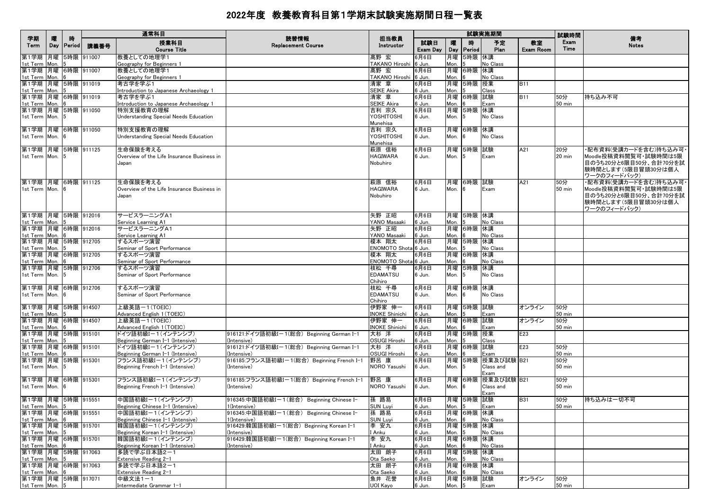|                                         |          |                    |            | 通常科目                                                   |                                                          |                                 |                 |                   |                 | 試験実施期間              |                        | 試験時間                 |                                                 |
|-----------------------------------------|----------|--------------------|------------|--------------------------------------------------------|----------------------------------------------------------|---------------------------------|-----------------|-------------------|-----------------|---------------------|------------------------|----------------------|-------------------------------------------------|
| 学期<br>Term                              | 隁<br>Day | 時<br><b>Period</b> | 講義番号       | 授業科目<br><b>Course Title</b>                            | 読替情報<br><b>Replacement Course</b>                        | 担当教員<br>Instructor              | 試験日<br>Exam Day | 曤<br>Day          | 時<br>Period     | 予定<br>Plan          | 教室<br><b>Exam Room</b> | Exam<br>Time         | 備考<br><b>Notes</b>                              |
| 第1学期 月曜<br>1st Term Mon.                |          |                    | 5時限 911007 | 教養としての地理学1<br>Geography for Beginners 1                |                                                          | 髙野 宏<br>TAKANO Hiroshi          | 6月6日<br>6 Jun.  | 月曜<br>Mon.        | 5時限 休講          | No Class            |                        |                      |                                                 |
| 第1学期  月曜  6時限  911007                   |          |                    |            | 教養としての地理学1                                             |                                                          | 髙野 宏                            | 6月6日            | 月曜                | 6時限             | 休講                  |                        |                      |                                                 |
| 1st Term                                | Mon.     |                    |            | <u>Geography for Beginners 1</u>                       |                                                          | TAKANO Hiroshi 6 Jun.           |                 | Mon.              |                 | No Class            |                        |                      |                                                 |
| 第1学期 月曜 5時限 911019                      |          |                    |            | 考古学を学ぶ1                                                |                                                          | 清家 章                            | 6月6日            | 月曜                | 5時限             | 授業                  | <b>B11</b>             |                      |                                                 |
| 1st Term<br> 第1学期  月曜  6時限  911019      | Mon.     |                    |            | Introduction to Japanese Archaeology 1<br>考古学を学ぶ1      |                                                          | <b>SEIKE Akira</b><br>清家 章      | 6 Jun.<br>6月6日  | Mon.              | 月曜 6時限 試験       | Class               | <b>B11</b>             | 50分                  | 持ち込み不可                                          |
| 1st Term Mon.                           |          |                    |            | Introduction to Japanese Archaeology 1                 |                                                          | <b>SEIKE Akira</b>              | 6 Jun.          | Mon.              |                 | Exam                |                        | 50 min               |                                                 |
| 第1学期  月曜  5時限  911050                   |          |                    |            | 特別支援教育の理解                                              |                                                          | 吉利 宗久                           | 6月6日            |                   | 月曜 5時限          | 休講                  |                        |                      |                                                 |
| 1st Term Mon. 5                         |          |                    |            | Understanding Special Needs Education                  |                                                          | YOSHITOSHI                      | 6 Jun.          | Mon.              | 15              | No Class            |                        |                      |                                                 |
| 第1学期 月曜 6時限 911050                      |          |                    |            | 特別支援教育の理解                                              |                                                          | Munehisa<br>吉利 宗久               | 6月6日            |                   | 月曜 6時限          | 休講                  |                        |                      |                                                 |
| 1st Term Mon.                           |          |                    |            | Understanding Special Needs Education                  |                                                          | YOSHITOSHI                      | 6 Jun.          | Mon.              | - 6             | No Class            |                        |                      |                                                 |
|                                         |          |                    |            |                                                        |                                                          | Munehisa                        |                 |                   |                 |                     |                        |                      |                                                 |
| 第1学期 月曜                                 |          |                    | 5時限 911125 | 生命保険を考える                                               |                                                          | 萩原 信裕                           | 6月6日            |                   | 月曜 5時限          | 試験                  | A21                    | 20分                  | ・配布資料(受講カードを含む)持ち込み可                            |
| 1st Term Mon.                           |          |                    |            | Overview of the Life Insurance Business in<br>Japan    |                                                          | <b>HAGIWARA</b><br>Nobuhiro     | 6 Jun.          | Mon.              | 5               | Exam                |                        | 20 min               | Moodle投稿資料閲覧可・試験時間は5限<br>目のうち20分と6限目50分、合計70分を試 |
|                                         |          |                    |            |                                                        |                                                          |                                 |                 |                   |                 |                     |                        |                      | 験時間とします(5限目冒頭30分は個人                             |
|                                         |          |                    |            |                                                        |                                                          |                                 |                 |                   |                 |                     |                        |                      | ワークのフィードバック)                                    |
| 第1学期 月曜 6時限 911125                      |          |                    |            | 生命保険を考える                                               |                                                          | 萩原 信裕                           | 6月6日            |                   | 月曜 6時限 試験       |                     | A21                    | 50分                  | ・配布資料(受講カードを含む)持ち込み可・                           |
| 1st Term Mon. 6                         |          |                    |            | Overview of the Life Insurance Business in<br>Japan    |                                                          | <b>HAGIWARA</b><br>Nobuhiro     | 6 Jun.          | Mon.              | - 6             | Exam                |                        | 50 min               | Moodle投稿資料閲覧可·試験時間は5限<br>目のうち20分と6限目50分、合計70分を試 |
|                                         |          |                    |            |                                                        |                                                          |                                 |                 |                   |                 |                     |                        |                      | 験時間とします(5限目冒頭30分は個人                             |
|                                         |          |                    |            |                                                        |                                                          |                                 |                 |                   |                 |                     |                        |                      | ワークのフィードバック)                                    |
| 第1学期 月曜 5時限 912016                      |          |                    |            | サービスラーニングA1                                            |                                                          | 矢野 正昭                           | 6月6日            |                   | 月曜 5時限 休講       |                     |                        |                      |                                                 |
| 1st Term                                | Mon.     |                    |            | Service Learning A1<br>サービスラーニングA1                     |                                                          | YANO Masaaki<br>矢野 正昭           | 6 Jun.<br>6月6日  | Mon.              | 月曜 6時限 休講       | No Class            |                        |                      |                                                 |
| 第1学期  月曜  6時限  912016<br>1st Term Mon.  |          |                    |            | Service Learning A1                                    |                                                          | YANO Masaaki                    | 6 Jun.          | Mon.              |                 | No Class            |                        |                      |                                                 |
| 第1学期 月曜 5時限 912705                      |          |                    |            | するスポーツ演習                                               |                                                          | 榎本 翔太                           | 6月6日            | 月曜                | 5時限             | 休講                  |                        |                      |                                                 |
| 1st Term Mon.                           |          |                    |            | Seminar of Sport Performance                           |                                                          | ENOMOTO Shota 6 Jun.            |                 | Mon.              |                 | No Class            |                        |                      |                                                 |
| 第1学期 月曜 6時限 912705                      |          |                    |            | するスポーツ演習                                               |                                                          | 榎本 翔太<br>ENOMOTO Shota 6 Jun.   | 6月6日            | Mon.              | 月曜 6時限          | 休講<br>No Class      |                        |                      |                                                 |
| 1st Term Mon.<br> 第1学期  月曜  5時限  912706 |          |                    |            | Seminar of Sport Performance<br>するスポーツ演習               |                                                          | 枝松 千尋                           | 6月6日            |                   | 月曜 5時限          | 休講                  |                        |                      |                                                 |
| 1st Term Mon.                           |          |                    |            | Seminar of Sport Performance                           |                                                          | <b>EDAMATSU</b>                 | 6 Jun.          | Mon.              | 5               | No Class            |                        |                      |                                                 |
|                                         |          |                    |            |                                                        |                                                          | Chihiro                         |                 |                   |                 |                     |                        |                      |                                                 |
| 第1学期 月曜 6時限 912706<br>1st Term Mon. 6   |          |                    |            | するスポーツ演習<br>Seminar of Sport Performance               |                                                          | 枝松 千尋<br><b>EDAMATSU</b>        | 6月6日            | Mon.              | 月曜 6時限<br>- 6   | 休講<br>No Class      |                        |                      |                                                 |
|                                         |          |                    |            |                                                        |                                                          | Chihiro                         | 6 Jun.          |                   |                 |                     |                        |                      |                                                 |
| 第1学期 月曜 5時限 914507                      |          |                    |            | 上級英語-1(TOEIC)                                          |                                                          | 伊野家 伸一                          | 6月6日            |                   | 月曜  5時限         | 試験                  | オンライン                  | 50分                  |                                                 |
| 1st Term Mon.                           |          |                    |            | Advanced English 1 (TOEIC)                             |                                                          | <b>INOKE Shinichi</b>           | ີວ Jun.         | Mon.              |                 | Exam                |                        | 50 min               |                                                 |
| 第1学期 月曜 6時限 914507<br>1st Term Mon.     |          |                    |            | 上級英語ー1(TOEIC)<br>Advanced English 1 (TOEIC)            |                                                          | 伊野家 伸一<br><b>INOKE Shinichi</b> | 6月6日<br>6 Jun.  | Mon.              | 月曜 6時限          | 試験<br>Exam          | オンライン                  | 50分<br>50 min        |                                                 |
| 第1学期 月曜 5時限 915101                      |          |                    |            | ドイツ語初級I-1(インテンシブ)                                      | 916121:ドイツ語初級Iー1(総合) Beginning German I-1                | 大杉 洋                            | 6月6日            |                   | 月曜 5時限          | 授業                  | E23                    |                      |                                                 |
| 1st Term Mon.                           |          |                    |            | Beginning German I-1 (Intensive)                       | (Intensive)                                              | <b>OSUGI Hiroshi</b>            | 6 Jun.          | Mon.              |                 | Class               |                        |                      |                                                 |
| 第1学期  月曜  6時限  915101                   |          |                    |            | ドイツ語初級I-1(インテンシブ)                                      | 916121:ドイツ語初級Iー1(総合) Beginning German I-1                | 大杉 洋                            | 6月6日            |                   | 月曜 6時限 試験       |                     | E23                    | 50分                  |                                                 |
| 1st Term<br> 第1学期  月曜  5時限  915301      | Mon.     |                    |            | Beginning German I-1 (Intensive)<br>フランス語初級I-1(インテンシブ) | (Intensive)<br>916185:フランス語初級Iー1(総合)Beginning French I-1 | <b>OSUGI Hiroshi</b><br>野呂 康    | 6 Jun.<br>6月6日  | Mon.              | 月曜 5時限          | Exam<br> 授業及び試験 B21 |                        | <b>50 min</b><br>50分 |                                                 |
| 1st Term Mon.                           |          |                    |            | Beginning French I-1 (Intensive)                       | (Intensive)                                              | NORO Yasushi                    | 6 Jun.          | Mon.              | 5               | Class and           |                        | <b>50 min</b>        |                                                 |
|                                         |          |                    |            |                                                        |                                                          |                                 |                 |                   |                 | Exam                |                        |                      |                                                 |
| 第1学期  月曜  6時限  915301                   |          |                    |            | フランス語初級Iー1(インテンシブ)                                     | 916185:フランス語初級Iー1(総合)Beginning French I-1                | 野呂 康                            | 6月6日            |                   | 月曜 6時限          | 授業及び試験  B21         |                        | 50分                  |                                                 |
| 1st Term Mon. 6                         |          |                    |            | Beginning French I-1 (Intensive)                       | (Intensive)                                              | NORO Yasushi                    | 6 Jun.          | Mon.              | 16              | Class and<br>Exam   |                        | 50 min               |                                                 |
| 第1学期 月曜 5時限 915551                      |          |                    |            | 中国語初級I-1(インテンシブ)                                       | 916345:中国語初級Iー1(総合) Beginning Chinese I-                 | 孫 路易                            | 6月6日            |                   | 月曜 5時限          | 試験                  | <b>B31</b>             | 50分                  | 持ち込みは一切不可                                       |
| 1st Term Mon. 5                         |          |                    |            | Beginning Chinese I-1 (Intensive)                      | 1(Intensive)                                             | <b>SUN Luyi</b>                 | 6 Jun.          | Mon. <sub>5</sub> |                 | Exam                |                        | 50 min               |                                                 |
| 第1学期  月曜  6時限  915551                   |          |                    |            | 中国語初級Iー1(インテンシブ)                                       | 916345:中国語初級Iー1(総合) Beginning Chinese I-                 | 孫 路易                            | 6月6日            |                   | 月曜  6時限  休講     |                     |                        |                      |                                                 |
| 1st Term Mon.<br> 第1学期  月曜  5時限  915701 |          |                    |            | Beginning Chinese I-1 (Intensive)<br> 韓国語初級Iー1(インテンシブ) | 1(Intensive)<br>916429:韓国語初級Iー1(総合)Beginning Korean I–1  | <b>SUN Luyi</b><br> 李 安九        | 6 Jun.<br>6月6日  | Mon.              | ାନ<br>月曜 5時限 休講 | No Class            |                        |                      |                                                 |
| 1st Term Mon. 5                         |          |                    |            | Beginning Korean I-1 (Intensive)                       | (Intensive)                                              | I Anku                          | 6 Jun.          | Mon.              | 15              | No Class            |                        |                      |                                                 |
| 第1学期 月曜 6時限 915701                      |          |                    |            | 韓国語初級Iー1(インテンシブ)                                       | 916429:韓国語初級Iー1(総合)Beginning Korean I–1                  | 李 安九                            | 6月6日            |                   | 月曜 6時限 休講       |                     |                        |                      |                                                 |
| 1st Term Mon.                           |          |                    |            | Beginning Korean I-1 (Intensive)                       | (Intensive)                                              | I Anku                          | 6 Jun.          | Mon.              |                 | No Class            |                        |                      |                                                 |
| 第1学期 月曜 5時限 917063<br>1st Term Mon. 5   |          |                    |            | 多読で学ぶ日本語2-1<br>Extensive Reading 2-1                   |                                                          | 太田 朗子<br>Ota Saeko              | 6月6日<br>6 Jun.  | Mon.              | 月曜 5時限 休講       | No Class            |                        |                      |                                                 |
| 第1学期 月曜 6時限 917063                      |          |                    |            | 多読で学ぶ日本語2-1                                            |                                                          | 太田 朗子                           | 6月6日            |                   | 月曜 6時限 休講       |                     |                        |                      |                                                 |
| 1st Term Mon.                           |          |                    |            | Extensive Reading 2-1                                  |                                                          | Ota Saeko                       | 6 Jun.          | Mon.              |                 | No Class            |                        |                      |                                                 |
| 第1学期  月曜  5時限  917071                   |          |                    |            | 中級文法1-1                                                |                                                          | 魚井 花誉                           | 6月6日            |                   | 月曜  5時限  試験     |                     | オンライン                  | 50分                  |                                                 |
| 1st Term Mon. 5                         |          |                    |            | Intermediate Grammar 1-1                               |                                                          | UOI Kayo                        | 6 Jun.          | Mon. <sub>5</sub> |                 | Exam                |                        | $50$ min             |                                                 |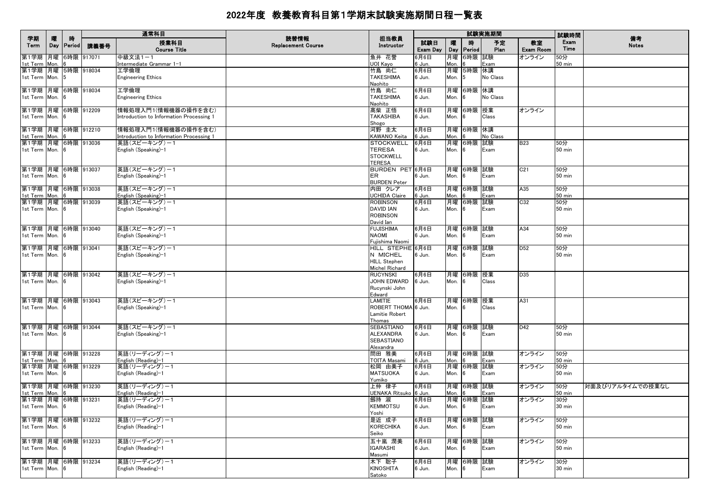|                                       |          |             |      | 通常科目                                                            |                                   |                                       |                 |            |                    | 試験実施期間     |                        | 試験時間                    |                    |
|---------------------------------------|----------|-------------|------|-----------------------------------------------------------------|-----------------------------------|---------------------------------------|-----------------|------------|--------------------|------------|------------------------|-------------------------|--------------------|
| 学期<br>Term                            | 曤<br>Day | 時<br>Period | 講義番号 | 授業科目<br><b>Course Title</b>                                     | 読替情報<br><b>Replacement Course</b> | 担当教員<br>Instructor                    | 試験日<br>Exam Day | 曤<br>Day   | 時<br><b>Period</b> | 予定<br>Plan | 教室<br><b>Exam Room</b> | Exam<br>Time            | 備考<br><b>Notes</b> |
| 第1学期 月曜 6時限 917071<br>1st Term Mon.   |          |             |      | 中級文法1-1<br>Intermediate Grammar 1-1                             |                                   | 魚井 花誉<br>UOI Kayo                     | 6月6日<br>6 Jun.  | 月曜<br>Mon. | 6時限 試験             | Exam       | オンライン                  | 50分<br>$50 \text{ min}$ |                    |
| 第1学期 月曜 5時限 918034<br>1st Term Mon. 5 |          |             |      | 工学倫理<br><b>Engineering Ethics</b>                               |                                   | 竹島 尚仁<br><b>TAKESHIMA</b>             | 6月6日            | Mon.       | 月曜 5時限 休講<br>5     | No Class   |                        |                         |                    |
|                                       |          |             |      |                                                                 |                                   | Naohito                               | 6 Jun.          |            |                    |            |                        |                         |                    |
| 第1学期 月曜 6時限 918034<br>1st Term Mon. 6 |          |             |      | 工学倫理<br><b>Engineering Ethics</b>                               |                                   | 竹島 尚仁<br><b>TAKESHIMA</b>             | 6月6日<br>6 Jun.  | Mon.       | 月曜 6時限 休講<br> 6    | No Class   |                        |                         |                    |
| 第1学期 月曜 6時限 912209                    |          |             |      | 情報処理入門1(情報機器の操作を含む)                                             |                                   | Naohito<br>高柴 正悟                      | 6月6日            |            | 月曜 6時限 授業          |            | オンライン                  |                         |                    |
| 1st Term Mon. 6                       |          |             |      | Introduction to Information Processing 1                        |                                   | <b>TAKASHIBA</b><br>Shogo             | 6 Jun.          | Mon. 6     |                    | Class      |                        |                         |                    |
| 第1学期 月曜 6時限 912210<br>1st Term Mon. 6 |          |             |      | 情報処理入門1(情報機器の操作を含む)<br>Introduction to Information Processing 1 |                                   | 河野 圭太<br>KAWANO Keita                 | 6月6日<br>6 Jun.  | Mon.       | 月曜 6時限 休講          | No Class   |                        |                         |                    |
| 第1学期 月曜 6時限 913036                    |          |             |      | 英語(スピーキング)ー1                                                    |                                   | <b>STOCKWELL</b>                      | 6月6日            |            | 月曜 6時限 試験          |            | <b>B23</b>             | 50分                     |                    |
| 1st Term Mon. 6                       |          |             |      | English (Speaking)–1                                            |                                   | <b>TERESA</b><br><b>STOCKWELL</b>     | 6 Jun.          | Mon.       | <b>6</b>           | Exam       |                        | $50$ min                |                    |
|                                       |          |             |      |                                                                 |                                   | <b>TERESA</b>                         |                 |            |                    |            |                        |                         |                    |
| 第1学期 月曜 6時限 913037                    |          |             |      | 英語(スピーキング)ー1                                                    |                                   | BURDEN PET 6月6日                       |                 |            | 月曜 6時限 試験          |            | C <sub>21</sub>        | 50分                     |                    |
| 1st Term Mon. 6                       |          |             |      | English (Speaking)-1                                            |                                   | <b>ER</b><br><b>BURDEN Peter</b>      | 6 Jun.          | Mon.       | - 6                | Exam       |                        | <b>50 min</b>           |                    |
| 第1学期 月曜 6時限 913038                    |          |             |      | 英語(スピーキング)ー1                                                    |                                   | 内田 クレア                                | 6月6日            |            | 月曜 6時限 試験          |            | A35                    | 50分                     |                    |
| 1st Term Mon. 6<br>第1学期 月曜 6時限 913039 |          |             |      | English (Speaking)–1                                            |                                   | <b>UCHIDA Claire</b><br>ROBINSON      | 6 Jun.<br>6月6日  | Mon.       | 月曜 6時限 試験          | Exam       | C32                    | $50$ min<br>50分         |                    |
| 1st Term Mon. 6                       |          |             |      | 英語(スピーキング)ー1<br>English (Speaking)–1                            |                                   | <b>DAVID IAN</b>                      | 6 Jun.          | Mon.       | - 6                | Exam       |                        | <b>50 min</b>           |                    |
|                                       |          |             |      |                                                                 |                                   | <b>ROBINSON</b>                       |                 |            |                    |            |                        |                         |                    |
| 第1学期 月曜 6時限 913040                    |          |             |      | 英語(スピーキング)ー1                                                    |                                   | David Ian<br><b>FUJISHIMA</b>         | 6月6日            |            | 月曜 6時限 試験          |            | A34                    | 50分                     |                    |
| 1st Term Mon. 6                       |          |             |      | English (Speaking)–1                                            |                                   | <b>NAOMI</b><br>Fujishima Naomi       | 6 Jun.          | Mon. 6     |                    | Exam       |                        | <b>50 min</b>           |                    |
| 第1学期 月曜 6時限 913041                    |          |             |      | 英語(スピーキング)-1                                                    |                                   | HILL STEPHE 6月6日                      |                 |            | 月曜 6時限 試験          |            | D <sub>52</sub>        | 50分                     |                    |
| 1st Term Mon. 6                       |          |             |      | English (Speaking)–1                                            |                                   | N MICHEL                              | 6 Jun.          | Mon. 6     |                    | Exam       |                        | $50$ min                |                    |
|                                       |          |             |      |                                                                 |                                   | <b>HILL Stephen</b><br>Michel Richard |                 |            |                    |            |                        |                         |                    |
| 第1学期 月曜 6時限 913042                    |          |             |      | 英語(スピーキング)-1                                                    |                                   | <b>RUCYNSKI</b>                       | 6月6日            |            | 月曜 6時限 授業          |            | D35                    |                         |                    |
| 1st Term Mon. 6                       |          |             |      | English (Speaking)–1                                            |                                   | JOHN EDWARD                           | 6 Jun.          | Mon. 6     |                    | Class      |                        |                         |                    |
|                                       |          |             |      |                                                                 |                                   | Rucynski John<br>Edward               |                 |            |                    |            |                        |                         |                    |
| 第1学期 月曜 6時限 913043                    |          |             |      | 英語(スピーキング)ー1                                                    |                                   | LAMITIE                               | 6月6日            |            | 月曜 6時限 授業          |            | A31                    |                         |                    |
| 1st Term Mon. 6                       |          |             |      | English (Speaking)-1                                            |                                   | ROBERT THOMA 6 Jun.                   |                 | Mon.       | - 6                | Class      |                        |                         |                    |
|                                       |          |             |      |                                                                 |                                   | Lamitie Robert<br>Thomas              |                 |            |                    |            |                        |                         |                    |
| 第1学期 月曜 6時限 913044                    |          |             |      | 英語(スピーキング)ー1                                                    |                                   | SEBASTIANO                            | 6月6日            |            | 月曜 6時限 試験          |            | D42                    | 50分                     |                    |
| 1st Term Mon. 6                       |          |             |      | English (Speaking)–1                                            |                                   | <b>ALEXANDRA</b>                      | 6 Jun.          | Mon. 6     |                    | Exam       |                        | <b>50 min</b>           |                    |
|                                       |          |             |      |                                                                 |                                   | <b>SEBASTIANO</b><br>Alexandra        |                 |            |                    |            |                        |                         |                    |
| 第1学期 月曜 6時限 913228                    |          |             |      | 英語(リーディング)-1                                                    |                                   | 問田 雅美                                 | 6月6日            |            | 月曜 6時限 試験          |            | オンライン                  | 50分                     |                    |
| 1st Term Mon.<br>第1学期 月曜 6時限 913229   |          | <b>6</b>    |      | English (Reading)-1<br>英語(リーディング) -1                            |                                   | TOITA Masami<br>松岡 由美子                | 6 Jun.<br>6月6日  | Mon.       | 月曜 6時限 試験          | Exam       | オンライン                  | <b>50 min</b><br>50分    |                    |
| 1st Term Mon. 6                       |          |             |      | English (Reading)-1                                             |                                   | <b>MATSUOKA</b>                       | 6 Jun.          | Mon.       | 6                  | Exam       |                        | $50$ min                |                    |
|                                       |          |             |      |                                                                 |                                   | Yumiko                                |                 |            |                    |            |                        |                         |                    |
| 第1学期 月曜 6時限 913230<br>1st Term Mon.   |          | 6           |      | 英語(リーディング) ー 1                                                  |                                   | 上仲 律子<br>UENAKA Ritsuko 6 Jun.        | 6月6日            | Mon.       | 月曜 6時限 試験          |            | オンライン                  | 50分<br>50 min           | 対面及びリアルタイムでの授業なし   |
| 第1学期 月曜 6時限 913231                    |          |             |      | English (Reading)–1<br>英語(リーディング) -1                            |                                   | 劔持 淑                                  | 6月6日            |            | 月曜 6時限 試験          | Exam       | オンライン                  | 30分                     |                    |
| 1st Term Mon. 6                       |          |             |      | English (Reading)-1                                             |                                   | <b>KEMMOTSU</b><br>Yoshi              | 6 Jun.          | Mon. 6     |                    | Exam       |                        | 30 min                  |                    |
| 第1学期 月曜 6時限 913232                    |          |             |      | 英語(リーディング) ー 1                                                  |                                   | 是近 成子                                 | 6月6日            |            | 月曜 6時限 試験          |            | オンライン                  | 50分                     |                    |
| 1st Term Mon. 6                       |          |             |      | English (Reading)-1                                             |                                   | KORECHIKA                             | 6 Jun.          | Mon.       | 16                 | Exam       |                        | $50$ min                |                    |
|                                       |          |             |      |                                                                 |                                   | Seiko                                 |                 |            |                    |            |                        |                         |                    |
| 第1学期 月曜 6時限 913233<br>1st Term Mon. 6 |          |             |      | 英語(リーディング)-1<br>English (Reading)-1                             |                                   | 五十嵐 潤美<br><b>IGARASHI</b>             | 6月6日<br>6 Jun.  | Mon.       | 月曜 6時限 試験<br>6     | Exam       | オンライン                  | 50分<br>$50$ min         |                    |
|                                       |          |             |      |                                                                 |                                   | Masumi                                |                 |            |                    |            |                        |                         |                    |
| 第1学期 月曜 6時限 913234                    |          |             |      | 英語(リーディング)-1                                                    |                                   | 木下 聡子                                 | 6月6日            |            | 月曜 6時限 試験          |            | オンライン                  | 30分                     |                    |
| 1st Term Mon. 6                       |          |             |      | English (Reading)-1                                             |                                   | <b>KINOSHITA</b><br>Satoko            | 6 Jun.          | Mon.       | 6                  | Exam       |                        | 30 min                  |                    |
|                                       |          |             |      |                                                                 |                                   |                                       |                 |            |                    |            |                        |                         |                    |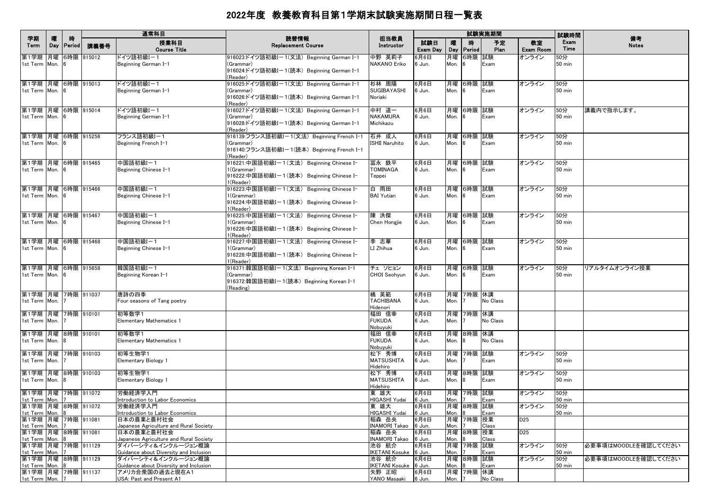|                                                                                |          |              |               | 通常科目                                                                                                        |                                                                                                                   |                                                         |                          |                    |                             | 試験実施期間           |                                    | 試験時間                                |                      |
|--------------------------------------------------------------------------------|----------|--------------|---------------|-------------------------------------------------------------------------------------------------------------|-------------------------------------------------------------------------------------------------------------------|---------------------------------------------------------|--------------------------|--------------------|-----------------------------|------------------|------------------------------------|-------------------------------------|----------------------|
| 学期<br>Term                                                                     | 曤<br>Day | 時<br> Period | 講義番号          | 授業科目<br><b>Course Title</b>                                                                                 | 読替情報<br><b>Replacement Course</b>                                                                                 | 担当教員<br>Instructor                                      | 試験日<br>Exam Day          | 曤                  | 時<br>Day Period             | 予定<br>Plan       | 教室<br><b>Exam Room</b>             | Exam<br>Time                        | 備考<br><b>Notes</b>   |
| 第1学期<br>1st Term Mon. 6                                                        |          |              | 月曜 6時限 915012 | ドイツ語初級I-1<br>Beginning German I-1                                                                           | 916023:ドイツ語初級Iー1(文法)Beginning German I-1<br>(Grammar)<br>916024:ドイツ語初級I-1(読本) Beginning German I-1<br>(Reader)    | 中野 英莉子<br>NAKANO Eriko                                  | 6月6日<br>6 Jun.           | 月曜<br>Mon.         | 6時限 試験<br>6                 | Exam             | オンライン                              | 50分<br>$50$ min                     |                      |
| 第1学期 月曜 6時限 915013<br>1st Term Mon. 6                                          |          |              |               | ドイツ語初級I-1<br>Beginning German I-1                                                                           | 916025:ドイツ語初級I-1(文法) Beginning German I-1<br>(Grammar)<br>916026:ドイツ語初級I-1(読本) Beginning German I-1<br>(Reader)   | 杉林 周陽<br>SUGIBAYASHI<br>Noriaki                         | 6月6日<br>6 Jun.           | Mon.               | 月曜 6時限 試験<br>6              | Exam             | オンライン                              | 50分<br>$50$ min                     |                      |
| 第1学期 月曜 6時限 915014<br>1st Term Mon. 6                                          |          |              |               | ドイツ語初級I-1<br>Beginning German I-1                                                                           | 916027:ドイツ語初級Iー1(文法)Beginning German I-1<br>(Grammar)<br>916028:ドイツ語初級Iー1(読本)Beginning German I-1<br>(Reader)     | 中村 道一<br><b>NAKAMURA</b><br>Michikazu                   | 6月6日<br>6 Jun.           | Mon.               | 月曜 6時限 試験<br>6              | Exam             | オンライン                              | 50分<br>50 min                       | 講義内で指示します。           |
| 第1学期 月曜 6時限 915256<br>1st Term Mon. 6                                          |          |              |               | フランス語初級I-1<br>Beginning French I-1                                                                          | 916139:フランス語初級I-1(文法) Beginning French I-1<br>(Grammar)<br>916140:フランス語初級I-1(読本) Beginning French I-1<br>(Reader) | 石井 成人<br>ISHII Naruhito                                 | 6月6日<br>6 Jun.           | Mon.               | 月曜 6時限 試験<br>6              | Exam             | オンライン                              | 50分<br><b>50 min</b>                |                      |
| 第1学期 月曜 6時限 915465<br>1st Term Mon. 6                                          |          |              |               | 中国語初級I-1<br>Beginning Chinese I-1                                                                           | 916221:中国語初級Iー1(文法) Beginning Chinese I-<br>1(Grammar)<br>916222:中国語初級I-1(読本) Beginning Chinese I-<br>1(Reader)   | 冨永 鉄平<br><b>TOMINAGA</b><br>Teppei                      | 6月6日<br>6 Jun.           | Mon.               | 月曜  6時限  試験<br>6            | Exam             | オンライン                              | 50分<br><b>50 min</b>                |                      |
| 第1学期 月曜 6時限 915466<br>1st Term Mon. 6                                          |          |              |               | 中国語初級I-1<br>Beginning Chinese I-1                                                                           | 916223:中国語初級Iー1(文法) Beginning Chinese I-<br>1(Grammar)<br>916224:中国語初級Iー1(読本) Beginning Chinese I-<br>1(Reader)   | 白 雨田<br><b>BAI</b> Yutian                               | 6月6日<br>6 Jun.           | Mon.               | 月曜 6時限 試験<br>6              | Exam             | オンライン                              | 50分<br>$50$ min                     |                      |
| 第1学期 月曜 6時限 915467<br>1st Term Mon. 6                                          |          |              |               | 中国語初級I-1<br>Beginning Chinese I-1                                                                           | 916225:中国語初級Iー1(文法) Beginning Chinese I-<br>(Grammar)<br>916226:中国語初級I-1(読本) Beginning Chinese I-<br>(Reader)     | 陳 洪傑<br>Chen Hongije                                    | 6月6日<br>6 Jun.           | Mon.               | 月曜 6時限 試験<br><b>6</b>       | Exam             | オンライン                              | 50分<br>$50$ min                     |                      |
| 第1学期 月曜 6時限 915468<br>1st Term Mon. 6                                          |          |              |               | 中国語初級I-1<br>Beginning Chinese I-1                                                                           | 916227:中国語初級Iー1(文法) Beginning Chinese I-<br>1(Grammar)<br>916228:中国語初級I-1(読本) Beginning Chinese I-<br>1(Reader)   | 李 志華<br>LI Zhihua                                       | 6月6日<br>6 Jun.           | Mon.               | 月曜 6時限 試験<br>- 6            | Exam             | オンライン                              | 50分<br><b>50 min</b>                |                      |
| 第1学期  月曜  6時限  915658<br>1st Term Mon. 6                                       |          |              |               | 韓国語初級I-1<br>Beginning Korean I-1                                                                            | 916371:韓国語初級Iー1(文法) Beginning Korean I-1<br>(Grammar)<br>916372:韓国語初級Iー1(読本) Beginning Korean I-1<br>(Reading)    | チェ ソヒョン<br>CHOI Seohyun                                 | 6月6日<br>6 Jun.           | Mon.               | 月曜 6時限 試験<br>6              | Exam             | オンライン                              | 50分<br><b>50 min</b>                | リアルタイムオンライン授業        |
| 第1学期 月曜 7時限 911037<br>1st Term Mon. 7                                          |          |              |               | 唐詩の四季<br>Four seasons of Tang poetry                                                                        |                                                                                                                   | 橘 英範<br><b>TACHIBANA</b><br>Hidenori                    | 6月6日<br>6 Jun.           | Mon.               | 月曜 7時限 休講                   | No Class         |                                    |                                     |                      |
| 第1学期 月曜 7時限 910101<br>1st Term Mon. 7                                          |          |              |               | 初等数学1<br><b>Elementary Mathematics 1</b>                                                                    |                                                                                                                   | 福田 信幸<br><b>FUKUDA</b><br>Nobuyuki                      | 6月6日<br>6 Jun.           | Mon.               | 月曜 7時限 休講                   | No Class         |                                    |                                     |                      |
| 第1学期 月曜 8時限 910101<br>1st Term Mon. 8<br>第1学期 月曜 7時限 910103                    |          |              |               | 初等数学1<br><b>Elementary Mathematics 1</b><br>初等生物学1                                                          |                                                                                                                   | 福田 信幸<br><b>FUKUDA</b><br>Nobuyuki<br>松下 秀博             | 6月6日<br>6 Jun.<br>6月6日   | Mon.               | 月曜 8時限 休講<br>8<br>月曜 7時限 試験 | No Class         | オンライン                              | 50分                                 |                      |
| 1st Term Mon. 7<br>第1学期 月曜 8時限 910103                                          |          |              |               | <b>Elementary Biology 1</b><br>初等生物学1                                                                       |                                                                                                                   | <b>MATSUSHITA</b><br>Hidehiro<br>松下 秀博                  | 6 Jun.<br>6月6日           | Mon.               | 月曜 8時限 試験                   | Exam             | オンライン                              | <b>50 min</b><br>50分                |                      |
| 1st Term Mon. 8<br>第1学期 月曜 7時限 911072                                          |          |              |               | <b>Elementary Biology 1</b><br>労働経済学入門                                                                      |                                                                                                                   | <b>MATSUSHITA</b><br>Hidehiro<br>東 雄大                   | 6 Jun.<br>6月6日           | Mon.               | 8<br>月曜 7時限 試験              | Exam             | オンライン                              | $50$ min<br>50分                     |                      |
| 1st Term Mon. 7<br>第1学期 月曜 8時限 911072<br>1st Term Mon. 8                       |          |              |               | Introduction to Labor Economics<br>労働経済学入門<br>Introduction to Labor Economics                               |                                                                                                                   | HIGASHI Yudai<br>東 雄大<br>HIGASHI Yudai                  | 6 Jun.<br>6月6日<br>6 Jun. | Mon.<br>Mon. 8     | 月曜 8時限 試験                   | Exam<br>Exam     | オンライン                              | $50$ min<br>50分<br>$50 \text{ min}$ |                      |
| 第1学期 月曜 7時限 911081<br>1st Term Mon. 7<br>第1学期 月曜 8時限 911081                    |          |              |               | 日本の農業と農村社会<br>Japanese Agriculture and Rural Society<br>日本の農業と農村社会                                          |                                                                                                                   | 稲森 岳央<br>INAMORI Takao 6 Jun.<br>稲森 岳央                  | 6月6日<br>6月6日             | Mon.<br>月曜         | 月曜 7時限 授業<br>8時限 授業         | Class            | D <sub>25</sub><br>D <sub>25</sub> |                                     |                      |
| 1st Term Mon. 8<br>第1学期 月曜 7時限 911129<br>1st Term Mon. 7                       |          |              |               | Japanese Agriculture and Rural Society<br>ダイバーシティ&インクルージョン概論<br>Guidance about Diversity and Inclusion      |                                                                                                                   | INAMORI Takao 6 Jun.<br>池谷 航介<br>IKETANI Kosuke 6 Jun.  | 6月6日                     | Mon.<br>Mon.       | 月曜 7時限 試験                   | Class<br>Exam    | オンライン                              | 50分<br>$50$ min                     | 必要事項はMOODLEを確認してください |
| 第1学期 月曜 8時限 911129<br>1st Term Mon. 8<br>第1学期 月曜 7時限 911137<br>1st Term Mon. 7 |          |              |               | ダイバーシティ&インクルージョン概論<br>Guidance about Diversity and Inclusion<br>アメリカ合衆国の過去と現在A1<br>USA: Past and Present A1 |                                                                                                                   | 池谷 航介<br>IKETANI Kosuke 6 Jun.<br>矢野 正昭<br>YANO Masaaki | 6月6日<br>6月6日<br>6 Jun.   | 月曜<br>Mon.<br>Mon. | 8時限 試験<br>月曜 7時限 休講         | Exam<br>No Class | オンライン                              | 50分<br>$50 \text{ min}$             | 必要事項はMOODLEを確認してください |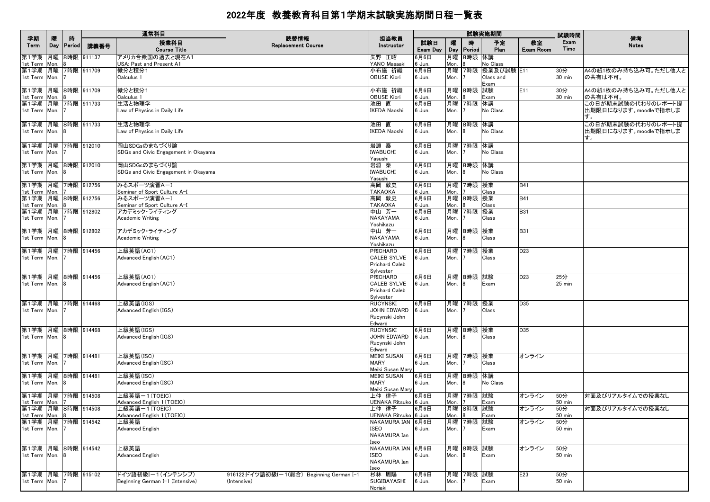| 学期                                       | 隁 | 時            |               | 通常科目                                                  | 読替情報                                                    | 担当教員                                       |                 |                   |             | 試験実施期間                          |                 | 試験時間                    | 備考                                                |
|------------------------------------------|---|--------------|---------------|-------------------------------------------------------|---------------------------------------------------------|--------------------------------------------|-----------------|-------------------|-------------|---------------------------------|-----------------|-------------------------|---------------------------------------------------|
| Term                                     |   | Day   Period | 講義番号          | 授業科目<br><b>Course Title</b>                           | <b>Replacement Course</b>                               | Instructor                                 | 試験日<br>Exam Day | 嚁<br>Day          | 時<br>Period | 予定<br>Plan                      | 教室<br>Exam Room | Exam<br>Time            | <b>Notes</b>                                      |
| 第1学期<br>1st Term Mon.                    |   |              | 月曜 8時限 911137 | アメリカ合衆国の過去と現在A1<br>USA: Past and Present A1           |                                                         | 矢野 正昭<br>YANO Masaaki                      | 6月6日<br>6 Jun.  | 月曜<br>Mon.        | 8時限 休講      | No Class                        |                 |                         |                                                   |
| 第1学期 月曜 7時限 911709<br>1st Term Mon. 7    |   |              |               | 微分と積分1<br>Calculus 1                                  |                                                         | 小布施 祈織<br><b>OBUSE Kiori</b>               | 6月6日<br>6 Jun.  | Mon.              | 月曜 7時限      | 授業及び試験 E11<br>Class and<br>Exam |                 | 30分<br>30 min           | A4の紙1枚のみ持ち込み可。ただし他人と<br>の共有は不可。                   |
| 第1学期 月曜 8時限 911709<br>1st Term Mon.      |   |              |               | 微分と積分1<br>Calculus 1                                  |                                                         | 小布施 祈織<br><b>OBUSE Kiori</b>               | 6月6日<br>6 Jun.  | Mon.              | 月曜 8時限      | 試験<br>Exam                      | E11             | 30分<br>$30 \text{ min}$ | A4の紙1枚のみ持ち込み可。ただし他人と<br>の共有は不可。                   |
| 第1学期 月曜 7時限 911733                       |   |              |               | 生活と物理学                                                |                                                         | 池田 直                                       | 6月6日            |                   | 月曜 7時限      | 休講                              |                 |                         | この日が期末試験の代わりのレポート提                                |
| 1st Term Mon. 7                          |   |              |               | Law of Physics in Daily Life                          |                                                         | <b>IKEDA Naoshi</b>                        | 6 Jun.          | Mon.              |             | No Class                        |                 |                         | 出期限日になります。moodleで指示しま                             |
| 第1学期 月曜 8時限 911733<br>1st Term Mon. 8    |   |              |               | 生活と物理学<br>Law of Physics in Daily Life                |                                                         | 池田 直<br><b>IKEDA Naoshi</b>                | 6月6日<br>6 Jun.  | Mon.              | 月曜 8時限<br>8 | 休講<br>No Class                  |                 |                         | この日が期末試験の代わりのレポート提<br>出期限日になります。moodleで指示しま<br>す。 |
| 第1学期  月曜  7時限  912010                    |   |              |               | 岡山SDGsのまちづくり論                                         |                                                         | 岩淵 泰                                       | 6月6日            |                   | 月曜 7時限      | 休講                              |                 |                         |                                                   |
| 1st Term Mon. 7                          |   |              |               | SDGs and Civic Engagement in Okayama                  |                                                         | <b>IWABUCHI</b><br>Yasushi                 | 6 Jun.          | Mon.              |             | No Class                        |                 |                         |                                                   |
| 第1学期 月曜 8時限 912010<br>1st Term Mon. 8    |   |              |               | 岡山SDGsのまちづくり論<br>SDGs and Civic Engagement in Okayama |                                                         | 岩淵 泰<br><b>IWABUCHI</b>                    | 6月6日<br>6 Jun.  | Mon.              | 月曜 8時限      | 休講<br>No Class                  |                 |                         |                                                   |
|                                          |   |              |               |                                                       |                                                         | Yasushi                                    |                 |                   |             |                                 |                 |                         |                                                   |
| 第1学期 月曜 7時限 912756                       |   |              |               | みるスポーツ演習A-I                                           |                                                         | 高岡 敦史                                      | 6月6日            | 月曜                | 7時限 授業      |                                 | <b>B41</b>      |                         |                                                   |
| 1st Term Mon.                            |   |              |               | Seminar of Sport Culture A-I                          |                                                         | <b>TAKAOKA</b>                             | 6 Jun.          | Mon.              |             | Class                           |                 |                         |                                                   |
| 第1学期 月曜 8時限 912756<br>1st Term Mon. 8    |   |              |               | みるスポーツ演習A-I<br>Seminar of Sport Culture A-I           |                                                         | 高岡 敦史<br><b>TAKAOKA</b>                    | 6月6日<br>6 Jun.  | Mon.              | 月曜 8時限 授業   | Class                           | <b>B41</b>      |                         |                                                   |
| 第1学期 月曜 7時限 912802                       |   |              |               | アカデミック・ライティング                                         |                                                         | 中山 芳一                                      | 6月6日            |                   | 月曜 7時限      | 授業                              | <b>B31</b>      |                         |                                                   |
| 1st Term Mon. 7                          |   |              |               | <b>Academic Writing</b>                               |                                                         | <b>NAKAYAMA</b>                            | 6 Jun.          | Mon.              |             | Class                           |                 |                         |                                                   |
| 第1学期 月曜 8時限 912802                       |   |              |               | アカデミック・ライティング                                         |                                                         | Yoshikazu<br>中山 芳一                         | 6月6日            |                   | 月曜 8時限      | 授業                              | <b>B31</b>      |                         |                                                   |
| 1st Term Mon. 8                          |   |              |               | Academic Writing                                      |                                                         | NAKAYAMA                                   | 6 Jun.          | Mon.              |             | Class                           |                 |                         |                                                   |
|                                          |   |              |               |                                                       |                                                         | Yoshikazu                                  |                 |                   |             |                                 |                 |                         |                                                   |
| 第1学期 月曜 7時限 914456<br>1st Term Mon.      |   |              |               | 上級英語(AC1)<br>Advanced English (AC1)                   |                                                         | <b>PRICHARD</b><br><b>CALEB SYLVE</b>      | 6月6日<br>6 Jun.  | Mon.              | 月曜 7時限      | 授業<br>Class                     | D <sub>23</sub> |                         |                                                   |
|                                          |   |              |               |                                                       |                                                         | <b>Prichard Caleb</b>                      |                 |                   |             |                                 |                 |                         |                                                   |
|                                          |   |              |               |                                                       |                                                         | Sylvester                                  |                 |                   |             |                                 |                 |                         |                                                   |
| 第1学期  月曜  8時限  914456<br>1st Term Mon. 8 |   |              |               | 上級英語(AC1)<br>Advanced English (AC1)                   |                                                         | <b>PRICHARD</b><br><b>CALEB SYLVE</b>      | 6月6日<br>6 Jun.  | Mon.              | 月曜 8時限      | 試験                              | D <sub>23</sub> | 25分<br>$25$ min         |                                                   |
|                                          |   |              |               |                                                       |                                                         | <b>Prichard Caleb</b>                      |                 |                   |             | Exam                            |                 |                         |                                                   |
|                                          |   |              |               |                                                       |                                                         | Sylvester                                  |                 |                   |             |                                 |                 |                         |                                                   |
| 第1学期 月曜 7時限 914468<br>1st Term Mon. 7    |   |              |               | 上級英語(IGS)                                             |                                                         | <b>RUCYNSKI</b><br>JOHN EDWARD             | 6月6日            |                   | 月曜 7時限 授業   | Class                           | D35             |                         |                                                   |
|                                          |   |              |               | Advanced English (IGS)                                |                                                         | Rucynski John                              | 6 Jun.          | Mon.              |             |                                 |                 |                         |                                                   |
|                                          |   |              |               |                                                       |                                                         | Edward                                     |                 |                   |             |                                 |                 |                         |                                                   |
| 第1学期 月曜 8時限 914468                       |   |              |               | 上級英語(IGS)                                             |                                                         | <b>RUCYNSKI</b>                            | 6月6日            |                   | 月曜 8時限      | 授業                              | D35             |                         |                                                   |
| 1st Term Mon. 8                          |   |              |               | Advanced English (IGS)                                |                                                         | JOHN EDWARD<br>Rucynski John               | 6 Jun.          | Mon.              |             | Class                           |                 |                         |                                                   |
|                                          |   |              |               |                                                       |                                                         | Edward                                     |                 |                   |             |                                 |                 |                         |                                                   |
| 第1学期 月曜 7時限 914481                       |   |              |               | 上級英語(ISC)                                             |                                                         | <b>MEIKI SUSAN</b>                         | 6月6日            |                   | 月曜 7時限 授業   |                                 | オンライン           |                         |                                                   |
| 1st Term Mon.                            |   |              |               | Advanced English (ISC)                                |                                                         | <b>MARY</b><br>Meiki Susan Mary            | 6 Jun.          | Mon.              |             | Class                           |                 |                         |                                                   |
| 第1学期 月曜 8時限 914481                       |   |              |               | 上級英語(ISC)                                             |                                                         | <b>MEIKI SUSAN</b>                         | 6月6日            |                   | 月曜 8時限 休講   |                                 |                 |                         |                                                   |
| 1st Term Mon. 8                          |   |              |               | Advanced English (ISC)                                |                                                         | <b>MARY</b>                                | 6 Jun.          | Mon.              |             | No Class                        |                 |                         |                                                   |
| 第1学期 月曜 7時限 914508                       |   |              |               | 上級英語-1(TOEIC)                                         |                                                         | Meiki Susan Mary<br>上仲 律子                  | 6月6日            |                   | 月曜 7時限 試験   |                                 | オンライン           | 50分                     | 対面及びリアルタイムでの授業なし                                  |
| 1st Term Mon. 7                          |   |              |               | Advanced English 1 (TOEIC)                            |                                                         | UENAKA Ritsuko 6 Jun.                      |                 | Mon. <sub>7</sub> |             | Exam                            |                 | $50 \text{ min}$        |                                                   |
| 第1学期 月曜 8時限 914508                       |   |              |               | 上級英語-1(TOEIC)                                         |                                                         | 上仲 律子                                      | 6月6日            |                   | 月曜 8時限 試験   |                                 | オンライン           | 50分                     | 対面及びリアルタイムでの授業なし                                  |
| 1st Term Mon. 8<br>第1学期 月曜 7時限 914542    |   |              |               | Advanced English 1 (TOEIC)                            |                                                         | UENAKA Ritsuko 6 Jun.<br>NAKAMURA IAN 6月6日 |                 | Mon. 8            |             | Exam                            |                 | 50 min                  |                                                   |
| 1st Term Mon. 7                          |   |              |               | 上級英語<br>Advanced English                              |                                                         | <b>ISEO</b>                                | 6 Jun.          | Mon.              | 月曜 7時限 試験   | Exam                            | オンライン           | 50分<br>$50$ min         |                                                   |
|                                          |   |              |               |                                                       |                                                         | NAKAMURA Ian                               |                 |                   |             |                                 |                 |                         |                                                   |
|                                          |   |              |               |                                                       |                                                         | Iseo                                       |                 |                   |             |                                 |                 |                         |                                                   |
| 第1学期 月曜 8時限 914542<br>1st Term Mon. 8    |   |              |               | 上級英語<br>Advanced English                              |                                                         | NAKAMURA IAN 6月6日<br>ISEO                  | 6 Jun.          | Mon. 8            | 月曜 8時限 試験   | Exam                            | オンライン           | 50分<br>50 min           |                                                   |
|                                          |   |              |               |                                                       |                                                         | NAKAMURA Ian                               |                 |                   |             |                                 |                 |                         |                                                   |
|                                          |   |              |               | ドイツ語初級Iー1(インテンシブ)                                     |                                                         | Iseo                                       |                 |                   |             |                                 |                 |                         |                                                   |
| 第1学期 月曜 7時限 915102<br>1st Term Mon. 7    |   |              |               | Beginning German I-1 (Intensive)                      | 916122:ドイツ語初級Iー1(総合)Beginning German I-1<br>(Intensive) | 杉林 周陽<br>SUGIBAYASHI<br>Noriaki            | 6月6日<br>6 Jun.  | Mon.              | 月曜 7時限 試験   | Exam                            | E23             | 50分<br>$50$ min         |                                                   |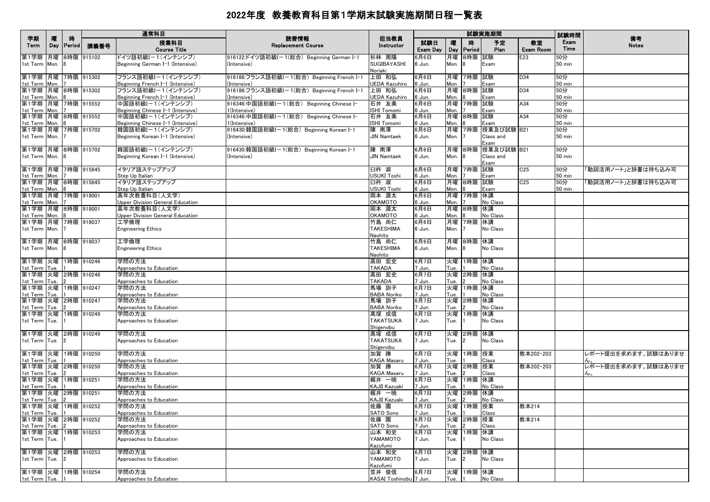|                                          |          |                    |               | 通常科目                                                   | 読替情報                                                      |                                        |                 |            |                | 試験実施期間                              |                 | 試験時間                 | 備考                  |
|------------------------------------------|----------|--------------------|---------------|--------------------------------------------------------|-----------------------------------------------------------|----------------------------------------|-----------------|------------|----------------|-------------------------------------|-----------------|----------------------|---------------------|
| 学期<br>Term                               | 曤<br>Day | 時<br><b>Period</b> | 講義番号          | 授業科目<br><b>Course Title</b>                            | <b>Replacement Course</b>                                 | 担当教員<br>Instructor                     | 試験日<br>Exam Day | 嚁<br>Day   | 時<br>Period    | 予定<br>Plan                          | 教室<br>Exam Room | Exam<br>Time         | <b>Notes</b>        |
| 第1学期<br>1st Term Mon.                    |          |                    | 月曜 8時限 915102 | ドイツ語初級I-1(インテンシブ)<br>Beginning German I-1 (Intensive)  | 916122:ドイツ語初級I-1(総合) Beginning German I-1<br>(Intensive)  | 杉林 周陽<br><b>SUGIBAYASHI</b><br>Noriaki | 6月6日<br>6 Jun.  | 月曜<br>Mon. | 8時限 試験         | Exam                                | E23             | 50分<br><b>50 min</b> |                     |
| 第1学期 月曜 7時限 915302                       |          |                    |               | フランス語初級I-1(インテンシブ)                                     | 916186:フランス語初級Iー1(総合) Beginning French I-1                | 上田 和弘                                  | 6月6日            | 月曜         | 7時限 試験         |                                     | D34             | 50分                  |                     |
| 1st Term Mon.<br>第1学期 月曜 8時限 915302      |          |                    |               | Beginning French I-1 (Intensive)<br>フランス語初級I-1(インテンシブ) | (Intensive)<br>916186:フランス語初級I-1(総合) Beginning French I-1 | UEDA Kazuhiro<br>上田 和弘                 | 6 Jun.<br>6月6日  | Mon.<br>月曜 | 8時限 試験         | Exam                                | D34             | <b>50 min</b><br>50分 |                     |
| 1st Term Mon.                            |          |                    |               | Beginning French I-1 (Intensive)                       | (Intensive)                                               | UEDA Kazuhiro                          | 6 Jun.          | Mon.       |                | Exam                                |                 | <b>50 min</b>        |                     |
| 第1学期 月曜 7時限 915552                       |          |                    |               | 中国語初級I-1(インテンシブ)                                       | 916346:中国語初級I-1(総合) Beginning Chinese I-                  | 石井 友美                                  | 6月6日            | 月曜         | 7時限 試験         |                                     | A34             | 50分                  |                     |
| 1st Term Mon.<br>第1学期 月曜 8時限 915552      |          |                    |               | Beginning Chinese I-1 (Intensive)<br>中国語初級Iー1(インテンシブ)  | 1(Intensive)<br>916346:中国語初級I-1(総合) Beginning Chinese I-  | <b>ISHI Tomomi</b><br>石井 友美            | 6 Jun.<br>6月6日  | Mon.<br>月曜 | 8時限 試験         | Exam                                | A34             | 50 min<br>50分        |                     |
| 1st Term Mon. 8                          |          |                    |               | Beginning Chinese I-1 (Intensive)                      | 1(Intensive)                                              | <b>ISHI Tomomi</b>                     | 6 Jun.          | Mon.       |                | Exam                                |                 | <b>50 min</b>        |                     |
| 第1学期  月曜  7時限  915702<br>1st Term Mon. 7 |          |                    |               | 韓国語初級I-1(インテンシブ)<br>Beginning Korean I-1 (Intensive)   | 916430:韓国語初級I-1(総合) Beginning Korean I-1<br>(Intensive)   | 陳 南澤<br><b>JIN Namtaek</b>             | 6月6日<br>6 Jun.  | 月曜<br>Mon. |                | 7時限 授業及び試験 B21<br>Class and<br>Exam |                 | 50分<br>$50$ min      |                     |
| 第1学期 月曜 8時限 915702                       |          |                    |               | 韓国語初級I-1(インテンシブ)                                       | 916430:韓国語初級I-1(総合) Beginning Korean I-1                  | 陳南澤                                    | 6月6日            | 月曜         |                | 8時限  授業及び試験 B21                     |                 | 50分                  |                     |
| 1st Term Mon. 8                          |          |                    |               | Beginning Korean I-1 (Intensive)                       | (Intensive)                                               | JIN Namtaek                            | 6 Jun.          | Mon.       | 8              | Class and<br>Exam                   |                 | $50$ min             |                     |
| 第1学期 月曜 7時限 915845                       |          |                    |               | イタリア語ステップアップ                                           |                                                           | 臼杵 淑                                   | 6月6日            | 月曜         | 7時限 試験         |                                     | C <sub>25</sub> | 50分                  | 「動詞活用ノート」と辞書は持ち込み可  |
| 1st Term Mon.                            |          |                    |               | Step Up Italian<br>イタリア語ステップアップ                        |                                                           | USUKI Toshi                            | 6 Jun.          | Mon.       |                | Exam                                | C <sub>25</sub> | $50$ min             | 「動詞活用ノート」と辞書は持ち込み可  |
| 第1学期 月曜 8時限 915845<br>1st Term Mon. 8    |          |                    |               | Step Up Italian                                        |                                                           | 臼杵 淑<br>USUKI Toshi                    | 6月6日<br>6 Jun.  | 月曜<br>Mon. | 8時限 試験         | Exam                                |                 | 50分<br><b>50 min</b> |                     |
| 第1学期 月曜 7時限 918001                       |          |                    |               | 高年次教養科目(人文学)                                           |                                                           | 岡本 源太                                  | 6月6日            | 月曜         | 7時限 休講         |                                     |                 |                      |                     |
| 1st Term Mon. 7<br>第1学期 月曜 8時限 918001    |          |                    |               | Upper Division General Education<br>高年次教養科目(人文学)       |                                                           | <b>OKAMOTO</b><br>岡本 源太                | 6 Jun.<br>6月6日  | Mon.       | 月曜 8時限 休講      | No Class                            |                 |                      |                     |
| 1st Term Mon.                            |          | 8                  |               | <b>Upper Division General Education</b>                |                                                           | OKAMOTO                                | 6 Jun.          | Mon.       |                | No Class                            |                 |                      |                     |
| 第1学期 月曜 7時限 918037                       |          |                    |               | エ学倫理                                                   |                                                           | 竹島 尚仁                                  | 6月6日            | 月曜         | 7時限 休講         |                                     |                 |                      |                     |
| 1st Term Mon. 7                          |          |                    |               | <b>Engineering Ethics</b>                              |                                                           | <b>TAKESHIMA</b><br>Naohito            | 6 Jun.          | Mon.       |                | No Class                            |                 |                      |                     |
| 第1学期 月曜 8時限 918037                       |          |                    |               | 工学倫理                                                   |                                                           | 竹島 尚仁                                  | 6月6日            | 月曜         | 8時限 休講         |                                     |                 |                      |                     |
| 1st Term Mon. 8                          |          |                    |               | <b>Engineering Ethics</b>                              |                                                           | <b>TAKESHIMA</b><br>Naohito            | 6 Jun.          | Mon.       | 8              | No Class                            |                 |                      |                     |
| 第1学期 火曜 1時限 910246                       |          |                    |               | 学問の方法                                                  |                                                           | 高田 宏史                                  | 6月7日            | 火曜         | 1時限 休講         |                                     |                 |                      |                     |
| 1st Term Tue.<br>第1学期 火曜 2時限 910246      |          |                    |               | Approaches to Education<br>学問の方法                       |                                                           | <b>TAKADA</b>                          | 7 Jun.          | Tue.       |                | No Class                            |                 |                      |                     |
| 1st Term Tue.                            |          |                    |               | Approaches to Education                                |                                                           | 高田 宏史<br><b>TAKADA</b>                 | 6月7日<br>7 Jun.  | 火曜<br>Tue. | 2時限 休講         | No Class                            |                 |                      |                     |
| 第1学期                                     |          |                    | 火曜 1時限 910247 | 学問の方法                                                  |                                                           | 馬場 訓子                                  | 6月7日            | 火曜         | 1時限 休講         |                                     |                 |                      |                     |
| 1st Term Tue.<br>第1学期 火曜 2時限 910247      |          |                    |               | Approaches to Education<br>学問の方法                       |                                                           | <b>BABA Noriko</b><br>馬場 訓子            | 7 Jun.<br>6月7日  | Tue.<br>火曜 | 2時限 休講         | No Class                            |                 |                      |                     |
| 1st Term Tue.                            |          |                    |               | Approaches to Education                                |                                                           | <b>BABA Noriko</b>                     | 7 Jun.          | Tue.       |                | No Class                            |                 |                      |                     |
| 第1学期 火曜 1時限 910249                       |          |                    |               | 学問の方法                                                  |                                                           | 髙塚 成信                                  | 6月7日            | 火曜         | 1時限 休講         |                                     |                 |                      |                     |
| 1st Term Tue.                            |          |                    |               | Approaches to Education                                |                                                           | <b>TAKATSUKA</b><br>Shigenobu          | 7 Jun.          | Tue.       |                | No Class                            |                 |                      |                     |
| 第1学期 火曜 2時限 910249                       |          |                    |               | 学問の方法                                                  |                                                           | 髙塚 成信                                  | 6月7日            | 火曜         | 2時限 休講         |                                     |                 |                      |                     |
| 1st Term Tue.                            |          | $\mathbf{12}$      |               | Approaches to Education                                |                                                           | <b>TAKATSUKA</b><br>Shigenobu          | 7 Jun.          | Tue.       | $\mathfrak{p}$ | No Class                            |                 |                      |                     |
| 第1学期 火曜 1時限 910250                       |          |                    |               | 学問の方法                                                  |                                                           | 加賀 勝                                   | 6月7日            | 火曜         | 1時限 授業         |                                     | 教本202·203       |                      | レポート提出を求めます。試験はありませ |
| 1st Term Tue.<br>第1学期 火曜 2時限 910250      |          |                    |               | Approaches to Education<br>学問の方法                       |                                                           | <b>KAGA Masaru</b><br>加賀 勝             | 7 Jun.<br>6月7日  | Tue.<br>火曜 | 2時限 授業         | Class                               | 教本202·203       |                      | レポート提出を求めます。試験はありませ |
| 1st Term Tue.                            |          |                    |               | Approaches to Education                                |                                                           | <b>KAGA Masaru</b>                     | 7 Jun.          | Tue.       |                | Class                               |                 |                      |                     |
| 第1学期 火曜 1時限 910251                       |          |                    |               | 学問の方法                                                  |                                                           | 梶井 一暁                                  | 6月7日            | 火曜         | 1時限 休講         |                                     |                 |                      |                     |
| 1st Term Tue.<br>第1学期 火曜 2時限 910251      |          | $\vert$ 1          |               | Approaches to Education<br>学問の方法                       |                                                           | KAJII Kazuaki<br>梶井 一暁                 | 7 Jun.<br>6月7日  | Tue.<br>火曜 | 2時限 休講         | No Class                            |                 |                      |                     |
| 1st Term Tue. 2                          |          |                    |               | Approaches to Education                                |                                                           | KAJII Kazuaki                          | 7 Jun.          | Tue.       |                | No Class                            |                 |                      |                     |
| 第1学期  火曜  1時限  910252<br>1st Term Tue. 1 |          |                    |               | 学問の方法                                                  |                                                           | 佐藤 園<br>SATO Sono                      | 6月7日<br>7 Jun.  | Tue.       | 火曜 1時限 授業      | Class                               | 教本214           |                      |                     |
| 第1学期 火曜 2時限 910252                       |          |                    |               | Approaches to Education<br>学問の方法                       |                                                           | 佐藤 園                                   | 6月7日            | 火曜         | 2時限 授業         |                                     | 教本214           |                      |                     |
| 1st Term Tue. 2<br>第1学期 火曜 1時限 910253    |          |                    |               | Approaches to Education<br>学問の方法                       |                                                           | SATO Sono                              | 7 Jun.          | Tue.       | 1時限 休講         | Class                               |                 |                      |                     |
| 1st Term Tue. 1                          |          |                    |               | Approaches to Education                                |                                                           | 山本 和史<br>YAMAMOTO<br>Kazufumi          | 6月7日<br>7 Jun.  | 火曜<br>Tue. |                | No Class                            |                 |                      |                     |
| 第1学期 火曜 2時限 910253                       |          |                    |               | 学問の方法                                                  |                                                           | 山本和史                                   | 6月7日            | 火曜         | 2時限 休講         |                                     |                 |                      |                     |
| 1st Term Tue. 2                          |          |                    |               | Approaches to Education                                |                                                           | YAMAMOTO<br>Kazufumi                   | 7 Jun.          | Tue.       | $\overline{2}$ | No Class                            |                 |                      |                     |
| 第1学期 火曜 1時限 910254                       |          |                    |               | 学問の方法                                                  |                                                           | 笠井 俊信                                  | 6月7日            | 火曜         | 1時限  休講        |                                     |                 |                      |                     |
| 1st Term Tue.                            |          |                    |               | Approaches to Education                                |                                                           | KASAI Toshinobu 7 Jun.                 |                 | Tue.       |                | No Class                            |                 |                      |                     |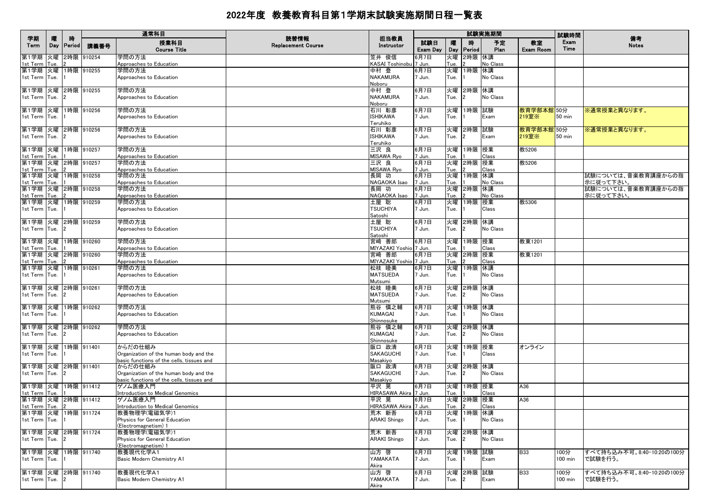|                          |            |              |            | 通常科目                                                  |                                   |                                 |                 |            |                | 試験実施期間     |                        | 試験時間             |                           |
|--------------------------|------------|--------------|------------|-------------------------------------------------------|-----------------------------------|---------------------------------|-----------------|------------|----------------|------------|------------------------|------------------|---------------------------|
| 学期<br>Term               | 隁<br>Day   | 時<br>Period  | 講義番号       | 授業科目<br><b>Course Title</b>                           | 読替情報<br><b>Replacement Course</b> | 担当教員<br>Instructor              | 試験日<br>Exam Day | 曤<br>Day   | 時<br>Period    | 予定<br>Plan | 教室<br><b>Exam Room</b> | Exam<br>Time     | 備考<br><b>Notes</b>        |
| 第1学期<br>1st Term         | 火曜<br>Tue. |              | 2時限 910254 | 学問の方法<br>Approaches to Education                      |                                   | 笠井 俊信<br>KASAI Toshinobu 7 Jun. | 6月7日            | 火曜<br>Tue. | 2時限 休講         | No Class   |                        |                  |                           |
| 第1学期                     | 火曜         |              | 1時限 910255 | 学問の方法                                                 |                                   | 中村 登                            | 6月7日            | 火曜         | 1時限 休講         |            |                        |                  |                           |
| 1st Term                 | Tue.       |              |            | Approaches to Education                               |                                   | <b>NAKAMURA</b><br>Noboru       | 7 Jun.          | Tue.       |                | No Class   |                        |                  |                           |
| 第1学期  火曜  2時限  910255    |            |              |            | 学問の方法                                                 |                                   | 中村 登                            | 6月7日            | 火曜         | 2時限 休講         |            |                        |                  |                           |
| 1st Term Tue.            |            |              |            | Approaches to Education                               |                                   | NAKAMURA<br>Noboru              | 7 Jun.          | Tue.       |                | No Class   |                        |                  |                           |
| 第1学期 火曜                  |            |              | 1時限 910256 | 学問の方法                                                 |                                   | 石川 彰彦                           | 6月7日            | 火曜         | 1時限 試験         |            | 教育学部本館 50分             |                  | ※通常授業と異なります。              |
| 1st Term Tue.            |            |              |            | Approaches to Education                               |                                   | <b>ISHIKAWA</b><br>Teruhiko     | 7 Jun.          | Tue.       |                | Exam       | 219室※                  | $50 \text{ min}$ |                           |
| 第1学期  火曜  2時限  910256    |            |              |            | 学問の方法                                                 |                                   | 石川 彰彦                           | 6月7日            | 火曜         | 2時限 試験         |            | 教育学部本館 50分             |                  | ※通常授業と異なります。              |
| 1st Term Tue.            |            |              |            | Approaches to Education                               |                                   | ISHIKAWA<br>Teruhiko            | 7 Jun.          | Tue.       | $\overline{2}$ | Exam       | 219室※                  | 50 min           |                           |
| 第1学期 火曜                  |            |              | 1時限 910257 | 学問の方法                                                 |                                   | 三沢 良                            | 6月7日            | 火曜         | 1時限 授業         |            | 教5206                  |                  |                           |
| 1st Term                 | Tue.       |              |            | Approaches to Education                               |                                   | <b>MISAWA Ryo</b>               | 7 Jun.          | Tue.       |                | Class      |                        |                  |                           |
| 第1学期 火曜 2時限 910257       |            |              |            | 学問の方法                                                 |                                   | 三沢 良                            | 6月7日            | 火曜         | 2時限 授業         |            | 教5206                  |                  |                           |
| 1st Term Tue.<br>第1学期    | 火曜         |              | 1時限 910258 | Approaches to Education<br>学問の方法                      |                                   | MISAWA Ryo<br>長岡 功              | 7 Jun.<br>6月7日  | Tue.<br>火曜 | 1時限 休講         | Class      |                        |                  | 試験については、音楽教育講座からの指        |
| 1st Term                 | Tue.       |              |            | Approaches to Education                               |                                   | NAGAOKA Isao                    | 7 Jun.          | Tue.       |                | No Class   |                        |                  | 示に従って下さい。                 |
| 第1学期 火曜                  |            |              | 2時限 910258 | 学問の方法                                                 |                                   | 長岡 功                            | 6月7日            | 火曜         | 2時限 休講         |            |                        |                  | 試験については、音楽教育講座からの指        |
| 1st Term                 | Tue.       |              |            | Approaches to Education                               |                                   | NAGAOKA Isao                    | 7 Jun.          | Tue.       |                | No Class   |                        |                  | 示に従って下さい。                 |
| 第1学期                     | 火曜         |              | 1時限 910259 | 学問の方法                                                 |                                   | 土屋 聡                            | 6月7日            | 火曜         | 1時限 授業         |            | 教5306                  |                  |                           |
| 1st Term                 | Tue.       |              |            | Approaches to Education                               |                                   | <b>TSUCHIYA</b><br>Satoshi      | 7 Jun.          | Tue.       |                | Class      |                        |                  |                           |
| 第1学期  火曜  2時限  910259    |            |              |            | 学問の方法                                                 |                                   | 土屋 聡                            | 6月7日            | 火曜         | 2時限 休講         |            |                        |                  |                           |
| 1st Term Tue.            |            |              |            | Approaches to Education                               |                                   | <b>TSUCHIYA</b><br>Satoshi      | 7 Jun.          | Tue.       |                | No Class   |                        |                  |                           |
| 第1学期 火曜 1時限 910260       |            |              |            | 学問の方法                                                 |                                   | 宮崎 善郎                           | 6月7日            | 火曜         | 1時限 授業         |            | 教東1201                 |                  |                           |
| 1st Term Tue.            |            |              |            | Approaches to Education                               |                                   | MIYAZAKI Yoshio 7 Jun.          |                 | Tue.       |                | Class      |                        |                  |                           |
| 第1学期 火曜 2時限 910260       |            |              |            | 学問の方法                                                 |                                   | 宮崎 善郎                           | 6月7日            |            | 火曜 2時限 授業      |            | 教東1201                 |                  |                           |
| 1st Term<br>第1学期 火曜      | Tue.       |              | 1時限 910261 | Approaches to Education<br>学問の方法                      |                                   | MIYAZAKI Yoshio 7 Jun.<br>松枝 睦美 | 6月7日            | Tue.<br>火曜 | 1時限 休講         | Class      |                        |                  |                           |
| 1st Term Tue.            |            |              |            | Approaches to Education                               |                                   | <b>MATSUEDA</b>                 | 7 Jun.          | Tue.       |                | No Class   |                        |                  |                           |
|                          |            |              |            |                                                       |                                   | Mutsumi                         |                 |            |                |            |                        |                  |                           |
| 第1学期 火曜 2時限 910261       |            |              |            | 学問の方法                                                 |                                   | 松枝 睦美                           | 6月7日            | 火曜         | 2時限 休講         |            |                        |                  |                           |
| 1st Term Tue.            |            |              |            | Approaches to Education                               |                                   | <b>MATSUEDA</b>                 | 7 Jun.          | Tue.       | 2              | No Class   |                        |                  |                           |
|                          |            |              |            |                                                       |                                   | Mutsumi                         |                 |            |                |            |                        |                  |                           |
| 第1学期 火曜<br>1st Term Tue. |            |              | 1時限 910262 | 学問の方法<br>Approaches to Education                      |                                   | 熊谷 慎之輔<br>KUMAGAI               | 6月7日<br>7 Jun.  | 火曜<br>Tue. | 1時限 休講         | No Class   |                        |                  |                           |
|                          |            |              |            |                                                       |                                   | Shinnosuke                      |                 |            |                |            |                        |                  |                           |
| 第1学期  火曜  2時限  910262    |            |              |            | 学問の方法                                                 |                                   | 熊谷 慎之輔                          | 6月7日            | 火曜         | 2時限 休講         |            |                        |                  |                           |
| 1st Term   Tue.          |            |              |            | Approaches to Education                               |                                   | KUMAGAI                         | 7 Jun.          | Tue.       | $\overline{2}$ | No Class   |                        |                  |                           |
|                          |            |              |            |                                                       |                                   | Shinnosuke                      |                 |            |                |            |                        |                  |                           |
| 第1学期 火曜                  |            |              | 1時限 911401 | からだの仕組み                                               |                                   | 阪口 政清                           | 6月7日            | 火曜         | 1時限 授業         |            | オンライン                  |                  |                           |
| 1st Term Tue.            |            |              |            | Organization of the human body and the                |                                   | <b>SAKAGUCHI</b>                | 7 Jun.          | Tue.       |                | Class      |                        |                  |                           |
| 第1学期 火曜                  |            |              | 2時限 911401 | basic functions of the cells, tissues and<br>からだの仕組み  |                                   | Masakiyo<br>阪口 政清               | 6月7日            | 火曜         |                |            |                        |                  |                           |
| 1st Term Tue.            |            |              |            | Organization of the human body and the                |                                   | SAKAGUCHI                       | 7 Jun.          | Tue.       | 2時限 休講<br>2    | No Class   |                        |                  |                           |
|                          |            |              |            | basic functions of the cells, tissues and             |                                   | Masakiyo                        |                 |            |                |            |                        |                  |                           |
| 第1学期 火曜 1時限 911412       |            |              |            | ゲノム医療入門                                               |                                   | 平沢 晃                            | 6月7日            |            | 火曜 1時限 授業      |            | A36                    |                  |                           |
| 1st Term Tue.            |            |              |            | Introduction to Medical Genomics                      |                                   | HIRASAWA Akira 7 Jun.           |                 | Tue.       |                | Class      |                        |                  |                           |
| 第1学期 火曜 2時限 911412       |            |              |            | ゲノム医療入門                                               |                                   | 平沢 晃                            | 6月7日            | 火曜         | 2時限 授業         |            | A36                    |                  |                           |
| 1st Term Tue. 2          |            |              |            | Introduction to Medical Genomics                      |                                   | HIRASAWA Akira 7 Jun.           |                 | Tue.       | $\overline{2}$ | Class      |                        |                  |                           |
| 第1学期  火曜  1時限  911724    |            |              |            | 教養物理学(電磁気学)1                                          |                                   | 荒木 新吾                           | 6月7日            |            | 火曜  1時限  休講    |            |                        |                  |                           |
| 1st Term Tue.            |            |              |            | Physics for General Education<br>(Electromagnetism) 1 |                                   | <b>ARAKI Shingo</b>             | 7 Jun.          | Tue.       |                | No Class   |                        |                  |                           |
| 第1学期 火曜 2時限 911724       |            |              |            | 教養物理学(電磁気学)1                                          |                                   | 荒木 新吾                           | 6月7日            |            | 火曜 2時限 休講      |            |                        |                  |                           |
| 1st Term Tue.            |            | $\mathbf{2}$ |            | Physics for General Education<br>(Electromagnetism) 1 |                                   | <b>ARAKI Shingo</b>             | 7 Jun.          | Tue.       | $\overline{2}$ | No Class   |                        |                  |                           |
| 第1学期 火曜                  |            |              | 1時限 911740 | 教養現代化学A1                                              |                                   | 山方 啓                            | 6月7日            |            | 火曜 1時限 試験      |            | <b>B33</b>             | 100分             | すべて持ち込み不可。8:40-10:20の100分 |
| 1st Term Tue.            |            |              |            | Basic Modern Chemistry A1                             |                                   | YAMAKATA<br>Akira               | 7 Jun.          | Tue.       |                | Exam       |                        | 100 min          | で試験を行う。                   |
| 第1学期 火曜 2時限 911740       |            |              |            | 教養現代化学A1                                              |                                   | 山方 啓                            | 6月7日            |            | 火曜 2時限 試験      |            | <b>B33</b>             | 100分             | すべて持ち込み不可。8:40-10:20の100分 |
| 1st Term Tue.            |            |              |            | Basic Modern Chemistry A1                             |                                   | YAMAKATA<br>Akira               | 7 Jun.          | Tue.       | $\overline{2}$ | Exam       |                        | 100 min          | で試験を行う。                   |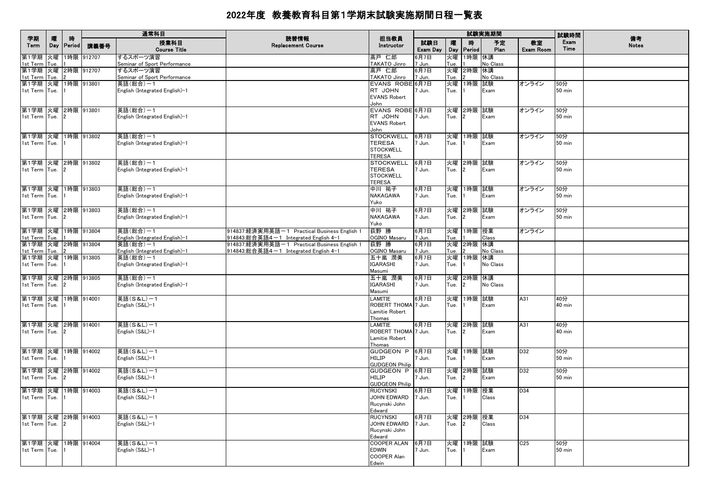|                                     | 矐   | 時              |            | 通常科目                                       | 読替情報                                                                                | 担当教員                                  |                 |            |                    | 試験実施期間          |                        | 試験時間                 | 備考           |
|-------------------------------------|-----|----------------|------------|--------------------------------------------|-------------------------------------------------------------------------------------|---------------------------------------|-----------------|------------|--------------------|-----------------|------------------------|----------------------|--------------|
| 学期<br>Term                          | Day | Period         | 講義番号       | 授業科目<br><b>Course Title</b>                | <b>Replacement Course</b>                                                           | Instructor                            | 試験日<br>Exam Day | 嚁<br>Day   | 時<br>Period        | 予定<br>Plan      | 教室<br><b>Exam Room</b> | Exam<br>Time         | <b>Notes</b> |
| 第1学期 火曜                             |     |                | 1時限 912707 | するスポーツ演習                                   |                                                                                     | 高戸 仁郎                                 | 6月7日            | 火曜         | 1時限 休講             |                 |                        |                      |              |
| 1st Term Tue.<br>第1学期 火曜 2時限 912707 |     |                |            | Seminar of Sport Performance<br>するスポーツ演習   |                                                                                     | TAKATO Jinro<br>高戸 仁郎                 | 7 Jun.<br>6月7日  | Tue.<br>火曜 | 2時限 休講             | No Class        |                        |                      |              |
| 1st Term Tue.                       |     |                |            | Seminar of Sport Performance               |                                                                                     | TAKATO Jinro                          | 7 Jun.          | Tue.       |                    | <b>No Class</b> |                        |                      |              |
| 第1学期 火曜                             |     |                | 1時限 913801 | 英語(総合)-1                                   |                                                                                     | EVANS ROBE 6月7日                       |                 | 火曜         | 1時限                | 試験              | オンライン                  | 50分                  |              |
| 1st Term Tue.                       |     |                |            | English (Integrated English)-1             |                                                                                     | RT JOHN                               | 7 Jun.          | Tue.       |                    | Exam            |                        | <b>50 min</b>        |              |
|                                     |     |                |            |                                            |                                                                                     | <b>EVANS Robert</b><br>John           |                 |            |                    |                 |                        |                      |              |
| 第1学期 火曜 2時限 913801                  |     |                |            | 英語(総合)-1                                   |                                                                                     | EVANS ROBE 6月7日                       |                 |            | 火曜 2時限 試験          |                 | オンライン                  | 50分                  |              |
| 1st Term Tue.                       |     |                |            | English (Integrated English)-1             |                                                                                     | RT JOHN                               | 7 Jun.          | Tue.       | 12                 | Exam            |                        | 50 min               |              |
|                                     |     |                |            |                                            |                                                                                     | <b>EVANS Robert</b><br>John           |                 |            |                    |                 |                        |                      |              |
| 第1学期 火曜 1時限 913802                  |     |                |            | 英語(総合)-1                                   |                                                                                     | <b>STOCKWELL</b>                      | 6月7日            |            | 火曜 1時限 試験          |                 | オンライン                  | 50分                  |              |
| 1st Term Tue.                       |     |                |            | English (Integrated English)-1             |                                                                                     | <b>TERESA</b>                         | 7 Jun.          | Tue.       |                    | Exam            |                        | 50 min               |              |
|                                     |     |                |            |                                            |                                                                                     | <b>STOCKWELL</b>                      |                 |            |                    |                 |                        |                      |              |
| 第1学期 火曜 2時限 913802                  |     |                |            | 英語(総合)-1                                   |                                                                                     | <b>TERESA</b><br><b>STOCKWELL</b>     | 6月7日            |            | 火曜 2時限 試験          |                 | オンライン                  | 50分                  |              |
| 1st Term Tue.                       |     |                |            | English (Integrated English)-1             |                                                                                     | <b>TERESA</b>                         | 7 Jun.          | Tue.       | $\overline{2}$     | Exam            |                        | 50 min               |              |
|                                     |     |                |            |                                            |                                                                                     | <b>STOCKWELL</b>                      |                 |            |                    |                 |                        |                      |              |
|                                     |     |                |            |                                            |                                                                                     | <b>TERESA</b>                         |                 |            |                    |                 |                        |                      |              |
| 第1学期 火曜 1時限 913803<br>1st Term Tue. |     |                |            | 英語(総合)-1<br>English (Integrated English)-1 |                                                                                     | 中川 祐子<br>NAKAGAWA                     | 6月7日<br>7 Jun.  | Tue.       | 火曜 1時限 試験          | Exam            | オンライン                  | 50分<br><b>50 min</b> |              |
|                                     |     |                |            |                                            |                                                                                     | Yuko                                  |                 |            |                    |                 |                        |                      |              |
| 第1学期 火曜 2時限 913803                  |     |                |            | 英語(総合)-1                                   |                                                                                     | 中川 祐子                                 | 6月7日            | 火曜         | 2時限 試験             |                 | オンライン                  | 50分                  |              |
| 1st Term Tue.                       |     |                |            | English (Integrated English)-1             |                                                                                     | NAKAGAWA                              | 7 Jun.          | Tue.       | 2                  | Exam            |                        | <b>50 min</b>        |              |
|                                     |     |                |            |                                            |                                                                                     | Yuko                                  |                 |            |                    |                 |                        |                      |              |
| 第1学期 火曜 1時限 913804                  |     |                |            | 英語(総合)-1                                   | 914837:経済実用英語-1 Practical Business English 1                                        | 荻野 勝                                  | 6月7日            | 火曜         | 1時限 授業             |                 | オンライン                  |                      |              |
| 1st Term Tue.<br>第1学期 火曜 2時限 913804 |     |                |            | English (Integrated English)-1<br>英語(総合)-1 | 914843:総合英語4-1 Integrated English 4-1<br>914837:経済実用英語-1 Practical Business English | OGINO Masaru<br>荻野 勝                  | 7 Jun.<br>6月7日  | Tue.<br>火曜 | 2時限 休講             | Class           |                        |                      |              |
| 1st Term Tue.                       |     |                |            | English (Integrated English)-1             | 914843:総合英語4-1 Integrated English 4-1                                               | OGINO Masaru                          | 7 Jun.          | Tue.       |                    | No Class        |                        |                      |              |
| 第1学期 火曜 1時限 913805                  |     |                |            | 英語(総合)-1                                   |                                                                                     | 五十嵐 潤美                                | 6月7日            | 火曜         | 1時限  休講            |                 |                        |                      |              |
| 1st Term Tue.                       |     |                |            | English (Integrated English)-1             |                                                                                     | IGARASHI<br>Masumi                    | 7 Jun.          | Tue.       |                    | No Class        |                        |                      |              |
| 第1学期 火曜 2時限 913805                  |     |                |            | 英語(総合)-1                                   |                                                                                     | 五十嵐 潤美                                | 6月7日            | 火曜         | 2時限 休講             |                 |                        |                      |              |
| 1st Term Tue.                       |     | 2              |            | English (Integrated English)-1             |                                                                                     | <b>IGARASHI</b>                       | 7 Jun.          | Tue.       | $\overline{2}$     | No Class        |                        |                      |              |
|                                     |     |                |            |                                            |                                                                                     | Masumi                                |                 |            |                    |                 |                        |                      |              |
| 第1学期 火曜<br>1st Term Tue.            |     |                | 1時限 914001 | 英語(S&L)-1<br>English (S&L)-1               |                                                                                     | LAMITIE<br>ROBERT THOMA 7 Jun.        | 6月7日            | 火曜<br>Tue. | 1時限 試験             | Exam            | A31                    | 40分<br>40 min        |              |
|                                     |     |                |            |                                            |                                                                                     | Lamitie Robert                        |                 |            |                    |                 |                        |                      |              |
|                                     |     |                |            |                                            |                                                                                     | Thomas                                |                 |            |                    |                 |                        |                      |              |
| 第1学期 火曜 2時限 914001                  |     | $\overline{2}$ |            | 英語(S&L)-1                                  |                                                                                     | <b>LAMITIE</b><br>ROBERT THOMA 7 Jun. | 6月7日            | 火曜         | 2時限 試験<br><u>2</u> |                 | A31                    | 40分                  |              |
| 1st Term Tue.                       |     |                |            | English (S&L)-1                            |                                                                                     | Lamitie Robert                        |                 | Tue.       |                    | Exam            |                        | 40 min               |              |
|                                     |     |                |            |                                            |                                                                                     | Thomas                                |                 |            |                    |                 |                        |                      |              |
| 第1学期 火曜                             |     |                | 1時限 914002 | 英語(S&L)-1                                  |                                                                                     | <b>GUDGEON P</b>                      | 6月7日            |            | 火曜 1時限 試験          |                 | D32                    | 50分                  |              |
| 1st Term Tue.                       |     |                |            | English (S&L)-1                            |                                                                                     | <b>HILIP</b><br><b>GUDGEON Philip</b> | 7 Jun.          | Tue.       |                    | Exam            |                        | <b>50 min</b>        |              |
| 第1学期 火曜 2時限 914002                  |     |                |            | 英語(S&L)-1                                  |                                                                                     | GUDGEON P 6月7日                        |                 | 火曜         | 2時限                | 試験              | D32                    | 50分                  |              |
| 1st Term Tue.                       |     | 2              |            | English (S&L)-1                            |                                                                                     | HILIP                                 | ' Jun.          | Tue.       | 2                  | Exam            |                        | <b>50 min</b>        |              |
|                                     |     |                |            |                                            |                                                                                     | <b>GUDGEON Philip</b>                 |                 |            |                    |                 |                        |                      |              |
| 第1学期 火曜 1時限 914003<br>1st Term Tue. |     |                |            | 英語(S&L)-1<br>English (S&L)-1               |                                                                                     | <b>RUCYNSKI</b><br>JOHN EDWARD        | 6月7日<br>7 Jun.  | 火曜<br>Tue. | 1時限 授業             | Class           | D34                    |                      |              |
|                                     |     |                |            |                                            |                                                                                     | Rucynski John                         |                 |            |                    |                 |                        |                      |              |
|                                     |     |                |            |                                            |                                                                                     | Edward                                |                 |            |                    |                 |                        |                      |              |
| 第1学期 火曜 2時限 914003                  |     |                |            | 英語(S&L)-1                                  |                                                                                     | <b>RUCYNSKI</b>                       | 6月7日            |            | 火曜 2時限 授業          |                 | D34                    |                      |              |
| 1st Term Tue.                       |     | 2              |            | English (S&L)-1                            |                                                                                     | JOHN EDWARD<br>Rucynski John          | Jun.            | Tue.       | $\overline{2}$     | Class           |                        |                      |              |
|                                     |     |                |            |                                            |                                                                                     | Edward                                |                 |            |                    |                 |                        |                      |              |
| 第1学期 火曜                             |     |                | 1時限 914004 | 英語(S&L)-1                                  |                                                                                     | <b>COOPER ALAN</b>                    | 6月7日            | 火曜         | 1時限 試験             |                 | C <sub>25</sub>        | 50分                  |              |
| 1st Term Tue.                       |     |                |            | English (S&L)-1                            |                                                                                     | <b>EDWIN</b><br>COOPER Alan           | 7 Jun.          | Tue.       |                    | Exam            |                        | 50 min               |              |
|                                     |     |                |            |                                            |                                                                                     | Edwin                                 |                 |            |                    |                 |                        |                      |              |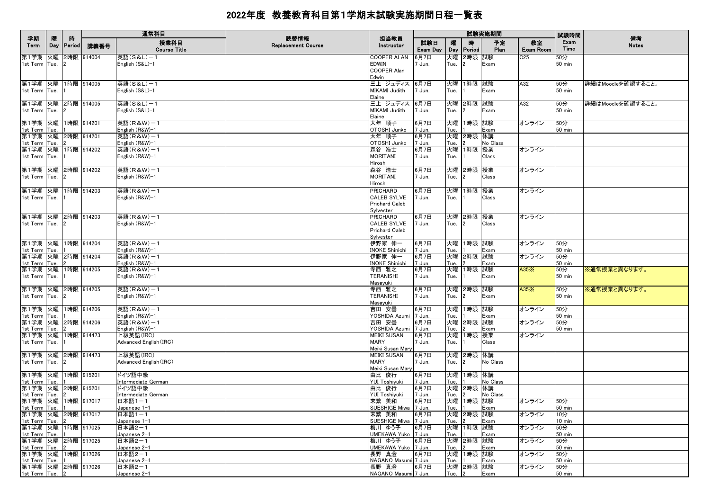|                                       |   |                 |            | 通常科目                                |                                   |                                   |                 |          |                           | 試験実施期間     |                 | 試験時間                    |                    |
|---------------------------------------|---|-----------------|------------|-------------------------------------|-----------------------------------|-----------------------------------|-----------------|----------|---------------------------|------------|-----------------|-------------------------|--------------------|
| 学期<br>Term                            | 曤 | 時<br>Day Period | 講義番号       | 授業科目<br><b>Course Title</b>         | 読替情報<br><b>Replacement Course</b> | 担当教員<br>Instructor                | 試験日<br>Exam Day | 曤<br>Day | 時<br><b>Period</b>        | 予定<br>Plan | 教室<br>Exam Room | Exam<br>Time            | 備考<br><b>Notes</b> |
| 第1学期 火曜                               |   |                 | 2時限 914004 | 英語(S&L)-1                           |                                   | COOPER ALAN                       | 6月7日            | 火曜       | 2時限 試験                    |            | C25             | 50分                     |                    |
| 1st Term Tue. 2                       |   |                 |            | English (S&L)-1                     |                                   | EDWIN                             | 7 Jun.          | Tue.     | $\overline{2}$            | Exam       |                 | $50 \text{ min}$        |                    |
|                                       |   |                 |            |                                     |                                   | <b>COOPER Alan</b>                |                 |          |                           |            |                 |                         |                    |
|                                       |   |                 |            |                                     |                                   | Edwin                             |                 |          |                           |            |                 |                         |                    |
| 第1学期 火曜 1時限 914005                    |   |                 |            | 英語(S&L)-1                           |                                   | 三上 ジュディス  6月7日                    |                 |          | 火曜 1時限 試験                 |            | A32             | 50分                     | 詳細はMoodleを確認すること。  |
| 1st Term Tue.                         |   |                 |            | English (S&L)-1                     |                                   | MIKAMI Judith                     | 7 Jun.          | Tue.     |                           | Exam       |                 | 50 min                  |                    |
|                                       |   |                 |            |                                     |                                   | Elaine                            |                 |          |                           |            |                 |                         |                    |
| 第1学期 火曜 2時限 914005                    |   |                 |            | 英語(S&L)-1                           |                                   | 三上 ジュディス  6月7日                    |                 |          | 火曜 2時限 試験                 |            | A32             | 50分                     | 詳細はMoodleを確認すること。  |
| 1st Term Tue.                         |   |                 |            | English (S&L)-1                     |                                   | MIKAMI Judith                     | 7 Jun.          | Tue.     | $\mathbf{2}$              | Exam       |                 | 50 min                  |                    |
| 第1学期 火曜 1時限 914201                    |   |                 |            | 英語(R&W)-1                           |                                   | Elaine<br>大年 順子                   | 6月7日            |          | 火曜 1時限 試験                 |            | オンライン           | 50分                     |                    |
| 1st Term Tue.                         |   |                 |            | English (R&W)-1                     |                                   | OTOSHI Junko                      | 7 Jun.          | Tue.     |                           | Exam       |                 | 50 min                  |                    |
| 第1学期 火曜 2時限 914201                    |   |                 |            | 英語(R&W)-1                           |                                   | 大年 順子                             | 6月7日            |          | 火曜 2時限 休講                 |            |                 |                         |                    |
| 1st Term Tue.                         |   |                 |            | English (R&W)-1                     |                                   | OTOSHI Junko                      | 7 Jun.          | Tue.     |                           | No Class   |                 |                         |                    |
| 第1学期 火曜 1時限 914202                    |   |                 |            | 英語(R&W)-1                           |                                   | 森谷 浩士                             | 6月7日            |          | 火曜 1時限 授業                 |            | オンライン           |                         |                    |
| 1st Term Tue.                         |   |                 |            | English (R&W)-1                     |                                   | MORITANI                          | 7 Jun.          | Tue.     |                           | Class      |                 |                         |                    |
|                                       |   |                 |            |                                     |                                   | Hiroshi                           |                 |          |                           |            |                 |                         |                    |
| 第1学期 火曜 2時限 914202                    |   |                 |            | 英語(R&W)-1                           |                                   | 森谷 浩士                             | 6月7日            |          | 火曜 2時限 授業                 |            | オンライン           |                         |                    |
| 1st Term Tue.                         |   |                 |            | English (R&W)-1                     |                                   | <b>MORITANI</b>                   | 7 Jun.          | Tue. 2   |                           | Class      |                 |                         |                    |
|                                       |   |                 |            |                                     |                                   | Hiroshi                           |                 |          |                           |            |                 |                         |                    |
| 第1学期 火曜 1時限 914203                    |   |                 |            | 英語(R&W)-1                           |                                   | PRICHARD                          | 6月7日            |          | 火曜 1時限 授業                 |            | オンライン           |                         |                    |
| 1st Term Tue.                         |   |                 |            | English (R&W)-1                     |                                   | <b>CALEB SYLVE</b>                | 7 Jun.          | Tue.     |                           | Class      |                 |                         |                    |
|                                       |   |                 |            |                                     |                                   | Prichard Caleb                    |                 |          |                           |            |                 |                         |                    |
| 第1学期 火曜 2時限 914203                    |   |                 |            | 英語(R&W)-1                           |                                   | Sylvester<br><b>PRICHARD</b>      | 6月7日            |          | 火曜  2時限  授業               |            | オンライン           |                         |                    |
| 1st Term Tue. 2                       |   |                 |            | English (R&W)-1                     |                                   | <b>CALEB SYLVE</b>                | 7 Jun.          | Tue. 2   |                           | Class      |                 |                         |                    |
|                                       |   |                 |            |                                     |                                   | <b>Prichard Caleb</b>             |                 |          |                           |            |                 |                         |                    |
|                                       |   |                 |            |                                     |                                   | Sylvester                         |                 |          |                           |            |                 |                         |                    |
| 第1学期 火曜 1時限 914204                    |   |                 |            | 英語(R&W)-1                           |                                   | 伊野家 伸一                            | 6月7日            |          | 火曜 1時限 試験                 |            | オンライン           | 50分                     |                    |
| 1st Term Tue.                         |   |                 |            | English (R&W)-1                     |                                   | <b>INOKE Shinichi</b>             | 7 Jun.          | Tue.     |                           | Exam       |                 | $50$ min                |                    |
| 第1学期 火曜 2時限 914204                    |   |                 |            | 英語(R&W)-1                           |                                   | 伊野家 伸一                            | 6月7日            |          | 火曜 2時限 試験                 |            | オンライン           | 50分                     |                    |
| 1st Term Tue.                         |   |                 |            | English (R&W)-1                     |                                   | <b>INOKE Shinichi</b>             | 7 Jun.          | Tue.     |                           | Exam       |                 | $50$ min                |                    |
| 第1学期 火曜 1時限 914205                    |   |                 |            | 英語(R&W)-1                           |                                   | 寺西 雅之                             | 6月7日            |          | 火曜 1時限 試験                 |            | A35X            | 50分                     | ※通常授業と異なります。       |
| 1st Term Tue.                         |   |                 |            | English (R&W)-1                     |                                   | <b>TERANISHI</b>                  | 7 Jun.          | Tue.     |                           | Exam       |                 | $50$ min                |                    |
|                                       |   |                 |            | 英語(R&W)-1                           |                                   | Masayuki<br>寺西 雅之                 |                 |          |                           |            |                 |                         |                    |
| 第1学期 火曜 2時限 914205<br>1st Term Tue. 2 |   |                 |            | English (R&W)-1                     |                                   | <b>TERANISHI</b>                  | 6月7日<br>7 Jun.  | Tue. 2   | 火曜 2時限 試験                 | Exam       | A35X            | 50分<br>50 min           | ※通常授業と異なります。       |
|                                       |   |                 |            |                                     |                                   | Masayuki                          |                 |          |                           |            |                 |                         |                    |
| 第1学期 火曜 1時限 914206                    |   |                 |            | 英語(R&W)-1                           |                                   | 吉田 安曇                             | 6月7日            |          | 火曜 1時限 試験                 |            | オンライン           | 50分                     |                    |
| 1st Term Tue.                         |   |                 |            | English (R&W)-1                     |                                   | YOSHIDA Azumi 7 Jun.              |                 | Tue.     |                           | Exam       |                 | $50$ min                |                    |
| 第1学期 火曜 2時限 914206                    |   |                 |            | 英語(R&W)-1                           |                                   | 吉田 安曇                             | 6月7日            |          | 火曜 2時限 試験                 |            | オンライン           | 50分                     |                    |
| 1st Term Tue.                         |   |                 |            | English (R&W)-1                     |                                   | YOSHIDA Azumi 7 Jun.              |                 | Tue.     |                           | Exam       |                 | $50 \text{ min}$        |                    |
| 第1学期 火曜 1時限 914473                    |   |                 |            | 上級英語(IRC)                           |                                   | MEIKI SUSAN                       | 6月7日            |          | 火曜 1時限 授業                 |            | オンライン           |                         |                    |
| 1st Term Tue.                         |   |                 |            | Advanced English (IRC)              |                                   | <b>MARY</b>                       | 7 Jun.          | Tue.     |                           | Class      |                 |                         |                    |
|                                       |   |                 |            |                                     |                                   | Meiki Susan Mary                  |                 |          |                           |            |                 |                         |                    |
| 第1学期 火曜 2時限 914473                    |   |                 |            | 上級英語(IRC)<br>Advanced English (IRC) |                                   | <b>MEIKI SUSAN</b><br><b>MARY</b> | 6月7日<br>7 Jun.  |          | 火曜 2時限 休講<br>$\mathbf{2}$ | No Class   |                 |                         |                    |
| 1st Term Tue.                         |   |                 |            |                                     |                                   | Meiki Susan Mary                  |                 | Tue.     |                           |            |                 |                         |                    |
| 第1学期 火曜 1時限 915201                    |   |                 |            | ドイツ語中級                              |                                   | 由比 俊行                             | 6月7日            |          | 火曜 1時限 休講                 |            |                 |                         |                    |
| 1st Term Tue.                         |   |                 |            | Intermediate German                 |                                   | YUI Toshiyuki                     | 7 Jun.          | Tue.     |                           | No Class   |                 |                         |                    |
| 第1学期 火曜 2時限 915201                    |   |                 |            | ドイツ語中級                              |                                   | 由比 俊行                             | 6月7日            |          | 火曜 2時限 休講                 |            |                 |                         |                    |
| 1st Term Tue.                         |   |                 |            | Intermediate German                 |                                   | YUI Toshiyuki                     | 7 Jun.          | Tue.     |                           | No Class   |                 |                         |                    |
| 第1学期 火曜 1時限 917017                    |   |                 |            | 日本語1-1                              |                                   | 末繁 美和                             | 6月7日            |          | 火曜 1時限 試験                 |            | オンライン           | 50分                     |                    |
| 1st Term Tue. 1                       |   |                 |            | Japanese 1-1                        |                                   | SUESHIGE Miwa 7 Jun.              |                 |          | Tue. $1$                  | Exam       |                 | <b>50 min</b>           |                    |
| 第1学期 火曜 2時限 917017                    |   |                 |            | 日本語1-1                              |                                   | 末繁 美和                             | 6月7日            |          | 火曜 2時限 試験                 |            | オンライン           | 10分                     |                    |
| 1st Term Tue.                         |   |                 |            | Japanese 1-1                        |                                   | SUESHIGE Miwa 7 Jun.              |                 | Tue.     |                           | Exam       |                 | 10 min                  |                    |
| 第1学期 火曜 1時限 917025<br>1st Term Tue.   |   |                 |            | 日本語2-1<br>Japanese 2-1              |                                   | 梅川 ゆう子<br>UMEKAWA Yuko   7 Jun.   | 6月7日            | Tue. I1  | 火曜 1時限 試験                 | Exam       | オンライン           | 50分<br>$50 \text{ min}$ |                    |
| 第1学期 火曜 2時限 917025                    |   |                 |            | 日本語2-1                              |                                   | 梅川 ゆう子                            | 6月7日            |          | 火曜 2時限 試験                 |            | オンライン           | 50分                     |                    |
| 1st Term Tue. 2                       |   |                 |            | Japanese 2-1                        |                                   | UMEKAWA Yuko 7 Jun.               |                 | Tue.     | $\overline{2}$            | Exam       |                 | $50$ min                |                    |
| 第1学期 火曜 1時限 917026                    |   |                 |            | 日本語2-1                              |                                   | 長野 真澄                             | 6月7日            |          | 火曜 1時限 試験                 |            | オンライン           | 50分                     |                    |
| 1st Term Tue. 1                       |   |                 |            | Japanese 2-1                        |                                   | NAGANO Masumi 7 Jun.              |                 | Tue.     |                           | Exam       |                 | 50 min                  |                    |
| 第1学期 火曜 2時限 917026                    |   |                 |            | 日本語2-1                              |                                   | 長野 真澄                             | 6月7日            |          | 火曜 2時限 試験                 |            | オンライン           | 50分                     |                    |
| 1st Term Tue. 2                       |   |                 |            | Japanese 2-1                        |                                   | NAGANO Masumi 7 Jun.              |                 | Tue. 2   |                           | Exam       |                 | $50 \text{ min}$        |                    |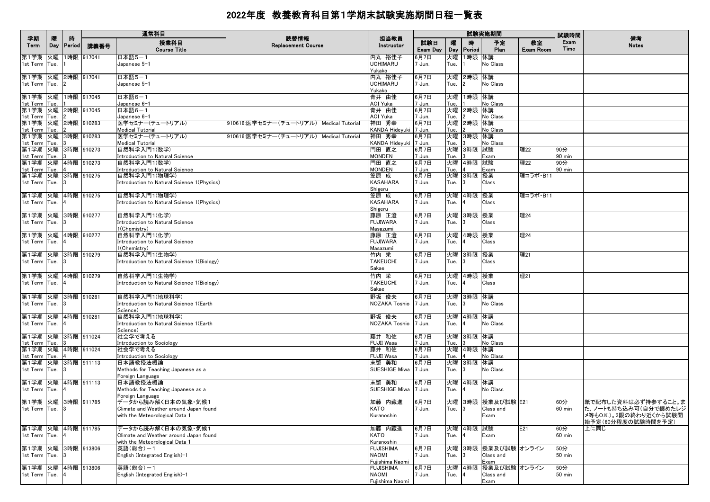|                                          |          |                    |            | 通常科目                                                       |                                          |                                  |                 |            |                             | 試験実施期間            |                        | 試験時間             |                                              |
|------------------------------------------|----------|--------------------|------------|------------------------------------------------------------|------------------------------------------|----------------------------------|-----------------|------------|-----------------------------|-------------------|------------------------|------------------|----------------------------------------------|
| 学期<br>Term                               | 曤<br>Day | 時<br><b>Period</b> | 講義番号       | 授業科目<br><b>Course Title</b>                                | 読替情報<br><b>Replacement Course</b>        | 担当教員<br>Instructor               | 試験日<br>Exam Day | 嚁          | 時<br>Day   Period           | 予定<br>Plan        | 教室<br><b>Exam Room</b> | Exam<br>Time     | 備考<br><b>Notes</b>                           |
| 第1学期                                     | 火曜       |                    | 1時限 917041 | 日本語5-1                                                     |                                          | 内丸 裕佳子                           | 6月7日            | 火曜         | 1時限 休講                      |                   |                        |                  |                                              |
| 1st Term Tue.                            |          |                    |            | Japanese 5-1                                               |                                          | UCHIMARU<br>Yukako               | 7 Jun.          | Tue.       |                             | No Class          |                        |                  |                                              |
| 第1学期 火曜 2時限 917041                       |          |                    |            | 日本語5-1                                                     |                                          | 内丸 裕佳子                           | 6月7日            | 火曜         | 2時限 休講                      |                   |                        |                  |                                              |
| 1st Term Tue.                            |          |                    |            | Japanese 5-1                                               |                                          | <b>UCHIMARU</b>                  | 7 Jun.          | Tue.       | $\overline{2}$              | No Class          |                        |                  |                                              |
|                                          |          |                    |            |                                                            |                                          | Yukako                           |                 |            |                             |                   |                        |                  |                                              |
| 第1学期 火曜 1時限 917045                       |          |                    |            | 日本語6-1                                                     |                                          | 青井 由佳<br>AOI Yuka                | 6月7日            |            | 火曜 1時限 休講                   |                   |                        |                  |                                              |
| 1st Term Tue. 1<br>第1学期 火曜 2時限 917045    |          |                    |            | Japanese 6-1<br>日本語6-1                                     |                                          | 青井 由佳                            | 7 Jun.<br>6月7日  | Tue.<br>火曜 | 2時限 休講                      | No Class          |                        |                  |                                              |
| 1st Term Tue.                            |          |                    |            | Japanese 6-1                                               |                                          | AOI Yuka                         | 7 Jun.          | Tue.       |                             | No Class          |                        |                  |                                              |
| 第1学期  火曜  2時限  910283                    |          |                    |            | 医学セミナー(テュートリアル)                                            | 910616:医学セミナー (チュートリアル) Medical Tutorial | 神田 秀幸                            | 6月7日            | 火曜         | 2時限 休講                      |                   |                        |                  |                                              |
| 1st Term Tue.<br>第1学期 火曜 3時限 910283      |          |                    |            | Medical Tutorial<br>医学セミナー(テュートリアル)                        | 910616:医学セミナー(チュートリアル) Medical Tutorial  | KANDA Hideyuki 7 Jun.<br>神田 秀幸   | 6月7日            | Tue.<br>火曜 | 3時限 休講                      | No Class          |                        |                  |                                              |
| 1st Term Tue.                            |          |                    |            | <b>Medical Tutorial</b>                                    |                                          | KANDA Hideyuki 7 Jun.            |                 | Tue.       |                             | No Class          |                        |                  |                                              |
| 第1学期 火曜 3時限 910273                       |          |                    |            | 自然科学入門1(数学)                                                |                                          | 門田 直之                            | 6月7日            |            | 火曜 3時限 試験                   |                   | 理22                    | 90分              |                                              |
| 1st Term Tue.                            |          |                    |            | Introduction to Natural Science                            |                                          | <b>MONDEN</b>                    | 7 Jun.          | Tue.       |                             | Exam              |                        | 90 min           |                                              |
| 第1学期  火曜  4時限  910273<br>1st Term Tue. 4 |          |                    |            | 自然科学入門1(数学)<br>Introduction to Natural Science             |                                          | 門田 直之<br><b>MONDEN</b>           | 6月7日<br>7 Jun.  | Tue.       | 火曜 4時限 試験                   | Exam              | 理22                    | 90分<br>90 min    |                                              |
| 第1学期 火曜 3時限 910275                       |          |                    |            | 自然科学入門1(物理学)                                               |                                          | 笠原 成                             | 6月7日            | 火曜         | 3時限 授業                      |                   | 理コラボ·B11               |                  |                                              |
| 1st Term Tue. 3                          |          |                    |            | Introduction to Natural Science 1(Physics)                 |                                          | <b>KASAHARA</b>                  | 7 Jun.          | Tue.       | 13                          | Class             |                        |                  |                                              |
| 第1学期 火曜 4時限 910275                       |          |                    |            | 自然科学入門1(物理学)                                               |                                          | Shigeru<br>笠原 成                  | 6月7日            |            |                             |                   | 理コラボ·B11               |                  |                                              |
| 1st Term Tue. 4                          |          |                    |            | Introduction to Natural Science 1(Physics)                 |                                          | <b>KASAHARA</b>                  | 7 Jun.          | Tue.       | 火曜 4時限 授業<br>$\overline{4}$ | Class             |                        |                  |                                              |
|                                          |          |                    |            |                                                            |                                          | Shigeru                          |                 |            |                             |                   |                        |                  |                                              |
| 第1学期 火曜 3時限 910277                       |          |                    |            | 自然科学入門1(化学)                                                |                                          | 藤原 正澄                            | 6月7日            |            | 火曜 3時限 授業                   |                   | 理24                    |                  |                                              |
| 1st Term Tue. 3                          |          |                    |            | Introduction to Natural Science<br>1(Chemistry)            |                                          | <b>FUJIWARA</b><br>Masazumi      | 7 Jun.          | Tue.       | 3                           | Class             |                        |                  |                                              |
| 第1学期 火曜 4時限 910277                       |          |                    |            | 自然科学入門1(化学)                                                |                                          | 藤原 正澄                            | 6月7日            | 火曜         | 4時限 授業                      |                   | 理24                    |                  |                                              |
| 1st Term Tue.                            |          | 14                 |            | Introduction to Natural Science                            |                                          | <b>FUJIWARA</b>                  | 7 Jun.          | Tue.       | $\overline{4}$              | Class             |                        |                  |                                              |
|                                          |          |                    |            | 1(Chemistry)                                               |                                          | Masazumi                         |                 |            |                             |                   |                        |                  |                                              |
| 第1学期 火曜 3時限 910279<br>1st Term Tue.      |          | 13                 |            | 自然科学入門1(生物学)<br>Introduction to Natural Science 1(Biology) |                                          | 竹内 栄<br><b>TAKEUCHI</b>          | 6月7日<br>7 Jun.  | 火曜<br>Tue. | 3時限 授業<br>13                | Class             | 理21                    |                  |                                              |
|                                          |          |                    |            |                                                            |                                          | Sakae                            |                 |            |                             |                   |                        |                  |                                              |
| 第1学期 火曜 4時限 910279                       |          |                    |            | 自然科学入門1(生物学)                                               |                                          | 竹内 栄                             | 6月7日            |            | 火曜 4時限 授業                   |                   | 理21                    |                  |                                              |
| 1st Term Tue. 4                          |          |                    |            | Introduction to Natural Science 1(Biology)                 |                                          | <b>TAKEUCHI</b>                  | 7 Jun.          | Tue.       | $\overline{4}$              | Class             |                        |                  |                                              |
|                                          |          |                    |            |                                                            |                                          | Sakae                            |                 |            |                             |                   |                        |                  |                                              |
| 第1学期 火曜 3時限 910281<br>1st Term Tue. 3    |          |                    |            | 自然科学入門1(地球科学)<br>Introduction to Natural Science 1(Earth   |                                          | 野坂 俊夫<br>NOZAKA Toshio 7 Jun.    | 6月7日            | Tue.       | 火曜 3時限 休講<br>3              | No Class          |                        |                  |                                              |
|                                          |          |                    |            | Science)                                                   |                                          |                                  |                 |            |                             |                   |                        |                  |                                              |
| 第1学期 火曜 4時限 910281                       |          |                    |            | 自然科学入門1(地球科学)                                              |                                          | 野坂 俊夫                            | 6月7日            |            | 火曜 4時限 休講                   |                   |                        |                  |                                              |
| 1st Term Tue. 4                          |          |                    |            | Introduction to Natural Science 1(Earth                    |                                          | NOZAKA Toshio 7 Jun.             |                 | Tue.       | $\overline{a}$              | No Class          |                        |                  |                                              |
| 第1学期 火曜 3時限 911024                       |          |                    |            | Science)<br>社会学で考える                                        |                                          | 藤井 和佐                            | 6月7日            | 火曜         | 3時限 休講                      |                   |                        |                  |                                              |
| 1st Term Tue.                            |          |                    |            | Introduction to Sociology                                  |                                          | FUJII Wasa                       | 7 Jun.          | Tue.       |                             | No Class          |                        |                  |                                              |
| 第1学期 火曜 4時限 911024                       |          |                    |            | 社会学で考える                                                    |                                          | 藤井 和佐                            | 6月7日            |            | 火曜 4時限 休講                   |                   |                        |                  |                                              |
| 1st Term Tue. 4<br>第1学期 火曜 3時限 911113    |          |                    |            | Introduction to Sociology<br>日本語教授法概論                      |                                          | <b>FUJII Wasa</b><br>末繁 美和       | 7 Jun.<br>6月7日  | Tue.<br>火曜 | 3時限 休講                      | No Class          |                        |                  |                                              |
| 1st Term Tue. 3                          |          |                    |            | Methods for Teaching Japanese as a                         |                                          | SUESHIGE Miwa   7 Jun.           |                 | Tue.       | 13                          | No Class          |                        |                  |                                              |
|                                          |          |                    |            | Foreign Language                                           |                                          |                                  |                 |            |                             |                   |                        |                  |                                              |
| 第1学期 火曜 4時限 911113                       |          |                    |            | 日本語教授法概論                                                   |                                          | 末繁 美和                            | 6月7日            |            | 火曜 4時限 休講                   |                   |                        |                  |                                              |
| 1st Term Tue. 4                          |          |                    |            | Methods for Teaching Japanese as a<br>Foreign Language     |                                          | SUESHIGE Miwa 7 Jun.             |                 | Tue.       | <b>4</b>                    | No Class          |                        |                  |                                              |
| 第1学期 火曜 3時限 911785                       |          |                    |            | データから読み解く日本の気象・気候1                                         |                                          | 加藤 内藏進                           | 6月7日            |            |                             | 火曜 3時限 授業及び試験 E21 |                        | 60分              | 紙で配布した資料は必ず持参すること。ま                          |
| 1st Term Tue.                            |          | $\mathbf{R}$       |            | Climate and Weather around Japan found                     |                                          | KATO                             | 7 Jun.          |            | Tue. $3$                    | Class and         |                        | 60 min           | た, ノートも持ち込み可(自分で纏めたレジ                        |
|                                          |          |                    |            | with the Meteorological Data 1                             |                                          | Kuranoshin                       |                 |            |                             | Exam              |                        |                  | メ等もO.K.)。3限の終わり近くから試験開<br>始予定(60分程度の試験時間を予定) |
| 第1学期 火曜 4時限 911785                       |          |                    |            | データから読み解く日本の気象・気候1                                         |                                          | 加藤 内藏進                           | 6月7日            |            | 火曜 4時限 試験                   |                   | E21                    | 60分              | 上に同じ                                         |
| 1st Term Tue. 4                          |          |                    |            | Climate and Weather around Japan found                     |                                          | KATO                             | 7 Jun.          | Tue.       | $\overline{4}$              | Exam              |                        | $60$ min         |                                              |
|                                          |          |                    |            | with the Meteorological Data 1                             |                                          | Kuranoshin                       |                 |            |                             | 3時限 授業及び試験 オンライン  |                        |                  |                                              |
| 第1学期 火曜 3時限 913806<br>1st Term Tue. 3    |          |                    |            | 英語(総合)-1<br>English (Integrated English)-1                 |                                          | <b>FUJISHIMA</b><br><b>NAOMI</b> | 6月7日<br>7 Jun.  | 火曜<br>Tue. | 3                           | Class and         |                        | 50分<br>$50$ min  |                                              |
|                                          |          |                    |            |                                                            |                                          | Fujishima Naomi                  |                 |            |                             | Exam              |                        |                  |                                              |
| 第1学期 火曜 4時限 913806                       |          |                    |            | 英語(総合)-1                                                   |                                          | <b>FUJISHIMA</b>                 | 6月7日            | 火曜         |                             | 4時限 授業及び試験 オンライン  |                        | 50分              |                                              |
| 1st Term Tue.                            |          |                    |            | English (Integrated English)-1                             |                                          | <b>NAOMI</b><br>Fujishima Naomi  | 7 Jun.          | Tue.       |                             | Class and<br>Exam |                        | $50 \text{ min}$ |                                              |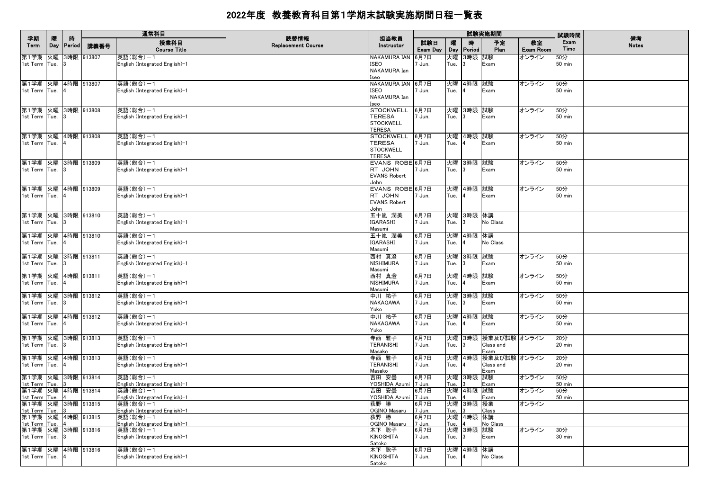|                                        |          |                |               | 通常科目                                       |                                   |                                   |                 |            |              | 試験実施期間               |                 | 試験時間                 |                    |
|----------------------------------------|----------|----------------|---------------|--------------------------------------------|-----------------------------------|-----------------------------------|-----------------|------------|--------------|----------------------|-----------------|----------------------|--------------------|
| 学期<br>Term                             | 曤<br>Day | 時<br>Period    | 講義番号          | 授業科目<br><b>Course Title</b>                | 読替情報<br><b>Replacement Course</b> | 担当教員<br>Instructor                | 試験日<br>Exam Day | 曤<br>Day   | 時<br>Period  | 予定<br>Plan           | 教室<br>Exam Room | Exam<br>Time         | 備考<br><b>Notes</b> |
| 第1学期                                   | 火曜       |                | 3時限 913807    | 英語(総合)-1                                   |                                   | NAKAMURA IAN<br><b>ISEO</b>       | 6月7日            | 火曜         | 3時限 試験       |                      | オンライン           | 50分<br><b>50 min</b> |                    |
| 1st Term Tue.                          |          |                |               | English (Integrated English)-1             |                                   | NAKAMURA Ian                      | Jun.            | Tue.       | $\mathbf{3}$ | Exam                 |                 |                      |                    |
|                                        |          |                |               |                                            |                                   | seo                               |                 |            |              |                      |                 |                      |                    |
| 第1学期  火曜  4時限  913807<br>1st Term Tue. |          |                |               | 英語(総合)-1<br>English (Integrated English)-1 |                                   | NAKAMURA IAN 6月7日<br><b>ISEO</b>  |                 | Tue.       | 火曜 4時限       | 試験<br>Exam           | オンライン           | 50分<br><b>50 min</b> |                    |
|                                        |          |                |               |                                            |                                   | NAKAMURA Ian                      | 1 Jun.          |            |              |                      |                 |                      |                    |
|                                        |          |                |               |                                            |                                   | Iseo                              |                 |            |              |                      |                 |                      |                    |
| 第1学期 火曜 3時限 913808                     |          |                |               | 英語(総合)-1                                   |                                   | <b>STOCKWELL</b><br><b>TERESA</b> | 6月7日            |            | 火曜 3時限 試験    |                      | オンライン           | 50分                  |                    |
| 1st Term Tue.                          |          |                |               | English (Integrated English)-1             |                                   | <b>STOCKWELL</b>                  | 7 Jun.          | Tue.       |              | Exam                 |                 | <b>50 min</b>        |                    |
|                                        |          |                |               |                                            |                                   | <b>TERESA</b>                     |                 |            |              |                      |                 |                      |                    |
| 第1学期 火曜 4時限 913808                     |          |                |               | 英語(総合)-1                                   |                                   | <b>STOCKWELL</b>                  | 6月7日            |            | 火曜 4時限 試験    |                      | オンライン           | 50分                  |                    |
| 1st Term Tue. 4                        |          |                |               | English (Integrated English)-1             |                                   | <b>TERESA</b><br><b>STOCKWELL</b> | 7 Jun.          | Tue.       |              | Exam                 |                 | <b>50 min</b>        |                    |
|                                        |          |                |               |                                            |                                   | <b>TERESA</b>                     |                 |            |              |                      |                 |                      |                    |
| 第1学期 火曜 3時限 913809                     |          |                |               | 英語(総合)-1                                   |                                   | EVANS ROBE 6月7日                   |                 |            | 火曜 3時限 試験    |                      | オンライン           | 50分                  |                    |
| 1st Term Tue.                          |          | $\mathbf{1}3$  |               | English (Integrated English)-1             |                                   | RT JOHN<br><b>EVANS Robert</b>    | 7 Jun.          | Tue.       | 3            | Exam                 |                 | <b>50 min</b>        |                    |
|                                        |          |                |               |                                            |                                   | John                              |                 |            |              |                      |                 |                      |                    |
| 第1学期 火曜 4時限 913809                     |          |                |               | 英語(総合)-1                                   |                                   | EVANS ROBE 6月7日                   |                 |            | 火曜 4時限 試験    |                      | オンライン           | 50分                  |                    |
| 1st Term Tue. 4                        |          |                |               | English (Integrated English)-1             |                                   | RT JOHN<br><b>EVANS Robert</b>    | 7 Jun.          | Tue.       |              | Exam                 |                 | <b>50 min</b>        |                    |
|                                        |          |                |               |                                            |                                   | John                              |                 |            |              |                      |                 |                      |                    |
| 第1学期 火曜 3時限 913810                     |          |                |               | 英語(総合)-1                                   |                                   | 五十嵐 潤美                            | 6月7日            |            | 火曜 3時限 休講    |                      |                 |                      |                    |
| 1st Term Tue.                          |          |                |               | English (Integrated English)-1             |                                   | <b>IGARASHI</b><br>Masumi         | 7 Jun.          | Tue.       |              | No Class             |                 |                      |                    |
| 第1学期 火曜 4時限 913810                     |          |                |               | 英語(総合)-1                                   |                                   | 五十嵐 潤美                            | 6月7日            |            | 火曜 4時限 休講    |                      |                 |                      |                    |
| 1st Term Tue.                          |          |                |               | English (Integrated English)-1             |                                   | <b>IGARASHI</b>                   | 7 Jun.          | Tue.       |              | No Class             |                 |                      |                    |
|                                        |          |                |               |                                            |                                   | Masumi                            |                 |            |              |                      |                 |                      |                    |
| 第1学期 火曜 3時限 913811                     |          |                |               | 英語(総合)-1                                   |                                   | 西村 真澄<br><b>NISHIMURA</b>         | 6月7日            | 火曜         | 3時限          | 試験                   | オンライン           | 50分<br><b>50 min</b> |                    |
| 1st Term Tue.                          |          |                |               | English (Integrated English)-1             |                                   | Masumi                            | 7 Jun.          | Tue.       |              | Exam                 |                 |                      |                    |
| 第1学期 火曜 4時限 913811                     |          |                |               | 英語(総合)-1                                   |                                   | 西村 真澄                             | 6月7日            | 火曜         | 4時限 試験       |                      | オンライン           | 50分                  |                    |
| 1st Term Tue.                          |          | 14             |               | English (Integrated English)-1             |                                   | NISHIMURA                         | 7 Jun.          | Tue.       |              | Exam                 |                 | <b>50 min</b>        |                    |
| 第1学期 火曜 3時限 913812                     |          |                |               | 英語(総合)-1                                   |                                   | Masumi<br>中川 祐子                   | 6月7日            | 火曜         | 3時限          | 試験                   | オンライン           | 50分                  |                    |
| 1st Term Tue.                          |          |                |               | English (Integrated English)-1             |                                   | NAKAGAWA                          | 7 Jun.          | Tue.       | 3            | Exam                 |                 | <b>50 min</b>        |                    |
|                                        |          |                |               |                                            |                                   | Yuko                              |                 |            |              |                      |                 |                      |                    |
| 第1学期 火曜 4時限 913812<br>1st Term Tue.    |          | 14             |               | 英語(総合)-1<br>English (Integrated English)-1 |                                   | 中川 祐子<br>NAKAGAWA                 | 6月7日<br>7 Jun.  | 火曜<br>Tue. | 4時限          | 試験<br>Exam           | オンライン           | 50分<br><b>50 min</b> |                    |
|                                        |          |                |               |                                            |                                   | Yuko                              |                 |            |              |                      |                 |                      |                    |
| 第1学期 火曜 3時限 913813                     |          |                |               | 英語(総合)-1                                   |                                   | 寺西 雅子                             | 6月7日            | 火曜         |              | 3時限 授業及び試験 オンライン     |                 | 20分                  |                    |
| 1st Term Tue.                          |          |                |               | English (Integrated English)-1             |                                   | <b>TERANISHI</b>                  | 7 Jun.          | Tue.       |              | Class and            |                 | 20 min               |                    |
| 第1学期 火曜 4時限 913813                     |          |                |               | 英語(総合)-1                                   |                                   | Masako<br>寺西 雅子                   | 6月7日            | 火曜         | 4時限          | Exam<br>授業及び試験 オンライン |                 | 20分                  |                    |
| 1st Term Tue.                          |          |                |               | English (Integrated English)-1             |                                   | <b>TERANISHI</b>                  | 7 Jun.          | Tue.       |              | Class and            |                 | 20 min               |                    |
|                                        |          |                |               |                                            |                                   | Masako                            |                 |            |              | Exam                 |                 |                      |                    |
| 第1学期 火曜 3時限 913814<br>1st Term Tue.    |          |                |               | 英語(総合)-1<br>English (Integrated English)-1 |                                   | 吉田 安曇<br>YOSHIDA Azumi            | 6月7日<br>7 Jun.  | 火曜<br>Tue. | 3時限          | 試験<br>Exam           | オンライン           | 50分<br><b>50 min</b> |                    |
| 第1学期                                   |          |                | 火曜 4時限 913814 | 英語(総合)-1                                   |                                   | 吉田 安曇                             | 6月7日            | 火曜         | 4時限          | 試験                   | オンライン           | 50分                  |                    |
| 1st Term Tue.                          |          |                |               | English (Integrated English)-1             |                                   | YOSHIDA Azumi 7 Jun.              |                 | Tue.       |              | Exam                 |                 | $50$ min             |                    |
| 第1学期 火曜 3時限 913815<br>1st Term         | Tue.     |                |               | 英語(総合)-1<br>English (Integrated English)-1 |                                   | 荻野 勝<br>OGINO Masaru              | 6月7日<br>7 Jun.  | 火曜<br>Tue. | 3時限          | 授業<br>Class          | オンライン           |                      |                    |
| 第1学期 火曜 4時限 913815                     |          |                |               | 英語(総合)-1                                   |                                   | 荻野 勝                              | 6月7日            | 火曜         | 4時限 休講       |                      |                 |                      |                    |
| 1st Term Tue.                          |          | $\overline{4}$ |               | English (Integrated English)-1             |                                   | OGINO Masaru                      | 7 Jun.          | Tue.       |              | No Class             |                 |                      |                    |
| 第1学期 火曜 3時限 913816<br>1st Term         |          | $\mathbf{1}3$  |               | 英語(総合)-1<br>English (Integrated English)-1 |                                   | 木下 聡子<br><b>KINOSHITA</b>         | 6月7日<br>7 Jun.  | 火曜<br>Tue. | 3時限 試験<br>3  | Exam                 | オンライン           | 30分<br>30 min        |                    |
|                                        | Tue.     |                |               |                                            |                                   | Satoko                            |                 |            |              |                      |                 |                      |                    |
| 第1学期  火曜  4時限  913816                  |          |                |               | 英語(総合)-1                                   |                                   | 木下 聡子                             | 6月7日            |            | 火曜 4時限 休講    |                      |                 |                      |                    |
| 1st Term Tue.                          |          |                |               | English (Integrated English)-1             |                                   | <b>KINOSHITA</b><br>Satoko        | 7 Jun.          | Tue.       |              | No Class             |                 |                      |                    |
|                                        |          |                |               |                                            |                                   |                                   |                 |            |              |                      |                 |                      |                    |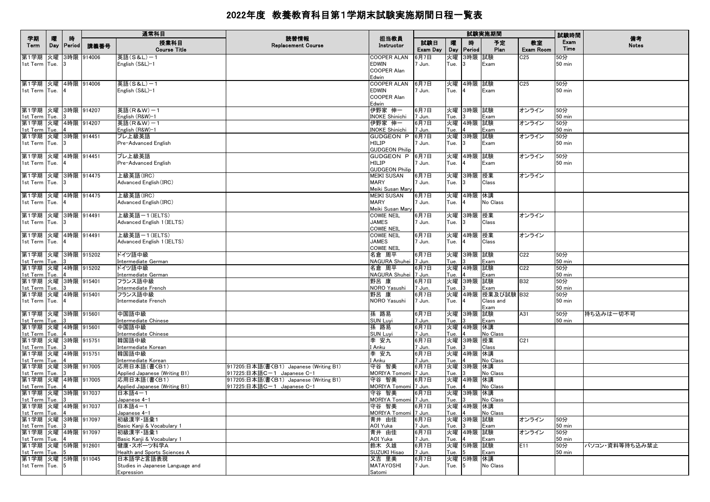|                                        |          |                    |            | 通常科目                                        |                                        |                                 |                 |            |             | 試験実施期間            |                 | 試験時間                 |                    |
|----------------------------------------|----------|--------------------|------------|---------------------------------------------|----------------------------------------|---------------------------------|-----------------|------------|-------------|-------------------|-----------------|----------------------|--------------------|
| 学期<br>Term                             | 曤<br>Day | 時<br><b>Period</b> | 講義番号       | 授業科目<br><b>Course Title</b>                 | 読替情報<br><b>Replacement Course</b>      | 担当教員<br>Instructor              | 試験日<br>Exam Day | 曪<br>Day   | 腈<br>Period | 予定<br>Plan        | 教室<br>Exam Room | Exam<br>Time         | 備考<br><b>Notes</b> |
| 第1学期 火曜                                |          |                    | 3時限 914006 | 英語(S&L)-1                                   |                                        | COOPER ALAN                     | 6月7日            | 火曜         | 3時限 試験      |                   | C <sub>25</sub> | 50分                  |                    |
| 1st Term Tue.                          |          |                    |            | English (S&L)-1                             |                                        | EDWIN<br>COOPER Alan            | 7 Jun.          | Tue.       |             | Exam              |                 | <b>50 min</b>        |                    |
|                                        |          |                    |            |                                             |                                        | Edwin                           |                 |            |             |                   |                 |                      |                    |
| 第1学期 火曜 4時限 914006                     |          |                    |            | 英語(S&L)-1                                   |                                        | COOPER ALAN                     | 6月7日            | 火曜         | 4時限 試験      |                   | C <sub>25</sub> | 50分                  |                    |
| 1st Term Tue.                          |          |                    |            | English (S&L)-1                             |                                        | EDWIN                           | 7 Jun.          | Tue.       |             | Exam              |                 | <b>50 min</b>        |                    |
|                                        |          |                    |            |                                             |                                        | COOPER Alan<br>Edwin            |                 |            |             |                   |                 |                      |                    |
| 第1学期 火曜 3時限 914207                     |          |                    |            | 英語(R&W)-1                                   |                                        | 伊野家 伸一                          | 6月7日            | 火曜         | 3時限 試験      |                   | オンライン           | 50分                  |                    |
| 1st Term Tue.                          |          |                    |            | English (R&W)-1                             |                                        | <b>INOKE Shinichi</b>           | 7 Jun.          | Tue.       |             | Exam              |                 | 50 min               |                    |
| 第1学期 火曜 4時限 914207<br>1st Term Tue.    |          |                    |            | 英語(R&W)-1<br>English (R&W)-1                |                                        | 伊野家 伸一<br><b>INOKE Shinichi</b> | 6月7日<br>7 Jun.  | 火曜<br>Tue. | 4時限 試験      | Exam              | オンライン           | 50分<br>50 min        |                    |
| 第1学期 火曜 3時限 914451                     |          |                    |            | プレ上級英語                                      |                                        | GUDGEON P  6月7日                 |                 | 火曜         | 3時限 試験      |                   | オンライン           | 50分                  |                    |
| 1st Term Tue.                          |          |                    |            | Pre-Advanced English                        |                                        | HILIP                           | 7 Jun.          | Tue.       |             | Exam              |                 | 50 min               |                    |
|                                        |          |                    |            |                                             |                                        | <b>GUDGEON Philip</b>           |                 |            |             |                   |                 |                      |                    |
| 第1学期  火曜  4時限  914451<br>1st Term Tue. |          |                    |            | プレ上級英語<br>Pre-Advanced English              |                                        | GUDGEON P  6月7日<br>HILIP        | 7 Jun.          | 火曜<br>Tue. | 4時限 試験      | Exam              | オンライン           | 50分<br><b>50 min</b> |                    |
|                                        |          |                    |            |                                             |                                        | <b>GUDGEON Philip</b>           |                 |            |             |                   |                 |                      |                    |
| 第1学期 火曜 3時限 914475                     |          |                    |            | 上級英語(IRC)                                   |                                        | MEIKI SUSAN                     | 6月7日            | 火曜         | 3時限 授業      |                   | オンライン           |                      |                    |
| 1st Term Tue.                          |          |                    |            | Advanced English (IRC)                      |                                        | MARY<br>Meiki Susan Mary        | 7 Jun.          | Tue.       |             | Class             |                 |                      |                    |
| 第1学期 火曜 4時限 914475                     |          |                    |            | 上級英語(IRC)                                   |                                        | <b>MEIKI SUSAN</b>              | 6月7日            | 火曜         | 4時限 休講      |                   |                 |                      |                    |
| 1st Term Tue.                          |          |                    |            | Advanced English (IRC)                      |                                        | <b>MARY</b>                     | 7 Jun.          | Tue.       |             | No Class          |                 |                      |                    |
|                                        |          |                    |            |                                             |                                        | Meiki Susan Mary                |                 |            |             |                   |                 |                      |                    |
| 第1学期 火曜 3時限 914491<br>1st Term Tue.    |          |                    |            | 上級英語ー1(IELTS)<br>Advanced English 1 (IELTS) |                                        | COWIE NEIL<br><b>JAMES</b>      | 6月7日<br>7 Jun.  | 火曜<br>Tue. | 3時限 授業      | Class             | オンライン           |                      |                    |
|                                        |          |                    |            |                                             |                                        | COWIE NEIL                      |                 |            |             |                   |                 |                      |                    |
| 第1学期 火曜                                |          | 4時限 914491         |            | 上級英語ー1(IELTS)                               |                                        | COWIE NEIL                      | 6月7日            | 火曜         | 4時限 授業      |                   | オンライン           |                      |                    |
| 1st Term Tue.                          |          |                    |            | Advanced English 1 (IELTS)                  |                                        | <b>JAMES</b><br>COWIE NEIL      | 7 Jun.          | Tue.       |             | Class             |                 |                      |                    |
| 第1学期 火曜 3時限 915202                     |          |                    |            | ドイツ語中級                                      |                                        | 名倉 周平                           | 6月7日            | 火曜         | 3時限 試験      |                   | C22             | 50分                  |                    |
| 1st Term Tue.                          |          |                    |            | Intermediate German                         |                                        | NAGURA Shuhei 7 Jun.            |                 | Tue.       |             | Exam              |                 | 50 min               |                    |
| 第1学期 火曜 4時限 915202                     |          |                    |            | ドイツ語中級                                      |                                        | 名倉 周平                           | 6月7日            | 火曜         | 4時限 試験      |                   | C22             | 50分                  |                    |
| 1st Term Tue.<br>第1学期 火曜 3時限 915401    |          |                    |            | Intermediate German<br>フランス語中級              |                                        | NAGURA Shuhei 7 Jun.<br>野呂 康    | 6月7日            | Tue.<br>火曜 | 3時限 試験      | Exam              | <b>B32</b>      | <b>50 min</b><br>50分 |                    |
| 1st Term Tue.                          |          |                    |            | Intermediate French                         |                                        | NORO Yasushi                    | 7 Jun.          | Tue.       |             | Exam              |                 | <b>50 min</b>        |                    |
| 第1学期 火曜 4時限 915401                     |          |                    |            | フランス語中級                                     |                                        | 野呂 康                            | 6月7日            | 火曜         |             | 4時限 授業及び試験 B32    |                 | 50分                  |                    |
| 1st Term Tue.                          |          |                    |            | Intermediate French                         |                                        | NORO Yasushi                    | 7 Jun.          | Tue.       |             | Class and<br>Exam |                 | <b>50 min</b>        |                    |
| 第1学期 火曜 3時限 915601                     |          |                    |            | 中国語中級                                       |                                        | 孫 路易                            | 6月7日            |            | 火曜 3時限 試験   |                   | A31             | 50分                  | 持ち込みは一切不可          |
| 1st Term Tue.                          |          |                    |            | Intermediate Chinese                        |                                        | <b>SUN Luyi</b>                 | 7 Jun.          | Tue.       |             | Exam              |                 | 50 min               |                    |
| 第1学期 火曜 4時限 915601                     |          |                    |            | 中国語中級                                       |                                        | 孫 路易                            | 6月7日            | 火曜         | 4時限 休講      | No Class          |                 |                      |                    |
| 1st Term Tue.<br>第1学期 火曜 3時限 915751    |          |                    |            | Intermediate Chinese<br>韓国語中級               |                                        | SUN Luyi<br>李 安九                | 7 Jun.<br>6月7日  | Tue.<br>火曜 | 3時限 授業      |                   | C21             |                      |                    |
| 1st Term Tue.                          |          |                    |            | Intermediate Korean                         |                                        | I Anku                          | 7 Jun.          | Tue.       |             | Class             |                 |                      |                    |
| 第1学期 火曜 4時限 915751                     |          |                    |            | 韓国語中級                                       |                                        | 李 安九                            | 6月7日            | 火曜         | 4時限 休講      |                   |                 |                      |                    |
| 1st Term Tue.<br>第1学期 火曜 3時限 917005    |          |                    |            | Intermediate Korean<br>応用日本語(書〈B1)          | 917205:日本語(書〈B1) Japanese (Writing B1) | I Anku<br>守谷 智美                 | 7 Jun.<br>6月7日  | Tue.<br>火曜 | 3時限 休講      | No Class          |                 |                      |                    |
| 1st Term Tue.                          |          |                    |            | Applied Japanese (Writing B1)               | 917225:日本語C-1 Japanese C-1             | MORIYA Tomomi 7 Jun.            |                 | Tue.       |             | No Class          |                 |                      |                    |
| 第1学期 火曜 4時限 917005                     |          |                    |            | 応用日本語(書〈B1)                                 | 917205:日本語(書〈B1) Japanese (Writing B1) | 守谷 智美                           | 6月7日            | 火曜         | 4時限 休講      |                   |                 |                      |                    |
| 1st Term Tue.<br>第1学期 火曜 3時限 917037    |          |                    |            | Applied Japanese (Writing B1)<br>日本語4-1     | 917225:日本語C-1 Japanese C-1             | MORIYA Tomomi 7 Jun.<br>守谷 智美   | 6月7日            | Tue.<br>火曜 | 3時限 休講      | No Class          |                 |                      |                    |
| 1st Term Tue.                          |          |                    |            | Japanese 4-1                                |                                        | MORIYA Tomomi 7 Jun.            |                 | Tue.       |             | No Class          |                 |                      |                    |
| 第1学期 火曜 4時限 917037                     |          |                    |            | 日本語4-1                                      |                                        | 守谷 智美                           | 6月7日            |            | 火曜 4時限 休講   |                   |                 |                      |                    |
| 1st Term Tue. 4                        |          |                    |            | Japanese 4-1                                |                                        | MORIYA Tomomi 7 Jun.            |                 | Tue. $ 4 $ |             | No Class          |                 |                      |                    |
| 第1学期 火曜 3時限 917097<br>1st Term Tue.    |          |                    |            | 初級漢字 語彙1<br>Basic Kanji & Vocabulary 1      |                                        | 青井 由佳<br>AOI Yuka               | 6月7日<br>7 Jun.  | Tue.       | 火曜 3時限 試験   | Exam              | オンライン           | 50分<br>50 min        |                    |
| 第1学期 火曜 4時限 917097                     |          |                    |            | 初級漢字 語彙1                                    |                                        | 青井 由佳                           | 6月7日            | 火曜         | 4時限 試験      |                   | オンライン           | 50分                  |                    |
| 1st Term Tue.                          |          |                    |            | Basic Kanji & Vocabulary 1                  |                                        | AOI Yuka                        | 7 Jun.          | Tue.       |             | Exam              |                 | <b>50 min</b>        |                    |
| 第1学期 火曜 5時限 912601<br>1st Term Tue.    |          | 15                 |            | 健康・スポーツ科学A <br>Health and Sports Sciences A |                                        | 鈴木 久雄<br>SUZUKI Hisao           | 6月7日<br>7 Jun.  | 火曜<br>Tue. | 5時限 試験      | Exam              | E11             | 50分<br><b>50 min</b> | パソコン・資料等持ち込み禁止     |
| 第1学期 火曜 5時限 911045                     |          |                    |            | 日本語学と言語表現                                   |                                        | 又吉 里美                           | 6月7日            |            | 火曜 5時限 休講   |                   |                 |                      |                    |
| 1st Term Tue.                          |          |                    |            | Studies in Japanese Language and            |                                        | <b>MATAYOSHI</b>                | 7 Jun.          | Tue.       | 5           | No Class          |                 |                      |                    |
|                                        |          |                    |            | Expression                                  |                                        | Satomi                          |                 |            |             |                   |                 |                      |                    |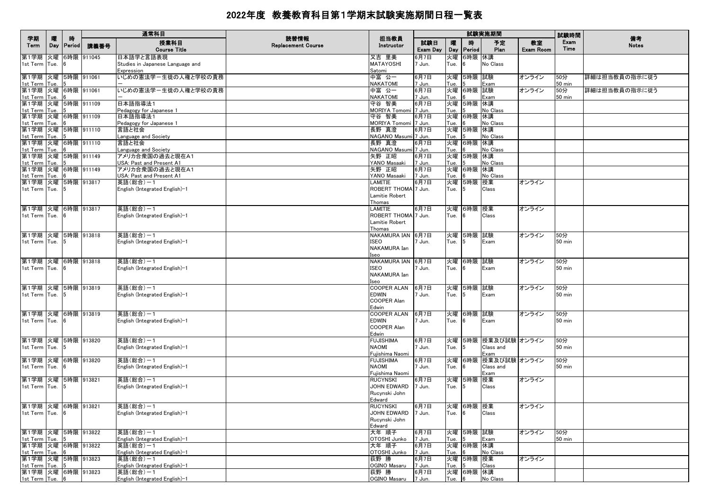|                                        |          |                    |            | 通常科目                                                        |                                   |                                                                   |                 |            |             | 試験実施期間                    |                        | 試験時間             |                    |
|----------------------------------------|----------|--------------------|------------|-------------------------------------------------------------|-----------------------------------|-------------------------------------------------------------------|-----------------|------------|-------------|---------------------------|------------------------|------------------|--------------------|
| 学期<br>Term                             | 曤<br>Day | 時<br><b>Period</b> | 講義番号       | 授業科目<br><b>Course Title</b>                                 | 読替情報<br><b>Replacement Course</b> | 担当教員<br>Instructor                                                | 試験日<br>Exam Day | 曤<br>Day   | 時<br>Period | 予定<br>Plan                | 教室<br><b>Exam Room</b> | Exam<br>Time     | 備考<br><b>Notes</b> |
| 第1学期 火曜<br>1st Term Tue.               |          |                    | 6時限 911045 | 日本語学と言語表現<br>Studies in Japanese Language and<br>Expression |                                   | 又吉 里美<br>MATAYOSHI<br>Satomi                                      | 6月7日<br>7 Jun.  | 火曜<br>Tue. | 6時限         | 休講<br>No Class            |                        |                  |                    |
| 第1学期 火曜 5時限 911061<br>1st Term Tue.    |          |                    |            | いじめの憲法学-生徒の人権と学校の責務                                         |                                   | 中富 公一<br><b>NAKATOMI</b>                                          | 6月7日<br>7 Jun.  | 火曜<br>Tue. | 5時限 試験      | Exam                      | オンライン                  | 50分<br>50 min    | 詳細は担当教員の指示に従う      |
| 第1学期 火曜 6時限 911061<br>1st Term Tue.    |          |                    |            | いじめの憲法学-生徒の人権と学校の責務                                         |                                   | 中富 公一<br><b>NAKATOMI</b>                                          | 6月7日<br>7 Jun.  | 火曜<br>Tue. | 6時限         | 試験<br>Exam                | オンライン                  | 50分<br>50 min    | 詳細は担当教員の指示に従う      |
| 第1学期 火曜 5時限 911109                     |          |                    |            | 日本語指導法1                                                     |                                   | 守谷 智美                                                             | 6月7日            | 火曜         | 5時限 休講      | No Class                  |                        |                  |                    |
| 1st Term Tue.<br>第1学期 火曜 6時限 911109    |          |                    |            | Pedagogy for Japanese 1<br>日本語指導法1                          |                                   | MORIYA Tomomi 7 Jun.<br>守谷 智美                                     | 6月7日            | Tue.<br>火曜 | 6時限 休講      |                           |                        |                  |                    |
| 1st Term Tue.<br>第1学期 火曜 5時限 911110    |          |                    |            | Pedagogy for Japanese 1<br>言語と社会                            |                                   | MORIYA Tomomi 7 Jun.<br>長野 真澄                                     | 6月7日            | Tue.<br>火曜 | 5時限 休講      | No Class                  |                        |                  |                    |
| 1st Term Tue.<br>第1学期 火曜 6時限 911110    |          |                    |            | Language and Society<br>言語と社会                               |                                   | NAGANO Masumi 7 Jun.<br>長野 真澄                                     | 6月7日            | Tue.<br>火曜 | 6時限 休講      | No Class                  |                        |                  |                    |
| 1st Term Tue.<br>第1学期 火曜 5時限 911149    |          |                    |            | Language and Society<br>アメリカ合衆国の過去と現在A1                     |                                   | NAGANO Masumi 7 Jun.<br>矢野 正昭                                     | 6月7日            | Tue.<br>火曜 | 5時限         | No Class<br>休講            |                        |                  |                    |
| 1st Term Tue.<br>第1学期 火曜 6時限 911149    |          |                    |            | USA: Past and Present A1<br>アメリカ合衆国の過去と現在A1                 |                                   | YANO Masaaki<br>矢野 正昭                                             | 7 Jun.<br>6月7日  | Tue.<br>火曜 | 6時限 休講      | No Class                  |                        |                  |                    |
| 1st Term Tue.<br>第1学期 火曜 5時限 913817    |          |                    |            | USA: Past and Present A1                                    |                                   | YANO Masaaki                                                      | 7 Jun.          | Tue.       |             | No Class                  |                        |                  |                    |
| 1st Term Tue.                          |          |                    |            | 英語(総合)-1<br>English (Integrated English)-1                  |                                   | LAMITIE<br>ROBERT THOMA 7 Jun.<br>Lamitie Robert                  | 6月7日            | Tue.       | 火曜 5時限      | 授業<br>Class               | オンライン                  |                  |                    |
| 第1学期  火曜  6時限  913817<br>1st Term Tue. |          |                    |            | 英語(総合)-1<br>English (Integrated English)-1                  |                                   | Thomas<br>LAMITIE<br>ROBERT THOMA 7 Jun.                          | 6月7日            | 火曜<br>Tue. | 6時限 授業      | Class                     | オンライン                  |                  |                    |
|                                        |          |                    |            |                                                             |                                   | Lamitie Robert<br>Thomas                                          |                 |            |             |                           |                        |                  |                    |
| 第1学期 火曜 5時限 913818                     |          |                    |            | 英語(総合)-1                                                    |                                   | NAKAMURA IAN 6月7日                                                 |                 | 火曜         | 5時限         | 試験                        | オンライン                  | 50分              |                    |
| 1st Term Tue.                          |          |                    |            | English (Integrated English)-1                              |                                   | ISEO<br>NAKAMURA Ian<br>Iseo                                      | 1 Jun.          | Tue.       |             | Exam                      |                        | 50 min           |                    |
| 第1学期 火曜 6時限 913818<br>1st Term Tue.    |          |                    |            | 英語(総合)-1                                                    |                                   | NAKAMURA IAN 6月7日<br><b>ISEO</b>                                  |                 |            | 火曜 6時限 試験   |                           | オンライン                  | 50分<br>50 min    |                    |
|                                        |          |                    |            | English (Integrated English)-1                              |                                   | <b>NAKAMURA Ian</b><br>Iseo                                       | 1 Jun.          | Tue.       |             | Exam                      |                        |                  |                    |
| 第1学期 火曜 5時限 913819<br>1st Term Tue.    |          |                    |            | 英語(総合)-1<br>English (Integrated English)-1                  |                                   | <b>COOPER ALAN</b><br><b>EDWIN</b><br><b>COOPER Alan</b><br>Edwin | 6月7日<br>7 Jun.  | Tue.       | 火曜 5時限      | 試験<br>Exam                | オンライン                  | 50分<br>50 min    |                    |
| 第1学期 火曜 6時限 913819                     |          |                    |            | 英語(総合)-1                                                    |                                   | <b>COOPER ALAN</b>                                                | 6月7日            |            | 火曜  6時限  試験 |                           | オンライン                  | 50分              |                    |
| 1st Term Tue.                          |          |                    |            | English (Integrated English)-1                              |                                   | <b>EDWIN</b><br><b>COOPER Alan</b><br>Edwin                       | 7 Jun.          | Tue.       |             | Exam                      |                        | $50 \text{ min}$ |                    |
| 第1学期 火曜 5時限 913820                     |          |                    |            | 英語(総合)-1                                                    |                                   | <b>FUJISHIMA</b>                                                  | 6月7日            |            |             | 火曜 5時限 授業及び試験 オンライン       |                        | 50分              |                    |
| 1st Term Tue.                          |          |                    |            | English (Integrated English)-1                              |                                   | <b>NAOMI</b><br>Fujishima Naomi                                   | 7 Jun.          | Tue.       |             | Class and<br>Exam         |                        | 50 min           |                    |
| 第1学期 火曜 6時限 913820<br>1st Term Tue.    |          |                    |            | 英語(総合)-1<br>English (Integrated English)-1                  |                                   | <b>FUJISHIMA</b><br><b>NAOMI</b>                                  | 6月7日<br>7 Jun.  | Tue.       | 火曜 6時限      | 授業及び試験 オンライン<br>Class and |                        | 50分<br>50 min    |                    |
|                                        |          |                    |            |                                                             |                                   | Fujishima Naomi                                                   |                 |            |             | Exam                      |                        |                  |                    |
| 第1学期 火曜 5時限 913821<br>1st Term Tue.    |          |                    |            | 英語(総合)-1<br>English (Integrated English)-1                  |                                   | <b>RUCYNSKI</b><br>JOHN EDWARD                                    | 6月7日<br>7 Jun.  | Tue.       | 火曜 5時限      | 授業<br>Class               | オンライン                  |                  |                    |
|                                        |          |                    |            |                                                             |                                   | Rucynski John<br>Edward                                           |                 |            |             |                           |                        |                  |                    |
| 第1学期 火曜 6時限 913821                     |          |                    |            | 英語(総合)-1                                                    |                                   | <b>RUCYNSKI</b>                                                   | 6月7日            |            | 火曜 6時限 授業   |                           | オンライン                  |                  |                    |
| 1st Term Tue. 6                        |          |                    |            | English (Integrated English)-1                              |                                   | JOHN EDWARD 7 Jun.<br>Rucynski John<br>Edward                     |                 | Tue. 6     |             | Class                     |                        |                  |                    |
| 第1学期 火曜 5時限 913822                     |          | 5                  |            | 英語(総合)-1                                                    |                                   | 大年 順子                                                             | 6月7日            |            | 火曜 5時限 試験   |                           | オンライン                  | 50分              |                    |
| 1st Term Tue.<br>第1学期 火曜 6時限 913822    |          |                    |            | English (Integrated English)-1<br>英語(総合)-1                  |                                   | OTOSHI Junko<br>大年 順子                                             | 7 Jun.<br>6月7日  | Tue.       | 火曜 6時限 休講   | Exam                      |                        | 50 min           |                    |
| 1st Term Tue.                          |          |                    |            | English (Integrated English)-1                              |                                   | OTOSHI Junko                                                      | 7 Jun.          | Tue.       |             | No Class                  |                        |                  |                    |
| 第1学期 火曜 5時限 913823<br>1st Term Tue.    |          |                    |            | 英語(総合)-1<br>English (Integrated English)-1                  |                                   | 荻野 勝<br>OGINO Masaru                                              | 6月7日<br>7 Jun.  | 火曜<br>Tue. | 5時限 授業      | Class                     | オンライン                  |                  |                    |
| 第1学期 火曜 6時限 913823                     |          |                    |            | 英語(総合)-1                                                    |                                   | 荻野 勝                                                              | 6月7日            |            | 火曜 6時限 休講   |                           |                        |                  |                    |
| 1st Term Tue.                          |          | <b>6</b>           |            | English (Integrated English)-1                              |                                   | OGINO Masaru                                                      | 7 Jun.          | Tue.       |             | No Class                  |                        |                  |                    |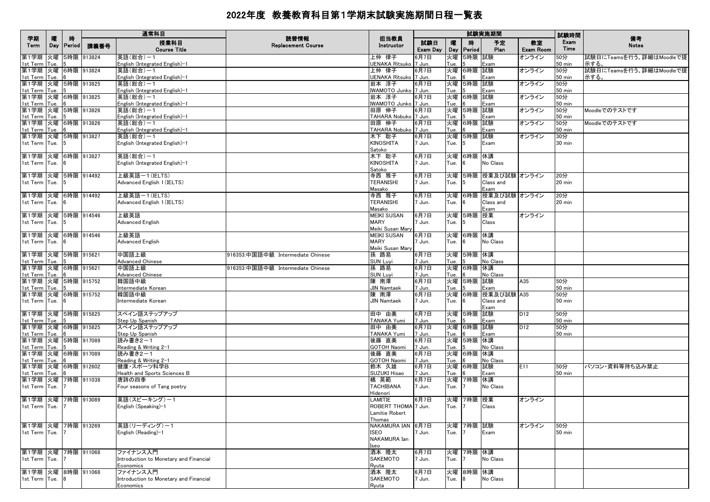|                                     |          | 時             |            | 通常科目                                                            | 読替情報                              |                                 |                 |            |             | 試験実施期間                        |                 | 試験時間                 |                                  |
|-------------------------------------|----------|---------------|------------|-----------------------------------------------------------------|-----------------------------------|---------------------------------|-----------------|------------|-------------|-------------------------------|-----------------|----------------------|----------------------------------|
| 学期<br>Term                          | 隁<br>Day | <b>Period</b> | 講義番号       | 授業科目<br><b>Course Title</b>                                     | <b>Replacement Course</b>         | 担当教員<br>Instructor              | 試験日<br>Exam Day | 曤<br>Day   | 時<br>Period | 予定<br>Plan                    | 教室<br>Exam Room | Exam<br>Time         | 備考<br><b>Notes</b>               |
| 第1学期 火曜<br>1st Term   Tue.          |          |               | 5時限 913824 | 英語(総合)-1<br>English (Integrated English)-1                      |                                   | 上仲 律子<br>UENAKA Ritsuko 7 Jun.  | 6月7日            | 火曜<br>Tue. | 5時限 試験      | Exam                          | オンライン           | 50分<br>50 min        | 試験日にTeamsを行う。詳細はMoodleで提<br>示する。 |
| 第1学期 火曜 6時限 913824<br>1st Term Tue. |          |               |            | 英語(総合)−1<br>English (Integrated English)-1                      |                                   | 上仲 律子<br>UENAKA Ritsuko 7 Jun.  | 6月7日            | 火曜<br>Tue. | 6時限 試験      | Exam                          | オンライン           | 50分<br>$50$ min      | 試験日にTeamsを行う。詳細はMoodleで提<br>示する。 |
| 第1学期 火曜 5時限 913825<br>1st Term Tue. |          |               |            | 英語(総合)-1<br>English (Integrated English)-1                      |                                   | 岩本 淳子<br>IWAMOTO Junko 7 Jun.   | 6月7日            | 火曜<br>Tue. | 5時限 試験      | Exam                          | オンライン           | 50分<br><b>50 min</b> |                                  |
| 第1学期 火曜 6時限 913825                  |          |               |            | 英語(総合)-1<br>English (Integrated English)-1                      |                                   | 岩本 淳子<br>IWAMOTO Junko 7 Jun.   | 6月7日            | Tue.       | 火曜 6時限 試験   | Exam                          | オンライン           | 50分<br>50 min        |                                  |
| 1st Term Tue.<br>第1学期 火曜 5時限 913826 |          |               |            | 英語(総合)−1                                                        |                                   | 田原 伸子                           | 6月7日            | 火曜         | 5時限 試験      |                               | オンライン           | 50分                  | Moodleでのテストです                    |
| 1st Term Tue.<br>第1学期 火曜 6時限 913826 |          |               |            | English (Integrated English)-1<br>英語(総合)-1                      |                                   | TAHARA Nobuko 7 Jun.<br>田原 伸子   | 6月7日            | Tue.<br>火曜 | 6時限 試験      | Exam                          | オンライン           | <b>50 min</b><br>50分 | Moodleでのテストです                    |
| 1st Term Tue.<br>第1学期 火曜 5時限 913827 |          |               |            | English (Integrated English)-1<br>英語(総合)-1                      |                                   | TAHARA Nobuko 7 Jun.<br>木下 聡子   | 6月7日            | Tue.<br>火曜 | 5時限 試験      | Exam                          | オンライン           | <b>50 min</b><br>30分 |                                  |
| 1st Term Tue.                       |          |               |            | English (Integrated English)-1                                  |                                   | KINOSHITA<br>Satoko             | 7 Jun.          | Tue.       |             | Exam                          |                 | 30 min               |                                  |
| 第1学期 火曜 6時限 913827                  |          |               |            | 英語(総合)-1                                                        |                                   | 木下 聡子                           | 6月7日            | 火曜         | 6時限 休講      |                               |                 |                      |                                  |
| 1st Term Tue.                       |          |               |            | English (Integrated English)-1                                  |                                   | <b>KINOSHITA</b><br>Satoko      | 7 Jun.          | Tue.       |             | No Class                      |                 |                      |                                  |
| 第1学期 火曜 5時限 914492<br>1st Term Tue. |          |               |            | 上級英語ー1(IELTS)<br>Advanced English 1 (IELTS)                     |                                   | 寺西 雅子<br><b>TERANISHI</b>       | 6月7日<br>7 Jun.  | 火曜<br>Tue. |             | 5時限 授業及び試験 オンライン<br>Class and |                 | 20分<br>20 min        |                                  |
| 第1学期 火曜 6時限 914492                  |          |               |            | 上級英語ー1(IELTS)                                                   |                                   | Masako                          |                 |            |             | Exam                          |                 |                      |                                  |
| 1st Term Tue.                       |          |               |            | Advanced English 1 (IELTS)                                      |                                   | 寺西 雅子<br><b>TERANISHI</b>       | 6月7日<br>7 Jun.  | 火曜<br>Tue. |             | 6時限 授業及び試験 オンライン<br>Class and |                 | 20分<br>20 min        |                                  |
| 第1学期 火曜 5時限 914546                  |          |               |            | 上級英語                                                            |                                   | Masako<br>MEIKI SUSAN           | 6月7日            |            | 火曜 5時限 授業   | Exam                          | オンライン           |                      |                                  |
| 1st Term Tue.                       |          |               |            | <b>Advanced English</b>                                         |                                   | <b>MARY</b><br>Meiki Susan Mary | 7 Jun.          | Tue.       |             | Class                         |                 |                      |                                  |
| 第1学期 火曜 6時限 914546                  |          |               |            | 上級英語                                                            |                                   | MEIKI SUSAN                     | 6月7日            | 火曜         | 6時限 休講      |                               |                 |                      |                                  |
| 1st Term Tue.                       |          |               |            | Advanced English                                                |                                   | <b>MARY</b><br>Meiki Susan Mary | 7 Jun.          | Tue.       | ĥ           | No Class                      |                 |                      |                                  |
| 第1学期 火曜 5時限 915621<br>1st Term Tue. |          |               |            | 中国語上級<br><b>Advanced Chinese</b>                                | 916353:中国語中級 Intermediate Chinese | 孫 路易<br><b>SUN Luyi</b>         | 6月7日<br>7 Jun.  | 火曜<br>Tue. | 5時限 休講      | No Class                      |                 |                      |                                  |
| 第1学期 火曜 6時限 915621<br>1st Term Tue. |          |               |            | 中国語上級<br><b>Advanced Chinese</b>                                | 916353:中国語中級 Intermediate Chinese | 孫 路易<br><b>SUN Luyi</b>         | 6月7日<br>7 Jun.  | 火曜<br>Tue. | 6時限 休講      | No Class                      |                 |                      |                                  |
| 第1学期 火曜 5時限 915752                  |          |               |            | 韓国語中級                                                           |                                   | 陳 南澤                            | 6月7日            | 火曜         | 5時限 試験      |                               | A35             | 50分                  |                                  |
| 1st Term Tue.<br>第1学期 火曜 6時限 915752 |          |               |            | Intermediate Korean<br>韓国語中級                                    |                                   | <b>JIN Namtaek</b><br>陳南澤       | 7 Jun.<br>6月7日  | Tue.<br>火曜 |             | Exam<br>6時限 授業及び試験 A35        |                 | <b>50 min</b><br>50分 |                                  |
| 1st Term Tue.                       |          |               |            | Intermediate Korean                                             |                                   | <b>JIN Namtaek</b>              | 7 Jun.          | Tue.       |             | Class and<br>Exam             |                 | 50 min               |                                  |
| 第1学期 火曜 5時限 915825<br>1st Term Tue. |          |               |            | スペイン語ステップアップ<br>Step Up Spanish                                 |                                   | 田中 由美<br>TANAKA Yumi            | 6月7日<br>7 Jun.  | Tue.       | 火曜 5時限 試験   | Exam                          | D12             | 50分<br><b>50 min</b> |                                  |
| 第1学期 火曜 6時限 915825                  |          |               |            | スペイン語ステップアップ                                                    |                                   | 田中 由美                           | 6月7日            | 火曜         | 6時限 試験      |                               | D <sub>12</sub> | 50分                  |                                  |
| 1st Term Tue.<br>第1学期 火曜 5時限 917089 |          |               |            | Step Up Spanish<br>読み書き2-1                                      |                                   | TANAKA Yumi<br>後藤 直美            | 7 Jun.<br>6月7日  | Tue.<br>火曜 | 5時限 休講      | Exam                          |                 | $50$ min             |                                  |
| 1st Term Tue.                       |          |               |            | Reading & Writing 2-1                                           |                                   | GOTOH Naomi                     | 7 Jun.          | Tue.       |             | No Class                      |                 |                      |                                  |
| 第1学期 火曜 6時限 917089<br>1st Term Tue. |          |               |            | 読み書き2-1<br>Reading & Writing 2-1                                |                                   | 後藤 直美<br>GOTOH Naomi            | 6月7日<br>7 Jun.  | 火曜<br>Tue. | 6時限 休講      | No Class                      |                 |                      |                                  |
| 第1学期 火曜 6時限 912602                  |          |               |            | 健康・スポーツ科学B<br>Health and Sports Sciences B                      |                                   | 鈴木 久雄<br>SUZUKI Hisao           | 6月7日<br>7 Jun.  | 火曜<br>Tue. | 6時限 試験      | Exam                          | E11             | 50分<br>50 min        | パソコン・資料等持ち込み禁止                   |
| 1st Term Tue.<br>第1学期 火曜 7時限 911038 |          |               |            | 唐詩の四季                                                           |                                   | 橘 英範                            | 6月7日            | 火曜         | 7時限 休講      |                               |                 |                      |                                  |
| 1st Term Tue.                       |          |               |            | Four seasons of Tang poetry                                     |                                   | <b>TACHIBANA</b><br>Hidenori    | 7 Jun.          | Tue.       |             | No Class                      |                 |                      |                                  |
| 第1学期 火曜 7時限 913089                  |          |               |            | 英語(スピーキング)-1<br>English (Speaking)-1                            |                                   | LAMITIE<br>ROBERT THOMA 7 Jun.  | 6月7日            | Tue.       | 火曜 7時限 授業   | Class                         | オンライン           |                      |                                  |
| 1st Term Tue.                       |          |               |            |                                                                 |                                   | Lamitie Robert                  |                 |            |             |                               |                 |                      |                                  |
| 第1学期 火曜                             |          |               | 7時限 913269 | 英語(リーディング)-1                                                    |                                   | Thomas<br>NAKAMURA IAN 6月7日     |                 |            | 火曜 7時限 試験   |                               | オンライン           | 50分                  |                                  |
| 1st Term Tue.                       |          |               |            | English (Reading)-1                                             |                                   | ISEO<br>NAKAMURA Ian            | 7 Jun.          | Tue.       |             | Exam                          |                 | <b>50 min</b>        |                                  |
| 第1学期 火曜                             |          |               | 7時限 911068 | ファイナンス入門                                                        |                                   | Iseo<br>酒本 隆太                   | 6月7日            | 火曜         | 7時限 休講      |                               |                 |                      |                                  |
| 1st Term   Tue.                     |          |               |            | Introduction to Monetary and Financial<br>Economics             |                                   | SAKEMOTO<br>Ryuta               | 7 Jun.          | Tue.       |             | No Class                      |                 |                      |                                  |
| 第1学期 火曜 8時限 911068<br>1st Term Tue. |          |               |            | ファイナンス入門<br>Introduction to Monetary and Financial<br>Economics |                                   | 酒本 隆太<br>SAKEMOTO<br>Ryuta      | 6月7日<br>7 Jun.  | 火曜<br>Tue. | 8時限 休講      | No Class                      |                 |                      |                                  |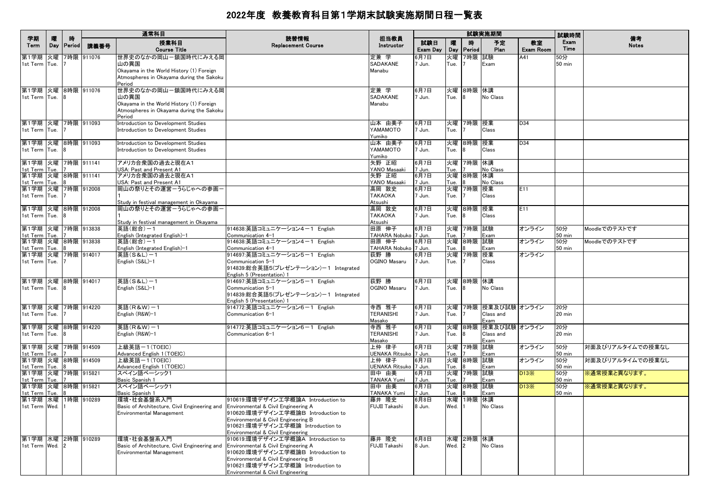|                                     |          |             |            | 通常科目                                                                                                         |                                                                           |                                  |                 |            |                | 試験実施期間                   |                        | 試験時間                    |                    |
|-------------------------------------|----------|-------------|------------|--------------------------------------------------------------------------------------------------------------|---------------------------------------------------------------------------|----------------------------------|-----------------|------------|----------------|--------------------------|------------------------|-------------------------|--------------------|
| 学期<br>Term                          | 曤<br>Day | 時<br>Period | 講義番号       | 授業科目<br><b>Course Title</b>                                                                                  | 読替情報<br><b>Replacement Course</b>                                         | 担当教員<br>Instructor               | 試験日<br>Exam Day | 嚁<br>Day   | 時<br>Period    | 予定<br>Plan               | 教室<br><b>Exam Room</b> | Exam<br>Time            | 備考<br><b>Notes</b> |
| 第1学期                                | 火曜       |             | 7時限 911076 | 世界史のなかの岡山ー鎖国時代にみえる岡                                                                                          |                                                                           | 定兼 学                             | 6月7日            | 火曜         | 7時限            | 試験                       | A41                    | 50分                     |                    |
| 1st Term Tue.                       |          |             |            | 山の異国<br>Okayama in the World History (1) Foreign                                                             |                                                                           | SADAKANE<br>Manabu               | 7 Jun.          | Tue.       |                | Exam                     |                        | <b>50 min</b>           |                    |
|                                     |          |             |            | Atmospheres in Okayama during the Sakoku                                                                     |                                                                           |                                  |                 |            |                |                          |                        |                         |                    |
|                                     |          |             |            | Period                                                                                                       |                                                                           |                                  |                 |            |                |                          |                        |                         |                    |
| 第1学期 火曜 8時限 911076                  |          |             |            | 世界史のなかの岡山ー鎖国時代にみえる岡                                                                                          |                                                                           | 定兼 学                             | 6月7日            | 火曜         | 8時限 休講         |                          |                        |                         |                    |
| 1st Term Tue.                       |          | <b>R</b>    |            | 山の異国<br>Okayama in the World History (1) Foreign                                                             |                                                                           | SADAKANE<br>Manabu               | 7 Jun.          | Tue.       |                | No Class                 |                        |                         |                    |
|                                     |          |             |            | Atmospheres in Okayama during the Sakoku                                                                     |                                                                           |                                  |                 |            |                |                          |                        |                         |                    |
|                                     |          |             |            | Period                                                                                                       |                                                                           |                                  |                 |            |                |                          |                        |                         |                    |
| 第1学期 火曜 7時限 911093                  |          |             |            | Introduction to Development Studies                                                                          |                                                                           | 山本 由美子                           | 6月7日            | 火曜         | 7時限 授業         |                          | D34                    |                         |                    |
| 1st Term Tue.                       |          |             |            | Introduction to Development Studies                                                                          |                                                                           | <b>YAMAMOTO</b><br>Yumiko        | 7 Jun.          | Tue.       |                | Class                    |                        |                         |                    |
| 第1学期 火曜 8時限 911093                  |          |             |            | Introduction to Development Studies                                                                          |                                                                           | 山本 由美子                           | 6月7日            | 火曜         | 8時限 授業         |                          | D34                    |                         |                    |
| 1st Term Tue.                       |          |             |            | Introduction to Development Studies                                                                          |                                                                           | YAMAMOTO                         | 7 Jun.          | Tue.       |                | Class                    |                        |                         |                    |
| 第1学期 火曜 7時限 911141                  |          |             |            | アメリカ合衆国の過去と現在A1                                                                                              |                                                                           | Yumiko<br>矢野 正昭                  | 6月7日            | 火曜         | 7時限 休講         |                          |                        |                         |                    |
| 1st Term Tue.                       |          |             |            | USA: Past and Present A1                                                                                     |                                                                           | YANO Masaaki                     | 7 Jun.          | Tue.       |                | No Class                 |                        |                         |                    |
| 第1学期 火曜 8時限 911141                  |          |             |            | アメリカ合衆国の過去と現在A1                                                                                              |                                                                           | 矢野 正昭                            | 6月7日            | 火曜         | 8時限 休講         |                          |                        |                         |                    |
| 1st Term Tue.                       |          |             |            | USA: Past and Present A1                                                                                     |                                                                           | YANO Masaaki                     | 7 Jun.          | Tue.       |                | <b>No Class</b>          |                        |                         |                    |
| 第1学期 火曜<br>1st Term Tue.            |          |             | 7時限 912008 | 岡山の祭りとその運営ーうらじゃへの参画                                                                                          |                                                                           | 高岡 敦史<br><b>TAKAOKA</b>          | 6月7日<br>7 Jun.  | 火曜<br>Tue. | 7時限 授業         | Class                    | E11                    |                         |                    |
|                                     |          |             |            | Study in festival management in Okayama                                                                      |                                                                           | Atsushi                          |                 |            |                |                          |                        |                         |                    |
| 第1学期 火曜                             |          |             | 8時限 912008 | 岡山の祭りとその運営ーうらじゃへの参画                                                                                          |                                                                           | 高岡 敦史                            | 6月7日            | 火曜         | 8時限 授業         |                          | E11                    |                         |                    |
| 1st Term Tue.                       |          |             |            |                                                                                                              |                                                                           | <b>TAKAOKA</b>                   | 7 Jun.          | Tue.       |                | Class                    |                        |                         |                    |
| 第1学期 火曜                             |          |             | 7時限 913838 | Study in festival management in Okayama<br>英語(総合)-1                                                          | 914638:英語コミュニケーション4-1 English                                             | Atsushi<br>田原 伸子                 | 6月7日            | 火曜         | 7時限 試験         |                          | オンライン                  | 50分                     | Moodleでのテストです      |
| 1st Term Tue.                       |          |             |            | English (Integrated English)-1                                                                               | Communication 4-1                                                         | TAHARA Nobuko 7 Jun.             |                 | Tue.       |                | Exam                     |                        | $50$ min                |                    |
| 第1学期 火曜 8時限 913838                  |          |             |            | 英語(総合)-1                                                                                                     | 914638:英語コミュニケーション4-1 English                                             | 田原 伸子                            | 6月7日            | 火曜         | 8時限 試験         |                          | オンライン                  | 50分                     | Moodleでのテストです      |
| 1st Term Tue.                       |          |             |            | English (Integrated English)-1                                                                               | Communication 4-1                                                         | TAHARA Nobuko 7 Jun.             |                 | Tue.       |                | Exam                     |                        | 50 min                  |                    |
| 第1学期 火曜 7時限 914017<br>1st Term Tue. |          |             |            | 英語(S&L)-1<br>English (S&L)-1                                                                                 | 914697:英語コミュニケーション5-1 English<br>Communication 5-1                        | 荻野 勝<br>OGINO Masaru             | 6月7日<br>7 Jun.  | 火曜<br>Tue. | 7時限            | 授業<br>Class              | オンライン                  |                         |                    |
|                                     |          |             |            |                                                                                                              | 914839:総合英語5(プレゼンテーション)-1 Integrated<br>English 5 (Presentation) 1        |                                  |                 |            |                |                          |                        |                         |                    |
| 第1学期 火曜 8時限 914017                  |          |             |            | 英語(S&L)-1                                                                                                    | 914697:英語コミュニケーション5-1 English                                             | 荻野 勝                             | 6月7日            |            | 火曜 8時限 休講      |                          |                        |                         |                    |
| 1st Term Tue.                       |          |             |            | English (S&L)-1                                                                                              | Communication 5-1                                                         | OGINO Masaru                     | 7 Jun.          | Tue.       |                | No Class                 |                        |                         |                    |
|                                     |          |             |            |                                                                                                              | 914839:総合英語5(プレゼンテーション)-1 Integrated<br>English 5 (Presentation) 1        |                                  |                 |            |                |                          |                        |                         |                    |
| 第1学期 火曜 7時限 914220                  |          |             |            | 英語(R&W)-1                                                                                                    | 914772:英語コミュニケーション6-1 English                                             | 寺西 雅子                            | 6月7日            | 火曜         |                | 7時限 授業及び試験 オンライン         |                        | 20分                     |                    |
| 1st Term Tue.                       |          |             |            | English (R&W)-1                                                                                              | Communication 6-1                                                         | TERANISHI                        | 7 Jun.          | Tue.       |                | Class and                |                        | 20 min                  |                    |
| 第1学期 火曜 8時限 914220                  |          |             |            | 英語(R&W)-1                                                                                                    | 914772:英語コミュニケーション6-1 English                                             | Masako<br>寺西 雅子                  | 6月7日            | 火曜         |                | Exam<br>8時限 授業及び試験 オンライン |                        | 20分                     |                    |
| 1st Term Tue.                       |          |             |            | English (R&W)-1                                                                                              | Communication 6-1                                                         | <b>TERANISHI</b>                 | 7 Jun.          | Tue.       |                | Class and                |                        | 20 min                  |                    |
|                                     |          |             |            |                                                                                                              |                                                                           | Masako                           |                 |            |                | Exam                     |                        |                         |                    |
| 第1学期 火曜 7時限 914509                  |          |             |            | 上級英語ー1(TOEIC)                                                                                                |                                                                           | 上仲 律子                            | 6月7日            | 火曜         | 7時限 試験         |                          | オンライン                  | 50分                     | 対面及びリアルタイムでの授業なし   |
| 1st Term Tue.<br>第1学期 火曜 8時限 914509 |          |             |            | Advanced English 1 (TOEIC)<br>上級英語-1(TOEIC)                                                                  |                                                                           | UENAKA Ritsuko   7 Jun.<br>上仲 律子 | 6月7日            | Tue.<br>火曜 | 8時限 試験         | Exam                     | オンライン                  | <b>50 min</b><br>50分    | 対面及びリアルタイムでの授業なし   |
| 1st Term Tue.                       |          |             |            | Advanced English 1 (TOEIC)                                                                                   |                                                                           | UENAKA Ritsuko 7 Jun.            |                 | Tue.       |                | Exam                     |                        | $50$ min                |                    |
| 第1学期 火曜 7時限 915821                  |          |             |            | スペイン語ベーシック1                                                                                                  |                                                                           | 田中 由美                            | 6月7日            | 火曜         | 7時限 試験         |                          | D13X                   | 50分                     | ※通常授業と異なります。       |
| 1st Term Tue.<br>第1学期 火曜 8時限 915821 |          |             |            | Basic Spanish 1                                                                                              |                                                                           | TANAKA Yumi                      | 7 Jun.          | Tue.<br>火曜 |                | Exam                     |                        | 50 min                  |                    |
| 1st Term Tue.                       |          |             |            | スペイン語ベーシック1<br>Basic Spanish 1                                                                               |                                                                           | 田中 由美<br>TANAKA Yumi             | 6月7日<br>7 Jun.  | Tue.       | 8時限            | 試験<br>Exam               | D13X                   | 50分<br>$50 \text{ min}$ | ※通常授業と異なります。       |
| 第1学期 水曜 1時限 910289                  |          |             |            | 環境·社会基盤系入門                                                                                                   | 910619:環境デザイン工学概論A Introduction to                                        | 藤井 隆史                            | 6月8日            | 水曜         | 1時限 休講         |                          |                        |                         |                    |
| 1st Term Wed. 1                     |          |             |            | Basic of Architecture, Civil Engineering and Environmental & Civil Engineering A                             |                                                                           | FUJII Takashi                    | 8 Jun.          | Wed.       |                | No Class                 |                        |                         |                    |
|                                     |          |             |            | Environmental Management                                                                                     | 910620:環境デザイン工学概論B Introduction to<br>Environmental & Civil Engineering B |                                  |                 |            |                |                          |                        |                         |                    |
|                                     |          |             |            |                                                                                                              | 910621:環境デザイン工学概論 Introduction to                                         |                                  |                 |            |                |                          |                        |                         |                    |
|                                     |          |             |            |                                                                                                              | Environmental & Civil Engineering                                         |                                  |                 |            |                |                          |                        |                         |                    |
| 第1学期 水曜 2時限 910289                  |          |             |            | 環境·社会基盤系入門                                                                                                   | 910619:環境デザイン工学概論A Introduction to                                        | 藤井 隆史                            | 6月8日            |            | 水曜 2時限 休講      |                          |                        |                         |                    |
| 1st Term Wed. 2                     |          |             |            | Basic of Architecture, Civil Engineering and Environmental & Civil Engineering A<br>Environmental Management | 910620:環境デザイン工学概論B Introduction to                                        | <b>FUJII Takashi</b>             | 8 Jun.          | Wed.       | $\overline{2}$ | No Class                 |                        |                         |                    |
|                                     |          |             |            |                                                                                                              | Environmental & Civil Engineering B                                       |                                  |                 |            |                |                          |                        |                         |                    |
|                                     |          |             |            |                                                                                                              | 910621:環境デザイン工学概論 Introduction to                                         |                                  |                 |            |                |                          |                        |                         |                    |
|                                     |          |             |            |                                                                                                              | Environmental & Civil Engineering                                         |                                  |                 |            |                |                          |                        |                         |                    |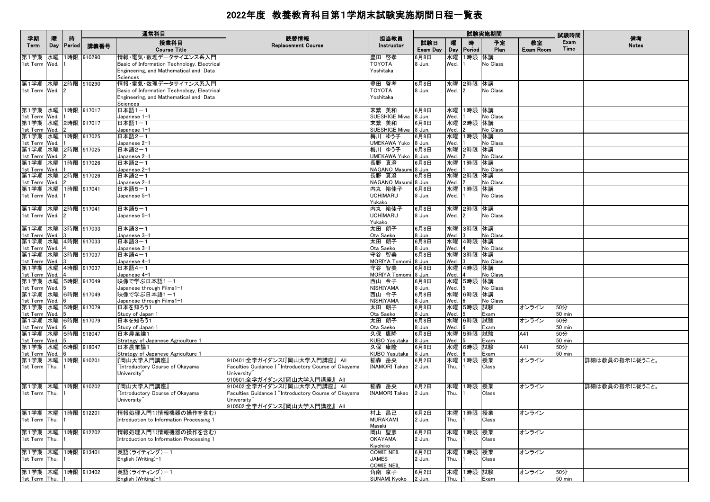|                                       |          |             |            | 通常科目                                                            |                                                                     |                               |                 |            |               | 試験実施期間     |                        | 試験時間                 |                    |
|---------------------------------------|----------|-------------|------------|-----------------------------------------------------------------|---------------------------------------------------------------------|-------------------------------|-----------------|------------|---------------|------------|------------------------|----------------------|--------------------|
| 学期<br>Term                            | 隁<br>Day | 時<br>Period | 講義番号       | 授業科目<br><b>Course Title</b>                                     | 読替情報<br><b>Replacement Course</b>                                   | 担当教員<br>Instructor            | 試験日<br>Exam Day | 曤<br>Day   | 腈<br>Period   | 予定<br>Plan | 教室<br><b>Exam Room</b> | Exam<br>Time         | 備考<br><b>Notes</b> |
| 第1学期 水曜                               |          |             | 1時限 910290 | 情報・電気・数理データサイエンス系入門                                             |                                                                     | 豊田 啓孝                         | 6月8日            | 水曜         | 1時限 休講        |            |                        |                      |                    |
| 1st Term Wed.                         |          |             |            | Basic of Information Technology, Electrical                     |                                                                     | <b>TOYOTA</b>                 | 8 Jun.          | Wed.       |               | No Class   |                        |                      |                    |
|                                       |          |             |            | Engineering, and Mathematical and Data<br>Sciences              |                                                                     | Yoshitaka                     |                 |            |               |            |                        |                      |                    |
| 第1学期 水曜 2時限 910290                    |          |             |            | 情報・電気・数理データサイエンス系入門                                             |                                                                     | 豊田 啓孝                         | 6月8日            |            | 水曜 2時限 休講     |            |                        |                      |                    |
| 1st Term Wed.                         |          |             |            | Basic of Information Technology, Electrical                     |                                                                     | <b>TOYOTA</b>                 | 8 Jun.          | Wed.       | 2             | No Class   |                        |                      |                    |
|                                       |          |             |            | Engineering, and Mathematical and Data                          |                                                                     | Yoshitaka                     |                 |            |               |            |                        |                      |                    |
|                                       |          |             |            | Sciences                                                        |                                                                     |                               |                 |            |               |            |                        |                      |                    |
| 第1学期 水曜 1時限 917017                    |          |             |            | 日本語1-1                                                          |                                                                     | 末繁 美和                         | 6月8日            |            | 水曜 1時限 休講     |            |                        |                      |                    |
| 1st Term Wed.<br>第1学期 水曜 2時限 917017   |          |             |            | Japanese 1-1<br>日本語1-1                                          |                                                                     | SUESHIGE Miwa 8 Jun.<br>末繁 美和 | 6月8日            | Wed.       | 水曜 2時限 休講     | No Class   |                        |                      |                    |
| 1st Term Wed.                         |          |             |            | Japanese 1-1                                                    |                                                                     | SUESHIGE Miwa                 | 8 Jun.          | Wed.       |               | No Class   |                        |                      |                    |
| 第1学期 水曜 1時限 917025                    |          |             |            | 日本語2-1                                                          |                                                                     | 梅川 ゆう子                        | 6月8日            |            | 水曜 1時限 休講     |            |                        |                      |                    |
| 1st Term Wed.                         |          |             |            | Japanese 2-1                                                    |                                                                     | UMEKAWA Yuko 8 Jun.           |                 | Wed.       |               | No Class   |                        |                      |                    |
| 第1学期 水曜 2時限 917025                    |          |             |            | 日本語2-1                                                          |                                                                     | 梅川 ゆう子                        | 6月8日            |            | 水曜 2時限 休講     |            |                        |                      |                    |
| 1st Term Wed.<br>第1学期 水曜 1時限 917026   |          |             |            | Japanese 2-1<br>日本語2-1                                          |                                                                     | UMEKAWA Yuko 8 Jun.<br>長野 真澄  | 6月8日            | Wed.       | 水曜 1時限 休講     | No Class   |                        |                      |                    |
| 1st Term Wed.                         |          |             |            | Japanese 2-1                                                    |                                                                     | NAGANO Masumi 8 Jun.          |                 | Wed.       |               | No Class   |                        |                      |                    |
| 第1学期 水曜 2時限 917026                    |          |             |            | 日本語2-1                                                          |                                                                     | 長野 真澄                         | 6月8日            | 水曜         | 2時限 休講        |            |                        |                      |                    |
| 1st Term Wed.                         |          |             |            | Japanese 2-1                                                    |                                                                     | NAGANO Masumi 8 Jun.          |                 | Wed.       |               | No Class   |                        |                      |                    |
| 第1学期 水曜 1時限 917041                    |          |             |            | 日本語5-1                                                          |                                                                     | 内丸 裕佳子                        | 6月8日            |            | 水曜 1時限 休講     |            |                        |                      |                    |
| 1st Term Wed.                         |          |             |            | Japanese 5-1                                                    |                                                                     | <b>UCHIMARU</b><br>Yukako     | 8 Jun.          | Wed.       |               | No Class   |                        |                      |                    |
| 第1学期 水曜 2時限 917041                    |          |             |            | 日本語5-1                                                          |                                                                     | 内丸 裕佳子                        | 6月8日            |            | 水曜 2時限 休講     |            |                        |                      |                    |
| 1st Term Wed.                         |          |             |            | Japanese 5-1                                                    |                                                                     | <b>UCHIMARU</b>               | 8 Jun.          | Wed.       | $\mathbf{12}$ | No Class   |                        |                      |                    |
|                                       |          |             |            |                                                                 |                                                                     | Yukako                        |                 |            |               |            |                        |                      |                    |
| 第1学期 水曜 3時限 917033                    |          |             |            | 日本語3-1                                                          |                                                                     | 太田 朗子                         | 6月8日            |            | 水曜 3時限 休講     |            |                        |                      |                    |
| 1st Term Wed.<br>第1学期 水曜 4時限 917033   |          |             |            | Japanese 3-1                                                    |                                                                     | Ota Saeko                     | 8 Jun.          | Wed.       |               | No Class   |                        |                      |                    |
| 1st Term Wed.                         |          |             |            | 日本語3-1<br>Japanese 3-1                                          |                                                                     | 太田 朗子<br>Ota Saeko            | 6月8日<br>8 Jun.  | Wed.       | 水曜 4時限 休講     | No Class   |                        |                      |                    |
| 第1学期 水曜 3時限 917037                    |          |             |            | 日本語4-1                                                          |                                                                     | 守谷 智美                         | 6月8日            | 水曜         | 3時限 休講        |            |                        |                      |                    |
| 1st Term Wed.                         |          |             |            | Japanese 4-1                                                    |                                                                     | MORIYA Tomomi 8 Jun.          |                 | Wed.       |               | No Class   |                        |                      |                    |
| 第1学期 水曜 4時限 917037                    |          |             |            | 日本語4-1                                                          |                                                                     | 守谷 智美                         | 6月8日            |            | 水曜 4時限 休講     |            |                        |                      |                    |
| 1st Term Wed.<br>第1学期 水曜 5時限 917049   |          |             |            | Japanese 4-1<br>映像で学ぶ日本語1-1                                     |                                                                     | MORIYA Tomomi 8 Jun.          | 6月8日            | Wed.       | 水曜 5時限 休講     | No Class   |                        |                      |                    |
| 1st Term Wed.                         |          |             |            | Japanese through Films1-1                                       |                                                                     | 西山 令子<br>NISHIYAMA            | 8 Jun.          | Wed.       |               | No Class   |                        |                      |                    |
| 第1学期 水曜 6時限 917049                    |          |             |            | 映像で学ぶ日本語1-1                                                     |                                                                     | 西山 令子                         | 6月8日            |            | 水曜 6時限 休講     |            |                        |                      |                    |
| 1st Term Wed.                         |          |             |            | Japanese through Films1-1                                       |                                                                     | NISHIYAMA                     | 8 Jun.          | Wed.       |               | No Class   |                        |                      |                    |
| 第1学期 水曜 5時限 917079                    |          |             |            | 日本を知ろう1                                                         |                                                                     | 太田 朗子                         | 6月8日            | 水曜         | 5時限           | 試験         | オンライン                  | 50分                  |                    |
| 1st Term Wed.<br>第1学期 水曜 6時限 917079   |          |             |            | Study of Japan 1<br>日本を知ろう1                                     |                                                                     | Ota Saeko<br>太田 朗子            | 8 Jun.<br>6月8日  | Wed.<br>水曜 | 6時限 試験        | Exam       | オンライン                  | <b>50 min</b><br>50分 |                    |
| 1st Term Wed.                         |          |             |            | Study of Japan 1                                                |                                                                     | Ota Saeko                     | 8 Jun.          | Wed.       |               | Exam       |                        | <b>50 min</b>        |                    |
| 第1学期 水曜 5時限 918047                    |          |             |            | 日本農業論1                                                          |                                                                     | 久保 康隆                         | 6月8日            |            | 水曜 5時限 試験     |            | A41                    | 50分                  |                    |
| 1st Term Wed.                         |          |             |            | Strategy of Japanese Agriculture 1                              |                                                                     | KUBO Yasutaka                 | 8 Jun.          | Wed.       |               | Exam       |                        | <b>50 min</b>        |                    |
| 第1学期 水曜 6時限 918047                    |          |             |            | 日本農業論1                                                          |                                                                     | 久保 康隆                         | 6月8日            | 水曜         | 6時限 試験        |            | A41                    | 50分                  |                    |
| 1st Term Wed.<br>第1学期 木曜 1時限 910201   |          |             |            | Strategy of Japanese Agriculture 1<br>『岡山大学入門講座』                | 910401:全学ガイダンスI『岡山大学入門講座』 All                                       | KUBO Yasutaka<br>稲森 岳央        | 8 Jun.<br>6月2日  | Wed.       | 木曜 1時限        | Exam<br>授業 | オンライン                  | $50$ min             | 詳細は教員の指示に従うこと。     |
| 1st Term Thu.                         |          |             |            | "Introductory Course of Okayama                                 | Faculties Guidance I "Introductory Course of Okayama                | <b>INAMORI Takao</b>          | 2 Jun.          | Thu.       |               | Class      |                        |                      |                    |
|                                       |          |             |            | University"                                                     | University"                                                         |                               |                 |            |               |            |                        |                      |                    |
|                                       |          |             |            |                                                                 | 910501:全学ガイダンス『岡山大学入門講座』 All                                        |                               |                 |            |               |            |                        |                      |                    |
| 第1学期 木曜                               |          |             | 1時限 910202 | 『岡山大学入門講座』                                                      | 910402:全学ガイダンスI『岡山大学入門講座』 All                                       | 稲森 岳央                         | 6月2日            | 木曜         | 1時限 授業        |            | オンライン                  |                      | 詳細は教員の指示に従うこと。     |
| 1st Term Thu.                         |          |             |            | "Introductory Course of Okayama<br>University"                  | Faculties Guidance I "Introductory Course of Okayama<br>University" | <b>INAMORI Takao</b>          | 2 Jun.          | Thu.       |               | Class      |                        |                      |                    |
|                                       |          |             |            |                                                                 | 910502:全学ガイダンス『岡山大学入門講座』 All                                        |                               |                 |            |               |            |                        |                      |                    |
| 第1学期 木曜 1時限 912201                    |          |             |            | 情報処理入門1(情報機器の操作を含む)                                             |                                                                     | 村上 昌己                         | 6月2日            |            | 木曜  1時限  授業   |            | オンライン                  |                      |                    |
| 1st Term Thu.                         |          |             |            | Introduction to Information Processing 1                        |                                                                     | <b>MURAKAMI</b>               | 2 Jun.          | Thu.       |               | Class      |                        |                      |                    |
| 第1学期 木曜 1時限 912202                    |          |             |            |                                                                 |                                                                     | Masaki                        |                 |            |               |            |                        |                      |                    |
| 1st Term Thu.                         |          |             |            | 情報処理入門1(情報機器の操作を含む)<br>Introduction to Information Processing 1 |                                                                     | 岡山 聖彦<br><b>OKAYAMA</b>       | 6月2日<br>2 Jun.  | Thu.       | 木曜 1時限 授業     | Class      | オンライン                  |                      |                    |
|                                       |          |             |            |                                                                 |                                                                     | Kiyohiko                      |                 |            |               |            |                        |                      |                    |
| 第1学期 木曜                               |          |             | 1時限 913401 | 英語(ライティング)ー1                                                    |                                                                     | <b>COWIE NEIL</b>             | 6月2日            | 木曜         | 1時限 授業        |            | オンライン                  |                      |                    |
| 1st Term Thu.                         |          |             |            | English (Writing)-1                                             |                                                                     | <b>JAMES</b>                  | 2 Jun.          | Thu.       |               | Class      |                        |                      |                    |
|                                       |          |             |            |                                                                 |                                                                     | <b>COWIE NEIL</b>             |                 |            |               |            |                        |                      |                    |
| 第1学期 木曜 1時限 913402<br>1st Term Thu. 1 |          |             |            | 英語(ライティング)ー1<br>English (Writing)-1                             |                                                                     | 角南 京子<br><b>SUNAMI Kvoko</b>  | 6月2日<br>2 Jun.  | Thu.       | 木曜 1時限 試験     | Exam       | オンライン                  | 50分<br>$50$ min      |                    |
|                                       |          |             |            |                                                                 |                                                                     |                               |                 |            |               |            |                        |                      |                    |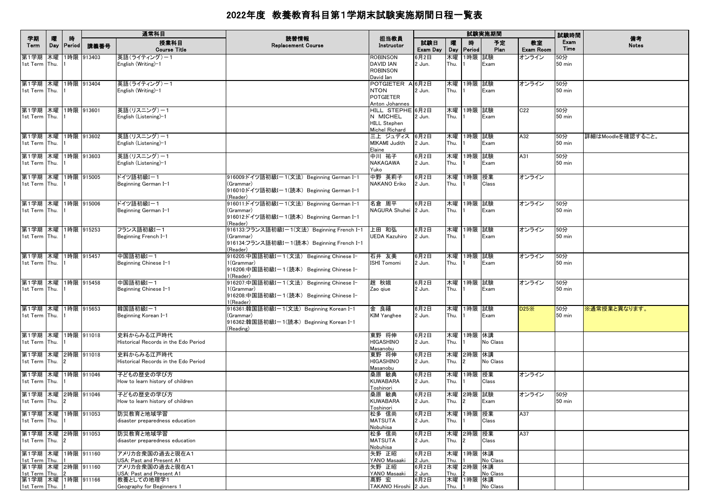|                                                           |          |                    |            | 通常科目                                                                |                                                                                                                  |                                                                       |                        |                    |                             | 試験実施期間               |                        | 試験時間                 |                    |
|-----------------------------------------------------------|----------|--------------------|------------|---------------------------------------------------------------------|------------------------------------------------------------------------------------------------------------------|-----------------------------------------------------------------------|------------------------|--------------------|-----------------------------|----------------------|------------------------|----------------------|--------------------|
| 学期<br>Term                                                | 曤<br>Day | 時<br><b>Period</b> | 講義番号       | 授業科目<br><b>Course Title</b>                                         | 読替情報<br><b>Replacement Course</b>                                                                                | 担当教員<br>Instructor                                                    | 試験日<br>Exam Day        | 曤<br>Day           | 時<br><b>Period</b>          | 予定<br>Plan           | 教室<br><b>Exam Room</b> | Exam<br>Time         | 備考<br><b>Notes</b> |
| 第1学期<br>1st Term Thu.                                     | 木曜       |                    | 1時限 913403 | 英語(ライティング)ー1<br>English (Writing)-1                                 |                                                                                                                  | <b>ROBINSON</b><br><b>DAVID IAN</b><br><b>ROBINSON</b><br>David Ian   | 6月2日<br>2 Jun.         | 木曜<br>Thu.         | 1時限 試験                      | Exam                 | オンライン                  | 50分<br>$50$ min      |                    |
| 第1学期 木曜 1時限 913404<br>1st Term Thu.                       |          |                    |            | 英語(ライティング)ー1<br>English (Writing)-1                                 |                                                                                                                  | POTGIETER A 6月2日<br><b>NTON</b><br><b>POTGIETER</b><br>Anton Johannes | 2 Jun.                 | Thu.               | 木曜 1時限 試験                   | Exam                 | オンライン                  | 50分<br>$50$ min      |                    |
| 第1学期 木曜 1時限 913601<br>1st Term Thu.                       |          |                    |            | 英語(リスニング)-1<br>English (Listening)-1                                |                                                                                                                  | HILL STEPHE 6月2日<br>N MICHEL<br><b>HILL Stephen</b><br>Michel Richard | 2 Jun.                 | Thu.               | 木曜 1時限 試験                   | Exam                 | C22                    | 50分<br>50 min        |                    |
| 第1学期 木曜 1時限 913602<br>1st Term Thu.                       |          |                    |            | 英語(リスニング)-1<br>English (Listening)-1                                |                                                                                                                  | 三上 ジュディス<br>MIKAMI Judith<br>Elaine                                   | 6月2日<br>2 Jun.         | Thu.               | 木曜 1時限 試験                   | Exam                 | A32                    | 50分<br><b>50 min</b> | 詳細はMoodleを確認すること。  |
| 第1学期 木曜 1時限 913603<br>1st Term Thu.                       |          |                    |            | 英語(リスニング)-1<br>English (Listening)-1                                |                                                                                                                  | 中川 祐子<br>NAKAGAWA<br>Yuko                                             | 6月2日<br>2 Jun.         | 木曜<br>Thu.         | 1時限 試験                      | Exam                 | A31                    | 50分<br><b>50 min</b> |                    |
| 第1学期 木曜 1時限 915005<br>1st Term Thu.                       |          |                    |            | ドイツ語初級Iー1<br>Beginning German I-1                                   | 916009:ドイツ語初級Iー1(文法) Beginning German I-1<br>(Grammar)<br>916010:ドイツ語初級Iー1(読本) Beginning German I-1<br>(Reader)  | 中野 英莉子<br><b>NAKANO Eriko</b>                                         | 6月2日<br>2 Jun.         | Thu.               | 木曜 1時限 授業                   | Class                | オンライン                  |                      |                    |
| 第1学期 木曜 1時限 915006<br>1st Term Thu.                       |          |                    |            | ドイツ語初級Iー1<br>Beginning German I-1                                   | 916011:ドイツ語初級Iー1(文法)Beginning German I-1<br>(Grammar)<br>916012:ドイツ語初級Iー1(読本) Beginning German I-1<br>(Reader)   | 名倉 周平<br>NAGURA Shuhei 2 Jun.                                         | 6月2日                   | Thu.               | 木曜 1時限 試験                   | Exam                 | オンライン                  | 50分<br>$50$ min      |                    |
| 第1学期 木曜 1時限 915253<br>1st Term Thu.                       |          |                    |            | フランス語初級I-1<br>Beginning French I-1                                  | 916133:フランス語初級Iー1(文法)Beginning French I-1<br>(Grammar)<br>916134:フランス語初級I-1(読本) Beginning French I-1<br>(Reader) | 上田 和弘<br>UEDA Kazuhiro                                                | 6月2日<br>2 Jun.         | 木曜<br>Thu.         | 1時限 試験                      | Exam                 | オンライン                  | 50分<br><b>50 min</b> |                    |
| 第1学期 木曜 1時限 915457<br>1st Term Thu.                       |          |                    |            | 中国語初級I-1<br>Beginning Chinese I-1                                   | 916205:中国語初級Iー1(文法) Beginning Chinese I-<br>1(Grammar)<br>916206:中国語初級I-1(読本) Beginning Chinese I-<br>1(Reader)  | 石井 友美<br><b>ISHI Tomomi</b>                                           | 6月2日<br>2 Jun.         | 木曜<br>Thu.         | 1時限 試験                      | Exam                 | オンライン                  | 50分<br>$50$ min      |                    |
| 第1学期 木曜 1時限 915458<br>1st Term Thu.                       |          |                    |            | 中国語初級I-1<br>Beginning Chinese I-1                                   | 916207:中国語初級Iー1(文法) Beginning Chinese I-<br>1(Grammar)<br>916208:中国語初級Iー1(読本) Beginning Chinese I-<br>1(Reader)  | 趙 秋娥<br>Zao giue                                                      | 6月2日<br>2 Jun.         | 木曜<br>Thu.         | 1時限 試験                      | Exam                 | オンライン                  | 50分<br><b>50 min</b> |                    |
| 第1学期 木曜 1時限 915653<br>1st Term Thu.                       |          |                    |            | 韓国語初級I-1<br>Beginning Korean I-1                                    | 916361:韓国語初級Iー1(文法)Beginning Korean I–1<br>(Grammar)<br>916362:韓国語初級I-1(読本) Beginning Korean I-1<br>(Reading)    | 金 良禧<br><b>KIM Yanghee</b>                                            | 6月2日<br>2 Jun.         | Thu.               | 木曜 1時限 試験                   | Exam                 | D25X                   | 50分<br><b>50 min</b> | ※通常授業と異なります。       |
| 第1学期 木曜 1時限 911018<br>1st Term Thu.                       |          |                    |            | 史料からみる江戸時代<br>Historical Records in the Edo Period                  |                                                                                                                  | 東野 将伸<br>HIGASHINO<br>Masanobu                                        | 6月2日<br>2 Jun.         | Thu.               | 木曜  1時限  休講                 | No Class             |                        |                      |                    |
| 第1学期 木曜 2時限 911018<br>1st Term Thu.                       |          | $\mathbf{12}$      |            | 史料からみる江戸時代<br>Historical Records in the Edo Period                  |                                                                                                                  | 東野 将伸<br>HIGASHINO<br>Masanobu                                        | 6月2日<br>2 Jun.         | Thu.               | 木曜 2時限 休講<br>$\overline{2}$ | No Class             |                        |                      |                    |
| 第1学期  木曜  1時限  911046<br>1st Term Thu.                    |          |                    |            | 子どもの歴史の学び方<br>How to learn history of children                      |                                                                                                                  | 桑原 敏典<br><b>KUWABARA</b><br>Toshinori                                 | 6月2日<br>2 Jun.         | Thu.               | 木曜 1時限 授業                   | Class                | オンライン                  |                      |                    |
| 第1学期 木曜<br>1st Term Thu.                                  |          |                    | 2時限 911046 | 子どもの歴史の学び方<br>How to learn history of children                      |                                                                                                                  | 桑原 敏典<br><b>KUWABARA</b><br>Toshinori                                 | 6月2日<br>2 Jun.         | 木曜<br>Thu.         | 2時限 試験<br><u>2</u>          | Exam                 | オンライン                  | 50分<br>50 min        |                    |
| 第1学期 木曜 1時限 911053<br>1st Term Thu.                       |          |                    |            | 防災教育と地域学習<br>disaster preparedness education                        |                                                                                                                  | 松多 信尚<br><b>MATSUTA</b><br>Nobuhisa                                   | 6月2日<br>2 Jun.         | 木曜<br>Thu.         | 1時限 授業                      | Class                | A37                    |                      |                    |
| 第1学期 木曜 2時限 911053<br>1st Term Thu. 2                     |          |                    |            | 防災教育と地域学習<br>disaster preparedness education                        |                                                                                                                  | 松多 信尚<br><b>MATSUTA</b><br>Nobuhisa                                   | 6月2日<br>2 Jun.         | 木曜<br>Thu.         | 2時限 授業<br>$\overline{2}$    | Class                | A37                    |                      |                    |
| 第1学期 木曜 1時限 911160<br>1st Term Thu.<br>第1学期 木曜 2時限 911160 |          |                    |            | アメリカ合衆国の過去と現在A1<br>USA: Past and Present A1<br>アメリカ合衆国の過去と現在A1      |                                                                                                                  | 矢野 正昭<br>YANO Masaaki<br>矢野 正昭                                        | 6月2日<br>2 Jun.<br>6月2日 | Thu.<br>木曜         | 木曜 1時限 休講<br>2時限 休講         | No Class             |                        |                      |                    |
| 1st Term Thu.<br>第1学期 木曜 1時限 911166<br>1st Term Thu. 1    |          | $\mathbf{12}$      |            | USA: Past and Present A1<br>教養としての地理学1<br>Geography for Beginners 1 |                                                                                                                  | YANO Masaaki<br>髙野 宏<br>TAKANO Hiroshi 2 Jun.                         | 2 Jun.<br>6月2日         | Thu.<br>木曜<br>Thu. | 1時限  休講                     | No Class<br>No Class |                        |                      |                    |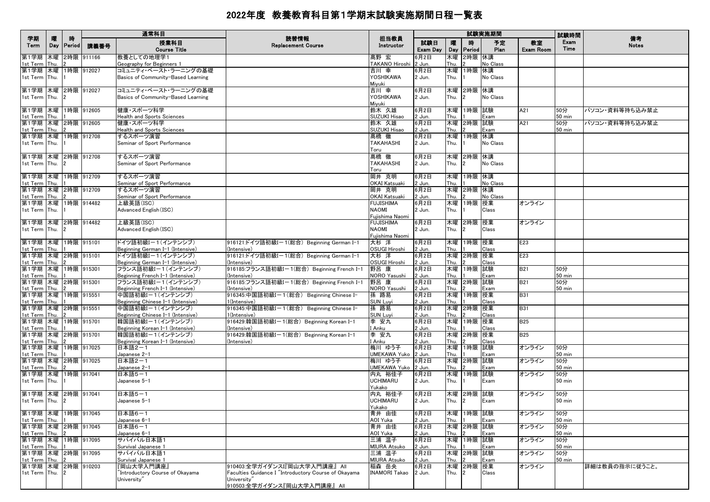|                                     |          | 時             |               | 通常科目                                                  | 読替情報                                                     | 担当教員                             |                 |            |                | 試験実施期間     |                 | 試験時間          | 備考             |
|-------------------------------------|----------|---------------|---------------|-------------------------------------------------------|----------------------------------------------------------|----------------------------------|-----------------|------------|----------------|------------|-----------------|---------------|----------------|
| 学期<br>Term                          | 曤<br>Day | Period        | 講義番号          | 授業科目<br><b>Course Title</b>                           | <b>Replacement Course</b>                                | Instructor                       | 試験日<br>Exam Day | 嚁<br>Day   | 時<br>Period    | 予定<br>Plan | 教室<br>Exam Room | Exam<br>Time  | <b>Notes</b>   |
| 第1学期<br>1st Term Thu.               | 木曜       |               | 2時限 911166    | 教養としての地理学1<br>Geography for Beginners 1               |                                                          | 髙野 宏<br>TAKANO Hiroshi           | 6月2日<br>2 Jun.  | 木曜<br>Thu. | 2時限 休講         | No Class   |                 |               |                |
| 第1学期 木曜 1時限 912027                  |          |               |               | コミュニティ・ベースト・ラーニングの基礎                                  |                                                          | 吉川 幸                             | 6月2日            | 木曜         | 1時限 休講         |            |                 |               |                |
| 1st Term Thu.                       |          |               |               | Basics of Community-Based Learning                    |                                                          | YOSHIKAWA<br>Miyuki              | 2 Jun.          | Thu.       |                | No Class   |                 |               |                |
| 第1学期 木曜 2時限 912027                  |          |               |               | コミュニティ・ベースト・ラーニングの基礎                                  |                                                          | 吉川 幸                             | 6月2日            | 木曜         | 2時限 休講         |            |                 |               |                |
| 1st Term Thu.                       |          | 12            |               | Basics of Community-Based Learning                    |                                                          | YOSHIKAWA<br>Miyuki              | 2 Jun.          | Thu.       | $\mathcal{P}$  | No Class   |                 |               |                |
| 第1学期 木曜 1時限 912605                  |          |               |               | 健康・スポーツ科学                                             |                                                          | 鈴木 久雄                            | 6月2日            | 木曜         | 1時限 試験         |            | A21             | 50分           | パソコン・資料等持ち込み禁止 |
| 1st Term Thu.                       |          |               |               | Health and Sports Sciences                            |                                                          | SUZUKI Hisao                     | 2 Jun.          | Thu.       |                | Exam       |                 | 50 min        |                |
| 第1学期 木曜 2時限 912605<br>1st Term Thu. |          |               |               | 健康・スポーツ科学<br>Health and Sports Sciences               |                                                          | 鈴木 久雄<br>SUZUKI Hisao            | 6月2日<br>2 Jun.  | 木曜<br>Thu. | 2時限 試験         | Exam       | A21             | 50分<br>50 min | パソコン・資料等持ち込み禁止 |
| 第1学期                                |          |               | 木曜 1時限 912708 | するスポーツ演習                                              |                                                          | 髙橋 徹                             | 6月2日            | 木曜         | 1時限 休講         |            |                 |               |                |
| 1st Term Thu.                       |          |               |               | Seminar of Sport Performance                          |                                                          | <b>TAKAHASHI</b>                 | 2 Jun.          | Thu.       |                | No Class   |                 |               |                |
|                                     |          |               |               |                                                       |                                                          | Toru                             |                 |            |                |            |                 |               |                |
| 第1学期 木曜 2時限 912708                  |          |               |               | するスポーツ演習                                              |                                                          | 髙橋 徹                             | 6月2日            |            | 木曜 2時限 休講      |            |                 |               |                |
| 1st Term Thu.                       |          | $\mathbf{12}$ |               | Seminar of Sport Performance                          |                                                          | <b>TAKAHASHI</b><br>Toru         | 2 Jun.          | Thu.       | $\mathcal{P}$  | No Class   |                 |               |                |
| 第1学期                                |          |               | 木曜 1時限 912709 | するスポーツ演習                                              |                                                          | 岡井 克明                            | 6月2日            | 木曜         | 1時限 休講         |            |                 |               |                |
| 1st Term Thu.                       |          |               |               | Seminar of Sport Performance                          |                                                          | OKAI Katsuaki                    | 2 Jun.          | Thu.       |                | No Class   |                 |               |                |
| 第1学期 木曜 2時限 912709                  |          |               |               | するスポーツ演習                                              |                                                          | 岡井 克明                            | 6月2日            | 木曜         | 2時限 休講         |            |                 |               |                |
| 1st Term Thu.                       |          |               |               | Seminar of Sport Performance                          |                                                          | OKAI Katsuaki                    | 2 Jun.          | Thu.       |                | No Class   |                 |               |                |
| 第1学期 木曜 1時限 914482<br>1st Term Thu. |          |               |               | 上級英語(ISC)<br>Advanced English (ISC)                   |                                                          | <b>FUJISHIMA</b><br><b>NAOMI</b> | 6月2日            | 木曜<br>Thu. | 1時限 授業         | Class      | オンライン           |               |                |
|                                     |          |               |               |                                                       |                                                          | Fujishima Naomi                  | 2 Jun.          |            |                |            |                 |               |                |
| 第1学期 木曜 2時限 914482                  |          |               |               | 上級英語(ISC)                                             |                                                          | <b>FUJISHIMA</b>                 | 6月2日            |            | 木曜 2時限 授業      |            | オンライン           |               |                |
| 1st Term Thu.                       |          | $\mathbf{12}$ |               | Advanced English (ISC)                                |                                                          | <b>NAOMI</b>                     | 2 Jun.          | Thu.       | $\mathfrak{p}$ | Class      |                 |               |                |
|                                     |          |               |               |                                                       |                                                          | Fujishima Naomi                  |                 |            |                |            |                 |               |                |
| 第1学期 木曜 1時限 915101                  |          |               |               | ドイツ語初級I-1(インテンシブ)                                     | 916121:ドイツ語初級I-1(総合) Beginning German I-1                | 大杉 洋                             | 6月2日            | 木曜         | 1時限 授業         |            | E23             |               |                |
| 1st Term Thu.<br>第1学期 木曜 2時限 915101 |          |               |               | Beginning German I-1 (Intensive)<br>ドイツ語初級I-1(インテンシブ) | (Intensive)<br>916121:ドイツ語初級I-1(総合) Beginning German I-1 | OSUGI Hiroshi<br>大杉 洋            | 2 Jun.<br>6月2日  | Thu.<br>木曜 | 2時限 授業         | Class      | E23             |               |                |
| 1st Term Thu.                       |          |               |               | Beginning German I-1 (Intensive)                      | (Intensive)                                              | <b>OSUGI Hiroshi</b>             | 2 Jun.          | Thu.       |                | Class      |                 |               |                |
| 第1学期 木曜 1時限 915301                  |          |               |               | フランス語初級I-1(インテンシブ)                                    | 916185:フランス語初級I-1(総合) Beginning French I-1               | 野呂 康                             | 6月2日            | 木曜         | 1時限 試験         |            | <b>B21</b>      | 50分           |                |
| 1st Term Thu.                       |          | $\mathbf{11}$ |               | Beginning French I-1 (Intensive)                      | (Intensive)                                              | NORO Yasushi                     | 2 Jun.          | Thu.       |                | Exam       |                 | <b>50 min</b> |                |
| 第1学期 木曜 2時限 915301                  |          |               |               | フランス語初級I-1(インテンシブ)                                    | 916185:フランス語初級I-1(総合) Beginning French I-1               | 野呂 康                             | 6月2日            | 木曜         | 2時限 試験         |            | <b>B21</b>      | 50分           |                |
| 1st Term Thu.<br>第1学期               |          |               | 木曜 1時限 915551 | Beginning French I-1 (Intensive)<br>中国語初級I-1(インテンシブ)  | (Intensive)<br>916345:中国語初級I-1(総合) Beginning Chinese I-  | NORO Yasushi<br>孫 路易             | 2 Jun.<br>6月2日  | Thu.<br>木曜 | 1時限 授業         | Exam       | <b>B31</b>      | $50$ min      |                |
| 1st Term                            | Thu.     |               |               | Beginning Chinese I-1 (Intensive)                     | 1(Intensive)                                             | <b>SUN Luvi</b>                  | 2 Jun.          | Thu.       |                | Class      |                 |               |                |
| 第1学期                                |          |               | 木曜 2時限 915551 | 中国語初級Iー1(インテンシブ)                                      | 916345:中国語初級Iー1(総合) Beginning Chinese I-                 | 孫 路易                             | 6月2日            | 木曜         | 2時限 授業         |            | <b>B31</b>      |               |                |
| 1st Term Thu.                       |          |               |               | Beginning Chinese I-1 (Intensive)                     | 1(Intensive)                                             | <b>SUN Luyi</b>                  | 2 Jun.          | Thu.       |                | Class      |                 |               |                |
| 第1学期 木曜 1時限 915701                  |          |               |               | 韓国語初級I-1(インテンシブ)                                      | 916429:韓国語初級I-1(総合) Beginning Korean I-1                 | 李 安九                             | 6月2日            | 木曜         | 1時限 授業         |            | <b>B25</b>      |               |                |
| 1st Term<br>第1学期 木曜 2時限 915701      | Thu.     |               |               | Beginning Korean I-1 (Intensive)<br>韓国語初級I-1(インテンシブ)  | (Intensive)<br>916429:韓国語初級I-1(総合) Beginning Korean I-1  | I Anku<br>李 安九                   | 2 Jun.<br>6月2日  | Thu.<br>木曜 | 2時限 授業         | Class      | <b>B25</b>      |               |                |
| 1st Term Thu.                       |          | $\mathbf{E}$  |               | Beginning Korean I-1 (Intensive)                      | (Intensive)                                              | I Anku                           | 2 Jun.          | Thu.       |                | Class      |                 |               |                |
| 第1学期                                |          |               | 木曜 1時限 917025 | 日本語2-1                                                |                                                          | 梅川 ゆう子                           | 6月2日            | 木曜         | 1時限 試験         |            | オンライン           | 50分           |                |
| 1st Term Thu.                       |          |               |               | Japanese 2-1                                          |                                                          | UMEKAWA Yuko 2 Jun.              |                 | Thu.       |                | Exam       |                 | $50$ min      |                |
| 第1学期                                |          |               | 木曜 2時限 917025 | 日本語2-1                                                |                                                          | 梅川 ゆう子                           | 6月2日            | 木曜         | 2時限 試験         |            | オンライン           | 50分           |                |
| 1st Term<br>第1学期                    | Thu.     |               | 木曜 1時限 917041 | Japanese 2-1<br>日本語5-1                                |                                                          | UMEKAWA Yuko<br>内丸 裕佳子           | 2 Jun.<br>6月2日  | Thu.<br>木曜 | 1時限 試験         | Exam       | オンライン           | 50 min<br>50分 |                |
| 1st Term Thu.                       |          |               |               | Japanese 5-1                                          |                                                          | <b>UCHIMARU</b>                  | 2 Jun.          | Thu.       |                | Exam       |                 | $50$ min      |                |
|                                     |          |               |               |                                                       |                                                          | Yukako                           |                 |            |                |            |                 |               |                |
| 第1学期  木曜  2時限  917041               |          |               |               | 日本語5-1                                                |                                                          | 内丸 裕佳子                           | 6月2日            | 木曜         | 2時限 試験         |            | オンライン           | 50分           |                |
| 1st Term Thu.                       |          | 12            |               | Japanese 5-1                                          |                                                          | UCHIMARU                         | 2 Jun.          | Thu.       | 2              | Exam       |                 | 50 min        |                |
| 第1学期  木曜  1時限  917045               |          |               |               | 日本語6-1                                                |                                                          | Yukako<br>青井 由佳                  | 6月2日            | 木曜         | 1時限  試験        |            | オンライン           | 50分           |                |
| 1st Term Thu.                       |          |               |               | Japanese 6-1                                          |                                                          | AOI Yuka                         | 2 Jun.          | Thu.       |                | Exam       |                 | $50$ min      |                |
| 第1学期 木曜 2時限 917045                  |          |               |               | 日本語6-1                                                |                                                          | 青井 由佳                            | 6月2日            | 木曜         | 2時限 試験         |            | オンライン           | 50分           |                |
| 1st Term Thu.                       |          |               |               | Japanese 6-1                                          |                                                          | AOI Yuka                         | 2 Jun.          | Thu.       |                | Exam       |                 | $50$ min      |                |
| 第1学期 木曜 1時限 917095                  |          |               |               | サバイバル日本語1                                             |                                                          | 三浦 温子                            | 6月2日            | 木曜         | 1時限 試験         |            | オンライン           | 50分           |                |
| 1st Term Thu.<br>第1学期 木曜 2時限 917095 |          |               |               | Survival Japanese 1<br>サバイバル日本語1                      |                                                          | <b>MIURA Atsuko</b><br>三浦 温子     | 2 Jun.<br>6月2日  | Thu.<br>木曜 | 2時限 試験         | Exam       | オンライン           | 50 min<br>50分 |                |
| 1st Term Thu.                       |          | $\mathbf{E}$  |               | Survival Japanese 1                                   |                                                          | <b>MIURA Atsuko</b>              | 2 Jun.          | Thu.       |                | Exam       |                 | $50$ min      |                |
| 第1学期 木曜 2時限 910203                  |          |               |               | 『岡山大学入門講座』                                            | 910403:全学ガイダンスI『岡山大学入門講座』 AII                            | 稲森 岳央                            | 6月2日            |            | 木曜 2時限 授業      |            | オンライン           |               | 詳細は教員の指示に従うこと。 |
| 1st Term Thu. 2                     |          |               |               | "Introductory Course of Okayama                       | Faculties Guidance I "Introductory Course of Okayama     | <b>INAMORI Takao</b>             | 2 Jun.          | Thu.       | $\mathfrak{p}$ | Class      |                 |               |                |
|                                     |          |               |               | University"                                           | University"                                              |                                  |                 |            |                |            |                 |               |                |
|                                     |          |               |               |                                                       | 910503:全学ガイダンス『岡山大学入門講座』 All                             |                                  |                 |            |                |            |                 |               |                |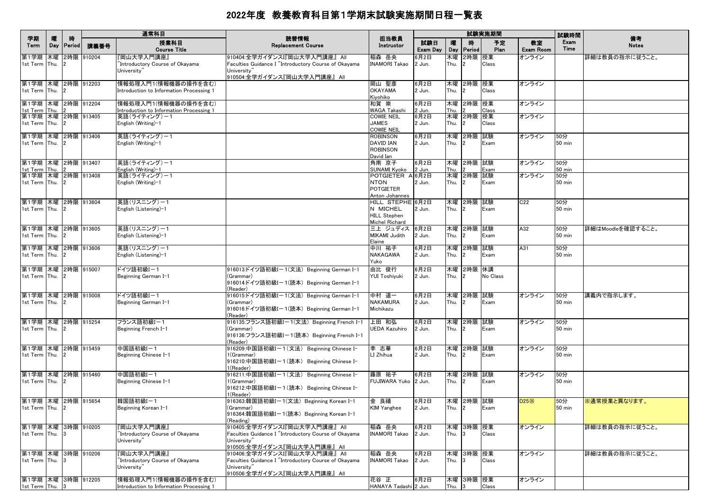|                                        |          |             |            | 通常科目                                                            |                                                                                                                                      |                                                              |                 |            |                               | 試験実施期間     |                        | 試験時間                    |                    |
|----------------------------------------|----------|-------------|------------|-----------------------------------------------------------------|--------------------------------------------------------------------------------------------------------------------------------------|--------------------------------------------------------------|-----------------|------------|-------------------------------|------------|------------------------|-------------------------|--------------------|
| 学期<br>Term                             | 曤<br>Day | 時<br>Period | 講義番号       | 授業科目<br><b>Course Title</b>                                     | 読替情報<br><b>Replacement Course</b>                                                                                                    | 担当教員<br>Instructor                                           | 試験日<br>Exam Day | 嚁<br>Day   | 腈<br>Period                   | 予定<br>Plan | 教室<br><b>Exam Room</b> | Exam<br>Time            | 備考<br><b>Notes</b> |
| 第1学期 木曜<br>1st Term Thu.               |          |             | 2時限 910204 | '岡山大学入門講座』<br>"Introductory Course of Okayama<br>University"    | 910404:全学ガイダンスI『岡山大学入門講座』 All<br>Faculties Guidance I "Introductory Course of Okayama<br>University"                                 | 稲森 岳央<br><b>INAMORI Takao</b>                                | 6月2日<br>2 Jun.  | 木曜<br>Thu. | 2時限 授業<br>$\overline{2}$      | Class      | オンライン                  |                         | 詳細は教員の指示に従うこと。     |
| 第1学期 木曜 2時限 912203                     |          |             |            | 情報処理入門1(情報機器の操作を含む)                                             | 910504:全学ガイダンス『岡山大学入門講座』 All                                                                                                         | 岡山 聖彦                                                        | 6月2日            | 木曜         | 2時限 授業                        |            | オンライン                  |                         |                    |
| 1st Term Thu.                          |          |             |            | Introduction to Information Processing 1                        |                                                                                                                                      | <b>OKAYAMA</b><br>Kiyohiko                                   | 2 Jun.          | Thu.       |                               | Class      |                        |                         |                    |
| 第1学期 木曜 2時限 912204<br>1st Term Thu.    |          |             |            | 情報処理入門1(情報機器の操作を含む)<br>Introduction to Information Processing 1 |                                                                                                                                      | 和賀 崇<br><b>WAGA Takashi</b>                                  | 6月2日<br>2 Jun.  | 木曜<br>Thu. | 2時限 授業                        | Class      | オンライン                  |                         |                    |
| 第1学期 木曜 2時限 913405<br>1st Term Thu.    |          |             |            | 英語(ライティング)ー1<br>English (Writing)-1                             |                                                                                                                                      | <b>COWIE NEIL</b><br><b>JAMES</b><br>cowie neil              | 6月2日<br>2 Jun.  | Thu.       | 木曜 2時限 授業                     | Class      | オンライン                  |                         |                    |
| 第1学期 木曜 2時限 913406<br>1st Term Thu.    |          |             |            | 英語(ライティング)ー1<br>English (Writing)-1                             |                                                                                                                                      | ROBINSON<br><b>DAVID IAN</b><br><b>ROBINSON</b><br>David Ian | 6月2日<br>2 Jun.  | Thu.       | 木曜 2時限 試験<br>$\overline{2}$   | Exam       | オンライン                  | 50分<br>$50 \text{ min}$ |                    |
| 第1学期 木曜 2時限 913407<br>1st Term Thu.    |          |             |            | 英語(ライティング)ー1<br>English (Writing)-1                             |                                                                                                                                      | 角南 京子<br>SUNAMI Kyoko                                        | 6月2日<br>2 Jun.  | Thu.       | 木曜  2時限  試験                   | Exam       | オンライン                  | 50分<br>$50 \text{ min}$ |                    |
| 第1学期 木曜 2時限 913408<br>1st Term Thu.    |          |             |            | 英語(ライティング)ー1<br>English (Writing)-1                             |                                                                                                                                      | POTGIETER A 6月2日<br><b>NTON</b><br><b>POTGIETER</b>          | 2 Jun.          | 木曜<br>Thu. | 2時限                           | 試験<br>Exam | オンライン                  | 50分<br>$50 \text{ min}$ |                    |
| 第1学期 木曜 2時限 913604                     |          |             |            | 英語(リスニング)ー1                                                     |                                                                                                                                      | Anton Johannes<br>HILL STEPHE 6月2日                           |                 |            | 木曜  2時限  試験                   |            | C22                    | 50分                     |                    |
| 1st Term Thu.                          |          |             |            | English (Listening)-1                                           |                                                                                                                                      | N MICHEL<br><b>HILL Stephen</b><br>Michel Richard            | 2 Jun.          | Thu.       | $\overline{2}$                | Exam       |                        | <b>50 min</b>           |                    |
| 第1学期  木曜  2時限  913605<br>1st Term Thu. |          |             |            | 英語(リスニング)-1<br>English (Listening)-1                            |                                                                                                                                      | 三上 ジュディス<br>MIKAMI Judith<br>Elaine                          | 6月2日<br>2 Jun.  | Thu.       | 木曜  2時限  試験                   | Exam       | A32                    | 50分<br>50 min           | 詳細はMoodleを確認すること。  |
| 第1学期 木曜 2時限 913606<br>1st Term Thu.    |          |             |            | 英語(リスニング)-1<br>English (Listening)-1                            |                                                                                                                                      | 中川 祐子<br>NAKAGAWA<br>Yuko                                    | 6月2日<br>2 Jun.  | 木曜<br>Thu. | 2時限 試験                        | Exam       | A31                    | 50分<br>$50 \text{ min}$ |                    |
| 第1学期 木曜 2時限 915007<br>1st Term Thu.    |          |             |            | ドイツ語初級Iー1<br>Beginning German I-1                               | 916013:ドイツ語初級I-1(文法) Beginning German I-1<br>(Grammar)<br>916014ドイツ語初級I-1(読本) Beginning German I-1<br>(Reader)                       | 由比 俊行<br><b>YUI Toshiyuki</b>                                | 6月2日<br>2 Jun.  | Thu.       | 木曜 2時限 休講<br>2                | No Class   |                        |                         |                    |
| 第1学期 木曜 2時限 915008<br>1st Term Thu.    |          |             |            | ドイツ語初級I-1<br>Beginning German I-1                               | 916015:ドイツ語初級I-1(文法) Beginning German I-1<br>(Grammar)<br>916016:ドイツ語初級Iー1(読本) Beginning German I-1<br>(Reader)                      | 中村 道一<br><b>NAKAMURA</b><br>Michikazu                        | 6月2日<br>2 Jun.  | Thu.       | 木曜 2時限 試験<br>$\overline{2}$   | Exam       | オンライン                  | 50分<br>$50 \text{ min}$ | 講義内で指示します。         |
| 第1学期 木曜 2時限 915254<br>1st Term Thu.    |          |             |            | フランス語初級I-1<br>Beginning French I-1                              | 916135:フランス語初級I-1(文法) Beginning French I-1<br>(Grammar)<br>916136:フランス語初級I-1(読本) Beginning French I-1<br>(Reader)                    | 上田 和弘<br>JEDA Kazuhiro                                       | 6月2日<br>2 Jun.  | Thu.       | 木曜  2時限  試験                   | Exam       | オンライン                  | 50分<br>$50 \text{ min}$ |                    |
| 第1学期 木曜 2時限 915459<br>1st Term Thu.    |          |             |            | 中国語初級I-1<br>Beginning Chinese I-1                               | 916209:中国語初級I-1(文法) Beginning Chinese I-<br>1(Grammar)<br>916210:中国語初級Iー1(読本) Beginning Chinese I-<br>1(Reader)                      | 李 志華<br>LI Zhihua                                            | 6月2日<br>2 Jun.  | Thu.       | 木曜 2時限 試験<br>2                | Exam       | オンライン                  | 50分<br>50 min           |                    |
| 第1学期 木曜 2時限 915460<br>1st Term Thu.    |          |             |            | 中国語初級I-1<br>Beginning Chinese I-1                               | 916211:中国語初級I-1(文法) Beginning Chinese I-<br>1(Grammar)<br> 916212:中国語初級Iー1(読本) Beginning Chinese I-<br>1(Reader)                     | 藤原 祐子<br>FUJIWARA Yuko   2 Jun.                              | 6月2日            | Thu.       | 木曜  2時限  試験<br>$\overline{2}$ | Exam       | オンライン                  | 50分<br>$50 \text{ min}$ |                    |
| 第1学期 木曜 2時限 915654<br>1st Term Thu.    |          |             |            | 韓国語初級I-1<br>Beginning Korean I-1                                | 916363:韓国語初級I-1(文法) Beginning Korean I-1<br>(Grammar)<br>916364:韓国語初級I-1(読本) Beginning Korean I-1<br>(Reading)                       | 金 良禧<br><b>KIM Yanghee</b>                                   | 6月2日<br>2 Jun.  | Thu. 2     | 木曜 2時限 試験                     | Exam       | D25X                   | 50分<br>$50 \text{ min}$ | ※通常授業と異なります。       |
| 第1学期 木曜 3時限 910205<br>1st Term Thu.    |          |             |            | 『岡山大学入門講座』<br>"Introductory Course of Okayama<br>University"    | 910405:全学ガイダンスI『岡山大学入門講座』 All<br>Faculties Guidance I "Introductory Course of Okayama<br>University"<br>910505:全学ガイダンス『岡山大学入門講座』 All | 稲森 岳央<br><b>INAMORI Takao</b>                                | 6月2日<br>2 Jun.  | Thu.       | 木曜 3時限 授業<br>3                | Class      | オンライン                  |                         | 詳細は教員の指示に従うこと。     |
| 第1学期 木曜 3時限 910206<br>1st Term Thu.    |          |             |            | 『岡山大学入門講座』<br>"Introductory Course of Okayama<br>University"    | 910406:全学ガイダンスI『岡山大学入門講座』 All<br>Faculties Guidance I "Introductory Course of Okayama<br>University"<br>910506:全学ガイダンス『岡山大学入門講座』 All | 稲森 岳央<br><b>INAMORI Takao</b>                                | 6月2日<br>2 Jun.  | Thu.       | 木曜 3時限 授業                     | Class      | オンライン                  |                         | 詳細は教員の指示に従うこと。     |
| 第1学期 木曜 3時限 912205<br>1st Term Thu.    |          |             |            | 情報処理入門1(情報機器の操作を含む)<br>Introduction to Information Processing 1 |                                                                                                                                      | 花谷 正<br>HANAYA Tadashi 2 Jun.                                | 6月2日            | Thu.       | 木曜 3時限 授業                     | Class      | オンライン                  |                         |                    |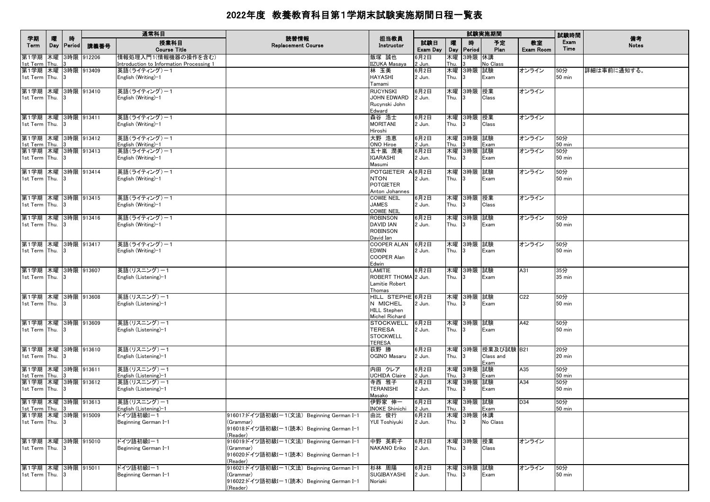| 学期                                       | 曤 | 時          |            | 通常科目                                                            | 読替情報                                                  | 担当教員                                |                 |            |                 | 試験実施期間            |                        | 試験時間            | 備考           |
|------------------------------------------|---|------------|------------|-----------------------------------------------------------------|-------------------------------------------------------|-------------------------------------|-----------------|------------|-----------------|-------------------|------------------------|-----------------|--------------|
| Term                                     |   | Day Period | 講義番号       | 授業科目<br><b>Course Title</b>                                     | <b>Replacement Course</b>                             | Instructor                          | 試験日<br>Exam Day | 嚁          | 時<br>Day Period | 予定<br>Plan        | 教室<br><b>Exam Room</b> | Exam<br>Time    | <b>Notes</b> |
| 第1学期 木曜 3時限 912206<br>1st Term Thu.      |   |            |            | 情報処理入門1(情報機器の操作を含む)<br>Introduction to Information Processing 1 |                                                       | 飯塚 誠也<br><b>IIZUKA Masaya</b>       | 3月2日<br>2 Jun.  | 木曜<br>Thu. | 3時限 休講          | No Class          |                        |                 |              |
| 第1学期 木曜 3時限 913409                       |   |            |            | 英語(ライティング)-1                                                    |                                                       | 林 玉美                                | 6月2日            |            | 木曜 3時限 試験       |                   | オンライン                  | 50分             | 詳細は事前に通知する。  |
| 1st Term Thu. 3                          |   |            |            | English (Writing)-1                                             |                                                       | <b>HAYASHI</b><br>Tamami            | 2 Jun.          | Thu.       |                 | Exam              |                        | 50 min          |              |
| 第1学期 木曜 3時限 913410                       |   |            |            | 英語(ライティング)ー1                                                    |                                                       | <b>RUCYNSKI</b>                     | 6月2日            |            | 木曜 3時限 授業       |                   | オンライン                  |                 |              |
| 1st Term Thu. 3                          |   |            |            | English (Writing)-1                                             |                                                       | JOHN EDWARD<br>Rucynski John        | 2 Jun.          | Thu.       | 3               | Class             |                        |                 |              |
|                                          |   |            |            |                                                                 |                                                       | Edward                              |                 |            |                 |                   |                        |                 |              |
| 第1学期  木曜  3時限  913411                    |   |            |            | 英語(ライティング)ー1                                                    |                                                       | 森谷 浩士                               | 6月2日            |            | 木曜 3時限 授業       |                   | オンライン                  |                 |              |
| 1st Term Thu. 3                          |   |            |            | English (Writing)-1                                             |                                                       | <b>MORITANI</b><br>Hiroshi          | 2 Jun.          | Thu.       | 13              | Class             |                        |                 |              |
| 第1学期  木曜  3時限  913412                    |   |            |            | 英語(ライティング)ー1                                                    |                                                       | 大野 浩恵                               | 6月2日            |            | 木曜 3時限 試験       |                   | オンライン                  | 50分             |              |
| 1st Term Thu. 3                          |   |            |            | English (Writing)-1                                             |                                                       | ONO Hiroe                           | 2 Jun.          | Thu.       |                 | Exam              |                        | 50 min          |              |
| 第1学期 木曜 3時限 913413<br>1st Term Thu. 3    |   |            |            | 英語(ライティング)-1<br>English (Writing)-1                             |                                                       | 五十嵐 潤美<br><b>IGARASHI</b>           | 6月2日<br>2 Jun.  | Thu.       | 木曜 3時限          | 試験<br>Exam        | オンライン                  | 50分<br>50 min   |              |
|                                          |   |            |            |                                                                 |                                                       | Masumi                              |                 |            |                 |                   |                        |                 |              |
| 第1学期 木曜 3時限 913414                       |   |            |            | 英語(ライティング)-1                                                    |                                                       | POTGIETER A 6月2日                    |                 |            | 木曜 3時限 試験       |                   | オンライン                  | 50分             |              |
| 1st Term Thu. 3                          |   |            |            | English (Writing)-1                                             |                                                       | <b>NTON</b>                         | 2 Jun.          | Thu.       |                 | Exam              |                        | <b>50 min</b>   |              |
|                                          |   |            |            |                                                                 |                                                       | <b>POTGIETER</b>                    |                 |            |                 |                   |                        |                 |              |
| 第1学期 木曜 3時限 913415                       |   |            |            | 英語(ライティング)ー1                                                    |                                                       | Anton Johannes<br><b>COWIE NEIL</b> | 6月2日            |            | 木曜 3時限 授業       |                   | オンライン                  |                 |              |
| 1st Term Thu. 3                          |   |            |            | English (Writing)-1                                             |                                                       | <b>JAMES</b>                        | 2 Jun.          | Thu.       |                 | Class             |                        |                 |              |
|                                          |   |            |            |                                                                 |                                                       | <b>COWIE NEIL</b>                   |                 |            |                 |                   |                        |                 |              |
| 第1学期  木曜  3時限  913416<br>1st Term Thu. 3 |   |            |            | 英語(ライティング)ー1<br>English (Writing)-1                             |                                                       | <b>ROBINSON</b><br><b>DAVID IAN</b> | 6月2日<br>2 Jun.  | Thu.       | 木曜 3時限 試験<br>3  | Exam              | オンライン                  | 50分<br>50 min   |              |
|                                          |   |            |            |                                                                 |                                                       | <b>ROBINSON</b>                     |                 |            |                 |                   |                        |                 |              |
|                                          |   |            |            |                                                                 |                                                       | David Ian                           |                 |            |                 |                   |                        |                 |              |
| 第1学期 木曜 3時限 913417                       |   |            |            | 英語(ライティング)ー1                                                    |                                                       | COOPER ALAN 6月2日                    |                 |            | 木曜 3時限 試験       |                   | オンライン                  | 50分             |              |
| 1st Term Thu. 3                          |   |            |            | English (Writing)-1                                             |                                                       | <b>EDWIN</b><br><b>COOPER Alan</b>  | 2 Jun.          | Thu.       | 3               | Exam              |                        | 50 min          |              |
|                                          |   |            |            |                                                                 |                                                       | Edwin                               |                 |            |                 |                   |                        |                 |              |
| 第1学期 木曜 3時限 913607                       |   |            |            | 英語(リスニング)ー1                                                     |                                                       | <b>LAMITIE</b>                      | 6月2日            |            | 木曜 3時限 試験       |                   | A31                    | 35分             |              |
| 1st Term Thu. 3                          |   |            |            | English (Listening)-1                                           |                                                       | ROBERT THOMA 2 Jun.                 |                 | Thu.       | 13              | Exam              |                        | 35 min          |              |
|                                          |   |            |            |                                                                 |                                                       | Lamitie Robert<br>Thomas            |                 |            |                 |                   |                        |                 |              |
| 第1学期  木曜  3時限  913608                    |   |            |            | 英語(リスニング)ー1                                                     |                                                       | HILL STEPHE 6月2日                    |                 |            | 木曜 3時限 試験       |                   | C <sub>22</sub>        | 50分             |              |
| 1st Term Thu. 3                          |   |            |            | English (Listening)–1                                           |                                                       | N MICHEL                            | 2 Jun.          | Thu.       | 13              | Exam              |                        | 50 min          |              |
|                                          |   |            |            |                                                                 |                                                       | <b>HILL Stephen</b>                 |                 |            |                 |                   |                        |                 |              |
| 第1学期  木曜  3時限  913609                    |   |            |            | 英語(リスニング)ー1                                                     |                                                       | Michel Richard<br><b>STOCKWELL</b>  | 6月2日            |            | 木曜 3時限 試験       |                   | A42                    | 50分             |              |
| 1st Term Thu. 3                          |   |            |            | English (Listening)-1                                           |                                                       | <b>TERESA</b>                       | 2 Jun.          | Thu.       | 3               | Exam              |                        | 50 min          |              |
|                                          |   |            |            |                                                                 |                                                       | <b>STOCKWELL</b>                    |                 |            |                 |                   |                        |                 |              |
| 第1学期 木曜 3時限 913610                       |   |            |            | 英語(リスニング)ー1                                                     |                                                       | <b>TERESA</b><br>荻野 勝               | 6月2日            |            |                 | 木曜 3時限 授業及び試験 B21 |                        | 20分             |              |
| 1st Term Thu. 3                          |   |            |            | English (Listening)-1                                           |                                                       | OGINO Masaru                        | 2 Jun.          | Thu.       | 13              | Class and         |                        | 20 min          |              |
|                                          |   |            |            |                                                                 |                                                       |                                     |                 |            |                 | Exam              |                        |                 |              |
| 第1学期 木曜 3時限 913611                       |   |            |            | 英語(リスニング)ー1                                                     |                                                       | 内田 クレア                              | 6月2日            |            | 木曜 3時限 試験       |                   | A35                    | 50分             |              |
| 1st Term Thu.<br>第1学期 木曜 3時限 913612      |   |            |            | English (Listening)-1<br>英語(リスニング)ー1                            |                                                       | <b>UCHIDA Claire</b><br>寺西 雅子       | 2 Jun.<br>6月2日  | Thu.       | 木曜 3時限 試験       | Exam              | A34                    | $50$ min<br>50分 |              |
| 1st Term Thu. 3                          |   |            |            | English (Listening)-1                                           |                                                       | <b>TERANISHI</b>                    | 2 Jun.          | Thu.       | 3               | Exam              |                        | 50 min          |              |
|                                          |   |            |            |                                                                 |                                                       | Masako                              |                 |            |                 |                   |                        |                 |              |
| 第1学期 木曜 3時限 913613<br>1st Term Thu. 3    |   |            |            | 英語(リスニング)ー1<br>English (Listening)-1                            |                                                       | 伊野家 伸一<br><b>INOKE Shinichi</b>     | 6月2日<br>2 Jun.  | Thu. $3$   | 木曜 3時限 試験       | Exam              | D34                    | 50分<br>$50$ min |              |
| 第1学期 木曜 3時限 915009                       |   |            |            | ドイツ語初級Iー1                                                       | 916017:ドイツ語初級Iー1(文法)Beginning German I-1              | 由比 俊行                               | 6月2日            |            | 木曜 3時限 休講       |                   |                        |                 |              |
| 1st Term Thu. 3                          |   |            |            | Beginning German I-1                                            | (Grammar)                                             | YUI Toshiyuki                       | 2 Jun.          | Thu.       | 3               | No Class          |                        |                 |              |
|                                          |   |            |            |                                                                 | 916018:ドイツ語初級Iー1(読本)Beginning German I-1<br>(Reader)  |                                     |                 |            |                 |                   |                        |                 |              |
| 第1学期 木曜                                  |   |            | 3時限 915010 | ドイツ語初級Iー1                                                       | 916019:ドイツ語初級Iー1(文法) Beginning German I-1             | 中野 英莉子                              | 6月2日            |            | 木曜 3時限 授業       |                   | オンライン                  |                 |              |
| 1st Term Thu. 3                          |   |            |            | Beginning German I-1                                            | (Grammar)                                             | <b>NAKANO Eriko</b>                 | 2 Jun.          | Thu.       |                 | Class             |                        |                 |              |
|                                          |   |            |            |                                                                 | 916020:ドイツ語初級Iー1(読本)Beginning German I-1              |                                     |                 |            |                 |                   |                        |                 |              |
| 第1学期 木曜 3時限 915011                       |   |            |            | ドイツ語初級Iー1                                                       | (Reader)<br>916021:ドイツ語初級I-1(文法) Beginning German I-1 | 杉林 周陽                               | 6月2日            |            | 木曜 3時限 試験       |                   | オンライン                  | 50分             |              |
| 1st Term Thu.                            |   |            |            | Beginning German I-1                                            | (Grammar)                                             | SUGIBAYASHI                         | 2 Jun.          | Thu.       | 3               | Exam              |                        | 50 min          |              |
|                                          |   |            |            |                                                                 | 916022:ドイツ語初級I-1(読本) Beginning German I-1             | Noriaki                             |                 |            |                 |                   |                        |                 |              |
|                                          |   |            |            |                                                                 | (Reader)                                              |                                     |                 |            |                 |                   |                        |                 |              |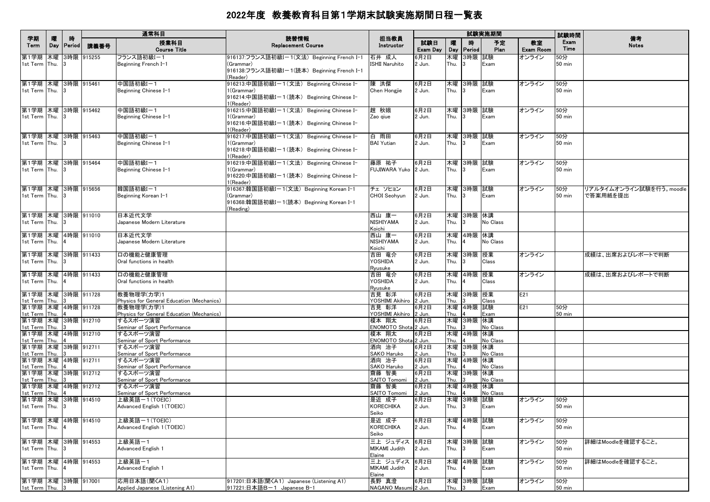|                                                           |          |                    |            | 通常科目                                                                     |                                                                                                                  |                                                       |                          |                    |                         | 試験実施期間               |                        | 試験時間                 |                                     |
|-----------------------------------------------------------|----------|--------------------|------------|--------------------------------------------------------------------------|------------------------------------------------------------------------------------------------------------------|-------------------------------------------------------|--------------------------|--------------------|-------------------------|----------------------|------------------------|----------------------|-------------------------------------|
| 学期<br>Term                                                | 曤<br>Day | 時<br><b>Period</b> | 講義番号       | 授業科目<br><b>Course Title</b>                                              | 読替情報<br><b>Replacement Course</b>                                                                                | 担当教員<br>Instructor                                    | 試験日<br>Exam Day          | 曤<br>Day           | 時<br>Period             | 予定<br>Plan           | 教室<br><b>Exam Room</b> | Exam<br>Time         | 備考<br><b>Notes</b>                  |
| 第1学期 木曜<br>1st Term Thu.                                  |          |                    | 3時限 915255 | フランス語初級I-1<br>Beginning French I-1                                       | 916137:フランス語初級Iー1(文法)Beginning French I-1<br>(Grammar)<br>916138:フランス語初級Iー1(読本)Beginning French I-1<br>(Reader)  | 石井 成人<br>ISHII Naruhito                               | 6月2日<br>2 Jun.           | 木曜<br>Thu.         | 3時限 試験<br>3             | Exam                 | オンライン                  | 50分<br>50 min        |                                     |
| 第1学期 木曜 3時限 915461<br>1st Term Thu.                       |          |                    |            | 中国語初級I-1<br>Beginning Chinese I-1                                        | 916213:中国語初級Iー1(文法) Beginning Chinese I-<br>l (Grammar)<br>916214:中国語初級Iー1(読本) Beginning Chinese I-<br>l(Reader) | 陳洪傑<br>Chen Hongjie                                   | 6月2日<br>2 Jun.           | 木曜<br>Thu.         | 3時限 試験                  | Exam                 | オンライン                  | 50分<br>50 min        |                                     |
| 第1学期 木曜 3時限 915462<br>1st Term Thu.                       |          |                    |            | 中国語初級I-1<br>Beginning Chinese I-1                                        | 916215:中国語初級Iー1(文法) Beginning Chinese I-<br>1(Grammar)<br>916216:中国語初級Iー1(読本) Beginning Chinese I-<br>l(Reader)  | 趙 秋娥<br>Zao giue                                      | 6月2日<br>2 Jun.           | Thu.               | 木曜 3時限 試験<br>3          | Exam                 | オンライン                  | 50分<br>50 min        |                                     |
| 第1学期  木曜  3時限  915463<br>1st Term Thu.                    |          |                    |            | 中国語初級I-1<br>Beginning Chinese I-1                                        | 916217:中国語初級Iー1(文法) Beginning Chinese I-<br>1(Grammar)<br>916218:中国語初級Iー1(読本) Beginning Chinese I-<br>(Reader)   | 白 雨田<br><b>BAI</b> Yutian                             | 6月2日<br>2 Jun.           | Thu.               | 木曜  3時限  試験<br>3        | Exam                 | オンライン                  | 50分<br><b>50 min</b> |                                     |
| 第1学期 木曜 3時限 915464<br>1st Term Thu.                       |          |                    |            | 中国語初級I-1<br>Beginning Chinese I-1                                        | 916219:中国語初級Iー1(文法) Beginning Chinese I-<br>1(Grammar)<br>916220:中国語初級Iー1(読本) Beginning Chinese I-<br>1(Reader)  | 藤原 祐子<br>FUJIWARA Yuko 2 Jun.                         | 6月2日                     | Thu.               | 木曜  3時限  試験<br>3        | Exam                 | オンライン                  | 50分<br>50 min        |                                     |
| 第1学期 木曜 3時限 915656<br>1st Term Thu.                       |          |                    |            | 韓国語初級I-1<br>Beginning Korean I-1                                         | 916367:韓国語初級Iー1(文法)Beginning Korean I-1<br>(Grammar)<br>916368:韓国語初級Iー1(読本)Beginning Korean I-1<br>(Reading)     | チェ ソヒョン<br>CHOI Seohyun                               | 6月2日<br>2 Jun.           | 木曜<br>Thu.         | 3時限 試験<br>3             | Exam                 | オンライン                  | 50分<br>50 min        | リアルタイムオンライン試験を行う。moodle<br>で答案用紙を提出 |
| 第1学期 木曜 3時限 911010<br>1st Term Thu.                       |          |                    |            | 日本近代文学<br>Japanese Modern Literature                                     |                                                                                                                  | 西山 康一<br>NISHIYAMA<br>Koichi                          | 6月2日<br>2 Jun.           | Thu.               | 木曜  3時限  休講             | No Class             |                        |                      |                                     |
| 第1学期 木曜 4時限 911010<br>1st Term Thu.                       |          |                    |            | 日本近代文学<br>Japanese Modern Literature                                     |                                                                                                                  | 西山 康一<br><b>NISHIYAMA</b><br>Koichi                   | 6月2日<br>2 Jun.           | 木曜<br>Thu.         | 4時限 休講                  | No Class             |                        |                      |                                     |
| 第1学期 木曜<br>1st Term Thu.                                  |          |                    | 3時限 911433 | 口の機能と健康管理<br>Oral functions in health                                    |                                                                                                                  | 吉田 竜介<br>YOSHIDA<br>Ryusuke                           | 6月2日<br>2 Jun.           | 木曜<br>Thu.         | 3時限 授業<br>$\mathbf{R}$  | Class                | オンライン                  |                      | 成績は、出席およびレポートで判断                    |
| 第1学期 木曜<br>1st Term Thu.                                  |          |                    | 4時限 911433 | 口の機能と健康管理<br>Oral functions in health                                    |                                                                                                                  | 吉田 竜介<br>YOSHIDA<br>Ryusuke                           | 6月2日<br>2 Jun.           | 木曜<br>Thu.         | 4時限 授業                  | Class                | オンライン                  |                      | 成績は、出席およびレポートで判断                    |
| 第1学期 木曜 3時限 911728<br>1st Term Thu.<br>第1学期 木曜 4時限 911728 |          |                    |            | 教養物理学(力学)1<br>Physics for General Education (Mechanics)<br>教養物理学(力学)1    |                                                                                                                  | 吉見 彰洋<br>YOSHIMI Akihiro 2 Jun.<br>吉見 彰洋              | 6月2日<br>6月2日             | 木曜<br>Thu.<br>木曜   | 3時限  授業<br>4時限 試験       | Class                | E21<br>E21             | 50分                  |                                     |
| 1st Term Thu.<br>第1学期 木曜 3時限 912710                       |          |                    |            | Physics for General Education (Mechanics)<br>するスポーツ演習                    |                                                                                                                  | YOSHIMI Akihiro 2 Jun.<br>榎本 翔太                       | 6月2日                     | Thu.<br>木曜         | 3時限 休講                  | Exam                 |                        | 50 min               |                                     |
| 1st Term Thu.<br>第1学期 木曜 4時限 912710<br>1st Term Thu.      |          |                    |            | Seminar of Sport Performance<br>するスポーツ演習<br>Seminar of Sport Performance |                                                                                                                  | ENOMOTO Shota 2 Jun.<br>榎本 翔太<br>ENOMOTO Shota 2 Jun. | 6月2日                     | Thu.<br>木曜<br>Thu. | 4時限  休講                 | No Class<br>No Class |                        |                      |                                     |
| 第1学期 木曜 3時限 912711<br>1st Term Thu.<br>第1学期 木曜 4時限 912711 |          |                    |            | するスポーツ演習<br>Seminar of Sport Performance<br>するスポーツ演習                     |                                                                                                                  | 酒向 治子<br>SAKO Haruko<br>酒向 治子                         | 6月2日<br>2 Jun.<br>6月2日   | 木曜<br>Thu.<br>木曜   | 3時限 休講<br> 4時限  休講      | No Class             |                        |                      |                                     |
| 1st Term Thu.<br>第1学期 木曜 3時限 912712                       |          |                    |            | Seminar of Sport Performance<br>するスポーツ演習                                 |                                                                                                                  | SAKO Haruko<br>齋藤 智美                                  | 2 Jun.<br>6月2日           | Thu.<br>木曜         | 3時限 休講                  | No Class             |                        |                      |                                     |
| 1st Term Thu.<br>第1学期 木曜 4時限 912712<br>1st Term Thu.      |          |                    |            | Seminar of Sport Performance<br>するスポーツ演習<br>Seminar of Sport Performance |                                                                                                                  | SAITO Tomomi<br>齋藤 智美<br>SAITO Tomomi                 | 2 Jun.<br>6月2日<br>2 Jun. | Thu.<br>木曜<br>Thu. | 4時限  休講                 | No Class<br>No Class |                        |                      |                                     |
| 第1学期 木曜 3時限 914510<br>1st Term Thu.                       |          |                    |            | 上級英語ー1(TOEIC)<br>Advanced English 1 (TOEIC)                              |                                                                                                                  | 是近 成子<br>KORECHIKA<br>Seiko                           | 6月2日<br>2 Jun.           | Thu.               | 木曜  3時限  試験<br><b>3</b> | Exam                 | オンライン                  | 50分<br>50 min        |                                     |
| 第1学期 木曜 4時限 914510<br>1st Term Thu.                       |          |                    |            | 上級英語ー1(TOEIC)<br>Advanced English 1 (TOEIC)                              |                                                                                                                  | 是近 成子<br>KORECHIKA<br>Seiko                           | 6月2日<br>2 Jun.           | 木曜<br>Thu.         | 4時限 試験                  | Exam                 | オンライン                  | 50分<br>50 min        |                                     |
| 第1学期 木曜<br>1st Term Thu.                                  |          |                    | 3時限 914553 | 上級英語一1<br>Advanced English 1                                             |                                                                                                                  | 三上 ジュディス 6月2日<br>MIKAMI Judith<br>Elaine              | 2 Jun.                   | 木曜<br>Thu.         | 3時限 試験<br>3             | Exam                 | オンライン                  | 50分<br>$50$ min      | 詳細はMoodleを確認すること。                   |
| 第1学期 木曜<br>1st Term Thu.                                  |          |                    | 4時限 914553 | 上級英語一1<br>Advanced English 1                                             |                                                                                                                  | 三上 ジュディス 6月2日<br>MIKAMI Judith<br>Elaine              | 2 Jun.                   | 木曜<br>Thu.         | 4時限 試験                  | Exam                 | オンライン                  | 50分<br>50 min        | 詳細はMoodleを確認すること。                   |
| 第1学期 木曜 3時限 917001<br>1st Term Thu. 3                     |          |                    |            | 応用日本語(聞くA1)<br>Applied Japanese (Listening A1)                           | 917201:日本語(聞〈A1) Japanese (Listening A1)<br>917221:日本語B-1 Japanese B-1                                           | 長野 真澄<br>NAGANO Masumi 2 Jun.                         | 6月2日                     | Thu.               | 木曜 3時限 試験<br>3          | Exam                 | オンライン                  | 50分<br>$50$ min      |                                     |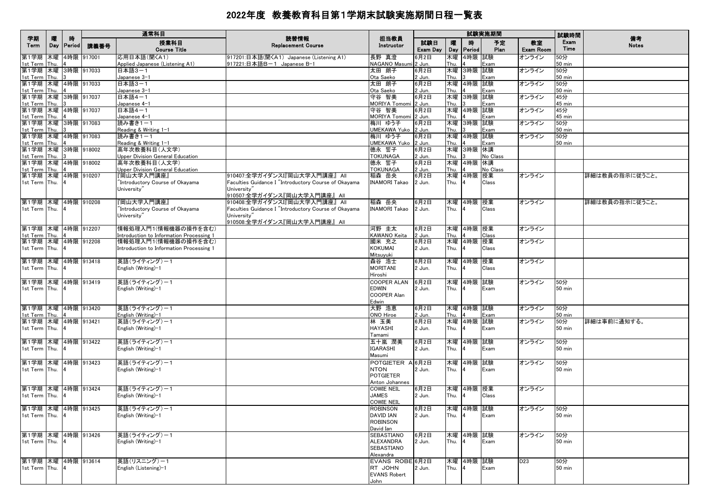|                                             |      |                   |                    | 通常科目                                                            | 読替情報                                                                                                | 担当教員                                                           |                 |            |                             | 試験実施期間     |                 | 試験時間                 | 備考             |
|---------------------------------------------|------|-------------------|--------------------|-----------------------------------------------------------------|-----------------------------------------------------------------------------------------------------|----------------------------------------------------------------|-----------------|------------|-----------------------------|------------|-----------------|----------------------|----------------|
| 学期<br>Term                                  | 曤    | 時<br>Day   Period | 講義番号               | 授業科目<br><b>Course Title</b>                                     | <b>Replacement Course</b>                                                                           | Instructor                                                     | 試験日<br>Exam Day | 嚁<br>Day   | 時<br>Period                 | 予定<br>Plan | 教室<br>Exam Room | Exam<br>Time         | <b>Notes</b>   |
| 第1学期<br>1st Term                            | Thu. |                   | 木曜 4時限 917001      | 応用日本語(聞くA1)<br>Applied Japanese (Listening A1)                  | 917201:日本語(聞〈A1) Japanese (Listening A1)<br>917221:日本語B-1 Japanese B-1                              | 長野 真澄<br>NAGANO Masumi 2 Jun.                                  | 6月2日            | 木曜<br>Thu. | 4時限 試験                      | Exam       | オンライン           | 50分<br><b>50 min</b> |                |
| 第1学期 木曜 3時限 917033<br>1st Term              | Thu. | $\mathbf{13}$     |                    | 日本語3-1<br>Japanese 3-1                                          |                                                                                                     | 太田 朗子<br>Ota Saeko                                             | 6月2日<br>2 Jun.  | 木曜<br>Thu. | 3時限 試験                      | Exam       | オンライン           | 50分<br><b>50 min</b> |                |
| 第1学期 木曜 4時限 917033<br>1st Term Thu.         |      |                   |                    | 日本語3-1<br>Japanese 3-1                                          |                                                                                                     | 太田 朗子<br>Ota Saeko                                             | 6月2日<br>2 Jun.  | 木曜<br>Thu. | 4時限 試験                      | Exam       | オンライン           | 50分<br><b>50 min</b> |                |
| 第1学期 木曜 3時限 917037<br>1st Term Thu.         |      | lз                |                    | 日本語4-1<br>Japanese 4-1                                          |                                                                                                     | 守谷 智美<br>MORIYA Tomomi 2 Jun.                                  | 6月2日            | 木曜<br>Thu. | 3時限 試験                      | Exam       | オンライン           | 45分<br>45 min        |                |
| 第1学期 木曜 4時限 917037<br>1st Term              | Thu. |                   |                    | 日本語4-1<br>Japanese 4-1                                          |                                                                                                     | 守谷 智美<br>MORIYA Tomomi 2 Jun.                                  | 6月2日            | 木曜<br>Thu. | 4時限 試験                      | Exam       | オンライン           | 45分<br>45 min        |                |
| 第1学期 木曜 3時限 917083<br>1st Term Thu.         |      |                   |                    | 読み書き1-1<br>Reading & Writing 1-1                                |                                                                                                     | 梅川 ゆう子<br>UMEKAWA Yuko                                         | 6月2日<br>2 Jun.  | 木曜<br>Thu. | 3時限 試験                      | Exam       | オンライン           | 50分<br>$50$ min      |                |
| 第1学期 木曜 4時限 917083<br>1st Term Thu.         |      | $\overline{4}$    |                    | 読み書き1-1<br>Reading & Writing 1-1                                |                                                                                                     | 梅川 ゆう子<br>UMEKAWA Yuko                                         | 6月2日<br>2 Jun.  | 木曜<br>Thu. | 4時限 試験                      | Exam       | オンライン           | 50分<br><b>50 min</b> |                |
| 第1学期 木曜 3時限 918002<br>1st Term Thu.         |      | $\mathsf{R}$      |                    | 高年次教養科目(人文学)<br>Upper Division General Education                |                                                                                                     | 德永 誓子<br><b>TOKUNAGA</b>                                       | 6月2日<br>2 Jun.  | 木曜<br>Thu. | 3時限 休講                      | No Class   |                 |                      |                |
| 第1学期 木曜 4時限 918002                          |      |                   |                    | 高年次教養科目(人文学)                                                    |                                                                                                     | 德永 誓子                                                          | 6月2日            | 木曜         | 4時限 休講                      |            |                 |                      |                |
| 1st Term Thu.<br>第1学期                       |      | $\vert 4 \vert$   | 木曜 4時限 910207      | Upper Division General Education<br>『岡山大学入門講座』                  | 910407:全学ガイダンスI『岡山大学入門講座』 All                                                                       | <b>TOKUNAGA</b><br>稲森 岳央                                       | 2 Jun.<br>6月2日  | Thu.<br>木曜 | 4時限 授業                      | No Class   | オンライン           |                      | 詳細は教員の指示に従うこと。 |
| 1st Term Thu.                               |      | $\overline{4}$    |                    | "Introductory Course of Okayama<br>University"                  | Faculties Guidance I "Introductory Course of Okayama<br>University"<br>910507:全学ガイダンス『岡山大学入門講座』 All | <b>INAMORI Takao</b>                                           | 2 Jun.          | Thu.       |                             | Class      |                 |                      |                |
| 第1学期 木曜 4時限 910208                          |      |                   |                    | 『岡山大学入門講座』                                                      | 910408:全学ガイダンスI『岡山大学入門講座』 All                                                                       | 稲森 岳央                                                          | 6月2日            |            | 木曜 4時限 授業                   |            | オンライン           |                      | 詳細は教員の指示に従うこと。 |
| 1st Term Thu.                               |      | $\overline{14}$   |                    | "Introductory Course of Okayama<br>University"                  | Faculties Guidance I "Introductory Course of Okayama<br>University"<br>910508:全学ガイダンス『岡山大学入門講座』 All | <b>INAMORI Takao</b>                                           | 2 Jun.          | Thu.       |                             | Class      |                 |                      |                |
| 第1学期 木曜 4時限 912207<br>1st Term Thu.         |      |                   |                    | 情報処理入門1(情報機器の操作を含む)<br>Introduction to Information Processing 1 |                                                                                                     | 河野 圭太<br>KAWANO Keita                                          | 6月2日<br>2 Jun.  | Thu.       | 木曜 4時限 授業                   | Class      | オンライン           |                      |                |
| 第1学期 木曜 4時限 912208                          |      |                   |                    | 情報処理入門1(情報機器の操作を含む)                                             |                                                                                                     | 國米 充之                                                          | 6月2日            | 木曜         | 4時限 授業                      |            | オンライン           |                      |                |
| 1st Term Thu.                               |      | $\overline{4}$    |                    | Introduction to Information Processing 1                        |                                                                                                     | <b>KOKUMAI</b><br>Mitsuyuki                                    | 2 Jun.          | Thu.       |                             | Class      |                 |                      |                |
| 第1学期 木曜 4時限 913418<br>1st Term Thu. 4       |      |                   |                    | 英語(ライティング)ー1<br>English (Writing)-1                             |                                                                                                     | 森谷 浩士<br><b>MORITANI</b><br>Hiroshi                            | 6月2日<br>2 Jun.  | 木曜<br>Thu. | 4時限 授業                      | Class      | オンライン           |                      |                |
| 第1学期 木曜 4時限 913419<br>1st Term Thu.         |      | 14                |                    | 英語(ライティング)ー1<br>English (Writing)-1                             |                                                                                                     | <b>COOPER ALAN</b><br><b>EDWIN</b><br>COOPER Alan<br>Edwin     | 6月2日<br>2 Jun.  | 木曜<br>Thu. | 4時限 試験                      | Exam       | オンライン           | 50分<br>$50$ min      |                |
| 第1学期 木曜 4時限 913420<br>1st Term Thu.         |      | $\overline{14}$   |                    | 英語(ライティング)ー1<br>English (Writing)-1                             |                                                                                                     | 大野 浩恵<br>ONO Hiroe                                             | 6月2日<br>2 Jun.  | 木曜<br>Thu. | 4時限 試験                      | Exam       | オンライン           | 50分<br>$50$ min      |                |
| 第1学期 木曜 4時限 913421<br>1st Term Thu.         |      |                   |                    | 英語(ライティング)ー1<br>English (Writing)-1                             |                                                                                                     | 林 玉美<br><b>HAYASHI</b>                                         | 6月2日<br>2 Jun.  | 木曜<br>Thu. | 4時限 試験                      | Exam       | オンライン           | 50分<br>$50$ min      | 詳細は事前に通知する。    |
| 第1学期 木曜 4時限 913422                          |      |                   |                    | 英語(ライティング)ー1                                                    |                                                                                                     | Tamami<br>五十嵐 潤美                                               | 6月2日            | 木曜         | 4時限 試験                      |            | オンライン           | 50分                  |                |
| 1st Term Thu. 4                             |      |                   |                    | English (Writing)-1                                             |                                                                                                     | <b>IGARASHI</b><br>Masumi                                      | 2 Jun.          | Thu.       |                             | Exam       |                 | $50$ min             |                |
| 第1学期  木曜  4時限  913423<br>1st Term Thu. 4    |      |                   |                    | 英語(ライティング)ー1<br>English (Writing)-1                             |                                                                                                     | POTGIETER A 6月2日<br><b>NTON</b><br>POTGIETER<br>Anton Johannes | 2 Jun.          | 木曜<br>Thu. | 4時限 試験                      | Exam       | オンライン           | 50分<br>$50$ min      |                |
| 第1学期 木曜 4時限 913424                          |      |                   |                    | 英語(ライティング)ー1                                                    |                                                                                                     | <b>COWIE NEIL</b>                                              | 6月2日            | 木曜         | 4時限 授業                      |            | オンライン           |                      |                |
| 1st Term Thu.                               |      |                   |                    | English (Writing)-1                                             |                                                                                                     | JAMES<br>COWIE NEIL                                            | 2 Jun.          | Thu.       |                             | Class      |                 |                      |                |
| 1st Term Thu. 4                             |      |                   | 第1学期 木曜 4時限 913425 | 英語(ライティング)ー1<br>English (Writing)-1                             |                                                                                                     | ROBINSON<br>DAVID IAN<br><b>ROBINSON</b>                       | 6月2日<br>2 Jun.  | Thu.       | 木曜 4時限 試験<br>$\overline{4}$ | Exam       | オンライン           | 50分<br><b>50 min</b> |                |
| 第1学期 木曜 4時限 913426                          |      |                   |                    | 英語(ライティング)ー1                                                    |                                                                                                     | David Ian<br>SEBASTIANO                                        | 6月2日            |            | 木曜 4時限 試験                   |            | オンライン           | 50分                  |                |
| 1st Term Thu. 4                             |      |                   |                    | English (Writing)-1                                             |                                                                                                     | ALEXANDRA<br>SEBASTIANO<br>Alexandra                           | 2 Jun.          | Thu.       | $\overline{4}$              | Exam       |                 | $50$ min             |                |
| 第1学期   木曜   4時限   913614<br>1st Term Thu. 4 |      |                   |                    | 英語(リスニング)-1<br>English (Listening)-1                            |                                                                                                     | EVANS ROBE 6月2日<br>RT JOHN<br><b>EVANS Robert</b><br>John      | 2 Jun.          | Thu.       | 木曜 4時限 試験<br>$\overline{4}$ | Exam       | D <sub>23</sub> | 50分<br>$50$ min      |                |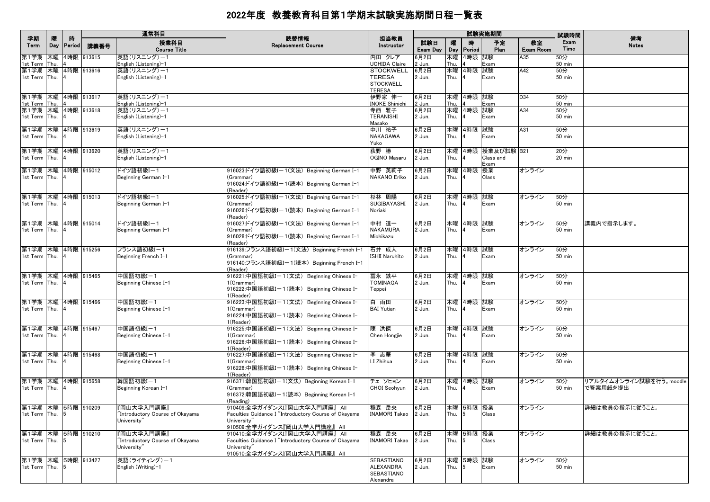| 学期                                    | 曤   | 時               |               | 通常科目                                 | 読替情報                                                    | 担当教員                              |                 |            |                             | 試験実施期間               |                        | 試験時間                 | 備考                      |
|---------------------------------------|-----|-----------------|---------------|--------------------------------------|---------------------------------------------------------|-----------------------------------|-----------------|------------|-----------------------------|----------------------|------------------------|----------------------|-------------------------|
| Term                                  | Day | <b>Period</b>   | 講義番号          | 授業科目<br><b>Course Title</b>          | <b>Replacement Course</b>                               | Instructor                        | 試験日<br>Exam Day | 嚁<br>Day   | 時<br><b>Period</b>          | 予定<br>Plan           | 教室<br><b>Exam Room</b> | Exam<br>Time         | <b>Notes</b>            |
| 第1学期<br>1st Term Thu.                 |     |                 | 木曜 4時限 913615 | 英語(リスニング)ー1<br>English (Listening)-1 |                                                         | 内田 クレア<br>UCHIDA Claire           | 6月2日<br>2 Jun.  | 木曜<br>Thu. | 4時限 試験                      | Exam                 | A35                    | 50分<br><b>50 min</b> |                         |
| 第1学期 木曜 4時限 913616                    |     |                 |               | 英語(リスニング)-1                          |                                                         | <b>STOCKWELL</b>                  | 6月2日            |            | 木曜 4時限 試験                   |                      | A42                    | 50分                  |                         |
| 1st Term Thu.                         |     | $\overline{14}$ |               | English (Listening)-1                |                                                         | <b>TERESA</b>                     | 2 Jun.          | Thu.       | $\overline{4}$              | Exam                 |                        | <b>50 min</b>        |                         |
|                                       |     |                 |               |                                      |                                                         | <b>STOCKWELL</b><br><b>TERESA</b> |                 |            |                             |                      |                        |                      |                         |
| 第1学期 木曜 4時限 913617                    |     |                 |               | 英語(リスニング)-1                          |                                                         | 伊野家 伸一                            | 6月2日            |            | 木曜 4時限 試験                   |                      | D34                    | 50分                  |                         |
| 1st Term Thu. 4                       |     |                 |               | English (Listening)-1                |                                                         | <b>INOKE Shinichi</b>             | 2 Jun.          | Thu.       |                             | Exam                 |                        | <b>50 min</b>        |                         |
| 第1学期 木曜 4時限 913618                    |     |                 |               | 英語(リスニング)ー1                          |                                                         | 寺西 雅子                             | 6月2日            |            | 木曜 4時限 試験                   |                      | A34                    | 50分                  |                         |
| 1st Term Thu.                         |     | -14             |               | English (Listening)-1                |                                                         | <b>TERANISHI</b><br>Masako        | 2 Jun.          | Thu.       |                             | Exam                 |                        | $50$ min             |                         |
| 第1学期 木曜 4時限 913619                    |     |                 |               | 英語(リスニング)ー1                          |                                                         | 中川 祐子                             | 6月2日            |            | 木曜 4時限 試験                   |                      | A31                    | 50分                  |                         |
| 1st Term Thu. 4                       |     |                 |               | English (Listening)-1                |                                                         | NAKAGAWA                          | 2 Jun.          | Thu.       | <b>4</b>                    | Exam                 |                        | 50 min               |                         |
|                                       |     |                 |               |                                      |                                                         | Yuko                              |                 |            |                             |                      |                        |                      |                         |
| 第1学期 木曜 4時限 913620                    |     |                 |               | 英語(リスニング)ー1                          |                                                         | 荻野 勝                              | 6月2日            |            |                             | 木曜  4時限  授業及び試験  B21 |                        | 20分                  |                         |
| 1st Term Thu.                         |     |                 |               | English (Listening)-1                |                                                         | OGINO Masaru                      | 2 Jun.          | Thu.       |                             | Class and<br>Exam    |                        | $20$ min             |                         |
| 第1学期 木曜 4時限 915012                    |     |                 |               | ドイツ語初級I-1                            | 916023:ドイツ語初級I-1(文法) Beginning German I-1               | 中野 英莉子                            | 6月2日            |            | 木曜 4時限 授業                   |                      | オンライン                  |                      |                         |
| 1st Term Thu. 4                       |     |                 |               | Beginning German I-1                 | (Grammar)                                               | NAKANO Eriko                      | 2 Jun.          | Thu.       |                             | Class                |                        |                      |                         |
|                                       |     |                 |               |                                      | 916024:ドイツ語初級Iー1(読本)Beginning German I-1                |                                   |                 |            |                             |                      |                        |                      |                         |
| 第1学期 木曜 4時限 915013                    |     |                 |               | ドイツ語初級I-1                            | (Reader)<br>916025:ドイツ語初級Iー1(文法)Beginning German I-1    | 杉林 周陽                             | 6月2日            |            | 木曜 4時限 試験                   |                      | オンライン                  | 50分                  |                         |
| 1st Term Thu.                         |     |                 |               | Beginning German I-1                 | (Grammar)                                               | SUGIBAYASHI                       | 2 Jun.          | Thu.       | <b>4</b>                    | Exam                 |                        | 50 min               |                         |
|                                       |     |                 |               |                                      | 916026:ドイツ語初級Iー1(読本) Beginning German I-1               | Noriaki                           |                 |            |                             |                      |                        |                      |                         |
|                                       |     |                 |               |                                      | (Reader)                                                |                                   |                 |            |                             |                      |                        |                      |                         |
| 第1学期 木曜 4時限 915014<br>1st Term Thu. 4 |     |                 |               | ドイツ語初級Iー1<br>Beginning German I-1    | 916027:ドイツ語初級Iー1(文法)Beginning German I-1<br>(Grammar)   | 中村 道一<br><b>NAKAMURA</b>          | 6月2日<br>2 Jun.  | Thu.       | 木曜 4時限 試験<br>$\overline{4}$ | Exam                 | オンライン                  | 50分<br>$50$ min      | 講義内で指示します。              |
|                                       |     |                 |               |                                      | 916028:ドイツ語初級Iー1(読本)Beginning German I-1                | Michikazu                         |                 |            |                             |                      |                        |                      |                         |
|                                       |     |                 |               |                                      | (Reader)                                                |                                   |                 |            |                             |                      |                        |                      |                         |
| 第1学期 木曜 4時限 915256                    |     |                 |               | フランス語初級I-1                           | 916139:フランス語初級Iー1(文法)Beginning French I-1               | 石井 成人                             | 6月2日            |            | 木曜 4時限 試験                   |                      | オンライン                  | 50分                  |                         |
| 1st Term Thu.                         |     |                 |               | Beginning French I-1                 | (Grammar)<br>916140:フランス語初級Iー1(読本) Beginning French I-1 | <b>ISHII Naruhito</b>             | 2 Jun.          | Thu.       | $\overline{a}$              | Exam                 |                        | 50 min               |                         |
|                                       |     |                 |               |                                      | (Reader)                                                |                                   |                 |            |                             |                      |                        |                      |                         |
| 第1学期 木曜 4時限 915465                    |     |                 |               | 中国語初級I-1                             | 916221:中国語初級Iー1(文法) Beginning Chinese I-                | 冨永 鉄平                             | 6月2日            |            | 木曜 4時限 試験                   |                      | オンライン                  | 50分                  |                         |
| 1st Term Thu.                         |     |                 |               | Beginning Chinese I-1                | 1(Grammar)                                              | <b>TOMINAGA</b>                   | 2 Jun.          | Thu.       | 4                           | Exam                 |                        | <b>50 min</b>        |                         |
|                                       |     |                 |               |                                      | 916222:中国語初級I-1(読本) Beginning Chinese I-<br>1(Reader)   | Teppei                            |                 |            |                             |                      |                        |                      |                         |
| 第1学期 木曜 4時限 915466                    |     |                 |               | 中国語初級I-1                             | 916223:中国語初級Iー1(文法) Beginning Chinese I-                | 白 雨田                              | 6月2日            |            | 木曜 4時限 試験                   |                      | オンライン                  | 50分                  |                         |
| 1st Term Thu. 4                       |     |                 |               | Beginning Chinese I-1                | 1(Grammar)                                              | <b>BAI</b> Yutian                 | 2 Jun.          | Thu.       |                             | Exam                 |                        | 50 min               |                         |
|                                       |     |                 |               |                                      | 916224:中国語初級Iー1(読本) Beginning Chinese I-                |                                   |                 |            |                             |                      |                        |                      |                         |
| 第1学期 木曜 4時限 915467                    |     |                 |               | 中国語初級I-1                             | 1(Reader)<br>916225:中国語初級Iー1(文法) Beginning Chinese I-   | 陳 洪傑                              | 6月2日            |            | 木曜 4時限 試験                   |                      | オンライン                  | 50分                  |                         |
| 1st Term Thu.                         |     |                 |               | Beginning Chinese I-1                | 1(Grammar)                                              | Chen Hongjie                      | 2 Jun.          | Thu.       | <b>4</b>                    | Exam                 |                        | 50 min               |                         |
|                                       |     |                 |               |                                      | 916226:中国語初級Iー1(読本) Beginning Chinese I-                |                                   |                 |            |                             |                      |                        |                      |                         |
|                                       |     |                 |               |                                      | 1(Reader)                                               |                                   |                 |            |                             |                      |                        |                      |                         |
| 第1学期 木曜 4時限 915468<br>1st Term Thu.   |     |                 |               | 中国語初級I-1<br>Beginning Chinese I-1    | 916227:中国語初級Iー1(文法) Beginning Chinese I-<br>1(Grammar)  | 李 志華<br>LI Zhihua                 | 6月2日<br>2 Jun.  | Thu.       | 木曜 4時限 試験<br>$\overline{4}$ | Exam                 | オンライン                  | 50分<br>$50$ min      |                         |
|                                       |     |                 |               |                                      | 916228:中国語初級I-1(読本) Beginning Chinese I-                |                                   |                 |            |                             |                      |                        |                      |                         |
|                                       |     |                 |               |                                      | 1(Reader)                                               |                                   |                 |            |                             |                      |                        |                      |                         |
| 第1学期 木曜 4時限 915658                    |     |                 |               | 韓国語初級I-1                             | 916371:韓国語初級Iー1(文法) Beginning Korean I-1                | チェ ソヒョン                           | 6月2日            |            | 木曜 4時限 試験                   |                      | オンライン                  | 50分                  | リアルタイムオンライン試験を行う。moodle |
| 1st Term Thu.                         |     |                 |               | Beginning Korean I-1                 | (Grammar)<br>916372:韓国語初級Iー1(読本) Beginning Korean I-1   | CHOI Seohyun                      | 2 Jun.          | Thu.       | <b>4</b>                    | Exam                 |                        | 50 min               | で答案用紙を提出                |
|                                       |     |                 |               |                                      | (Reading)                                               |                                   |                 |            |                             |                      |                        |                      |                         |
| 第1学期 木曜 5時限 910209                    |     |                 |               | 『岡山大学入門講座』                           | 910409:全学ガイダンスI『岡山大学入門講座』 All                           | 稲森 岳央                             | 6月2日            |            | 木曜 5時限 授業                   |                      | オンライン                  |                      | 詳細は教員の指示に従うこと。          |
| 1st Term Thu. 5                       |     |                 |               | "Introductory Course of Okayama      | Faculties Guidance I "Introductory Course of Okayama    | INAMORI Takao 2 Jun.              |                 | Thu.       | $\sqrt{5}$                  | Class                |                        |                      |                         |
|                                       |     |                 |               | University"                          | University"<br>910509:全学ガイダンス『岡山大学入門講座』 All             |                                   |                 |            |                             |                      |                        |                      |                         |
| 第1学期 木曜 5時限 910210                    |     |                 |               | 『岡山大学入門講座』                           | 910410:全学ガイダンスI『岡山大学入門講座』 All                           | 稲森 岳央                             | 6月2日            |            | 木曜 5時限 授業                   |                      | オンライン                  |                      | 詳細は教員の指示に従うこと。          |
| 1st Term Thu. 5                       |     |                 |               | "Introductory Course of Okayama      | Faculties Guidance I "Introductory Course of Okayama    | INAMORI Takao 2 Jun.              |                 | Thu.       | 5                           | Class                |                        |                      |                         |
|                                       |     |                 |               | University"                          | University"<br>910510:全学ガイダンス『岡山大学入門講座』 All             |                                   |                 |            |                             |                      |                        |                      |                         |
| 第1学期 木曜 5時限 913427                    |     |                 |               | 英語(ライティング)ー1                         |                                                         | SEBASTIANO                        | 6月2日            |            | 木曜 5時限 試験                   |                      | オンライン                  | 50分                  |                         |
| 1st Term Thu. 5                       |     |                 |               | English (Writing)-1                  |                                                         | ALEXANDRA                         | 2 Jun.          | Thu.       | 5                           | Exam                 |                        | $50$ min             |                         |
|                                       |     |                 |               |                                      |                                                         | SEBASTIANO                        |                 |            |                             |                      |                        |                      |                         |
|                                       |     |                 |               |                                      |                                                         | Alexandra                         |                 |            |                             |                      |                        |                      |                         |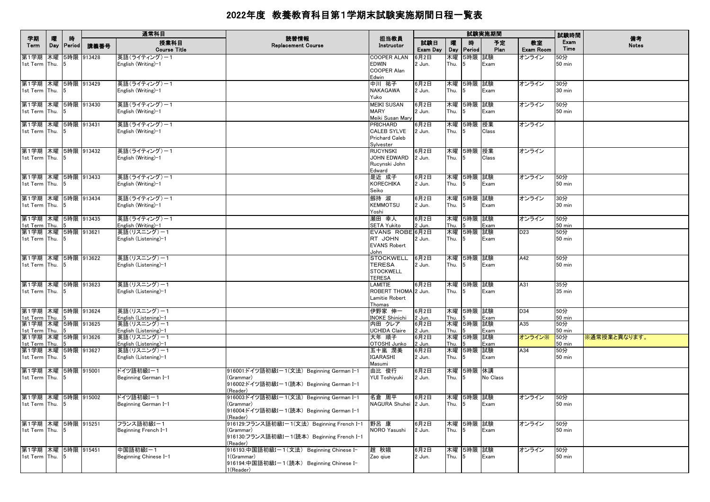|                                                           |          |                    |            | 通常科目                                                          |                                                                                                                   |                                                               |                          |              |                           | 試験実施期間       |                          | 試験時間                    |                    |
|-----------------------------------------------------------|----------|--------------------|------------|---------------------------------------------------------------|-------------------------------------------------------------------------------------------------------------------|---------------------------------------------------------------|--------------------------|--------------|---------------------------|--------------|--------------------------|-------------------------|--------------------|
| 学期<br>Term                                                | 曤<br>Day | 時<br><b>Period</b> | 講義番号       | 授業科目<br><b>Course Title</b>                                   | 読替情報<br><b>Replacement Course</b>                                                                                 | 担当教員<br>Instructor                                            | 試験日<br>Exam Day          | 曪<br>Day     | 時<br>Period               | 予定<br>Plan   | 教室<br>Exam Room          | Exam<br>Time            | 備考<br><b>Notes</b> |
| 第1学期 木曜<br>1st Term Thu.                                  |          |                    | 5時限 913428 | 英語(ライティング)ー1<br>English (Writing)-1                           |                                                                                                                   | COOPER ALAN<br>EDWIN<br>COOPER Alan<br>Edwin                  | 6月2日<br>2 Jun.           | 木曜<br>Thu.   | 5時限 試験                    | Exam         | オンライン                    | 50分<br>50 min           |                    |
| 第1学期 木曜 5時限 913429<br>1st Term Thu.                       |          |                    |            | 英語(ライティング)ー1<br>English (Writing)-1                           |                                                                                                                   | 中川 祐子<br>NAKAGAWA<br>Yuko                                     | 6月2日<br>2 Jun.           | Thu.         | 木曜 5時限 試験                 | Exam         | オンライン                    | 30分<br>30 min           |                    |
| 第1学期 木曜 5時限 913430<br>1st Term Thu.                       |          |                    |            | 英語(ライティング)ー1<br>English (Writing)-1                           |                                                                                                                   | MEIKI SUSAN<br>MARY<br>Meiki Susan Mary                       | 6月2日<br>2 Jun.           | Thu.         | 木曜 5時限 試験<br>5            | Exam         | オンライン                    | 50分<br>50 min           |                    |
| 第1学期 木曜 5時限 913431<br>1st Term Thu.                       |          |                    |            | 英語(ライティング)-1<br>English (Writing)-1                           |                                                                                                                   | PRICHARD<br><b>CALEB SYLVE</b><br>Prichard Caleb<br>Sylvester | 6月2日<br>2 Jun.           | Thu.         | 木曜 5時限 授業<br>5            | Class        | オンライン                    |                         |                    |
| 第1学期 木曜 5時限 913432<br>1st Term Thu. 5                     |          |                    |            | 英語(ライティング)ー1<br>English (Writing)-1                           |                                                                                                                   | RUCYNSKI<br>JOHN EDWARD<br>Rucynski John<br>Edward            | 6月2日<br>2 Jun.           | Thu.         | 木曜 5時限 授業                 | Class        | オンライン                    |                         |                    |
| 第1学期 木曜 5時限 913433<br>1st Term Thu.                       |          |                    |            | 英語(ライティング)ー1<br>English (Writing)-1                           |                                                                                                                   | 是近 成子<br><b>KORECHIKA</b><br>Seiko                            | 6月2日<br>2 Jun.           | Thu.         | 木曜 5時限 試験                 | Exam         | オンライン                    | 50分<br>50 min           |                    |
| 第1学期 木曜 5時限 913434<br>1st Term Thu.                       |          |                    |            | 英語(ライティング)ー1<br>English (Writing)-1                           |                                                                                                                   | 劔持 淑<br><b>KEMMOTSU</b><br>Yoshi                              | 6月2日<br>2 Jun.           | Thu.         | 木曜 5時限 試験                 | Exam         | オンライン                    | 30分<br>30 min           |                    |
| 第1学期 木曜 5時限 913435<br>1st Term Thu.<br>第1学期 木曜 5時限 913621 |          |                    |            | 英語(ライティング)ー1<br>English (Writing)-1<br>英語(リスニング)ー1            |                                                                                                                   | 瀬田 幸人<br>SETA Yukito<br>EVANS ROBE 6月2日                       | 6月2日<br>2 Jun.           | Thu.         | 木曜 5時限 試験<br>木曜 5時限 試験    | Exam         | オンライン<br>D <sub>23</sub> | 50分<br>50 min<br>50分    |                    |
| 1st Term Thu.                                             |          | $\mathbf{h}$       |            | English (Listening)-1                                         |                                                                                                                   | RT JOHN<br><b>EVANS Robert</b><br>John                        | 2 Jun.                   | Thu.         |                           | Exam         |                          | 50 min                  |                    |
| 第1学期 木曜 5時限 913622<br>1st Term Thu.                       |          |                    |            | 英語(リスニング)-1<br>English (Listening)-1                          |                                                                                                                   | STOCKWELL<br>TERESA<br><b>STOCKWELL</b><br><b>TERESA</b>      | 6月2日<br>2 Jun.           | Thu.         | 木曜 5時限 試験                 | Exam         | A42                      | 50分<br>50 min           |                    |
| 第1学期 木曜 5時限 913623<br>1st Term Thu.                       |          |                    |            | 英語(リスニング)-1<br>English (Listening)-1                          |                                                                                                                   | LAMITIE<br>ROBERT THOMA 2 Jun.<br>Lamitie Robert<br>Thomas    | 6月2日                     | Thu.         | 木曜  5時限  試験<br>5          | Exam         | A31                      | 35分<br>35 min           |                    |
| 第1学期 木曜 5時限 913624<br>1st Term Thu.<br>第1学期 木曜 5時限 913625 |          |                    |            | 英語(リスニング)ー1<br>English (Listening)-1<br> 英語(リスニング)ー1          |                                                                                                                   | 伊野家 伸一<br><b>INOKE Shinichi</b><br>内田 クレア                     | 6月2日<br>2 Jun.<br>6月2日   | Thu.         | 木曜 5時限 試験<br> 木曜  5時限  試験 | Exam         | D34<br>A35               | 50分<br>50 min<br>50分    |                    |
| 1st Term Thu.<br>第1学期 木曜 5時限 913626                       |          |                    |            | English (Listening)-1<br>英語(リスニング)ー1                          |                                                                                                                   | UCHIDA Claire<br>大年 順子                                        | 2 Jun.<br>6月2日           | Thu.         | 木曜 5時限 試験                 | Exam         | オンライン※                   | 50 min<br>50分           | ※通常授業と異なります。       |
| 1st Term Thu.<br>第1学期 木曜 5時限 913627<br>1st Term Thu.      |          |                    |            | English (Listening)-1<br>英語(リスニング)-1<br>English (Listening)-1 |                                                                                                                   | OTOSHI Junko<br>五十嵐 潤美<br>IGARASHI<br>Masumi                  | 2 Jun.<br>6月2日<br>2 Jun. | Thu.<br>Thu. | 木曜 5時限 試験<br>5            | Exam<br>Exam | A34                      | 50 min<br>50分<br>50 min |                    |
| 第1学期 木曜 5時限 915001<br>1st Term Thu.                       |          |                    |            | ドイツ語初級Iー1<br>Beginning German I-1                             | 916001:ドイツ語初級Iー1(文法)Beginning German I-1<br>(Grammar)<br>916002:ドイツ語初級Iー1(読本)Beginning German I-1<br>(Reader)     | 由比 俊行<br>YUI Toshiyuki                                        | 6月2日<br>2 Jun.           | Thu.         | 木曜  5時限  休講               | No Class     |                          |                         |                    |
| 第1学期 木曜 5時限 915002<br>1st Term Thu.                       |          | 5                  |            | ドイツ語初級Iー1<br>Beginning German I-1                             | 916003:ドイツ語初級Iー1(文法)Beginning German I-1<br>(Grammar)<br>916004:ドイツ語初級I-1(読本) Beginning German I-1<br>(Reader)    | 名倉 周平<br>NAGURA Shuhei 2 Jun.                                 | 6月2日                     | Thu.         | 木曜 5時限 試験<br>5            | Exam         | オンライン                    | 50分<br>50 min           |                    |
| 第1学期 木曜 5時限 915251<br>1st Term Thu.                       |          |                    |            | フランス語初級I-1<br>Beginning French I-1                            | 916129:フランス語初級Iー1(文法) Beginning French I-1<br>(Grammar)<br>916130:フランス語初級I-1(読本) Beginning French I-1<br>(Reader) | 野呂 康<br>NORO Yasushi                                          | 6月2日<br>2 Jun.           | 木曜<br>Thu.   | 5時限 試験                    | Exam         | オンライン                    | 50分<br><b>50 min</b>    |                    |
| 第1学期 木曜 5時限 915451<br>1st Term Thu.                       |          | - 15               |            | 中国語初級I-1<br>Beginning Chinese I-1                             | 916193:中国語初級Iー1(文法) Beginning Chinese I-<br>1(Grammar)<br>916194:中国語初級I-1(読本) Beginning Chinese I-<br>1(Reader)   | 趙 秋娥<br>Zao qiue                                              | 6月2日<br>2 Jun.           | 木曜<br>Thu.   | 5時限 試験                    | Exam         | オンライン                    | 50分<br>50 min           |                    |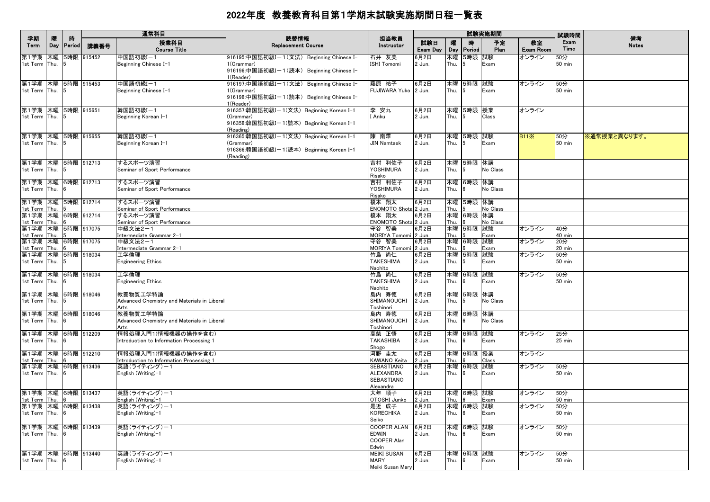|                                                      |                    |             |                             | 通常科目                                                                            |                                                                                                                 |                                                                |                        |                          |                             | 試験実施期間                 |                         | 試験時間                                     |                    |
|------------------------------------------------------|--------------------|-------------|-----------------------------|---------------------------------------------------------------------------------|-----------------------------------------------------------------------------------------------------------------|----------------------------------------------------------------|------------------------|--------------------------|-----------------------------|------------------------|-------------------------|------------------------------------------|--------------------|
| 学期<br>Term                                           | п.<br>Day          | 時<br>Period | 講義番号                        | 授業科目<br><b>Course Title</b>                                                     | 読替情報<br><b>Replacement Course</b>                                                                               | 担当教員<br>Instructor                                             | 試験日<br>Exam Day        | 嚁<br>Day                 | 時<br>Period                 | 予定<br>Plan             | 教室<br>Exam Room         | Exam<br>Time                             | 備考<br><b>Notes</b> |
| 第1学期<br>1st Term                                     | 木曜<br>Thu.         |             | 5時限 915452                  | 中国語初級I-1<br>Beginning Chinese I-1                                               | 916195:中国語初級Iー1(文法) Beginning Chinese I-<br>1(Grammar)<br>916196:中国語初級Iー1(読本) Beginning Chinese I-<br>1(Reader) | 石井 友美<br>ISHI Tomomi                                           | 6月2日<br>2 Jun.         | 木曜<br>Thu.               | 5時限 試験<br>5                 | Exam                   | オンライン                   | 50分<br>$50$ min                          |                    |
| 第1学期 木曜 5時限 915453<br>1st Term Thu.                  |                    |             |                             | 中国語初級I-1<br>Beginning Chinese I-1                                               | 916197:中国語初級Iー1(文法) Beginning Chinese I-<br>1(Grammar)<br>916198:中国語初級I-1(読本) Beginning Chinese I-<br>1(Reader) | 藤原 祐子<br>FUJIWARA Yuko   2 Jun.                                | 6月2日                   | Thu.                     | 木曜 5時限 試験<br>5              | Exam                   | オンライン                   | 50分<br>50 min                            |                    |
| 第1学期 木曜 5時限 915651<br>1st Term Thu.                  |                    |             |                             | 韓国語初級I-1<br>Beginning Korean I-1                                                | 916357:韓国語初級Iー1(文法)Beginning Korean I–1<br>(Grammar)<br>916358:韓国語初級Iー1(読本)Beginning Korean I-1<br>(Reading)    | 李 安九<br>I Anku                                                 | 6月2日<br>2 Jun.         | Thu.                     | 木曜 5時限 授業<br>5              | Class                  | オンライン                   |                                          |                    |
| 第1学期 木曜 5時限 915655<br>1st Term Thu.                  |                    | 15          |                             | 韓国語初級I-1<br>Beginning Korean I-1                                                | 916365:韓国語初級Iー1(文法)Beginning Korean I-1<br>(Grammar)<br>916366:韓国語初級I-1(読本) Beginning Korean I-1<br>(Reading)   | 陳南澤<br><b>JIN Namtaek</b>                                      | 6月2日<br>2 Jun.         | Thu.                     | 木曜 5時限 試験<br>5              | Exam                   | <b>B11</b> <sup>×</sup> | 50分<br>50 min                            | ※通常授業と異なります。       |
| 第1学期 木曜 5時限 912713<br>1st Term Thu.                  |                    |             |                             | するスポーツ演習<br>Seminar of Sport Performance                                        |                                                                                                                 | 吉村 利佐子<br>YOSHIMURA<br>Risako                                  | 6月2日<br>2 Jun.         | Thu.                     | 木曜 5時限 休講<br>5              | No Class               |                         |                                          |                    |
| 第1学期 木曜 6時限 912713<br>1st Term Thu.                  |                    |             |                             | するスポーツ演習<br>Seminar of Sport Performance                                        |                                                                                                                 | 吉村 利佐子<br><b>YOSHIMURA</b><br>Risako                           | 6月2日<br>2 Jun.         | 木曜<br>Thu.               | 6時限 休講<br>6                 | No Class               |                         |                                          |                    |
| 第1学期 木曜 5時限 912714<br>1st Term<br>第1学期 木曜 6時限 912714 | Thu.               |             |                             | するスポーツ演習<br>Seminar of Sport Performance<br>するスポーツ演習                            |                                                                                                                 | 榎本 翔太<br>ENOMOTO Shota 2 Jun.<br>榎本 翔太<br>ENOMOTO Shota 2 Jun. | 6月2日<br>6月2日           | 木曜<br>Thu.<br>木曜         | 5時限 休講<br>6時限 休講            | No Class               |                         |                                          |                    |
| 1st Term<br>第1学期<br>1st Term<br>第1学期                 | Thu.<br>木曜<br>Thu. |             | 5時限 917075<br>木曜 6時限 917075 | Seminar of Sport Performance<br>中級文法2-1<br>Intermediate Grammar 2-1<br>中級文法2-1  |                                                                                                                 | 守谷 智美<br>MORIYA Tomomi 2 Jun.<br>守谷 智美                         | 6月2日<br>6月2日           | Thu.<br>木曜<br>Thu.<br>木曜 | 5時限<br>6時限 試験               | No Class<br>試験<br>Exam | オンライン<br>オンライン          | 40分<br>40 min<br>20分                     |                    |
| 1st Term<br>第1学期<br>1st Term                         | Thu.<br>Thu.       | 5           | 木曜 5時限 918034               | Intermediate Grammar 2-1<br>エ学倫理<br><b>Engineering Ethics</b>                   |                                                                                                                 | MORIYA Tomomi 2 Jun.<br>竹島 尚仁<br><b>TAKESHIMA</b>              | 6月2日<br>2 Jun.         | Thu.<br>木曜<br>Thu.       | 5時限<br>5                    | Exam<br>試験<br>Exam     | オンライン                   | $20 \text{ min}$<br>50分<br><b>50 min</b> |                    |
| 第1学期 木曜 6時限 918034<br>1st Term Thu.                  |                    |             |                             | 工学倫理<br><b>Engineering Ethics</b>                                               |                                                                                                                 | Naohito<br>竹島 尚仁<br><b>TAKESHIMA</b>                           | 6月2日<br>2 Jun.         | Thu.                     | 木曜 6時限 試験<br>6              | Exam                   | オンライン                   | 50分<br>$50$ min                          |                    |
| 第1学期 木曜 5時限 918046<br>1st Term Thu.                  |                    | 15.         |                             | 教養物質工学特論<br>Advanced Chemistry and Materials in Liberal<br>Arts                 |                                                                                                                 | Naohito<br>島内 寿徳<br>SHIMANOUCHI<br>Toshinori                   | 6月2日<br>2 Jun.         | 木曜<br>Thu.               | 5時限 休講<br>5                 | No Class               |                         |                                          |                    |
| 第1学期 木曜 6時限 918046<br>1st Term Thu.                  |                    | 6           |                             | 教養物質工学特論<br>Advanced Chemistry and Materials in Liberal<br>Arts                 |                                                                                                                 | 島内 寿徳<br>SHIMANOUCHI<br>Toshinori                              | 6月2日<br>2 Jun.         | Thu.                     | 木曜 6時限 休講<br>6              | No Class               |                         |                                          |                    |
| 第1学期 木曜 6時限 912209<br>1st Term Thu.                  |                    |             |                             | 情報処理入門1(情報機器の操作を含む)<br>Introduction to Information Processing 1                 |                                                                                                                 | 髙柴 正悟<br><b>TAKASHIBA</b><br>Shogo                             | 6月2日<br>2 Jun.         | Thu.                     | 木曜 6時限 試験<br>6              | Exam                   | オンライン                   | 25分<br>$25$ min                          |                    |
| 第1学期 木曜 6時限 912210<br>1st Term<br>第1学期 木曜 6時限 913436 | Thu.               |             |                             | 情報処理入門1(情報機器の操作を含む)<br>Introduction to Information Processing 1<br>英語(ライティング)ー1 |                                                                                                                 | 河野 圭太<br><b>KAWANO Keita</b><br><b>SEBASTIANO</b>              | 6月2日<br>2 Jun.<br>6月2日 | Thu.                     | 木曜 6時限 授業<br>木曜 6時限 試験      | Class                  | オンライン<br>オンライン          | 50分                                      |                    |
| 1st Term Thu.                                        |                    | 6           |                             | English (Writing)-1<br> 英語(ライティング)ー1                                            |                                                                                                                 | ALEXANDRA<br><b>SEBASTIANO</b><br>Alexandra                    | 2 Jun.                 | Thu.                     | 6                           | Exam                   |                         | 50 min                                   |                    |
| 第1学期 木曜 6時限 913437<br>1st Term Thu.<br>第1学期          |                    | <b>6</b>    | 木曜 6時限 913438               | English (Writing)-1<br>英語(ライティング)-1<br>English (Writing)-1                      |                                                                                                                 | 大年 順子<br>OTOSHI Junko<br>是近 成子<br><b>KORECHIKA</b>             | 6月2日<br>2 Jun.<br>6月2日 | Thu.                     | 木曜 6時限 試験<br>木曜 6時限 試験<br>6 | Exam                   | オンライン<br>オンライン          | 50分<br><b>50 min</b><br>50分<br>$50$ min  |                    |
| 1st Term Thu.<br>第1学期 木曜 6時限 913439                  |                    |             |                             | 英語(ライティング)ー1                                                                    |                                                                                                                 | Seiko<br><b>COOPER ALAN</b>                                    | 2 Jun.<br>6月2日         | Thu.<br>木曜               | 6時限 試験                      | Exam                   | オンライン                   | 50分                                      |                    |
| 1st Term Thu.                                        |                    |             |                             | English (Writing)-1                                                             |                                                                                                                 | <b>EDWIN</b><br><b>COOPER Alan</b><br>Edwin                    | 2 Jun.                 | Thu.                     | 6                           | Exam                   |                         | $50$ min                                 |                    |
| 第1学期 木曜 6時限 913440<br>1st Term Thu.                  |                    |             |                             | 英語(ライティング)ー1<br>English (Writing)-1                                             |                                                                                                                 | <b>MEIKI SUSAN</b><br><b>MARY</b><br>Meiki Susan Mary          | 6月2日<br>2 Jun.         | Thu.                     | 木曜 6時限 試験<br>6              | Exam                   | オンライン                   | 50分<br>50 min                            |                    |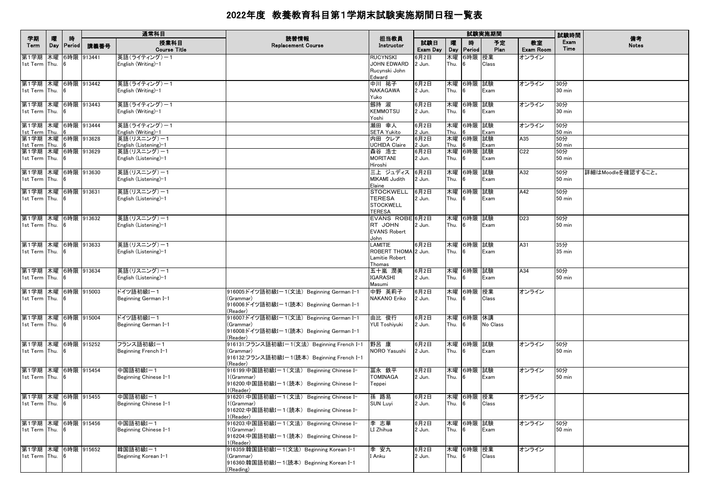|                                          |          |                    |            | 通常科目                                 |                                                         |                                       |                 |          |                  | 試験実施期間     |                        | 試験時間                 |                    |
|------------------------------------------|----------|--------------------|------------|--------------------------------------|---------------------------------------------------------|---------------------------------------|-----------------|----------|------------------|------------|------------------------|----------------------|--------------------|
| 学期<br>Term                               | 曤<br>Day | 時<br><b>Period</b> | 講義番号       | 授業科目<br><b>Course Title</b>          | 読替情報<br><b>Replacement Course</b>                       | 担当教員<br>Instructor                    | 試験日<br>Exam Day | 曤<br>Day | 時<br>Period      | 予定<br>Plan | 教室<br><b>Exam Room</b> | Exam<br>Time         | 備考<br><b>Notes</b> |
| 第1学期                                     | 木曜       |                    | 6時限 913441 | 英語(ライティング)-1                         |                                                         | <b>RUCYNSKI</b>                       | 3月2日            | 木曜       | 6時限              | 授業         | オンライン                  |                      |                    |
| 1st Term Thu.                            |          |                    |            | English (Writing)–1                  |                                                         | JOHN EDWARD<br>Rucynski John          | 2 Jun.          | Thu.     |                  | Class      |                        |                      |                    |
|                                          |          |                    |            |                                      |                                                         | Edward                                |                 |          |                  |            |                        |                      |                    |
| 第1学期 木曜 6時限 913442                       |          |                    |            | 英語(ライティング)ー1                         |                                                         | 中川 祐子                                 | 6月2日            |          | 木曜 6時限 試験        |            | オンライン                  | 30分                  |                    |
| 1st Term Thu.                            |          | 16                 |            | English (Writing)-1                  |                                                         | <b>NAKAGAWA</b>                       | 2 Jun.          | Thu.     | - 6              | Exam       |                        | 30 min               |                    |
|                                          |          |                    |            |                                      |                                                         | Yuko                                  |                 |          |                  |            |                        |                      |                    |
| 第1学期 木曜 6時限 913443<br>1st Term Thu. 6    |          |                    |            | 英語(ライティング)-1<br>English (Writing)-1  |                                                         | 劔持 淑<br><b>KEMMOTSU</b>               | 6月2日<br>2 Jun.  | Thu.     | 木曜 6時限           | 試験<br>Exam | オンライン                  | 30分<br>30 min        |                    |
|                                          |          |                    |            |                                      |                                                         | Yoshi                                 |                 |          |                  |            |                        |                      |                    |
| 第1学期 木曜 6時限 913444                       |          |                    |            | 英語(ライティング)-1                         |                                                         | 瀬田 幸人                                 | 6月2日            |          | 木曜 6時限           | 試験         | オンライン                  | 50分                  |                    |
| 1st Term Thu.                            |          |                    |            | English (Writing)-1                  |                                                         | <b>SETA Yukito</b>                    | 2 Jun.          | Thu.     |                  | Exam       |                        | $50$ min             |                    |
| 第1学期 木曜 6時限 913628<br>1st Term Thu.      |          |                    |            | 英語(リスニング)-1<br>English (Listening)-1 |                                                         | 内田 クレア<br><b>UCHIDA Claire</b>        | 6月2日<br>2 Jun.  | Thu.     | 木曜 6時限 試験        | Exam       | A35                    | 50分<br><b>50 min</b> |                    |
| 第1学期 木曜 6時限 913629                       |          |                    |            | 英語(リスニング)ー1                          |                                                         | 森谷 浩士                                 | 6月2日            |          | 木曜 6時限           | 試験         | C <sub>22</sub>        | 50分                  |                    |
| 1st Term Thu.                            |          | - 6                |            | English (Listening)-1                |                                                         | <b>MORITANI</b>                       | 2 Jun.          | Thu.     |                  | Exam       |                        | $50$ min             |                    |
|                                          |          |                    |            |                                      |                                                         | Hiroshi                               |                 |          |                  |            |                        |                      |                    |
| 第1学期 木曜 6時限 913630                       |          |                    |            | 英語(リスニング)-1                          |                                                         | 三上 ジュディス                              | 6月2日            |          | 木曜 6時限 試験        |            | A32                    | 50分                  | 詳細はMoodleを確認すること。  |
| 1st Term Thu.                            |          | - 16               |            | English (Listening)-1                |                                                         | MIKAMI Judith<br>Elaine               | 2 Jun.          | Thu.     | ĥ                | Exam       |                        | <b>50 min</b>        |                    |
| 第1学期 木曜 6時限 913631                       |          |                    |            | 英語(リスニング)ー1                          |                                                         | <b>STOCKWELL</b>                      | 6月2日            |          | 木曜 6時限           | 試験         | A42                    | 50分                  |                    |
| 1st Term Thu.                            |          | - 16               |            | English (Listening)-1                |                                                         | <b>TERESA</b>                         | 2 Jun.          | Thu.     |                  | Exam       |                        | $50$ min             |                    |
|                                          |          |                    |            |                                      |                                                         | <b>STOCKWELL</b>                      |                 |          |                  |            |                        |                      |                    |
|                                          |          |                    |            | 英語(リスニング)ー1                          |                                                         | <b>TERESA</b><br>EVANS ROBE 6月2日      |                 |          |                  |            |                        |                      |                    |
| 第1学期  木曜  6時限  913632<br>1st Term Thu. 6 |          |                    |            | English (Listening)-1                |                                                         | RT JOHN                               | 2 Jun.          | Thu.     | 木曜 6時限 試験        | Exam       | D <sub>23</sub>        | 50分<br>50 min        |                    |
|                                          |          |                    |            |                                      |                                                         | <b>EVANS Robert</b>                   |                 |          |                  |            |                        |                      |                    |
|                                          |          |                    |            |                                      |                                                         | John                                  |                 |          |                  |            |                        |                      |                    |
| 第1学期 木曜 6時限 913633                       |          |                    |            | 英語(リスニング)ー1                          |                                                         | LAMITIE                               | 6月2日            |          | 木曜  6時限          | 試験         | A31                    | 35分                  |                    |
| 1st Term Thu.                            |          |                    |            | English (Listening)-1                |                                                         | ROBERT THOMA 2 Jun.<br>Lamitie Robert |                 | Thu.     |                  | Exam       |                        | 35 min               |                    |
|                                          |          |                    |            |                                      |                                                         | Thomas                                |                 |          |                  |            |                        |                      |                    |
| 第1学期 木曜 6時限 913634                       |          |                    |            | 英語(リスニング)ー1                          |                                                         | 五十嵐 潤美                                | 6月2日            |          | 木曜 6時限 試験        |            | A34                    | 50分                  |                    |
| 1st Term Thu.                            |          |                    |            | English (Listening)-1                |                                                         | <b>IGARASHI</b>                       | 2 Jun.          | Thu.     | 16               | Exam       |                        | $50$ min             |                    |
|                                          |          |                    |            |                                      |                                                         | Masumi                                |                 |          |                  |            |                        |                      |                    |
| 第1学期 木曜 6時限 915003<br>1st Term Thu.      |          |                    |            | ドイツ語初級Iー1<br>Beginning German I-1    | 916005:ドイツ語初級Iー1(文法)Beginning German I-1<br>(Grammar)   | 中野 英莉子<br><b>NAKANO Eriko</b>         | 6月2日<br>2 Jun.  | Thu.     | 木曜 6時限 授業<br>- 6 | Class      | オンライン                  |                      |                    |
|                                          |          |                    |            |                                      | 916006:ドイツ語初級Iー1(読本)Beginning German I-1                |                                       |                 |          |                  |            |                        |                      |                    |
|                                          |          |                    |            |                                      | (Reader)                                                |                                       |                 |          |                  |            |                        |                      |                    |
| 第1学期 木曜 6時限 915004                       |          |                    |            | ドイツ語初級Iー1                            | 916007:ドイツ語初級Iー1(文法)Beginning German I-1                | 由比 俊行                                 | 6月2日            |          | 木曜 6時限           | 休講         |                        |                      |                    |
| 1st Term Thu. 6                          |          |                    |            | Beginning German I-1                 | (Grammar)                                               | YUI Toshiyuki                         | 2 Jun.          | Thu.     |                  | No Class   |                        |                      |                    |
|                                          |          |                    |            |                                      | 916008:ドイツ語初級Iー1(読本)Beginning German I-1<br>(Reader)    |                                       |                 |          |                  |            |                        |                      |                    |
| 第1学期 木曜 6時限 915252                       |          |                    |            | フランス語初級I-1                           | 916131:フランス語初級Iー1(文法)Beginning French I-1               | 野呂 康                                  | 6月2日            |          | 木曜 6時限 試験        |            | オンライン                  | 50分                  |                    |
| 1st Term Thu. 6                          |          |                    |            | Beginning French I-1                 | (Grammar)                                               | NORO Yasushi                          | 2 Jun.          | Thu.     |                  | Exam       |                        | 50 min               |                    |
|                                          |          |                    |            |                                      | 916132:フランス語初級Iー1(読本)Beginning French I-1               |                                       |                 |          |                  |            |                        |                      |                    |
| 第1学期 木曜 6時限 915454                       |          |                    |            | 中国語初級I-1                             | (Reader)<br>916199:中国語初級Iー1(文法) Beginning Chinese I-    | 冨永 鉄平                                 | 6月2日            |          | 木曜 6時限 試験        |            | オンライン                  | 50分                  |                    |
| 1st Term Thu. 6                          |          |                    |            | Beginning Chinese I-1                | 1(Grammar)                                              | TOMINAGA                              | 2 Jun.          | Thu.     |                  | Exam       |                        | $50$ min             |                    |
|                                          |          |                    |            |                                      | 916200:中国語初級Iー1(読本) Beginning Chinese I-                | Teppei                                |                 |          |                  |            |                        |                      |                    |
|                                          |          |                    |            |                                      | (Reader)                                                |                                       |                 |          |                  |            |                        |                      |                    |
| 第1学期 木曜 6時限 915455                       |          |                    |            | 中国語初級I-1                             | 916201:中国語初級Iー1(文法) Beginning Chinese I-<br>l (Grammar) | 孫 路易                                  | 6月2日            |          | 木曜 6時限 授業        |            | オンライン                  |                      |                    |
| 1st Term Thu.                            |          | 6                  |            | Beginning Chinese I-1                | 916202:中国語初級Iー1(読本) Beginning Chinese I-                | <b>SUN Luyi</b>                       | 2 Jun.          | Thu.     | 6                | Class      |                        |                      |                    |
|                                          |          |                    |            |                                      | l(Reader)                                               |                                       |                 |          |                  |            |                        |                      |                    |
| 第1学期 木曜 6時限 915456                       |          |                    |            | 中国語初級I-1                             | 916203:中国語初級Iー1(文法) Beginning Chinese I-                | 李 志華                                  | 6月2日            |          | 木曜 6時限 試験        |            | オンライン                  | 50分                  |                    |
| 1st Term Thu.                            |          |                    |            | Beginning Chinese I-1                | 1(Grammar)                                              | LI Zhihua                             | 2 Jun.          | Thu.     | <b>6</b>         | Exam       |                        | <b>50 min</b>        |                    |
|                                          |          |                    |            |                                      | 916204:中国語初級Iー1(読本) Beginning Chinese I-<br>(Reader)    |                                       |                 |          |                  |            |                        |                      |                    |
| 第1学期 木曜 6時限 915652                       |          |                    |            | 韓国語初級I-1                             | 916359:韓国語初級Iー1(文法) Beginning Korean I-1                | 李 安九                                  | 6月2日            |          | 木曜 6時限 授業        |            | オンライン                  |                      |                    |
| 1st Term Thu. 6                          |          |                    |            | Beginning Korean I-1                 | (Grammar)                                               | I Anku                                | 2 Jun.          | Thu.     |                  | Class      |                        |                      |                    |
|                                          |          |                    |            |                                      | 916360:韓国語初級I-1(読本) Beginning Korean I-1                |                                       |                 |          |                  |            |                        |                      |                    |
|                                          |          |                    |            |                                      | (Reading)                                               |                                       |                 |          |                  |            |                        |                      |                    |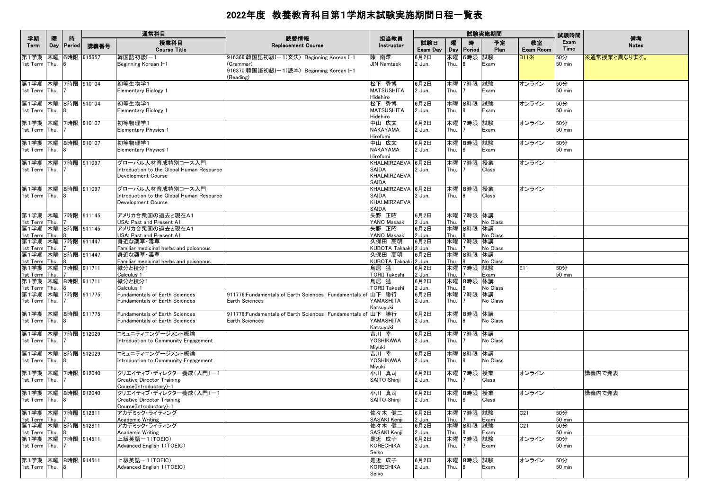|                                                                   |   |                 |      | 通常科目                                                                                  |                                                                                                                |                                                            |                          |              |                        | 試験実施期間           |                                    | 試験時間                        |                    |
|-------------------------------------------------------------------|---|-----------------|------|---------------------------------------------------------------------------------------|----------------------------------------------------------------------------------------------------------------|------------------------------------------------------------|--------------------------|--------------|------------------------|------------------|------------------------------------|-----------------------------|--------------------|
| 学期<br>Term                                                        | 曤 | 時<br>Day Period | 講義番号 | 授業科目<br><b>Course Title</b>                                                           | 読替情報<br><b>Replacement Course</b>                                                                              | 担当教員<br>Instructor                                         | 試験日<br>Exam Day          | 曤            | 時<br>Day   Period      | 予定<br>Plan       | 教室<br>Exam Room                    | Exam<br>Time                | 備考<br><b>Notes</b> |
| 第1学期 木曜 6時限 915657<br>1st Term Thu.                               |   | 6               |      | 韓国語初級I-1<br>Beginning Korean I-1                                                      | 916369:韓国語初級I-1(文法) Beginning Korean I-1<br>(Grammar)<br>916370:韓国語初級I-1(読本) Beginning Korean I-1<br>(Reading) | 陳 南澤<br><b>JIN Namtaek</b>                                 | 6月2日<br>2 Jun.           | Thu.         | 木曜 6時限                 | 試験<br>Exam       | <b>B11</b> <sup>×</sup>            | 50分<br>50 min               | ※通常授業と異なります。       |
| 第1学期 木曜 7時限 910104<br>1st Term Thu.                               |   |                 |      | 初等生物学1<br><b>Elementary Biology 1</b>                                                 |                                                                                                                | 松下 秀博<br><b>MATSUSHITA</b><br>Hidehiro                     | 6月2日<br>2 Jun.           | Thu.         | 木曜 7時限 試験              | Exam             | オンライン                              | 50分<br><b>50 min</b>        |                    |
| 第1学期 木曜 8時限 910104<br>1st Term Thu.                               |   | 8               |      | 初等生物学1<br><b>Elementary Biology 1</b>                                                 |                                                                                                                | 松下 秀博<br><b>MATSUSHITA</b><br>Hidehiro                     | 6月2日<br>2 Jun.           | Thu.         | 木曜 8時限 試験              | Exam             | オンライン                              | 50分<br><b>50 min</b>        |                    |
| 第1学期   木曜   7時限   910107<br>1st Term Thu.                         |   |                 |      | 初等物理学1<br><b>Elementary Physics 1</b>                                                 |                                                                                                                | 中山 広文<br><b>NAKAYAMA</b><br>Hirofumi                       | 6月2日<br>2 Jun.           | Thu.         | 木曜 7時限 試験              | Exam             | オンライン                              | 50分<br><b>50 min</b>        |                    |
| 第1学期 木曜 8時限 910107<br>1st Term Thu.                               |   | 8               |      | 初等物理学1<br><b>Elementary Physics 1</b>                                                 |                                                                                                                | 中山 広文<br><b>NAKAYAMA</b><br>Hirofumi                       | 6月2日<br>2 Jun.           | Thu.         | 木曜 8時限 試験              | Exam             | オンライン                              | 50分<br>50 min               |                    |
| 第1学期 木曜 7時限 911097<br>1st Term Thu.                               |   |                 |      | グローバル人材育成特別コース入門<br>Introduction to the Global Human Resource<br>Development Course   |                                                                                                                | KHALMIRZAEVA 6月2日<br>SAIDA<br>KHALMIRZAEVA<br><b>SAIDA</b> | 2 Jun.                   | Thu.         | 木曜 7時限 授業              | Class            | オンライン                              |                             |                    |
| 第1学期 木曜 8時限 911097<br>1st Term Thu.                               |   | 18              |      | グローバル人材育成特別コース入門<br>Introduction to the Global Human Resource<br>Development Course   |                                                                                                                | KHALMIRZAEVA 6月2日<br>SAIDA<br>KHALMIRZAEVA<br>SAIDA        | 2 Jun.                   | Thu.         | 木曜 8時限 授業              | Class            | オンライン                              |                             |                    |
| 第1学期 木曜 7時限 911145<br>1st Term Thu.<br>第1学期 木曜 8時限 911145         |   |                 |      | アメリカ合衆国の過去と現在A1<br>USA: Past and Present A1<br>アメリカ合衆国の過去と現在A1                        |                                                                                                                | 矢野 正昭<br>YANO Masaaki<br>矢野 正昭                             | 6月2日<br>2 Jun.<br>6月2日   | Thu.         | 木曜 7時限 休講              | No Class         |                                    |                             |                    |
| 1st Term Thu. 8<br>第1学期 木曜 7時限 911447                             |   |                 |      | USA: Past and Present A1<br>身近な薬草 毒草                                                  |                                                                                                                | YANO Masaaki<br>久保田 高明                                     | 2 Jun.<br>6月2日           | Thu.         | 木曜 8時限 休講<br>木曜 7時限 休講 | No Class         |                                    |                             |                    |
| 1st Term Thu.<br>第1学期 木曜 8時限 911447                               |   |                 |      | Familiar medicinal herbs and poisonous<br>身近な薬草 毒草                                    |                                                                                                                | KUBOTA Takaaki 2 Jun.<br>久保田 高明                            | 6月2日                     | Thu.         | 木曜 8時限 休講              | No Class         |                                    |                             |                    |
| 1st Term Thu.<br>第1学期 木曜 7時限 911711<br>1st Term Thu.              |   | 8<br>17         |      | Familiar medicinal herbs and poisonous<br>微分と積分1<br>Calculus 1                        |                                                                                                                | KUBOTA Takaaki 2 Jun.<br>鳥居 猛<br><b>TORII Takeshi</b>      | 6月2日<br>2 Jun.           | Thu.<br>Thu. | 木曜 7時限 試験              | No Class<br>Exam | E11                                | 50分<br>50 min               |                    |
| 第1学期 木曜 8時限 911711<br>1st Term Thu.                               |   | - 18            |      | 微分と積分1<br>Calculus 1                                                                  |                                                                                                                | 鳥居 猛<br><b>TORII Takeshi</b>                               | 6月2日<br>2 Jun.           | Thu.         | 木曜 8時限 休講              | No Class         |                                    |                             |                    |
| 第1学期 木曜 7時限 911775<br>1st Term Thu.                               |   |                 |      | Fundamentals of Earth Sciences<br><b>Fundamentals of Earth Sciences</b>               | 911776: Fundamentals of Earth Sciences Fundamentals of<br><b>Earth Sciences</b>                                | 山下 勝行<br>YAMASHITA<br>Katsuyuki                            | 6月2日<br>2 Jun.           | Thu.         | 木曜 7時限 休講              | No Class         |                                    |                             |                    |
| 第1学期 木曜 8時限 911775<br>1st Term Thu.                               |   | - 18            |      | Fundamentals of Earth Sciences<br>Fundamentals of Earth Sciences                      | 911776: Fundamentals of Earth Sciences Fundamentals o<br>Earth Sciences                                        | 山下 勝行<br>YAMASHITA<br>Katsuyuki                            | 6月2日<br>2 Jun.           | Thu.         | 木曜 8時限 休講              | No Class         |                                    |                             |                    |
| 第1学期 木曜 7時限 912029<br>1st Term Thu.                               |   |                 |      | コミュニティエンゲージメント概論<br>Introduction to Community Engagement                              |                                                                                                                | 吉川 幸<br>YOSHIKAWA<br>Mivuki                                | 6月2日<br>2 Jun.           | Thu.         | 木曜 7時限 休講              | No Class         |                                    |                             |                    |
| 第1学期 木曜 8時限 912029<br>1st Term Thu.                               |   | 18              |      | コミュニティエンゲージメント概論<br>Introduction to Community Engagement                              |                                                                                                                | 吉川 幸<br>YOSHIKAWA<br>Miyuki                                | 6月2日<br>2 Jun.           | Thu.         | 木曜 8時限 休講              | No Class         |                                    |                             |                    |
| 第1学期  木曜  7時限  912040<br>1st Term Thu.                            |   |                 |      | クリエイティブ・ディレクター養成(入門)-1<br><b>Creative Director Training</b><br>Course(Introductory)-1 |                                                                                                                | 小川 真司<br>SAITO Shinji                                      | 6月2日<br>2 Jun.           | Thu.         | 木曜 7時限 授業              | Class            | オンライン                              |                             | 講義内で発表             |
| 第1学期 木曜 8時限 912040<br>1st Term Thu.                               |   | 18              |      | クリエイティブ・ディレクター養成(入門)ー1<br><b>Creative Director Training</b><br>Course(Introductory)-1 |                                                                                                                | 小川 真司<br>SAITO Shinii                                      | 6月2日<br>2 Jun.           | Thu.         | 木曜 8時限 授業<br>18.       | Class            | オンライン                              |                             | 講義内で発表             |
| 第1学期   木曜   7時限   912811<br>1st Term Thu. 7<br>第1学期 木曜 8時限 912811 |   |                 |      | アカデミック・ライティング<br><b>Academic Writing</b><br>アカデミック・ライティング                             |                                                                                                                | 佐々木 健二<br>SASAKI Kenji<br>佐々木 健二                           | 6月2日<br>2 Jun.<br>6月2日   | Thu.         | 木曜 7時限 試験<br>木曜 8時限 試験 | Exam             | C <sub>21</sub><br>C <sub>21</sub> | 50分<br>50 min<br>50分        |                    |
| 1st Term Thu. 8<br> 第1学期   木曜   7時限   914511<br>1st Term Thu.     |   | 17              |      | <b>Academic Writing</b><br>上級英語-1(TOEIC)<br>Advanced English 1 (TOEIC)                |                                                                                                                | SASAKI Kenji<br>是近 成子<br>KORECHIKA                         | 2 Jun.<br>6月2日<br>2 Jun. | Thu.<br>Thu. | 木曜 7時限 試験              | Exam<br>Exam     | オンライン                              | $50$ min<br>50分<br>$50$ min |                    |
| 第1学期 木曜 8時限 914511                                                |   |                 |      | 上級英語-1(TOEIC)                                                                         |                                                                                                                | Seiko<br>是近 成子                                             | 6月2日                     |              | 木曜 8時限 試験              |                  | オンライン                              | 50分                         |                    |
| 1st Term Thu. 8                                                   |   |                 |      | Advanced English 1 (TOEIC)                                                            |                                                                                                                | KORECHIKA<br>Seiko                                         | 2 Jun.                   | Thu.         | <b>8</b>               | Exam             |                                    | $50$ min                    |                    |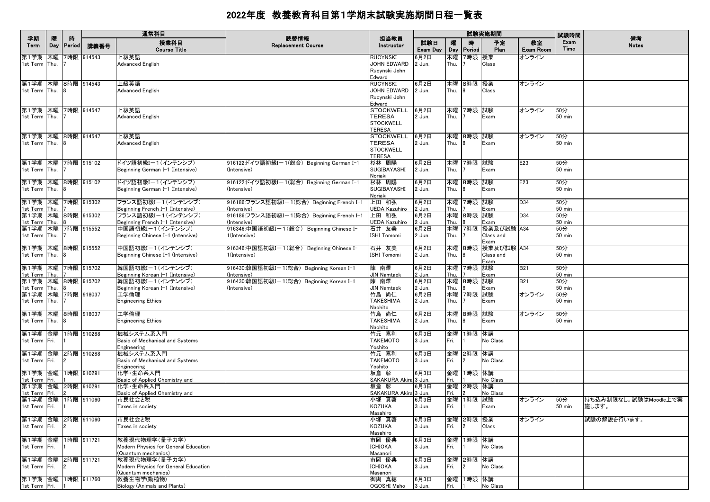|                                                                     |          |                    |            | 通常科目                                                                                          |                                                                                                        |                                                                        |                          |              |                             | 試験実施期間                                |                        | 試験時間                                |                                |
|---------------------------------------------------------------------|----------|--------------------|------------|-----------------------------------------------------------------------------------------------|--------------------------------------------------------------------------------------------------------|------------------------------------------------------------------------|--------------------------|--------------|-----------------------------|---------------------------------------|------------------------|-------------------------------------|--------------------------------|
| 学期<br>Term                                                          | 隁<br>Day | 時<br><b>Period</b> | 講義番号       | 授業科目<br><b>Course Title</b>                                                                   | 読替情報<br><b>Replacement Course</b>                                                                      | 担当教員<br>Instructor                                                     | 試験日<br>Exam Day          | 曤<br>Day     | 時<br>Period                 | 予定<br>Plan                            | 教室<br><b>Exam Room</b> | Exam<br>Time                        | 備考<br><b>Notes</b>             |
| 第1学期<br>1st Term Thu.                                               | 木曜       |                    | 7時限 914543 | 上級英語<br>Advanced English                                                                      |                                                                                                        | <b>RUCYNSKI</b><br>JOHN EDWARD<br>Rucynski John<br>Edward              | 3月2日<br>2 Jun.           | 木曜<br>Thu.   | 7時限                         | 授業<br>Class                           | オンライン                  |                                     |                                |
| 第1学期 木曜 8時限 914543<br>1st Term Thu.                                 |          |                    |            | 上級英語<br>Advanced English                                                                      |                                                                                                        | <b>RUCYNSKI</b><br><b>JOHN EDWARD</b><br>Rucynski John<br>Edward       | 6月2日<br>2 Jun.           | Thu.         | 木曜 8時限 授業<br>8              | Class                                 | オンライン                  |                                     |                                |
| 第1学期 木曜 7時限 914547<br>1st Term Thu.                                 |          |                    |            | 上級英語<br><b>Advanced English</b>                                                               |                                                                                                        | <b>STOCKWELL</b><br>TERESA<br><b>STOCKWELL</b><br><b>TERESA</b>        | 6月2日<br>2 Jun.           | Thu.         | 木曜 7時限 試験                   | Exam                                  | オンライン                  | 50分<br>$50$ min                     |                                |
| 第1学期 木曜 8時限 914547<br>1st Term Thu. 8                               |          |                    |            | 上級英語<br><b>Advanced English</b>                                                               |                                                                                                        | <b>STOCKWELL</b><br><b>TERESA</b><br><b>STOCKWELL</b><br><b>TERESA</b> | 6月2日<br>2 Jun.           | Thu.         | 木曜 8時限                      | 試験<br>Exam                            | オンライン                  | 50分<br>$50$ min                     |                                |
| 第1学期   木曜   7時限   915102<br>1st Term Thu.                           |          |                    |            | ドイツ語初級Iー1(インテンシブ)<br>Beginning German I-1 (Intensive)                                         | 916122:ドイツ語初級Iー1(総合)Beginning German I-1<br>(Intensive)                                                | 杉林 周陽<br>SUGIBAYASHI<br>Noriaki                                        | 6月2日<br>2 Jun.           | Thu.         | 木曜 7時限 試験                   | Exam                                  | E23                    | 50分<br><b>50 min</b>                |                                |
| 第1学期 木曜 8時限 915102<br>1st Term Thu.<br>第1学期 木曜 7時限 915302           |          |                    |            | ドイツ語初級Iー1(インテンシブ)<br>Beginning German I-1 (Intensive)<br>フランス語初級I-1(インテンシブ)                   | 916122:ドイツ語初級Iー1(総合) Beginning German I-1<br>(Intensive)<br>916186:フランス語初級I-1(総合) Beginning French I-1 | 杉林 周陽<br>SUGIBAYASHI<br>Noriaki<br>上田 和弘                               | 6月2日<br>2 Jun.<br>6月2日   | Thu.         | 木曜 8時限 試験<br>木曜 7時限 試験      | Exam                                  | E23<br>D34             | 50分<br><b>50 min</b><br>50分         |                                |
| 1st Term Thu.<br>第1学期 木曜 8時限 915302<br>1st Term                     | Thu.     |                    |            | Beginning French I-1 (Intensive)<br>フランス語初級I-1(インテンシブ)<br>Beginning French I-1 (Intensive)    | (Intensive)<br>916186:フランス語初級I-1(総合) Beginning French I-1<br>(Intensive)                               | <b>UEDA Kazuhiro</b><br>上田 和弘<br><b>UEDA Kazuhiro</b>                  | 2 Jun.<br>6月2日<br>2 Jun. | Thu.<br>Thu. | 木曜 8時限 試験                   | Exam<br>Exam                          | D34                    | $50$ min<br>50分<br>$50 \text{ min}$ |                                |
| 第1学期 木曜 7時限 915552<br>1st Term Thu.                                 |          |                    |            | 中国語初級I-1(インテンシブ)<br>Beginning Chinese I-1 (Intensive)                                         | 916346:中国語初級Iー1(総合) Beginning Chinese I-<br>1(Intensive)                                               | 石井 友美<br><b>ISHI Tomomi</b>                                            | 6月2日<br>2 Jun.           | Thu.         | 木曜 7時限                      | 授業及び試験 A34<br>Class and<br>Exam       |                        | 50分<br><b>50 min</b>                |                                |
| 第1学期  木曜  8時限  915552<br>1st Term Thu.<br> 第1学期   木曜   7時限   915702 |          |                    |            | 中国語初級I-1(インテンシブ)<br>Beginning Chinese I-1 (Intensive)<br> 韓国語初級Iー1(インテンシブ)                    | 916346:中国語初級Iー1(総合) Beginning Chinese I-<br>1(Intensive)<br>916430:韓国語初級I-1(総合) Beginning Korean I-1   | 石井 友美<br><b>ISHI Tomomi</b><br>陳 南澤                                    | 6月2日<br>2 Jun.<br>6月2日   | Thu.         | 木曜 8時限<br>木曜 7時限            | 授業及び試験 A34<br>Class and<br>Exam<br>試験 | <b>B21</b>             | 50分<br><b>50 min</b><br>50分         |                                |
| 1st Term Thu.<br>第1学期 木曜 8時限 915702<br>1st Term Thu.                |          |                    |            | Beginning Korean I-1 (Intensive)<br>韓国語初級I-1(インテンシブ)<br>Beginning Korean I-1 (Intensive)      | (Intensive)<br>916430:韓国語初級I-1(総合) Beginning Korean I-1<br>(Intensive)                                 | <b>JIN Namtaek</b><br>陳 南澤<br><b>JIN Namtaek</b>                       | 2 Jun.<br>6月2日<br>2 Jun. | Thu.<br>Thu. | 木曜 8時限 試験                   | Exam<br>Exam                          | <b>B21</b>             | $50$ min<br>50分<br><b>50 min</b>    |                                |
| 第1学期 木曜 7時限 918037<br>1st Term Thu.                                 |          |                    |            | 工学倫理<br><b>Engineering Ethics</b>                                                             |                                                                                                        | 竹島 尚仁<br><b>TAKESHIMA</b><br>Naohito                                   | 6月2日<br>2 Jun.           | 木曜<br>Thu.   | 7時限                         | 試験<br>Exam                            | オンライン                  | 50分<br>$50$ min                     |                                |
| 第1学期 木曜 8時限 918037<br>1st Term Thu.                                 |          |                    |            | 工学倫理<br><b>Engineering Ethics</b>                                                             |                                                                                                        | 竹島 尚仁<br><b>TAKESHIMA</b><br>Naohito                                   | 6月2日<br>2 Jun.           | Thu.         | 木曜 8時限 試験                   | Exam                                  | オンライン                  | 50分<br><b>50 min</b>                |                                |
| 第1学期 金曜<br>1st Term Fri.<br>第1学期 金曜 2時限 910288                      |          |                    | 1時限 910288 | 機械システム系入門<br>Basic of Mechanical and Systems<br>Engineering<br>機械システム系入門                      |                                                                                                        | 竹元 嘉利<br><b>TAKEMOTO</b><br>Yoshito<br>竹元 嘉利                           | 6月3日<br>3 Jun.<br>6月3日   | Fri.         | 金曜 1時限 休講<br>金曜 2時限         | No Class<br>休講                        |                        |                                     |                                |
| 1st Term Fri.<br>第1学期 金曜 1時限 910291                                 |          |                    |            | Basic of Mechanical and Systems<br>Engineering<br>化学·生命系入門                                    |                                                                                                        | <b>TAKEMOTO</b><br>Yoshito<br>坂倉 彰                                     | 3 Jun.<br>6月3日           | Fri.         | $\mathcal{P}$<br>金曜 1時限 休講  | No Class                              |                        |                                     |                                |
| 1st Term Fri.<br>第1学期 金曜 2時限 910291<br>1st Term Fri.                |          |                    |            | Basic of Applied Chemistry and<br>化学 生命系入門<br>Basic of Applied Chemistry and                  |                                                                                                        | SAKAKURA Akira 3 Jun.<br>坂倉 彰<br>SAKAKURA Akira 3 Jun.                 | 6月3日                     | Fri.<br>Fri. | 金曜 2時限 休講                   | No Class<br>No Class                  |                        |                                     |                                |
| 第1学期 金曜 1時限 911060<br>1st Term Fri.                                 |          |                    |            | 市民社会と税<br>Taxes in society                                                                    |                                                                                                        | 小塚 真啓<br><b>KOZUKA</b><br>Masahiro                                     | 6月3日<br>3 Jun.           | Fri.         | 金曜 1時限<br>11                | 試験<br>Exam                            | オンライン                  | 50分<br>$50 \text{ min}$             | 持ち込み制限なし。試験はMoodle上で実<br>施します。 |
| 第1学期 金曜 2時限 911060<br>1st Term Fri.                                 |          | $\mathbf{12}$      |            | 市民社会と税<br>Taxes in society                                                                    |                                                                                                        | 小塚 真啓<br><b>KOZUKA</b><br>Masahiro                                     | 6月3日<br>3 Jun.           | Fri.         | 金曜 2時限 授業<br>$\overline{2}$ | Class                                 | オンライン                  |                                     | 試験の解説を行います。                    |
| 第1学期 金曜<br>1st Term Fri.<br>第1学期 金曜 2時限 911721                      |          | 1時限 911721         |            | 教養現代物理学(量子力学)<br>Modern Physics for General Education<br>(Quantum mechanics)<br>教養現代物理学(量子力学) |                                                                                                        | 市岡 優典<br><b>ICHIOKA</b><br>Masanori<br>市岡 優典                           | 6月3日<br>3 Jun.<br>6月3日   | 金曜<br>Fri.   | 1時限<br>金曜 2時限               | 休講<br>No Class<br>休講                  |                        |                                     |                                |
| 1st Term Fri.<br>第1学期 金曜 1時限 911760                                 |          | $\mathbf{2}$       |            | Modern Physics for General Education<br>(Quantum mechanics)<br>教養生物学(動植物)                     |                                                                                                        | <b>ICHIOKA</b><br>Masanori<br>御輿 真穂                                    | 3 Jun.<br>6月3日           | Fri.         | $\overline{2}$<br>金曜 1時限 休講 | No Class                              |                        |                                     |                                |
| 1st Term Fri.                                                       |          |                    |            | Biology (Animals and Plants)                                                                  |                                                                                                        | OGOSHI Maho                                                            | 3 Jun.                   | Fri. 1       |                             | No Class                              |                        |                                     |                                |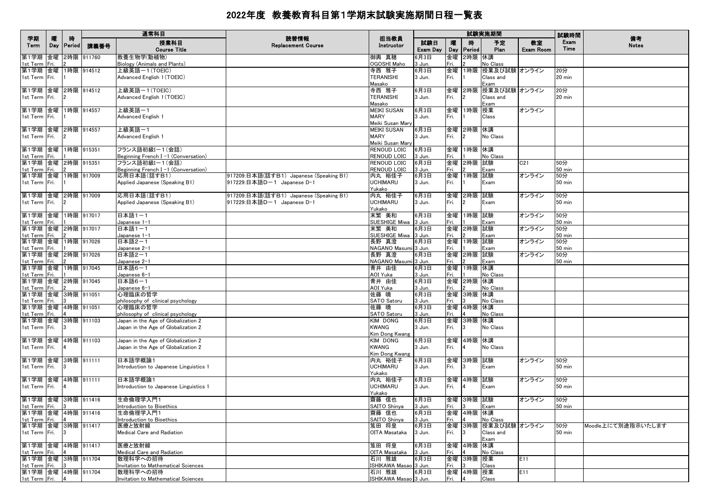|                                     |          |                    |               | 通常科目                                                  | 読替情報                                    |                                 |                 |            |                             | 試験実施期間                 |                 | 試験時間                 |                    |
|-------------------------------------|----------|--------------------|---------------|-------------------------------------------------------|-----------------------------------------|---------------------------------|-----------------|------------|-----------------------------|------------------------|-----------------|----------------------|--------------------|
| 学期<br>Term                          | 曤<br>Day | 時<br><b>Period</b> | 講義番号          | 授業科目<br><b>Course Title</b>                           | <b>Replacement Course</b>               | 担当教員<br>Instructor              | 試験日<br>Exam Day | 曤<br>Day   | 時<br>Period                 | 予定<br>Plan             | 教室<br>Exam Room | Exam<br>Time         | 備考<br><b>Notes</b> |
| 第1学期<br>1st Term Fri.               | 金曜       |                    | 2時限 911760    | 教養生物学(動植物)<br>Biology (Animals and Plants)            |                                         | 御輿 真穂<br>OGOSHI Maho            | 6月3日<br>3 Jun.  | 金曜<br>Fri. | 2時限 休講                      | No Class               |                 |                      |                    |
| 第1学期                                | 金曜       |                    | 1時限 914512    | 上級英語ー1(TOEIC)                                         |                                         | 寺西 雅子                           | 6月3日            | 金曜         | 1時限                         | 授業及び試験 オンライン           |                 | 20分                  |                    |
| 1st Term Fri.                       |          |                    |               | Advanced English 1 (TOEIC)                            |                                         | <b>TERANISHI</b><br>Masako      | 3 Jun.          | Fri.       |                             | Class and<br>Exam      |                 | $20 \text{ min}$     |                    |
| 第1学期 金曜 2時限 914512                  |          |                    |               | 上級英語ー1(TOEIC)                                         |                                         | 寺西 雅子                           | 6月3日            | 金曜         |                             | 2時限 授業及び試験 オンライン       |                 | 20分                  |                    |
| 1st Term   Fri.                     |          |                    |               | Advanced English 1 (TOEIC)                            |                                         | <b>TERANISHI</b><br>Masako      | 3 Jun.          | Fri.       |                             | Class and<br>Exam      |                 | 20 min               |                    |
| 第1学期 金曜 1時限 914557                  |          |                    |               | 上級英語一1                                                |                                         | <b>MEIKI SUSAN</b>              | 6月3日            | 金曜         | 1時限 授業                      |                        | オンライン           |                      |                    |
| 1st Term Fri.                       |          |                    |               | Advanced English 1                                    |                                         | <b>MARY</b><br>Meiki Susan Mary | 3 Jun.          | Fri.       |                             | Class                  |                 |                      |                    |
| 第1学期 金曜 2時限 914557                  |          |                    |               | 上級英語一1                                                |                                         | <b>MEIKI SUSAN</b>              | 6月3日            | 金曜         | 2時限 休講                      |                        |                 |                      |                    |
| 1st Term Fri.                       |          |                    |               | Advanced English 1                                    |                                         | <b>MARY</b><br>Meiki Susan Marv | 3 Jun.          | Fri.       | $\overline{2}$              | No Class               |                 |                      |                    |
| 第1学期 金曜<br>1st Term                 | Fri.     |                    | 1時限 915351    | フランス語初級I-1(会話)<br>Beginning French I-1 (Conversation) |                                         | RENOUD LOIC<br>RENOUD LOIC      | 6月3日<br>3 Jun.  | 金曜<br>Fri. | 1時限 休講                      | No Class               |                 |                      |                    |
| 第1学期 金曜 2時限 915351                  |          |                    |               | フランス語初級I-1(会話)                                        |                                         | RENOUD LOIC                     | 6月3日            | 金曜         | 2時限 試験                      |                        | C21             | 50分                  |                    |
| 1st Term Fri.                       |          |                    |               | Beginning French I-1 (Conversation)                   |                                         | <b>RENOUD LOIC</b>              | 3 Jun.          | Fri.       |                             | Exam                   |                 | <b>50 min</b>        |                    |
| 第1学期 金曜 1時限 917009                  |          |                    |               | 応用日本語(話すB1)                                           | 917209:日本語(話すB1) Japanese (Speaking B1) | 内丸 裕佳子                          | 6月3日            | 金曜         | 1時限 試験                      |                        | オンライン           | 50分                  |                    |
| 1st Term   Fri.                     |          |                    |               | Applied Japanese (Speaking B1)                        | 917229:日本語Dー1 Japanese D-1              | <b>UCHIMARU</b><br>Yukako       | 3 Jun.          | Fri.       |                             | Exam                   |                 | 50 min               |                    |
| 第1学期 金曜 2時限 917009                  |          |                    |               | 応用日本語(話すB1)                                           | 917209:日本語(話すB1) Japanese (Speaking B1) | 内丸 裕佳子                          | 6月3日            | 金曜         | 2時限 試験                      |                        | オンライン           | 50分                  |                    |
| 1st Term Fri.                       |          |                    |               | Applied Japanese (Speaking B1)                        | 917229:日本語D-1 Japanese D-1              | <b>UCHIMARU</b><br>Yukako       | 3 Jun.          | Fri.       | $\overline{2}$              | Exam                   |                 | <b>50 min</b>        |                    |
| 第1学期 金曜 1時限 917017                  |          |                    |               | 日本語1-1                                                |                                         | 末繁 美和                           | 6月3日            | 金曜         | 1時限 試験                      |                        | オンライン           | 50分                  |                    |
| 1st Term                            | Fri.     |                    |               | Japanese 1-1                                          |                                         | SUESHIGE Miwa                   | 3 Jun.          | Fri.       |                             | Exam                   |                 | <b>50 min</b>        |                    |
| 第1学期 金曜 2時限 917017<br>1st Term Fri. |          |                    |               | 日本語1-1<br>Japanese 1-1                                |                                         | 末繁 美和<br>SUESHIGE Miwa 3 Jun.   | 6月3日            | 金曜<br>Fri. | 2時限 試験                      | Exam                   | オンライン           | 50分<br><b>50 min</b> |                    |
| 第1学期 金曜 1時限 917026                  |          |                    |               | 日本語2-1                                                |                                         | 長野 真澄                           | 6月3日            | 金曜         | 1時限 試験                      |                        | オンライン           | 50分                  |                    |
| 1st Term                            | Fri.     |                    |               | Japanese 2-1                                          |                                         | NAGANO Masumi 3 Jun.            |                 | Fri.       |                             | Exam                   |                 | <b>50 min</b>        |                    |
| 第1学期                                | 金曜       |                    | 2時限 917026    | 日本語2-1                                                |                                         | 長野 真澄                           | 6月3日            | 金曜         | 2時限 試験                      |                        | オンライン           | 50分                  |                    |
| 1st Term Fri.                       |          |                    |               | Japanese 2-1                                          |                                         | NAGANO Masumi 3 Jun.            |                 | Fri.<br>金曜 |                             | Exam                   |                 | <b>50 min</b>        |                    |
| 第1学期<br>1st Term                    | Fri.     |                    | 金曜 1時限 917045 | 日本語6-1<br>Japanese 6-1                                |                                         | 青井 由佳<br>AOI Yuka               | 6月3日<br>3 Jun.  | Fri.       | 1時限                         | 休講<br>No Class         |                 |                      |                    |
| 第1学期 金曜 2時限 917045<br>1st Term      | Fri.     |                    |               | 日本語6-1<br>Japanese 6-1                                |                                         | 青井 由佳<br>AOI Yuka               | 6月3日            | 金曜<br>Fri. | 2時限 休講                      | No Class               |                 |                      |                    |
| 第1学期 金曜 3時限 911051                  |          |                    |               | 心理臨床の哲学                                               |                                         | 佐藤 曉                            | 3 Jun.<br>6月3日  | 金曜         | 3時限  休講                     |                        |                 |                      |                    |
| 1st Term                            | Fri.     |                    |               | philosophy of clinical psychology                     |                                         | SATO Satoru                     | 3 Jun.          | Fri.       |                             | No Class               |                 |                      |                    |
| 第1学期 金曜 4時限 911051                  |          |                    |               | 心理臨床の哲学                                               |                                         | 佐藤 曉                            | 6月3日            | 金曜         | 4時限 休講                      |                        |                 |                      |                    |
| 1st Term                            | Fri.     |                    |               | philosophy of clinical psychology                     |                                         | SATO Satoru                     | 3 Jun.          | Fri.       |                             | No Class               |                 |                      |                    |
| 第1学期                                | 金曜       |                    | 3時限 911103    | Japan in the Age of Globalization 2                   |                                         | KIM DONG                        | 6月3日            | 金曜         | 3時限 休講                      |                        |                 |                      |                    |
| 1st Term   Fri.                     |          |                    |               | Japan in the Age of Globalization 2                   |                                         | <b>KWANG</b>                    | 3 Jun.          | Fri.       |                             | No Class               |                 |                      |                    |
|                                     |          |                    |               |                                                       |                                         | Kim Dong Kwang                  |                 |            |                             |                        |                 |                      |                    |
| 第1学期  金曜                            |          |                    | 4時限 911103    | Japan in the Age of Globalization 2                   |                                         | KIM DONG                        | 6月3日            |            | 金曜 4時限 休講                   |                        |                 |                      |                    |
| 1st Term   Fri.                     |          |                    |               | Japan in the Age of Globalization 2                   |                                         | <b>KWANG</b>                    | 3 Jun.          | Fri.       |                             | No Class               |                 |                      |                    |
| 第1学期  金曜  3時限  911111               |          |                    |               | 日本語学概論1                                               |                                         | Kim Dong Kwang<br>内丸 裕佳子        | 6月3日            | 金曜         | 3時限  試験                     |                        | オンライン           | 50分                  |                    |
| 1st Term Fri.                       |          |                    |               | Introduction to Japanese Linguistics 1                |                                         | <b>UCHIMARU</b>                 | 3 Jun.          | Fri.       | 3                           | Exam                   |                 | <b>50 min</b>        |                    |
|                                     |          |                    |               |                                                       |                                         | Yukako                          |                 |            |                             |                        |                 |                      |                    |
| 第1学期 金曜 4時限 911111                  |          |                    |               | 日本語学概論1                                               |                                         | 内丸 裕佳子                          | 6月3日            | 金曜         | 4時限 試験                      |                        | オンライン           | 50分                  |                    |
| 1st Term Fri.                       |          |                    |               | Introduction to Japanese Linguistics 1                |                                         | <b>UCHIMARU</b><br>Yukako       | 3 Jun.          | Fri.       |                             | Exam                   |                 | $50$ min             |                    |
| 第1学期 金曜 3時限 911416                  |          |                    |               | 生命倫理学入門1                                              |                                         | 齋藤 信也                           | 6月3日            | 金曜         | 3時限 試験                      |                        | オンライン           | 50分                  |                    |
| 1st Term Fri. 3                     |          |                    |               | Introduction to Bioethics                             |                                         | SAITO Shinya                    | 3 Jun.          | Fri.       | 13                          | Exam                   |                 | 50 min               |                    |
| 第1学期 金曜 4時限 911416<br>1st Term Fri. |          |                    |               | 生命倫理学入門1<br>Introduction to Bioethics                 |                                         | 齋藤 信也<br>SAITO Shinya           | 6月3日<br>3 Jun.  | Fri.       | 金曜 4時限 休講<br>$\overline{4}$ | No Class               |                 |                      |                    |
| 第1学期  金曜  3時限  911417               |          |                    |               | 医療と放射線                                                |                                         | 笈田 将皇                           | 6月3日            |            |                             | 金曜  3時限  授業及び試験  オンライン |                 | 50分                  | Moodle上にて別途指示いたします |
| 1st Term Fri.                       |          | 13                 |               | Medical Care and Radiation                            |                                         | OITA Masataka                   | 3 Jun.          | Fri.       | 3                           | Class and<br>Exam      |                 | $50$ min             |                    |
| 第1学期 金曜 4時限 911417                  |          |                    |               | 医療と放射線                                                |                                         | 笈田 将皇                           | 6月3日            |            | 金曜 4時限 休講                   |                        |                 |                      |                    |
| 1st Term Fri.                       |          |                    |               | Medical Care and Radiation                            |                                         | OITA Masataka                   | 3 Jun.          | Fri.       |                             | No Class               |                 |                      |                    |
| 第1学期 金曜 3時限 911704                  |          |                    |               | 数理科学への招待                                              |                                         | 石川 雅雄                           | 6月3日            |            | 金曜 3時限 授業                   |                        | E11             |                      |                    |
| 1st Term Fri.<br>第1学期 金曜 4時限 911704 |          |                    |               | Invitation to Mathematical Sciences                   |                                         | ISHIKAWA Masao 3 Jun.           |                 | Fri.       |                             | Class                  |                 |                      |                    |
| 1st Term Fri. 4                     |          |                    |               | 数理科学への招待 <br>Invitation to Mathematical Sciences      |                                         | 石川 雅雄<br>ISHIKAWA Masao 3 Jun.  | 6月3日            | Fri.       | 金曜 4時限 授業<br>$\overline{4}$ | Class                  | E11             |                      |                    |
|                                     |          |                    |               |                                                       |                                         |                                 |                 |            |                             |                        |                 |                      |                    |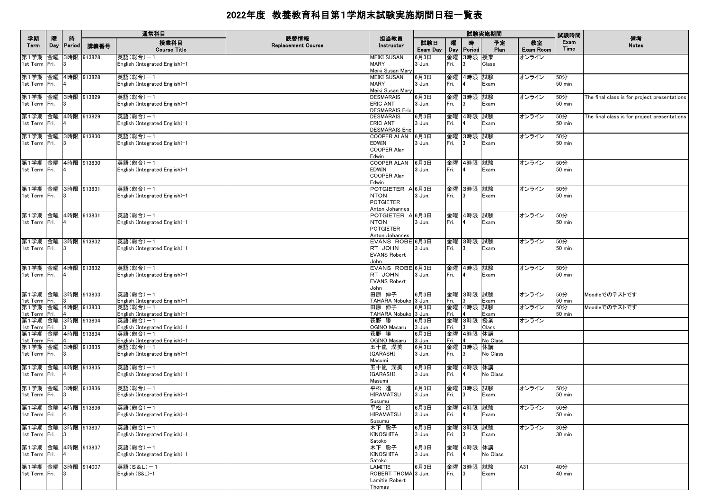|                                     |          |                    |            | 通常科目                                       | 読替情報                      |                                     |                 |            |                 | 試験実施期間         |                        | 試験時間                 | 備考                                           |
|-------------------------------------|----------|--------------------|------------|--------------------------------------------|---------------------------|-------------------------------------|-----------------|------------|-----------------|----------------|------------------------|----------------------|----------------------------------------------|
| 学期<br>Term                          | 曤<br>Day | 時<br><b>Period</b> | 講義番号       | 授業科目<br><b>Course Title</b>                | <b>Replacement Course</b> | 担当教員<br>Instructor                  | 試験日<br>Exam Day | 嚁<br>Day   | 時<br>Period     | 予定<br>Plan     | 教室<br><b>Exam Room</b> | Exam<br>Time         | <b>Notes</b>                                 |
| 第1学期<br>1st Term Fri.               | 金曜       |                    | 3時限 913828 | 英語(総合)-1<br>English (Integrated English)-1 |                           | <b>MEIKI SUSAN</b><br><b>MARY</b>   | 6月3日<br>3 Jun.  | 金曜<br>Fri. | 3時限             | 授業<br>Class    | オンライン                  |                      |                                              |
|                                     |          |                    |            |                                            |                           | Meiki Susan Mary                    |                 |            |                 |                |                        |                      |                                              |
| 第1学期  金曜<br>1st Term Fri.           |          |                    | 4時限 913828 | 英語(総合)-1<br>English (Integrated English)-1 |                           | <b>MEIKI SUSAN</b><br><b>MARY</b>   | 6月3日<br>3 Jun.  | 金曜<br>Fri. | 4時限             | 試験<br>Exam     | オンライン                  | 50分<br><b>50 min</b> |                                              |
|                                     |          |                    |            |                                            |                           | Meiki Susan Mary                    |                 |            |                 |                |                        |                      |                                              |
| 第1学期 金曜<br>1st Term Fri.            |          |                    | 3時限 913829 | 英語(総合)-1<br>English (Integrated English)-1 |                           | <b>DESMARAIS</b><br><b>ERIC ANT</b> | 6月3日<br>3 Jun.  | Fri.       | 金曜 3時限 試験       | Exam           | オンライン                  | 50分<br>$50$ min      | The final class is for project presentations |
|                                     |          |                    |            |                                            |                           | <b>DESMARAIS Eric</b>               |                 |            |                 |                |                        |                      |                                              |
| 第1学期 金曜 4時限 913829<br>1st Term Fri. |          |                    |            | 英語(総合)-1                                   |                           | <b>DESMARAIS</b><br><b>ERIC ANT</b> | 6月3日            | Fri.       | 金曜 4時限 試験       |                | オンライン                  | 50分<br><b>50 min</b> | The final class is for project presentations |
|                                     |          |                    |            | English (Integrated English)-1             |                           | <b>DESMARAIS Eric</b>               | 3 Jun.          |            |                 | Exam           |                        |                      |                                              |
| 第1学期 金曜<br>1st Term Fri.            |          |                    | 3時限 913830 | 英語(総合)-1                                   |                           | <b>COOPER ALAN</b>                  | 6月3日            |            | 金曜 3時限          | 試験             | オンライン                  | 50分                  |                                              |
|                                     |          | -13                |            | English (Integrated English)-1             |                           | <b>EDWIN</b><br><b>COOPER Alan</b>  | 3 Jun.          | Fri.       |                 | Exam           |                        | <b>50 min</b>        |                                              |
|                                     |          |                    |            |                                            |                           | Edwin                               |                 |            |                 |                |                        |                      |                                              |
| 第1学期 金曜<br>1st Term Fri.            |          |                    | 4時限 913830 | 英語(総合)-1<br>English (Integrated English)-1 |                           | <b>COOPER ALAN</b><br><b>EDWIN</b>  | 6月3日<br>3 Jun.  | Fri.       | 金曜 4時限 試験       | Exam           | オンライン                  | 50分<br>$50$ min      |                                              |
|                                     |          |                    |            |                                            |                           | <b>COOPER Alan</b>                  |                 |            |                 |                |                        |                      |                                              |
| 第1学期 金曜                             |          |                    | 3時限 913831 | 英語(総合)-1                                   |                           | Edwin<br>POTGIETER A 6月3日           |                 | 金曜         | 3時限             | 試験             | オンライン                  | 50分                  |                                              |
| 1st Term Fri.                       |          |                    |            | English (Integrated English)-1             |                           | <b>NTON</b>                         | 3 Jun.          | Fri.       | 3               | Exam           |                        | $50$ min             |                                              |
|                                     |          |                    |            |                                            |                           | <b>POTGIETER</b><br>Anton Johannes  |                 |            |                 |                |                        |                      |                                              |
| 第1学期 金曜 4時限 913831                  |          |                    |            | 英語(総合)-1                                   |                           | POTGIETER A 6月3日                    |                 |            | 金曜 4時限 試験       |                | オンライン                  | 50分                  |                                              |
| 1st Term Fri.                       |          |                    |            | English (Integrated English)-1             |                           | <b>NTON</b><br><b>POTGIETER</b>     | 3 Jun.          | Fri.       |                 | Exam           |                        | $50$ min             |                                              |
|                                     |          |                    |            |                                            |                           | Anton Johannes                      |                 |            |                 |                |                        |                      |                                              |
| 第1学期 金曜 3時限 913832<br>1st Term Fri. |          | 13                 |            | 英語(総合)-1<br>English (Integrated English)-1 |                           | EVANS ROBE 6月3日<br>RT JOHN          | 3 Jun.          | Fri.       | 金曜 3時限 試験       | Exam           | オンライン                  | 50分<br>$50$ min      |                                              |
|                                     |          |                    |            |                                            |                           | <b>EVANS Robert</b>                 |                 |            |                 |                |                        |                      |                                              |
| 第1学期 金曜 4時限 913832                  |          |                    |            | 英語(総合)-1                                   |                           | John<br>EVANS ROBE 6月3日             |                 |            | 金曜 4時限 試験       |                | オンライン                  | 50分                  |                                              |
| 1st Term Fri.                       |          |                    |            | English (Integrated English)-1             |                           | RT JOHN                             | 3 Jun.          | Fri.       |                 | Exam           |                        | <b>50 min</b>        |                                              |
|                                     |          |                    |            |                                            |                           | <b>EVANS Robert</b><br>John         |                 |            |                 |                |                        |                      |                                              |
| 第1学期 金曜 3時限 913833                  |          |                    |            | 英語(総合)-1                                   |                           | 田原 伸子                               | 6月3日            |            | 金曜 3時限 試験       |                | オンライン                  | 50分                  | Moodleでのテストです                                |
| 1st Term Fri.<br>第1学期 金曜 4時限 913833 |          |                    |            | English (Integrated English)-1<br>英語(総合)-1 |                           | TAHARA Nobuko 3 Jun.<br>田原 伸子       | 6月3日            | Fri.<br>金曜 | 4時限             | Exam<br>試験     | オンライン                  | $50$ min<br>50分      | Moodleでのテストです                                |
| 1st Term                            | Fri.     |                    |            | English (Integrated English)-1             |                           | TAHARA Nobuko 3 Jun.                |                 | Fri.       |                 | Exam           |                        | 50 min               |                                              |
| 第1学期 金曜 3時限 913834<br>1st Term Fri. |          |                    |            | 英語(総合)-1<br>English (Integrated English)-1 |                           | 荻野 勝<br>OGINO Masaru                | 6月3日<br>3 Jun.  | 金曜<br>Fri. | 3時限             | 授業<br>Class    | オンライン                  |                      |                                              |
| 第1学期 金曜 4時限 913834                  |          |                    |            | 英語(総合)-1                                   |                           | 荻野 勝                                | 6月3日            |            | 金曜 4時限          | 休講             |                        |                      |                                              |
| 1st Term Fri.<br>第1学期 金曜 3時限 913835 |          |                    |            | English (Integrated English)-1<br>英語(総合)-1 |                           | OGINO Masaru<br>五十嵐 潤美              | 3 Jun.<br>6月3日  | Fri.<br>金曜 | 3時限             | No Class<br>休講 |                        |                      |                                              |
| 1st Term   Fri.                     |          |                    |            | English (Integrated English)-1             |                           | IGARASHI                            | 3 Jun.          | Fri.       | 13              | No Class       |                        |                      |                                              |
| 第1学期 金曜 4時限 913835                  |          |                    |            | 英語(総合)-1                                   |                           | Masumi<br>五十嵐 潤美                    | 6月3日            |            | 金曜 4時限 休講       |                |                        |                      |                                              |
| 1st Term   Fri.                     |          |                    |            | English (Integrated English)-1             |                           | IGARASHI                            | 3 Jun.          | Fri.       |                 | No Class       |                        |                      |                                              |
| 第1学期 金曜 3時限 913836                  |          |                    |            | 英語(総合)-1                                   |                           | Masumi<br>平松 進                      | 6月3日            | 金曜         | 3時限             | 試験             | オンライン                  | 50分                  |                                              |
| 1st Term Fri.                       |          |                    |            | English (Integrated English)-1             |                           | <b>HIRAMATSU</b>                    | 3 Jun.          | Fri.       |                 | Exam           |                        | <b>50 min</b>        |                                              |
| 第1学期 金曜 4時限 913836                  |          |                    |            | 英語(総合)-1                                   |                           | Susumu<br>平松 進                      | 6月3日            |            | 金曜 4時限 試験       |                | オンライン                  | 50分                  |                                              |
| 1st Term Fri. 4                     |          |                    |            | English (Integrated English)-1             |                           | <b>HIRAMATSU</b>                    | 3 Jun.          | Fri.       | $\vert 4 \vert$ | Exam           |                        | 50 min               |                                              |
| 第1学期 金曜 3時限 913837                  |          |                    |            | 英語(総合)-1                                   |                           | Susumu<br>木下 聡子                     | 6月3日            |            | 金曜 3時限 試験       |                | オンライン                  | 30分                  |                                              |
| 1st Term Fri.                       |          | $\vert$ 3          |            | English (Integrated English)-1             |                           | <b>KINOSHITA</b>                    | 3 Jun.          | Fri. 3     |                 | Exam           |                        | 30 min               |                                              |
| 第1学期 金曜 4時限 913837                  |          |                    |            | 英語(総合)-1                                   |                           | Satoko<br>木下 聡子                     | 6月3日            |            | 金曜 4時限 休講       |                |                        |                      |                                              |
| 1st Term Fri.                       |          |                    |            | English (Integrated English)-1             |                           | KINOSHITA                           | 3 Jun.          | Fri.       | $\sqrt{4}$      | No Class       |                        |                      |                                              |
| 第1学期 金曜 3時限 914007                  |          |                    |            | 英語(S&L)-1                                  |                           | Satoko<br>LAMITIE                   | 6月3日            |            | 金曜 3時限 試験       |                | A31                    | 40分                  |                                              |
| 1st Term Fri.                       |          | $\vert$ 3          |            | English (S&L)-1                            |                           | ROBERT THOMA 3 Jun.                 |                 | Fri.       | 3               | Exam           |                        | 40 min               |                                              |
|                                     |          |                    |            |                                            |                           | Lamitie Robert<br>Thomas            |                 |            |                 |                |                        |                      |                                              |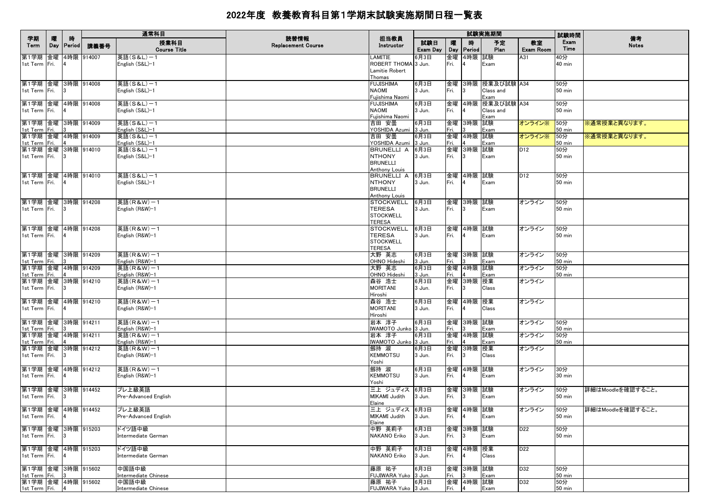|                                       |   |          |                     | 通常科目                           |                                   |                                   |                 |          |                    | 試験実施期間               |                 | 試験時間                    | 備考                    |
|---------------------------------------|---|----------|---------------------|--------------------------------|-----------------------------------|-----------------------------------|-----------------|----------|--------------------|----------------------|-----------------|-------------------------|-----------------------|
| 学期<br>Term                            | 隁 | 時        | Day   Period   講義番号 | 授業科目<br><b>Course Title</b>    | 読替情報<br><b>Replacement Course</b> | 担当教員<br>Instructor                | 試験日<br>Exam Day | 曤<br>Day | 腈<br><b>Period</b> | 予定<br>Plan           | 教室<br>Exam Room | Exam<br>Time            | <b>Notes</b>          |
| 第1学期 金曜                               |   |          | 4時限 914007          | 英語(S&L)-1                      |                                   | .AMITIE                           | 6月3日            | 金曜       | 4時限 試験             |                      | A31             | 40分                     |                       |
| 1st Term Fri.                         |   |          |                     | English (S&L)-1                |                                   | ROBERT THOMA 3 Jun.               |                 | Fri.     |                    | Exam                 |                 | $40 \text{ min}$        |                       |
|                                       |   |          |                     |                                |                                   | Lamitie Robert<br>Thomas          |                 |          |                    |                      |                 |                         |                       |
| 第1学期 金曜 3時限 914008                    |   |          |                     | 英語(S&L)-1                      |                                   | <b>FUJISHIMA</b>                  | 6月3日            |          |                    | 金曜  3時限  授業及び試験  A34 |                 | 50分                     |                       |
| 1st Term Fri.                         |   |          |                     | English (S&L)-1                |                                   | <b>NAOMI</b>                      | 3 Jun.          | Fri.     | 13                 | Class and            |                 | 50 min                  |                       |
|                                       |   |          |                     |                                |                                   | Fujishima Naomi                   |                 |          |                    | Exam                 |                 |                         |                       |
| 第1学期 金曜 4時限 914008                    |   |          |                     | 英語(S&L)-1                      |                                   | <b>FUJISHIMA</b>                  | 6月3日            |          |                    | 金曜 4時限 授業及び試験 A34    |                 | 50分                     |                       |
| 1st Term Fri.                         |   |          |                     | English (S&L)-1                |                                   | NAOMI<br>Fuiishima Naomi          | 3 Jun.          | Fri.     | 4                  | Class and            |                 | 50 min                  |                       |
| 第1学期 金曜 3時限 914009                    |   |          |                     | 英語(S&L)-1                      |                                   | 吉田 安曇                             | 6月3日            | 金曜       | 3時限 試験             | Exam                 | オンライン※ 50分      |                         | ※通常授業と異なります。          |
| 1st Term Fri.                         |   |          |                     | English (S&L)-1                |                                   | YOSHIDA Azumi 3 Jun.              |                 | Fri.     |                    | Exam                 |                 | $50 \text{ min}$        |                       |
| 第1学期 金曜 4時限 914009                    |   |          |                     | 英語(S&L)-1                      |                                   | 吉田 安曇                             | 6月3日            |          | 金曜 4時限 試験          |                      | オンライン※          | [50分]                   | ※通常授業と異なります。          |
| 1st Term Fri. 4                       |   |          |                     | English (S&L)-1                |                                   | YOSHIDA Azumi 3 Jun.              |                 | Fri.     |                    | Exam                 |                 | $50$ min                |                       |
| 第1学期 金曜 3時限 914010<br>1st Term Fri.   |   |          |                     | 英語(S&L)-1<br>English (S&L)-1   |                                   | BRUNELLI A 6月3日<br><b>NTHONY</b>  |                 |          | 金曜 3時限 試験          |                      | D12             | 50分                     |                       |
|                                       |   |          |                     |                                |                                   | <b>BRUNELLI</b>                   | 3 Jun.          | Fri.     | 3                  | Exam                 |                 | 50 min                  |                       |
|                                       |   |          |                     |                                |                                   | Anthony Louis                     |                 |          |                    |                      |                 |                         |                       |
| 第1学期 金曜 4時限 914010                    |   |          |                     | 英語(S&L)-1                      |                                   | BRUNELLI A 6月3日                   |                 |          | 金曜  4時限  試験        |                      | D <sub>12</sub> | 50分                     |                       |
| 1st Term Fri. 4                       |   |          |                     | English (S&L)-1                |                                   | <b>NTHONY</b>                     | 3 Jun.          | Fri.     |                    | Exam                 |                 | 50 min                  |                       |
|                                       |   |          |                     |                                |                                   | <b>BRUNELLI</b>                   |                 |          |                    |                      |                 |                         |                       |
| 第1学期 金曜 3時限 914208                    |   |          |                     | 英語(R&W)-1                      |                                   | Anthony Louis<br><b>STOCKWELL</b> | 6月3日            |          | 金曜 3時限 試験          |                      | オンライン           | 50分                     |                       |
| 1st Term Fri. 3                       |   |          |                     | English (R&W)-1                |                                   | <b>TERESA</b>                     | 3 Jun.          | Fri.     | 13                 | Exam                 |                 | 50 min                  |                       |
|                                       |   |          |                     |                                |                                   | <b>STOCKWELL</b>                  |                 |          |                    |                      |                 |                         |                       |
|                                       |   |          |                     |                                |                                   | <b>TERESA</b>                     |                 |          |                    |                      |                 |                         |                       |
| 第1学期 金曜 4時限 914208                    |   |          |                     | 英語(R&W)−1                      |                                   | <b>STOCKWELL</b>                  | 6月3日            |          | 金曜 4時限 試験          |                      | オンライン           | 50分                     |                       |
| 1st Term Fri. 4                       |   |          |                     | English (R&W)-1                |                                   | <b>TERESA</b>                     | 3 Jun.          | Fri.     | 4                  | Exam                 |                 | 50 min                  |                       |
|                                       |   |          |                     |                                |                                   | <b>STOCKWELL</b><br><b>TERESA</b> |                 |          |                    |                      |                 |                         |                       |
| 第1学期 金曜 3時限 914209                    |   |          |                     | 英語(R&W)-1                      |                                   | 大野 英志                             | 6月3日            |          | 金曜 3時限 試験          |                      | オンライン           | 50分                     |                       |
| 1st Term Fri.                         |   |          |                     | English (R&W)-1                |                                   | OHNO Hideshi                      | 3 Jun.          | Fri.     |                    | Exam                 |                 | $50 \text{ min}$        |                       |
| 第1学期 金曜 4時限 914209                    |   |          |                     | 英語(R&W)-1                      |                                   | 大野 英志                             | 6月3日            |          | 金曜 4時限 試験          |                      | オンライン           | 50分                     |                       |
| 1st Term Fri. 4                       |   |          |                     | English (R&W)-1                |                                   | OHNO Hideshi                      | 3 Jun.          | Fri.     |                    | Exam                 |                 | $50 \text{ min}$        |                       |
| 第1学期 金曜 3時限 914210                    |   |          |                     | 英語(R&W)-1                      |                                   | 森谷 浩士                             | 6月3日            |          | 金曜 3時限 授業          |                      | オンライン           |                         |                       |
| 1st Term Fri.                         |   |          |                     | English (R&W)-1                |                                   | <b>MORITANI</b><br>Hiroshi        | 3 Jun.          | Fri.     | 3                  | Class                |                 |                         |                       |
| 第1学期 金曜 4時限 914210                    |   |          |                     | 英語(R&W)-1                      |                                   | 森谷 浩士                             | 6月3日            |          | 金曜 4時限 授業          |                      | オンライン           |                         |                       |
| 1st Term Fri.                         |   |          |                     | English (R&W)-1                |                                   | <b>MORITANI</b>                   | 3 Jun.          | Fri.     | 4                  | Class                |                 |                         |                       |
|                                       |   |          |                     |                                |                                   | Hiroshi                           |                 |          |                    |                      |                 |                         |                       |
| 第1学期 金曜 3時限 914211                    |   |          |                     | 英語(R&W)-1                      |                                   | 岩本 淳子                             | 6月3日            |          | 金曜 3時限 試験          |                      | オンライン           | 50分                     |                       |
| 1st Term Fri.                         |   |          |                     | English (R&W)-1                |                                   | WAMOTO Junko 3 Jun.               |                 | Fri.     |                    | Exam                 |                 | 50 min                  |                       |
| 第1学期 金曜 4時限 914211<br>1st Term Fri.   |   | <b>4</b> |                     | 英語(R&W)-1<br>English (R&W)-1   |                                   | 岩本 淳子<br>IWAMOTO Junko 3 Jun.     | 6月3日            | Fri.     | 金曜  4時限  試験        | Exam                 | オンライン           | 50分<br>50 min           |                       |
| 第1学期 金曜 3時限 914212                    |   |          |                     | 英語(R&W)-1                      |                                   | 劔持 淑                              | 6月3日            |          | 金曜 3時限 授業          |                      | オンライン           |                         |                       |
| 1st Term Fri.                         |   |          |                     | English (R&W)-1                |                                   | <b>KEMMOTSU</b>                   | 3 Jun.          | Fri.     | 13                 | Class                |                 |                         |                       |
|                                       |   |          |                     |                                |                                   | Yoshi                             |                 |          |                    |                      |                 |                         |                       |
| 第1学期 金曜 4時限 914212                    |   |          |                     | 英語(R&W)-1                      |                                   | 劔持 淑                              | 6月3日            |          | 金曜 4時限 試験          |                      | オンライン           | 30分                     |                       |
| 1st Term Fri.                         |   |          |                     | English (R&W)-1                |                                   | <b>KEMMOTSU</b>                   | 3 Jun.          | Fri. 4   |                    | Exam                 |                 | $30 \text{ min}$        |                       |
|                                       |   |          |                     |                                |                                   | Yoshi                             |                 |          |                    |                      |                 |                         |                       |
| 第1学期 金曜 3時限 914452<br>1st Term Fri.   |   |          |                     | プレ上級英語<br>Pre-Advanced English |                                   | 三上 ジュディス 6月3日<br>MIKAMI Judith    | 3 Jun.          | Fri. 3   | 金曜  3時限  試験        | Exam                 | オンライン           | 50分<br>$50 \text{ min}$ | 詳細はMoodleを確認すること。     |
|                                       |   |          |                     |                                |                                   | Elaine                            |                 |          |                    |                      |                 |                         |                       |
|                                       |   |          |                     | 第1学期 金曜 4時限 914452 プレ上級英語      |                                   | 三上 ジュディス 6月3日                     |                 |          | 金曜 4時限 試験          |                      | オンライン           |                         | 50分 詳細はMoodleを確認すること。 |
| 1st Term Fri. 4                       |   |          |                     | Pre-Advanced English           |                                   | MIKAMI Judith 3 Jun.              |                 | Fri. 4   |                    | Exam                 |                 | $50 \text{ min}$        |                       |
|                                       |   |          |                     |                                |                                   | Elaine                            |                 |          |                    |                      |                 |                         |                       |
| 第1学期 金曜 3時限 915203<br>1st Term Fri. 3 |   |          |                     | ドイツ語中級<br>Intermediate German  |                                   | 中野 英莉子<br><b>NAKANO Eriko</b>     | 6月3日            | Fri. 3   | 金曜 3時限 試験          | Exam                 | D <sub>22</sub> | 50分<br>$50 \text{ min}$ |                       |
|                                       |   |          |                     |                                |                                   |                                   | 3 Jun.          |          |                    |                      |                 |                         |                       |
| 第1学期 金曜 4時限 915203                    |   |          |                     | ドイツ語中級                         |                                   | 中野 英莉子                            | 6月3日            |          | 金曜 4時限 授業          |                      | D <sub>22</sub> |                         |                       |
| 1st Term Fri. 4                       |   |          |                     | Intermediate German            |                                   | NAKANO Eriko                      | 3 Jun.          | Fri.     | $\overline{4}$     | Class                |                 |                         |                       |
|                                       |   |          |                     |                                |                                   |                                   |                 |          |                    |                      |                 |                         |                       |
| 第1学期 金曜 3時限 915602<br>1st Term Fri. 3 |   |          |                     | 中国語中級<br>Intermediate Chinese  |                                   | 藤原 祐子<br>FUJIWARA Yuko 3 Jun.     | 6月3日            | Fri.     | 金曜 3時限 試験<br>l 3   | Exam                 | D32             | 50分<br>50 min           |                       |
| 第1学期 金曜 4時限 915602                    |   |          |                     | 中国語中級                          |                                   | 藤原 祐子                             | 6月3日            |          | 金曜 4時限 試験          |                      | D32             | 50分                     |                       |
| 1st Term Fri. 4                       |   |          |                     | Intermediate Chinese           |                                   | FUJIWARA Yuko 3 Jun.              |                 | Fri. 4   |                    | Exam                 |                 | $50$ min                |                       |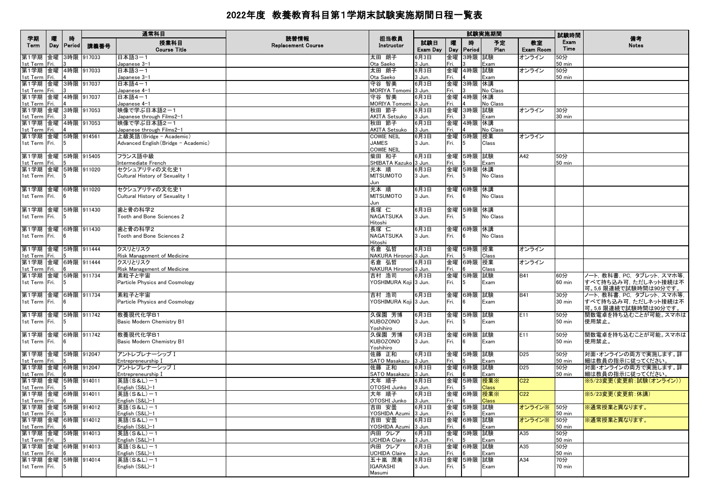| 学期                                                   |            |                    |            | 通常科目                                                            | 読替情報                      | 担当教員                                     |                 | 試験実施期間     |                        |              |                 | 試験時間                    | 備考                                                                            |
|------------------------------------------------------|------------|--------------------|------------|-----------------------------------------------------------------|---------------------------|------------------------------------------|-----------------|------------|------------------------|--------------|-----------------|-------------------------|-------------------------------------------------------------------------------|
| Term                                                 | 隁<br>Day   | 時<br><b>Period</b> | 講義番号       | 授業科目<br><b>Course Title</b>                                     | <b>Replacement Course</b> | Instructor                               | 試験日<br>Exam Day | 曤<br>Day   | 時<br>Period            | 予定<br>Plan   | 教室<br>Exam Room | Exam<br>Time            | <b>Notes</b>                                                                  |
| 第1学期<br>1st Term                                     | 金曜<br>Fri. |                    | 3時限 917033 | 日本語3-1<br>Japanese 3-1                                          |                           | 太田 朗子<br>Ota Saeko                       | 6月3日<br>3 Jun.  | 金曜<br>Fri. | 3時限 試験                 | Exam         | オンライン           | 50分<br>50 min           |                                                                               |
| 第1学期 金曜 4時限 917033<br>1st Term                       | Fri.       |                    |            | 日本語3-1<br>Japanese 3-1                                          |                           | 太田 朗子<br>Ota Saeko                       | 6月3日<br>3 Jun.  | 金曜<br>Fri. | 4時限 試験                 | Exam         | オンライン           | 50分<br><b>50 min</b>    |                                                                               |
| 第1学期 金曜 3時限 917037                                   |            |                    |            | 日本語4-1                                                          |                           | 守谷 智美                                    | 6月3日            | 金曜         | 3時限 休講                 |              |                 |                         |                                                                               |
| 1st Term<br>第1学期 金曜 4時限 917037                       | Fri.       |                    |            | Japanese 4-1<br>日本語4-1                                          |                           | <b>MORIYA Tomomi</b><br>守谷 智美            | 3 Jun.<br>6月3日  | Fri.<br>金曜 | 4時限 休講                 | No Class     |                 |                         |                                                                               |
| 1st Term Fri.<br>第1学期 金曜 3時限 917053                  |            |                    |            | Japanese 4-1<br>映像で学ぶ日本語2-1                                     |                           | MORIYA Tomomi 3 Jun.<br>秋田 節子            | 6月3日            | Fri.<br>金曜 | 3時限 試験                 | No Class     | オンライン           | 30分                     |                                                                               |
| 1st Term Fri.<br>第1学期 金曜 4時限 917053                  |            |                    |            | <u>Japanese through Films2-1</u><br>映像で学ぶ日本語2-1                 |                           | AKITA Setsuko<br>秋田 節子                   | 3 Jun.<br>6月3日  | Fri.<br>金曜 | 4時限 休講                 | Exam         |                 | $30 \text{ min}$        |                                                                               |
| 1st Term                                             | Fri.       |                    |            | Japanese through Films2-1                                       |                           | AKITA Setsuko                            | 3 Jun.          | Fri.       |                        | No Class     |                 |                         |                                                                               |
| 第1学期 金曜 5時限 914561<br>1st Term Fri.                  |            |                    |            | 上級英語(Bridge - Academic)<br>Advanced English (Bridge - Academic) |                           | COWIE NEIL<br><b>JAMES</b><br>COWIE NEIL | 6月3日<br>3 Jun.  | 翻金<br>Fri. | 5時限 授業<br>5            | Class        | オンライン           |                         |                                                                               |
| 第1学期 金曜 5時限 915405                                   |            |                    |            | フランス語中級                                                         |                           | 柴田 和子                                    | 6月3日            | 金曜         | 5時限 試験                 |              | A42             | 50分                     |                                                                               |
| 1st Term Fri.<br> 第1学期  金曜  5時限  911020              |            |                    |            | Intermediate French<br>セクシュアリティの文化史1                            |                           | SHIBATA Kazuko 3 Jun.<br>光本 順            | 6月3日            | Fri.       | 金曜 5時限 休講              | Exam         |                 | 50 min                  |                                                                               |
| 1st Term Fri.                                        |            |                    |            | Cultural History of Sexuality 1                                 |                           | <b>MITSUMOTO</b><br>Jun                  | 3 Jun.          | Fri.       | 5                      | No Class     |                 |                         |                                                                               |
| 第1学期 金曜                                              |            |                    | 6時限 911020 | セクシュアリティの文化史1                                                   |                           | 光本 順                                     | 6月3日            | 金曜         | 6時限 休講                 |              |                 |                         |                                                                               |
| 1st Term Fri.                                        |            |                    |            | Cultural History of Sexuality 1                                 |                           | <b>MITSUMOTO</b><br>Jun                  | 3 Jun.          | Fri.       | 6                      | No Class     |                 |                         |                                                                               |
| 第1学期 金曜<br>1st Term Fri.                             |            |                    | 5時限 911430 | 歯と骨の科学2<br>Tooth and Bone Sciences 2                            |                           | 長塚 仁<br><b>NAGATSUKA</b>                 | 6月3日<br>3 Jun.  | 金曜<br>Fri. | 5時限 休講<br>5            | No Class     |                 |                         |                                                                               |
| 第1学期 金曜                                              |            |                    | 6時限 911430 | 歯と骨の科学2                                                         |                           | Hitoshi<br>長塚 仁                          | 6月3日            | 金曜         | 6時限 休講                 |              |                 |                         |                                                                               |
| 1st Term Fri.                                        |            |                    |            | Tooth and Bone Sciences 2                                       |                           | <b>NAGATSUKA</b><br>Hitoshi              | 3 Jun.          | Fri.       |                        | No Class     |                 |                         |                                                                               |
| 第1学期 金曜 5時限 911444                                   |            |                    |            | クスリとリスク<br>Risk Management of Medicine                          |                           | 名倉 弘哲<br>NAKURA Hironori 3 Jun.          | 6月3日            | Fri.       | 金曜 5時限 授業              | Class        | オンライン           |                         |                                                                               |
| 1st Term Fri.<br>第1学期 金曜 6時限 911444<br>1st Term Fri. |            |                    |            | クスリとリスク<br>Risk Management of Medicine                          |                           | 名倉 弘哲<br>NAKURA Hironori 3 Jun.          | 6月3日            | 金曜<br>Fri. | 6時限 授業                 | Class        | オンライン           |                         |                                                                               |
| 第1学期 金曜                                              |            |                    | 5時限 911734 | 素粒子と宇宙                                                          |                           | 吉村 浩司                                    | 6月3日            | 金曜         | 5時限 試験                 |              | <b>B41</b>      | 60分                     | ノート, 教科書, PC, タブレット, スマホ等,                                                    |
| 1st Term Fri.                                        |            |                    |            | Particle Physics and Cosmology                                  |                           | YOSHIMURA Koji 3 Jun.                    |                 | Fri.       | 5                      | Exam         |                 | $60$ min                | すべて持ち込み可、ただしネット接続は不<br>可。5,6 限連続で試験時間は90分です。                                  |
| 第1学期 金曜<br>1st Term   Fri.                           |            |                    | 6時限 911734 | 素粒子と宇宙<br>Particle Physics and Cosmology                        |                           | 吉村 浩司<br>YOSHIMURA Koji 3 Jun.           | 6月3日            | 金曜<br>Fri. | 6時限 試験<br><sub>6</sub> | Exam         | <b>B41</b>      | 30分<br>$30 \text{ min}$ | ノート, 教科書, PC, タブレット, スマホ等,<br> すべて持ち込み可, ただしネット接続は不<br> 可。5,6 限連続で試験時間は90分です。 |
| 第1学期 金曜 5時限 911742<br>1st Term   Fri.                |            | 5                  |            | 教養現代化学B1<br>Basic Modern Chemistry B1                           |                           | 久保園 芳博<br><b>KUBOZONO</b>                | 6月3日<br>3 Jun.  | Fri.       | 金曜 5時限 試験<br>5         | Exam         | E11             | 50分<br>50 min           | 関数電卓を持ち込むことが可能。スマホは<br>使用禁止。                                                  |
|                                                      |            |                    |            |                                                                 |                           | Yoshihiro                                |                 |            |                        |              |                 |                         |                                                                               |
| 第1学期 金曜 6時限 911742<br>1st Term Fri.                  |            |                    |            | 教養現代化学B1<br>Basic Modern Chemistry B1                           |                           | 久保園 芳博<br><b>KUBOZONO</b><br>Yoshihiro   | 6月3日<br>3 Jun.  | Fri.       | 金曜 6時限 試験<br>6         | Exam         | E11             | 50分<br>50 min           | 関数電卓を持ち込むことが可能。スマホは<br>使用禁止。                                                  |
| 第1学期 金曜 5時限 912047                                   |            |                    |            | アントレプレナーシップ I                                                   |                           | 佐藤 正和                                    | 6月3日            |            | 金曜 5時限 試験              |              | D <sub>25</sub> | 50分                     | 対面・オンラインの両方で実施します。詳                                                           |
| 1st Term Fri.<br>第1学期 金曜 6時限 912047                  |            |                    |            | Entrepreneurship I<br>アントレプレナーシップ I                             |                           | SATO Masakazu<br>佐藤 正和                   | 3 Jun.<br>6月3日  | Fri.<br>金曜 | 6時限 試験                 | Exam         | D <sub>25</sub> | <b>50 min</b><br>50分    | 細は教員の指示に従ってください<br>対面・オンラインの両方で実施します。詳                                        |
| 1st Term<br>第1学期 金曜 5時限 914011                       | Fri.       |                    |            | Entrepreneurship I<br>英語(S&L)-1                                 |                           | SATO Masakazu<br>大年 順子                   | 3 Jun.<br>6月3日  | Fri.       | 金曜 5時限 授業※             | Exam         | C <sub>22</sub> | 50 min                  | 細は教員の指示に従ってください<br>※5/23変更(変更前:試験(オンライン))                                     |
| 1st Term Fri.                                        |            |                    |            | English (S&L)-1                                                 |                           | OTOSHI Junko                             | 3 Jun.          | Fri.       |                        | <b>Class</b> |                 |                         |                                                                               |
| 第1学期 金曜 6時限 914011<br>1st Term Fri.                  |            |                    |            | 英語(S&L)-1<br>English (S&L)-1                                    |                           | 大年 順子<br>OTOSHI Junko                    | 6月3日<br>3 Jun.  | 金曜<br>Fri. | 6時限 授業※                | <b>Class</b> | C <sub>22</sub> |                         | ※5/23変更(変更前:休講)                                                               |
| 第1学期 金曜 5時限 914012<br>1st Term Fri. 5                |            |                    |            | 英語(S&L)-1<br>English (S&L)-1                                    |                           | 吉田 安曇<br>YOSHIDA Azumi 3 Jun.            | 6月3日            | Fri. 5     | 金曜 5時限 試験              | Exam         | オンライン※ 50分      | 50 min                  | ※通常授業と異なります。                                                                  |
| 第1学期 金曜 6時限 914012<br>1st Term Fri.                  |            | 16                 |            | 英語(S&L)−1<br>English (S&L)-1                                    |                           | 吉田 安曇<br>YOSHIDA Azumi 3 Jun.            | 6月3日            | Fri.       | 金曜 6時限 試験<br>6         | Exam         | オンライン※          | 50分<br>50 min           | ※通常授業と異なります。                                                                  |
| 第1学期 金曜 5時限 914013<br>1st Term Fri.                  |            |                    |            | 英語(S&L)-1<br>English (S&L)-1                                    |                           | 内田 クレア<br><b>UCHIDA Claire</b>           | 6月3日<br>3 Jun.  | Fri.       | 金曜 5時限 試験              | Exam         | A35             | 50分<br><b>50 min</b>    |                                                                               |
| 第1学期 金曜 6時限 914013                                   |            |                    |            | 英語(S&L)-1                                                       |                           | 内田 クレア                                   | 6月3日            |            | 金曜 6時限 試験              |              | A35             | 50分                     |                                                                               |
| 1st Term Fri.<br>第1学期 金曜 5時限 914014                  |            |                    |            | English (S&L)-1<br> 英語(S&L)-1                                   |                           | <b>UCHIDA Claire</b><br>五十嵐 潤美           | 3 Jun.<br>6月3日  | Fri.<br>金曜 | 5時限 試験                 | Exam         | A34             | <b>50 min</b><br>70分    |                                                                               |
| 1st Term Fri.                                        |            | 5                  |            | English (S&L)-1                                                 |                           | <b>IGARASHI</b><br>Masumi                | 3 Jun.          | Fri.       | 5                      | Exam         |                 | 70 min                  |                                                                               |
|                                                      |            |                    |            |                                                                 |                           |                                          |                 |            |                        |              |                 |                         |                                                                               |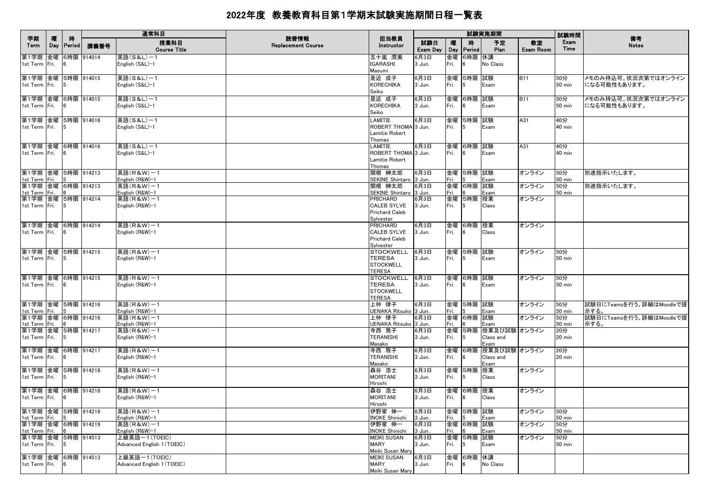|                                          |          |                    |            | 通常科目                                        | 読替情報                      |                                                                             |                 |            |                         | 試験実施期間                                      |                        | 試験時間                    | 備考                                  |
|------------------------------------------|----------|--------------------|------------|---------------------------------------------|---------------------------|-----------------------------------------------------------------------------|-----------------|------------|-------------------------|---------------------------------------------|------------------------|-------------------------|-------------------------------------|
| 学期<br>Term                               | 曤<br>Day | 時<br><b>Period</b> | 講義番号       | 授業科目<br><b>Course Title</b>                 | <b>Replacement Course</b> | 担当教員<br>Instructor                                                          | 試験日<br>Exam Day | 曤<br>Day   | 時<br><b>Period</b>      | 予定<br>Plan                                  | 教室<br><b>Exam Room</b> | Exam<br>Time            | <b>Notes</b>                        |
| 第1学期 金曜<br>1st Term Fri.                 |          |                    | 6時限 914014 | 英語(S&L)-1<br>English (S&L)-1                |                           | 五十嵐 潤美<br>IGARASHI<br>Masumi                                                | 6月3日<br>3 Jun.  | 金曜<br>Fri. | 6時限 休講<br>6             | No Class                                    |                        |                         |                                     |
| 第1学期 金曜 5時限 914015<br>1st Term Fri.      |          |                    |            | 英語(S&L)-1<br>English (S&L)-1                |                           | 是近 成子<br><b>KORECHIKA</b><br>Seiko                                          | 6月3日<br>3 Jun.  | Fri.       | 金曜 5時限 試験<br>5          | Exam                                        | <b>B11</b>             | 50分<br>50 min           | メモのみ持込可。状況次第ではオンライン<br>になる可能性もあります。 |
| 第1学期 金曜 6時限 914015<br>1st Term Fri.      |          |                    |            | 英語(S&L)-1<br>English (S&L)-1                |                           | 是近 成子<br><b>KORECHIKA</b><br>Seiko                                          | 6月3日<br>3 Jun.  | Fri.       | 金曜 6時限 試験<br>6          | Exam                                        | <b>B11</b>             | 50分<br>50 min           | メモのみ持込可。状況次第ではオンライン<br>になる可能性もあります。 |
| 第1学期 金曜 5時限 914016<br>1st Term Fri.      |          | $\sqrt{5}$         |            | 英語(S&L)-1<br>English (S&L)-1                |                           | LAMITIE<br>ROBERT THOMA 3 Jun.<br>Lamitie Robert<br>Thomas                  | 6月3日            | Fri.       | 金曜 5時限 試験<br>5          | Exam                                        | A31                    | 40分<br>40 min           |                                     |
| 第1学期 金曜 6時限 914016<br>1st Term Fri.      |          | 6                  |            | 英語(S&L)-1<br>English (S&L)-1                |                           | <b>AMITIE</b><br>ROBERT THOMA 3 Jun.<br>Lamitie Robert<br>Thomas            | 6月3日            | Fri.       | 金曜 6時限 試験<br>16         | Exam                                        | A31                    | 40分<br>$40$ min         |                                     |
| 第1学期 金曜 5時限 914213<br>1st Term Fri.      |          |                    |            | 英語(R&W)-1<br>English (R&W)-1                |                           | 関根 紳太郎<br>SEKINE Shintaro 3 Jun.                                            | 6月3日            | Fri.       | 金曜 5時限 試験               | Exam                                        | オンライン                  | 50分<br>50 min           | 別途指示いたします。                          |
| 第1学期 金曜 6時限 914213<br>1st Term Fri.      |          |                    |            | 英語(R&W)-1<br>English (R&W)-1                |                           | 関根 紳太郎<br>SEKINE Shintaro 3 Jun.                                            | 6月3日            | 金曜<br>Fri. | 6時限 試験                  | Exam                                        | オンライン                  | 50分<br>50 min           | 別途指示いたします。                          |
| 第1学期 金曜 5時限 914214<br>1st Term Fri.      |          | - 5                |            | 英語(R&W)-1<br>English (R&W)-1                |                           | <b>PRICHARD</b><br><b>CALEB SYLVE</b><br><b>Prichard Caleb</b><br>Sylvester | 6月3日<br>3 Jun.  | Fri.       | 金曜 5時限 授業<br>5          | Class                                       | オンライン                  |                         |                                     |
| 第1学期 金曜 6時限 914214<br>1st Term Fri.      |          | - 16               |            | 英語(R&W)-1<br>English (R&W)-1                |                           | <b>PRICHARD</b><br><b>CALEB SYLVE</b><br>Prichard Caleb<br>Sylvester        | 6月3日<br>3 Jun.  | Fri.       | 金曜  6時限  授業<br><b>6</b> | Class                                       | オンライン                  |                         |                                     |
| 第1学期 金曜 5時限 914215<br>1st Term Fri.      |          | $\sqrt{5}$         |            | 英語(R&W)-1<br>English (R&W)-1                |                           | <b>STOCKWELL</b><br>TERESA<br><b>STOCKWELL</b><br><b>TERESA</b>             | 6月3日<br>3 Jun.  | Fri.       | 金曜  5時限  試験<br>5        | Exam                                        | オンライン                  | 50分<br><b>50 min</b>    |                                     |
| 第1学期 金曜 6時限 914215<br>1st Term Fri. 6    |          |                    |            | 英語(R&W)-1<br>English (R&W)-1                |                           | <b>STOCKWELL</b><br><b>TERESA</b><br><b>STOCKWELL</b><br><b>TERESA</b>      | 6月3日<br>3 Jun.  | Fri.       | 金曜 6時限 試験<br> 6         | Exam                                        | オンライン                  | 50分<br>50 min           |                                     |
| 第1学期 金曜 5時限 914216<br>1st Term Fri.      |          |                    |            | 英語(R&W)-1<br>English (R&W)-1                |                           | 上仲 律子<br>JENAKA Ritsuko 3 Jun.                                              | 6月3日            | Fri.       | 金曜 5時限 試験               | Exam                                        | オンライン                  | 50分<br>50 min           | 試験日にTeamsを行う。詳細はMoodleで提<br>示する。    |
| 第1学期 金曜 6時限 914216<br>1st Term Fri.      |          |                    |            | 英語(R&W)-1<br>English (R&W)-1                |                           | 上仲 律子<br>JENAKA Ritsuko 3 Jun.                                              | 6月3日            | 金曜<br>Fri. | 6時限 試験                  | Exam                                        | オンライン                  | 50分<br>50 min           | 試験日にTeamsを行う。詳細はMoodleで提<br>示する。    |
| 第1学期 金曜 5時限 914217<br>1st Term Fri.      |          | 15                 |            | 英語(R&W)-1<br>English (R&W)-1                |                           | 寺西 雅子<br>TERANISHI<br>Masako                                                | 6月3日<br>3 Jun.  | Fri.       | 5                       | 金曜 5時限 授業及び試験 オンライン<br>Class and<br>Exam    |                        | 20分<br>$20 \text{ min}$ |                                     |
| 第1学期 金曜<br>1st Term Fri.                 |          |                    | 6時限 914217 | 英語(R&W)-1<br>English (R&W)-1                |                           | 寺西 雅子<br><b>TERANISHI</b><br>Masako                                         | 6月3日<br>3 Jun.  | Fri.       | 6                       | 金曜  6時限  授業及び試験  オンライン<br>Class and<br>Exam |                        | 20分<br>20 min           |                                     |
| 第1学期 金曜 5時限 914218<br>1st Term Fri.      |          | 5                  |            | 英語(R&W)-1<br>English (R&W)-1                |                           | 森谷 浩士<br><b>MORITANI</b><br>Hiroshi                                         | 6月3日<br>3 Jun.  | Fri.       | 金曜 5時限 授業<br>$\sqrt{5}$ | Class                                       | オンライン                  |                         |                                     |
| 第1学期 金曜<br>1st Term Fri.                 |          | 16                 | 6時限 914218 | 英語(R&W)-1<br>English (R&W)-1                |                           | 森谷 浩士<br><b>MORITANI</b><br>Hiroshi                                         | 6月3日<br>3 Jun.  | Fri.       | 金曜 6時限 授業<br> 6         | Class                                       | オンライン                  |                         |                                     |
| 第1学期  金曜  5時限  914219<br>1st Term Fri. 5 |          |                    |            | 英語(R&W)-1<br>English (R&W)-1                |                           | 伊野家 伸一<br><b>INOKE Shinichi</b>                                             | 6月3日<br>3 Jun.  | Fri.       | 金曜  5時限  試験<br>5        | Exam                                        | オンライン                  | 50分<br>$50$ min         |                                     |
| 第1学期 金曜 6時限 914219<br>1st Term Fri.      |          | - 6                |            | 英語(R&W)-1<br>English (R&W)-1                |                           | 伊野家 伸一<br><b>INOKE Shinichi</b>                                             | 6月3日<br>3 Jun.  | 金曜<br>Fri. | 6時限 試験<br>6             | Exam                                        | オンライン                  | 50分<br>$50$ min         |                                     |
| 第1学期 金曜 5時限 914513<br>1st Term Fri.      |          | 15                 |            | 上級英語ー1(TOEIC)<br>Advanced English 1 (TOEIC) |                           | <b>MEIKI SUSAN</b><br><b>MARY</b><br>Meiki Susan Mary                       | 6月3日<br>3 Jun.  | Fri.       | 金曜 5時限 試験<br>$\sqrt{5}$ | Exam                                        | オンライン                  | 50分<br>$50$ min         |                                     |
| 第1学期 金曜 6時限 914513<br>1st Term Fri.      |          |                    |            | 上級英語ー1(TOEIC)<br>Advanced English 1 (TOEIC) |                           | <b>MEIKI SUSAN</b><br><b>MARY</b><br>Meiki Susan Mary                       | 6月3日<br>3 Jun.  | 金曜<br>Fri. | 6時限 休講<br>6             | No Class                                    |                        |                         |                                     |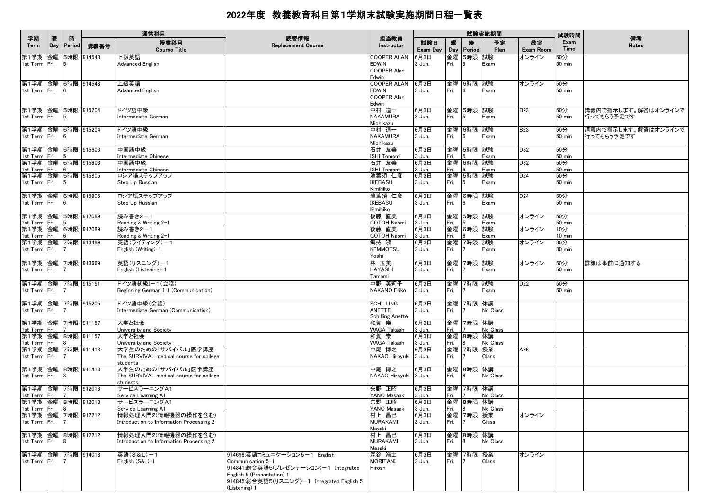|                                                              |          | 時              |            | 通常科目                                                                                    | 読替情報                                                                                                                                                                                    | 担当教員                                                       | 試験実施期間                   |                    |                        |                   |                        | 試験時間                              | 備考                                |
|--------------------------------------------------------------|----------|----------------|------------|-----------------------------------------------------------------------------------------|-----------------------------------------------------------------------------------------------------------------------------------------------------------------------------------------|------------------------------------------------------------|--------------------------|--------------------|------------------------|-------------------|------------------------|-----------------------------------|-----------------------------------|
| 学期<br>Term                                                   | 曤<br>Day | <b>Period</b>  | 講義番号       | 授業科目<br><b>Course Title</b>                                                             | <b>Replacement Course</b>                                                                                                                                                               | Instructor                                                 | 試験日<br>Exam Day          | 嚁<br>Day           | 時<br>Period            | 予定<br>Plan        | 教室<br><b>Exam Room</b> | Exam<br>Time                      | <b>Notes</b>                      |
| 第1学期 金曜<br>1st Term Fri.                                     |          |                | 5時限 914548 | 上級英語<br>Advanced English                                                                |                                                                                                                                                                                         | <b>COOPER ALAN</b><br><b>EDWIN</b><br>COOPER Alan<br>Edwin | 6月3日<br>3 Jun.           | 金曜<br>Fri.         | 5時限 試験<br>5            | Exam              | オンライン                  | 50分<br>50 min                     |                                   |
| 第1学期 金曜 6時限 914548<br>1st Term Fri.                          |          | 16             |            | 上級英語<br>Advanced English                                                                |                                                                                                                                                                                         | <b>COOPER ALAN</b><br>EDWIN<br><b>COOPER Alan</b><br>Edwin | 6月3日<br>3 Jun.           | Fri.               | 金曜 6時限 試験<br>16        | Exam              | オンライン                  | 50分<br><b>50 min</b>              |                                   |
| 第1学期 金曜 5時限 915204<br>1st Term Fri.                          |          | 15             |            | ドイツ語中級<br>Intermediate German                                                           |                                                                                                                                                                                         | 中村 道一<br>NAKAMURA<br>Michikazu                             | 6月3日<br>3 Jun.           | Fri.               | 金曜 5時限 試験<br>15        | Exam              | <b>B23</b>             | 50分<br>$50 \text{ min}$           | 講義内で指示します。解答はオンラインで<br>行ってもらう予定です |
| 第1学期 金曜 6時限 915204<br>1st Term Fri.                          |          |                |            | ドイツ語中級<br>Intermediate German                                                           |                                                                                                                                                                                         | 中村 道一<br>NAKAMURA<br>Michikazu                             | 6月3日<br>3 Jun.           | Fri.               | 金曜 6時限 試験<br>6         | Exam              | <b>B23</b>             | 50分<br>$50 \text{ min}$           | 講義内で指示します。解答はオンラインで<br>行ってもらう予定です |
| 第1学期 金曜 5時限 915603<br>1st Term Fri.                          |          |                |            | 中国語中級<br>Intermediate Chinese                                                           |                                                                                                                                                                                         | 石井 友美<br><b>SHI Tomomi</b>                                 | 6月3日<br>3 Jun.           | Fri.               | 金曜 5時限 試験              | Exam              | D32                    | 50分<br>$50$ min                   |                                   |
| 第1学期 金曜 6時限 915603<br>1st Term Fri.<br>第1学期 金曜 5時限 915805    |          |                |            | 中国語中級<br>Intermediate Chinese<br>ロシア語ステップアップ                                            |                                                                                                                                                                                         | 石井 友美<br><b>SHI Tomomi</b><br>池葉須 仁彦                       | 6月3日<br>3 Jun.<br>6月3日   | Fri.<br>金曜         | 金曜 6時限 試験<br>5時限 試験    | Exam              | D32<br>D <sub>24</sub> | 50分<br><b>50 min</b><br>50分       |                                   |
| 1st Term Fri.<br>第1学期 金曜 6時限 915805                          |          | 5              |            | Step Up Russian<br>ロシア語ステップアップ                                                          |                                                                                                                                                                                         | <b>KEBASU</b><br>Kimihiko<br>池葉須 仁彦                        | 3 Jun.<br>6月3日           | Fri.<br>金曜         | 5<br>6時限 試験            | Exam              | D <sub>24</sub>        | 50 min<br>50分                     |                                   |
| 1st Term Fri.<br>第1学期 金曜 5時限 917089                          |          | - 16           |            | Step Up Russian<br>読み書き2-1                                                              |                                                                                                                                                                                         | <b>KEBASU</b><br>Kimihiko<br>後藤 直美                         | 3 Jun.<br>6月3日           | Fri.<br>金曜         | 6<br>5時限 試験            | Exam              | オンライン                  | <b>50 min</b><br>50分              |                                   |
| 1st Term Fri.<br>第1学期 金曜 6時限 917089                          |          |                |            | Reading & Writing 2-1<br>読み書き2-1                                                        |                                                                                                                                                                                         | GOTOH Naomi<br>後藤 直美                                       | 3 Jun.<br>6月3日           | Fri.               | 金曜 6時限 試験              | Exam              | オンライン                  | 50 min<br>10分                     |                                   |
| 1st Term Fri.<br>第1学期 金曜 7時限 913489<br>1st Term Fri.         |          |                |            | Reading & Writing 2-1<br>英語(ライティング)-1<br>English (Writing)-1                            |                                                                                                                                                                                         | <b>GOTOH Naomi</b><br>劔持 淑<br><b>KEMMOTSU</b>              | 3 Jun.<br>6月3日<br>3 Jun. | Fri.<br>金曜<br>Fri. | 7時限 試験                 | Exam<br>Exam      | オンライン                  | $10 \text{ min}$<br>30分<br>30 min |                                   |
| 第1学期 金曜 7時限 913669<br>1st Term Fri.                          |          |                |            | 英語(リスニング)-1<br>English (Listening)-1                                                    |                                                                                                                                                                                         | Yoshi<br>林 玉美<br><b>HAYASHI</b><br>Tamami                  | 6月3日<br>3 Jun.           | Fri.               | 金曜 7時限 試験              | Exam              | オンライン                  | 50分<br>$50$ min                   | 詳細は事前に通知する                        |
| 第1学期 金曜 7時限 915151<br>1st Term Fri.                          |          |                |            | ドイツ語初級Iー1(会話)<br>Beginning German I-1 (Communication)                                   |                                                                                                                                                                                         | 中野 英莉子<br>NAKANO Eriko                                     | 6月3日<br>3 Jun.           | Fri.               | 金曜 7時限 試験              | Exam              | D <sub>22</sub>        | 50分<br>50 min                     |                                   |
| 第1学期 金曜 7時限 915205<br>1st Term Fri.                          |          |                |            | ドイツ語中級(会話)<br>Intermediate German (Communication)                                       |                                                                                                                                                                                         | <b>SCHILLING</b><br>ANETTE<br><b>Schilling Anette</b>      | 6月3日<br>3 Jun.           | Fri.               | 金曜 7時限 休講              | No Class          |                        |                                   |                                   |
| 第1学期  金曜  7時限  911157<br>1st Term Fri.<br>第1学期 金曜 8時限 911157 |          |                |            | 大学と社会<br>University and Society<br>大学と社会                                                |                                                                                                                                                                                         | 和賀 崇<br>WAGA Takashi<br>和賀 崇                               | 6月3日<br>3 Jun.<br>6月3日   | Fri.               | 金曜 7時限 休講<br>金曜 8時限 休講 | No Class          |                        |                                   |                                   |
| 1st Term Fri.<br> 第1学期  金曜  7時限  911413<br>1st Term Fri.     |          |                |            | University and Society<br>大学生のための「サバイバル」医学講座<br>The SURVIVAL medical course for college |                                                                                                                                                                                         | <b>WAGA Takashi</b><br>中尾 博之<br>NAKAO Hiroyuki 3 Jun.      | 3 Jun.<br>6月3日           | Fri.<br>Fri.       | 金曜 7時限 授業              | No Class<br>Class | A36                    |                                   |                                   |
| 第1学期 金曜 8時限 911413<br>1st Term Fri.                          |          | - 18           |            | students<br>大学生のための「サバイバル」医学講座<br>The SURVIVAL medical course for college<br>students   |                                                                                                                                                                                         | 中尾 博之<br>NAKAO Hiroyuki 3 Jun.                             | 6月3日                     | Fri.               | 金曜 8時限 休講<br>18        | No Class          |                        |                                   |                                   |
| 第1学期 金曜 7時限 912018<br>1st Term Fri.                          |          |                |            | サービスラーニングA1<br>Service Learning A1                                                      |                                                                                                                                                                                         | 矢野 正昭<br>YANO Masaaki                                      | 6月3日<br>3 Jun.           | Fri.               | 金曜 7時限 休講              | No Class          |                        |                                   |                                   |
| 第1学期 金曜 8時限 912018<br>1st Term Fri.<br>第1学期 金曜 7時限 912212    |          | $\overline{R}$ |            | サービスラーニングA1<br>Service Learning A1<br>情報処理入門2(情報機器の操作を含む)                               |                                                                                                                                                                                         | 矢野 正昭<br>YANO Masaaki<br>村上 昌己                             | 6月3日<br>3 Jun.<br>6月3日   | Fig. 8             | 金曜 8時限 休講<br>金曜 7時限 授業 | No Class          | オンライン                  |                                   |                                   |
| 1st Term Fri.                                                |          |                |            | Introduction to Information Processing 2                                                |                                                                                                                                                                                         | <b>MURAKAMI</b><br>Masaki                                  | 3 Jun.                   | Fri.               | 17                     | Class             |                        |                                   |                                   |
| 第1学期 金曜 8時限 912212<br>1st Term Fri.                          |          | 18             |            | 情報処理入門2(情報機器の操作を含む)<br>Introduction to Information Processing 2                         |                                                                                                                                                                                         | 村上 昌己<br><b>MURAKAMI</b><br>Masaki                         | 6月3日<br>3 Jun.           | Fri.               | 金曜 8時限 休講<br>8         | No Class          |                        |                                   |                                   |
| 第1学期 金曜<br>1st Term Fri.                                     |          |                | 7時限 914018 | 英語(S&L)-1<br>English (S&L)-1                                                            | 914698:英語コミュニケーション5-1 English<br>Communication 5-1<br>914841:総合英語5(プレゼンテーション)-1 Integrated<br>English 5 (Presentation) 1<br>914845:総合英語5(リスニング)-1 Integrated English 5<br>(Listening) 1 | 森谷 浩士<br><b>MORITANI</b><br>Hiroshi                        | 6月3日<br>3 Jun.           | Fri.               | 金曜 7時限 授業              | Class             | オンライン                  |                                   |                                   |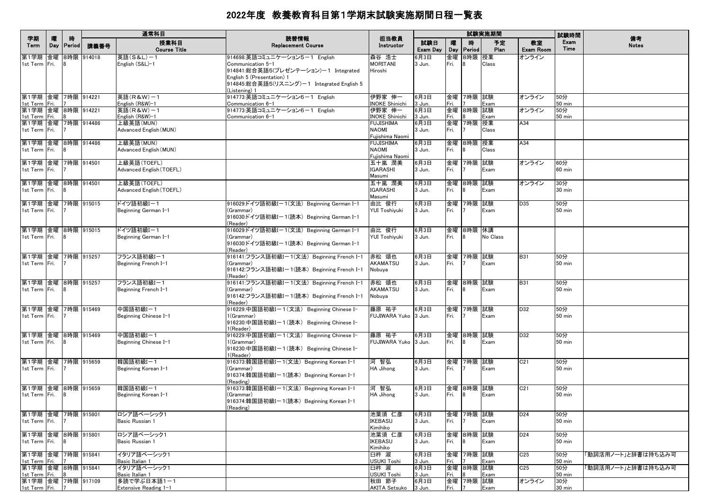|                                        |          |             |            | 通常科目                                    |                                                           |                                 | 試験実施期間          |            |                    |            |                        | 試験時間                 |                    |
|----------------------------------------|----------|-------------|------------|-----------------------------------------|-----------------------------------------------------------|---------------------------------|-----------------|------------|--------------------|------------|------------------------|----------------------|--------------------|
| 学期<br>Term                             | 隁<br>Day | 時<br>Period | 講義番号       | 授業科目<br><b>Course Title</b>             | 読替情報<br><b>Replacement Course</b>                         | 担当教員<br>Instructor              | 試験日<br>Exam Day | 曤<br>Day   | 時<br>Period        | 予定<br>Plan | 教室<br><b>Exam Room</b> | Exam<br>Time         | 備考<br><b>Notes</b> |
| 第1学期 金曜                                |          |             | 8時限 914018 | 英語(S&L)-1                               | 914698:英語コミュニケーション5-1 English                             | 森谷 浩士                           | 6月3日            | 金曜         | 8時限 授業             |            | オンライン                  |                      |                    |
| 1st Term Fri.                          |          |             |            | English (S&L)-1                         | Communication 5-1<br>914841:総合英語5(プレゼンテーション)-1 Integrated | MORITANI<br>Hiroshi             | 3 Jun.          | Fri.       | <b>R</b>           | Class      |                        |                      |                    |
|                                        |          |             |            |                                         | English 5 (Presentation) 1                                |                                 |                 |            |                    |            |                        |                      |                    |
|                                        |          |             |            |                                         | 914845:総合英語5(リスニング)ー1 Integrated English 5                |                                 |                 |            |                    |            |                        |                      |                    |
|                                        |          |             |            |                                         | (Listening) 1                                             |                                 |                 |            |                    |            |                        |                      |                    |
| 第1学期  金曜  7時限  914221<br>1st Term Fri. |          |             |            | 英語(R&W)-1<br>English (R&W)-1            | 914773:英語コミュニケーション6-1 English<br>Communication 6-1        | 伊野家 伸一<br><b>INOKE Shinichi</b> | 6月3日<br>3 Jun.  | Fri.       | 金曜 7時限 試験          | Exam       | オンライン                  | 50分<br>50 min        |                    |
| 第1学期 金曜 8時限 914221                     |          |             |            | 英語(R&W)-1                               | 914773:英語コミュニケーション6-1 English                             | 伊野家 伸一                          | 6月3日            | 金曜         | 8時限 試験             |            | オンライン                  | 50分                  |                    |
| 1st Term Fri.                          |          |             |            | English (R&W)-1                         | Communication 6−1                                         | <b>INOKE Shinichi</b>           | 3 Jun.          | Fri.       |                    | Exam       |                        | 50 min               |                    |
| 第1学期 金曜 7時限 914486<br>1st Term Fri.    |          |             |            | 上級英語(MUN)<br>Advanced English (MUN)     |                                                           | FUJISHIMA<br>NAOMI              | 6月3日<br>3 Jun.  | 金曜<br>Fri. | 7時限 授業             | Class      | A34                    |                      |                    |
|                                        |          |             |            |                                         |                                                           | Fujishima Naomi                 |                 |            |                    |            |                        |                      |                    |
| 第1学期 金曜                                |          |             | 8時限 914486 | 上級英語(MUN)                               |                                                           | <b>FUJISHIMA</b>                | 6月3日            | 金曜         | 8時限 授業             |            | A34                    |                      |                    |
| 1st Term Fri.                          |          |             |            | Advanced English (MUN)                  |                                                           | <b>NAOMI</b><br>Fujishima Naomi | 3 Jun.          | Fri.       | <b>R</b>           | Class      |                        |                      |                    |
| 第1学期 金曜                                |          |             | 7時限 914501 | 上級英語(TOEFL)                             |                                                           | 五十嵐 潤美                          | 6月3日            | 金曜         | 7時限   試験           |            | オンライン                  | 60分                  |                    |
| 1st Term Fri.                          |          |             |            | Advanced English (TOEFL)                |                                                           | IGARASHI                        | 3 Jun.          | Fri.       |                    | Exam       |                        | $60$ min             |                    |
|                                        |          |             |            |                                         |                                                           | Masumi                          |                 |            |                    |            |                        |                      |                    |
| 第1学期 金曜<br>1st Term Fri.               |          | 8時限 914501  |            | 上級英語(TOEFL)<br>Advanced English (TOEFL) |                                                           | 五十嵐 潤美<br><b>IGARASHI</b>       | 6月3日<br>3 Jun.  | 金曜<br>Fri. | 8時限 試験             | Exam       | オンライン                  | 30分<br>30 min        |                    |
|                                        |          |             |            |                                         |                                                           | Masumi                          |                 |            |                    |            |                        |                      |                    |
| 第1学期 金曜                                |          |             | 7時限 915015 | ドイツ語初級Iー1                               | 916029:ドイツ語初級Iー1(文法)Beginning German I-1                  | 由比 俊行                           | 6月3日            | 金曜         | 7時限 試験             |            | D35                    | 50分                  |                    |
| 1st Term Fri.                          |          |             |            | Beginning German I-1                    | (Grammar)                                                 | YUI Toshiyuki                   | 3 Jun.          | Fri.       |                    | Exam       |                        | 50 min               |                    |
|                                        |          |             |            |                                         | 916030:ドイツ語初級Iー1(読本)Beginning German I-1<br>(Reader)      |                                 |                 |            |                    |            |                        |                      |                    |
| 第1学期 金曜 8時限 915015                     |          |             |            | ドイツ語初級Iー1                               | 916029:ドイツ語初級Iー1(文法)Beginning German I-1                  | 由比 俊行                           | 6月3日            |            | 金曜  8時限  休講        |            |                        |                      |                    |
| 1st Term Fri.                          |          |             |            | Beginning German I-1                    | (Grammar)                                                 | YUI Toshiyuki                   | 3 Jun.          | Fri.       | 8                  | No Class   |                        |                      |                    |
|                                        |          |             |            |                                         | 916030:ドイツ語初級Iー1(読本)Beginning German I-1                  |                                 |                 |            |                    |            |                        |                      |                    |
| 第1学期 金曜 7時限 915257                     |          |             |            | フランス語初級I-1                              | (Reader)<br>916141:フランス語初級Iー1(文法)Beginning French I-1     | 赤松 頌也                           | 6月3日            | 金曜         | 7時限 試験             |            | <b>B31</b>             | 50分                  |                    |
| 1st Term Fri.                          |          |             |            | Beginning French I-1                    | (Grammar)                                                 | AKAMATSU                        | 3 Jun.          | Fri.       |                    | Exam       |                        | 50 min               |                    |
|                                        |          |             |            |                                         | 916142:フランス語初級Iー1(読本) Beginning French I-1<br>(Reader)    | Nobuya                          |                 |            |                    |            |                        |                      |                    |
| 第1学期 金曜 8時限 915257                     |          |             |            | フランス語初級I-1                              | 916141:フランス語初級Iー1(文法)Beginning French I−1                 | 赤松 頌也                           | 6月3日            |            | 金曜 8時限 試験          |            | <b>B31</b>             | 50分                  |                    |
| 1st Term Fri.                          |          | 18          |            | Beginning French I-1                    | (Grammar)<br>916142:フランス語初級Iー1(読本)Beginning French I–1    | AKAMATSU<br>Nobuya              | 3 Jun.          | Fri.       |                    | Exam       |                        | 50 min               |                    |
|                                        |          |             |            |                                         | (Reader)                                                  |                                 |                 |            |                    |            |                        |                      |                    |
| 第1学期 金曜<br>1st Term Fri.               |          |             | 7時限 915469 | 中国語初級I-1                                | 916229:中国語初級Iー1(文法) Beginning Chinese I-<br>1(Grammar)    | 藤原 祐子<br>FUJIWARA Yuko 3 Jun.   | 6月3日            | 金曜<br>Fri. | 7時限  試験            | Exam       | D32                    | 50分<br>50 min        |                    |
|                                        |          |             |            | Beginning Chinese I-1                   | 916230:中国語初級Iー1(読本) Beginning Chinese I-                  |                                 |                 |            |                    |            |                        |                      |                    |
|                                        |          |             |            |                                         | l(Reader)                                                 |                                 |                 |            |                    |            |                        |                      |                    |
| 第1学期 金曜 8時限 915469<br>1st Term Fri.    |          | <b>R</b>    |            | 中国語初級I-1<br>Beginning Chinese I-1       | 916229:中国語初級Iー1(文法) Beginning Chinese I-<br>1(Grammar)    | 藤原 祐子<br>FUJIWARA Yuko 3 Jun.   | 6月3日            | 金曜<br>Fri. | 8時限 試験<br><b>R</b> | Exam       | D32                    | 50分<br>50 min        |                    |
|                                        |          |             |            |                                         | 916230:中国語初級Iー1(読本) Beginning Chinese I-                  |                                 |                 |            |                    |            |                        |                      |                    |
|                                        |          |             |            |                                         | (Reader)                                                  |                                 |                 |            |                    |            |                        |                      |                    |
| 第1学期 金曜 7時限 915659<br>1st Term Fri.    |          |             |            | 韓国語初級I-1<br>Beginning Korean I-1        | 916373:韓国語初級Iー1(文法)Beginning Korean I–1<br>(Grammar)      | 河 智弘<br>HA Jihong               | 6月3日<br>3 Jun.  | 金曜<br>Fri. | 7時限 試験             | Exam       | C <sub>21</sub>        | 50分<br>50 min        |                    |
|                                        |          |             |            |                                         | 916374:韓国語初級Iー1(読本)Beginning Korean I–1                   |                                 |                 |            |                    |            |                        |                      |                    |
|                                        |          |             |            |                                         | (Reading)                                                 |                                 |                 |            |                    |            |                        |                      |                    |
| 第1学期 金曜 8時限 915659<br>1st Term Fri.    |          |             |            | 韓国語初級I-1<br>Beginning Korean I-1        | 916373:韓国語初級Iー1(文法) Beginning Korean I-1<br>(Grammar)     | 河 智弘<br>HA Jihong               | 6月3日<br>3 Jun.  | 金曜<br>Fri. | 8時限 試験             | Exam       | C <sub>21</sub>        | 50分<br>50 min        |                    |
|                                        |          |             |            |                                         | 916374:韓国語初級Iー1(読本)Beginning Korean I–1                   |                                 |                 |            |                    |            |                        |                      |                    |
|                                        |          |             |            |                                         | (Reading)                                                 |                                 |                 |            |                    |            |                        |                      |                    |
| 第1学期 金曜 7時限 915801<br>1st Term Fri.    |          |             |            | ロシア語ベーシック1<br>Basic Russian 1           |                                                           | 池葉須 仁彦<br>IKEBASU               | 6月3日<br>3 Jun.  | Fri.       | 金曜  7時限  試験        | Exam       | D <sub>24</sub>        | 50分<br>50 min        |                    |
|                                        |          |             |            |                                         |                                                           | Kimihiko                        |                 |            |                    |            |                        |                      |                    |
| 第1学期 金曜 8時限 915801                     |          |             |            | ロシア語ベーシック1                              |                                                           | 池葉須 仁彦                          | 6月3日            |            | 金曜 8時限 試験          |            | D <sub>24</sub>        | 50分                  |                    |
| 1st Term Fri.                          |          | 18          |            | Basic Russian 1                         |                                                           | IKEBASU<br>Kimihiko             | 3 Jun.          | Fri.       | 8                  | Exam       |                        | 50 min               |                    |
| 第1学期 金曜 7時限 915841                     |          |             |            | イタリア語ベーシック1                             |                                                           | 臼杵 淑                            | 6月3日            |            | 金曜 7時限 試験          |            | C <sub>25</sub>        | 50分                  | 「動詞活用ノート」と辞書は持ち込み可 |
| 1st Term Fri.<br>第1学期 金曜 8時限 915841    |          |             |            | Basic Italian 1<br>イタリア語ベーシック1          |                                                           | USUKI Toshi<br>臼杵 淑             | 3 Jun.<br>6月3日  | Fri.       | 金曜 8時限 試験          | Exam       | C25                    | <b>50 min</b><br>50分 | 「動詞活用ノート」と辞書は持ち込み可 |
| 1st Term Fri.                          |          |             |            | Basic Italian 1                         |                                                           | <b>USUKI Toshi</b>              | 3 Jun.          | Fri.       |                    | Exam       |                        | <b>50 min</b>        |                    |
| 第1学期 金曜 7時限 917109                     |          |             |            | 多読で学ぶ日本語1-1                             |                                                           | 秋田 節子                           | 6月3日            |            | 金曜 7時限 試験          |            | オンライン                  | 30分                  |                    |
| 1st Term Fri.                          |          |             |            | Extensive Reading 1-1                   |                                                           | AKITA Setsuko 3 Jun.            |                 | Fri.       | 7                  | Exam       |                        | $30 \text{ min}$     |                    |